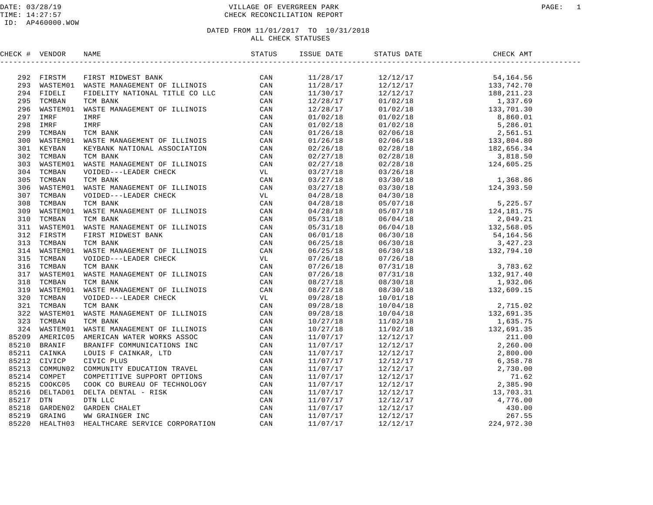## DATE: 03/28/19 PAGE: 1 CONTROLLAGE OF EVERGREEN PARK TIME: 14:27:57 CHECK RECONCILIATION REPORT

| CHECK # VENDOR | NAME | ISSUE DATE | STATUS DATE CHECK AMT<br>_______________ |  |
|----------------|------|------------|------------------------------------------|--|
|                |      |            |                                          |  |
|                |      |            |                                          |  |
|                |      |            |                                          |  |
|                |      |            |                                          |  |
|                |      |            |                                          |  |
|                |      |            |                                          |  |
|                |      |            |                                          |  |
|                |      |            |                                          |  |
|                |      |            |                                          |  |
|                |      |            |                                          |  |
|                |      |            |                                          |  |
|                |      |            |                                          |  |
|                |      |            |                                          |  |
|                |      |            |                                          |  |
|                |      |            |                                          |  |
|                |      |            |                                          |  |
|                |      |            |                                          |  |
|                |      |            |                                          |  |
|                |      |            |                                          |  |
|                |      |            |                                          |  |
|                |      |            |                                          |  |
|                |      |            |                                          |  |
|                |      |            |                                          |  |
|                |      |            |                                          |  |
|                |      |            |                                          |  |
|                |      |            |                                          |  |
|                |      |            |                                          |  |
|                |      |            |                                          |  |
|                |      |            |                                          |  |
|                |      |            |                                          |  |
|                |      |            |                                          |  |
|                |      |            |                                          |  |
|                |      |            |                                          |  |
|                |      |            |                                          |  |
|                |      |            |                                          |  |
|                |      |            |                                          |  |
|                |      |            |                                          |  |
|                |      |            |                                          |  |
|                |      |            |                                          |  |
|                |      |            |                                          |  |
|                |      |            |                                          |  |
|                |      |            |                                          |  |
|                |      |            |                                          |  |
|                |      |            |                                          |  |
|                |      |            |                                          |  |
|                |      |            |                                          |  |
|                |      |            |                                          |  |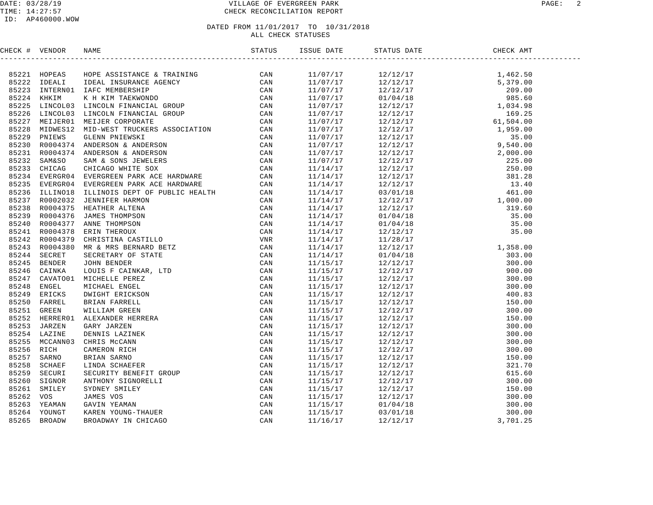#### DATE: 03/28/19 VILLAGE OF EVERGREEN PARK PAGE: 2 TIME: 14:27:57 CHECK RECONCILIATION REPORT

#### ID: AP460000.WOW

| CHECK # VENDOR | <b>NAME</b>                                                                                                                                                                                                                   | ISSUE DATE | STATUS DATE | CHECK AMT |  |
|----------------|-------------------------------------------------------------------------------------------------------------------------------------------------------------------------------------------------------------------------------|------------|-------------|-----------|--|
|                | FRIDER MANIFOLM AND MINIMAGE A TRAINING CAN DESCRIPTION CONSUMER A TRAINING CAN INTERNACE IN A REPORT OF CAN INTERNACE IN A REPORT OF CAN ALLOWED CAN A REPORT OF CAN A REPORT OF CAN INTERNACE CAN CONSUME A MANUFOLD CONSUL |            |             |           |  |
|                |                                                                                                                                                                                                                               | 11/07/17   |             |           |  |
|                |                                                                                                                                                                                                                               | 11/07/17   |             |           |  |
|                |                                                                                                                                                                                                                               | 11/07/17   |             |           |  |
|                |                                                                                                                                                                                                                               | 11/07/17   |             |           |  |
|                |                                                                                                                                                                                                                               | 11/07/17   |             |           |  |
|                |                                                                                                                                                                                                                               | 11/07/17   |             |           |  |
|                |                                                                                                                                                                                                                               | 11/07/17   |             |           |  |
|                |                                                                                                                                                                                                                               | 11/07/17   |             |           |  |
|                |                                                                                                                                                                                                                               | 11/07/17   |             |           |  |
|                |                                                                                                                                                                                                                               | 11/07/17   |             |           |  |
|                |                                                                                                                                                                                                                               | 11/07/17   |             |           |  |
|                |                                                                                                                                                                                                                               | 11/07/17   |             |           |  |
|                |                                                                                                                                                                                                                               | 11/14/17   |             |           |  |
|                |                                                                                                                                                                                                                               | 11/14/17   |             |           |  |
|                |                                                                                                                                                                                                                               | 11/14/17   |             |           |  |
|                |                                                                                                                                                                                                                               | 11/14/17   |             |           |  |
|                |                                                                                                                                                                                                                               | 11/14/17   |             |           |  |
|                |                                                                                                                                                                                                                               | 11/14/17   |             |           |  |
|                |                                                                                                                                                                                                                               | 11/14/17   |             |           |  |
|                |                                                                                                                                                                                                                               | 11/14/17   |             |           |  |
|                |                                                                                                                                                                                                                               | 11/14/17   |             |           |  |
|                |                                                                                                                                                                                                                               | 11/14/17   |             |           |  |
|                |                                                                                                                                                                                                                               | 11/14/17   |             |           |  |
|                |                                                                                                                                                                                                                               | 11/14/17   |             |           |  |
|                |                                                                                                                                                                                                                               | 11/15/17   |             |           |  |
|                |                                                                                                                                                                                                                               | 11/15/17   |             |           |  |
|                |                                                                                                                                                                                                                               | 11/15/17   |             |           |  |
|                |                                                                                                                                                                                                                               | 11/15/17   |             |           |  |
|                |                                                                                                                                                                                                                               | 11/15/17   |             |           |  |
|                |                                                                                                                                                                                                                               | 11/15/17   |             |           |  |
|                |                                                                                                                                                                                                                               | 11/15/17   |             |           |  |
|                |                                                                                                                                                                                                                               | 11/15/17   |             |           |  |
|                |                                                                                                                                                                                                                               | 11/15/17   |             |           |  |
|                |                                                                                                                                                                                                                               | 11/15/17   |             |           |  |
|                |                                                                                                                                                                                                                               | 11/15/17   |             |           |  |
|                |                                                                                                                                                                                                                               | 11/15/17   |             |           |  |
|                |                                                                                                                                                                                                                               | 11/15/17   |             |           |  |
|                |                                                                                                                                                                                                                               | 11/15/17   |             |           |  |
|                |                                                                                                                                                                                                                               | 11/15/17   |             |           |  |
|                |                                                                                                                                                                                                                               | 11/15/17   |             |           |  |
|                |                                                                                                                                                                                                                               | 11/15/17   |             |           |  |
|                |                                                                                                                                                                                                                               | 11/15/17   |             |           |  |
|                |                                                                                                                                                                                                                               | 11/15/17   |             |           |  |
|                |                                                                                                                                                                                                                               | 11/15/17   |             |           |  |
|                |                                                                                                                                                                                                                               | 11/16/17   | 12/12/17    |           |  |
|                |                                                                                                                                                                                                                               |            |             |           |  |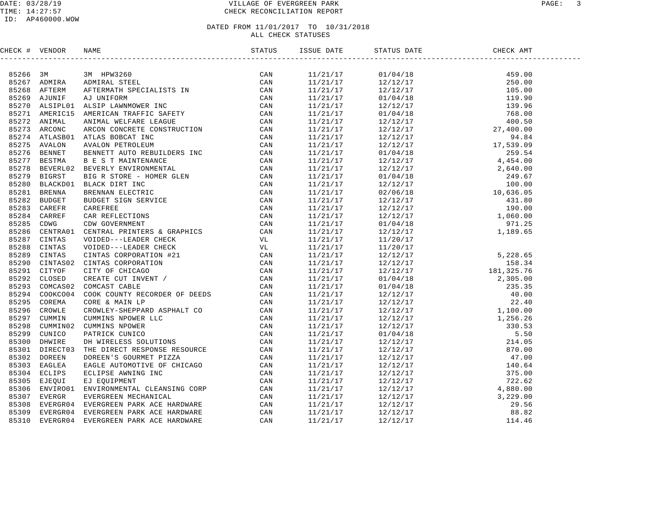#### DATE: 03/28/19 VILLAGE OF EVERGREEN PARK PAGE: 3 TIME: 14:27:57 CHECK RECONCILIATION REPORT

#### ID: AP460000.WOW

|       | CHECK # VENDOR |                                 |  |  |  |
|-------|----------------|---------------------------------|--|--|--|
|       |                |                                 |  |  |  |
|       | 85266 3M       |                                 |  |  |  |
|       | 85267 ADMIRA   |                                 |  |  |  |
| 85268 |                |                                 |  |  |  |
| 85269 |                |                                 |  |  |  |
|       | 85270 ALSIPL01 |                                 |  |  |  |
| 85271 |                |                                 |  |  |  |
|       | 85272 ANIMAL   |                                 |  |  |  |
| 85273 |                |                                 |  |  |  |
|       |                | 85274 ATLASB01 ATLAS BOBCAT INC |  |  |  |
| 85275 |                |                                 |  |  |  |
| 85276 |                |                                 |  |  |  |
| 85277 |                |                                 |  |  |  |
| 85278 |                |                                 |  |  |  |
| 85279 |                |                                 |  |  |  |
| 85280 |                |                                 |  |  |  |
| 85281 |                |                                 |  |  |  |
| 85282 |                |                                 |  |  |  |
| 85283 |                |                                 |  |  |  |
| 85284 |                |                                 |  |  |  |
| 85285 |                |                                 |  |  |  |
| 85286 |                |                                 |  |  |  |
| 85287 |                |                                 |  |  |  |
| 85288 |                |                                 |  |  |  |
| 85289 |                |                                 |  |  |  |
| 85290 |                |                                 |  |  |  |
| 85291 |                |                                 |  |  |  |
| 85292 |                |                                 |  |  |  |
|       | 85293 COMCAS02 |                                 |  |  |  |
| 85294 |                |                                 |  |  |  |
| 85295 |                |                                 |  |  |  |
| 85296 |                |                                 |  |  |  |
| 85297 |                |                                 |  |  |  |
| 85298 |                |                                 |  |  |  |
| 85299 |                |                                 |  |  |  |
| 85300 |                |                                 |  |  |  |
| 85301 |                |                                 |  |  |  |
|       | 85302 DOREEN   |                                 |  |  |  |
| 85303 |                |                                 |  |  |  |
| 85304 |                |                                 |  |  |  |
| 85305 |                |                                 |  |  |  |
| 85306 |                |                                 |  |  |  |
| 85307 |                |                                 |  |  |  |
| 85308 |                |                                 |  |  |  |
| 85309 |                |                                 |  |  |  |
| 85310 |                |                                 |  |  |  |
|       |                |                                 |  |  |  |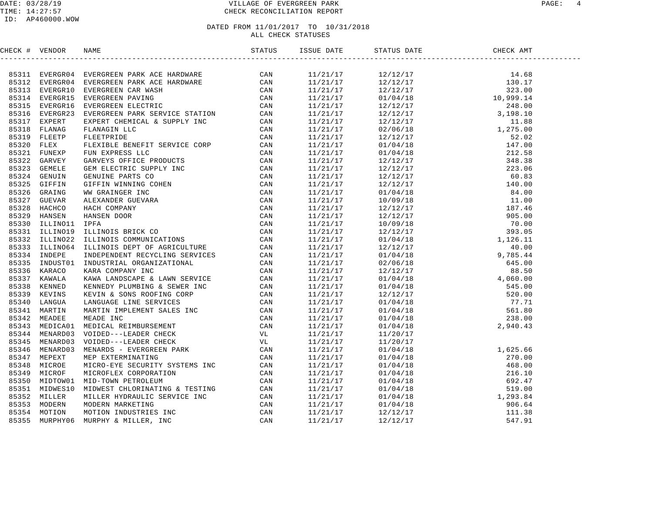#### DATE: 03/28/19 VILLAGE OF EVERGREEN PARK PAGE: 4 TIME: 14:27:57 CHECK RECONCILIATION REPORT

| CHECK # VENDOR |  |  |  |  |
|----------------|--|--|--|--|
|                |  |  |  |  |
|                |  |  |  |  |
|                |  |  |  |  |
|                |  |  |  |  |
|                |  |  |  |  |
|                |  |  |  |  |
|                |  |  |  |  |
|                |  |  |  |  |
|                |  |  |  |  |
|                |  |  |  |  |
|                |  |  |  |  |
|                |  |  |  |  |
|                |  |  |  |  |
|                |  |  |  |  |
|                |  |  |  |  |
|                |  |  |  |  |
|                |  |  |  |  |
|                |  |  |  |  |
|                |  |  |  |  |
|                |  |  |  |  |
|                |  |  |  |  |
|                |  |  |  |  |
|                |  |  |  |  |
|                |  |  |  |  |
|                |  |  |  |  |
|                |  |  |  |  |
|                |  |  |  |  |
|                |  |  |  |  |
|                |  |  |  |  |
|                |  |  |  |  |
|                |  |  |  |  |
|                |  |  |  |  |
|                |  |  |  |  |
|                |  |  |  |  |
|                |  |  |  |  |
|                |  |  |  |  |
|                |  |  |  |  |
|                |  |  |  |  |
|                |  |  |  |  |
|                |  |  |  |  |
|                |  |  |  |  |
|                |  |  |  |  |
|                |  |  |  |  |
|                |  |  |  |  |
|                |  |  |  |  |
|                |  |  |  |  |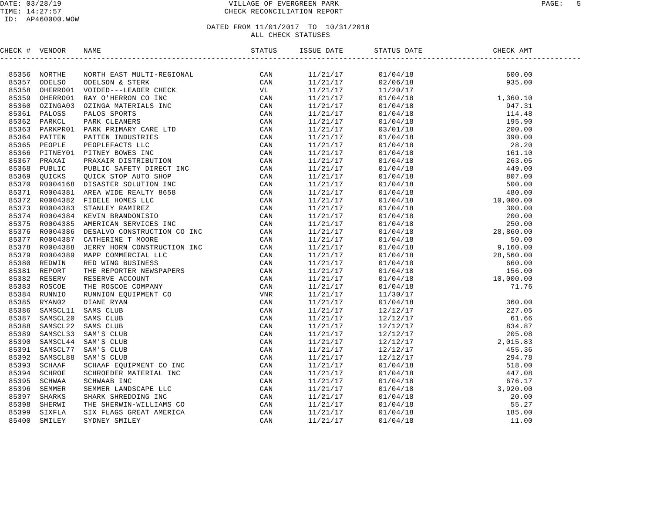#### DATE: 03/28/19 VILLAGE OF EVERGREEN PARK PAGE: 5 TIME: 14:27:57 CHECK RECONCILIATION REPORT

#### ID: AP460000.WOW

### DATED FROM  $11/01/2017$  TO  $10/31/2018$ ALL CHECK STATUSES

CHECK # VENDOR NAME STATUS ISSUE DATE STATUS DATE CHECK AMT ------------------------------------------------------------------------------------------------------------------------------------85356 NORTHE NORTH EAST MULTI-REGIONAL CAN 11/21/17 01/04/18 600.00 85357 ODELSO ODELSON & STERK CAN 11/21/17 02/06/18 935.00 85358 OHERRO01 VOIDED---LEADER CHECK VL 11/21/17 11/20/17 85359 OHERRO01 RAY O'HERRON CO INC CAN 11/21/17 01/04/18 1,360.10 85360 OZINGA03 OZINGA MATERIALS INC CAN 11/21/17 01/04/18 947.31 85361 PALOSS PALOS SPORTS CAN 11/21/17 01/04/18 114.48 85362 PARKCL PARK CLEANERS CAN 11/21/17 01/04/18 195.90 85363 PARKPR01 PARK PRIMARY CARE LTD CAN 11/21/17 03/01/18 200.00 85364 PATTEN PATTEN INDUSTRIES CAN 11/21/17 01/04/18 390.00 85365 PEOPLE PEOPLEFACTS LLC CAN 11/21/17 01/04/18 28.20 85366 PITNEY01 PITNEY BOWES INC CAN 11/21/17 01/04/18 161.10 85367 PRAXAI PRAXAIR DISTRIBUTION CAN 11/21/17 01/04/18 263.05 85368 PUBLIC PUBLIC SAFETY DIRECT INC CAN 11/21/17 01/04/18 449.00 85369 QUICKS QUICK STOP AUTO SHOP CAN 11/21/17 01/04/18 807.00 85370 R0004168 DISASTER SOLUTION INC CAN 11/21/17 01/04/18 500.00 85371 R0004381 AREA WIDE REALTY 8658 CAN 11/21/17 01/04/18 480.00 85372 R0004382 FIDELE HOMES LLC CAN 11/21/17 01/04/18 10,000.00 85373 R0004383 STANLEY RAMIREZ CAN 11/21/17 01/04/18 300.00 85374 R0004384 KEVIN BRANDONISIO CAN 11/21/17 01/04/18 200.00 85375 R0004385 AMERICAN SERVICES INC CAN 11/21/17 01/04/18 250.00 85376 R0004386 DESALVO CONSTRUCTION CO INC CAN 11/21/17 01/04/18 28,860.00 85377 R0004387 CATHERINE T MOORE CAN 11/21/17 01/04/18 50.00 85378 R0004388 JERRY HORN CONSTRUCTION INC CAN 11/21/17 01/04/18 9,160.00 85379 R0004389 MAPP COMMERCIAL LLC CAN 11/21/17 01/04/18 28,560.00 85380 REDWIN RED WING BUSINESS CAN 11/21/17 01/04/18 660.00 85381 REPORT THE REPORTER NEWSPAPERS CAN 11/21/17 01/04/18 156.00 85382 RESERV RESERVE ACCOUNT CAN 11/21/17 01/04/18 10,000.00 85383 ROSCOE THE ROSCOE COMPANY CAN 11/21/17 01/04/18 71.76 85384 RUNNIO RUNNION EQUIPMENT CO VNR 11/21/17 11/30/17 85385 RYAN02 DIANE RYAN CAN 11/21/17 01/04/18 360.00 85386 SAMSCL11 SAMS CLUB CAN 11/21/17 12/12/17 227.05 85387 SAMSCL20 SAMS CLUB CAN 11/21/17 12/12/17 61.66 85388 SAMSCL22 SAMS CLUB CAN 11/21/17 12/12/17 834.87 85389 SAMSCL33 SAM'S CLUB CAN 11/21/17 12/12/17 205.08 85390 SAMSCL44 SAM'S CLUB CAN 11/21/17 12/12/17 2,015.83 85391 SAMSCL77 SAM'S CLUB CAN 11/21/17 12/12/17 455.36 85392 SAMSCL88 SAM'S CLUB CAN 11/21/17 12/12/17 294.78 85393 SCHAAF SCHAAF EQUIPMENT CO INC CAN 11/21/17 01/04/18 518.00 85394 SCHROE SCHROEDER MATERIAL INC CAN 11/21/17 01/04/18 447.08 85395 SCHWAA SCHWAAB INC CAN 11/21/17 01/04/18 676.17 85396 SEMMER SEMMER LANDSCAPE LLC CAN 11/21/17 01/04/18 3,920.00 85397 SHARKS SHARK SHREDDING INC CAN 11/21/17 01/04/18 20.00 85398 SHERWI THE SHERWIN-WILLIAMS CO CAN 11/21/17 01/04/18 55.27 85399 SIXFLA SIX FLAGS GREAT AMERICA CAN 11/21/17 01/04/18 185.00 85400 SMILEY SYDNEY SMILEY CAN 11/21/17 01/04/18 11.00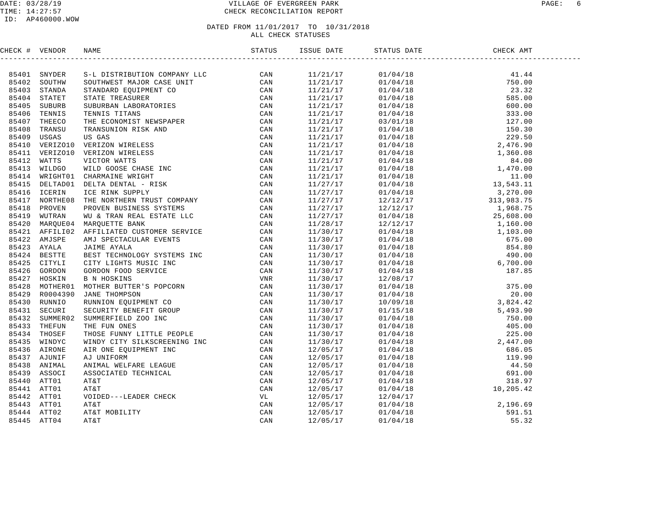#### DATE: 03/28/19 VILLAGE OF EVERGREEN PARK PAGE: 6 TIME: 14:27:57 CHECK RECONCILIATION REPORT

#### ID: AP460000.WOW

| CHECK # VENDOR |                | <b>NAME</b>                                                                                                                                                                                                                   | ISSUE DATE |  |  |
|----------------|----------------|-------------------------------------------------------------------------------------------------------------------------------------------------------------------------------------------------------------------------------|------------|--|--|
|                |                | XAND CHECK COMPANY IN the STATE of the Matrix South of the Colline of the Colline of the STATE of the Colline of the STATE of the Colline of the STATE of the Colline of the Colline of the Colline of the Colline of the Col |            |  |  |
|                | 85401 SNYDER   |                                                                                                                                                                                                                               |            |  |  |
|                | 85402 SOUTHW   |                                                                                                                                                                                                                               |            |  |  |
|                | 85403 STANDA   |                                                                                                                                                                                                                               |            |  |  |
|                | 85404 STATET   |                                                                                                                                                                                                                               |            |  |  |
| 85405          | SUBURB         |                                                                                                                                                                                                                               |            |  |  |
| 85406          | TENNIS         |                                                                                                                                                                                                                               |            |  |  |
| 85407          | THEECO         |                                                                                                                                                                                                                               |            |  |  |
| 85408          | TRANSU         |                                                                                                                                                                                                                               |            |  |  |
|                | 85409 USGAS    |                                                                                                                                                                                                                               |            |  |  |
|                | 85410 VERIZO10 |                                                                                                                                                                                                                               |            |  |  |
|                | 85411 VERIZO10 |                                                                                                                                                                                                                               |            |  |  |
|                | 85412 WATTS    |                                                                                                                                                                                                                               |            |  |  |
| 85413          | WILDGO         |                                                                                                                                                                                                                               |            |  |  |
|                |                | 85414 WRIGHT01 CHARMAINE WRIGHT                                                                                                                                                                                               |            |  |  |
|                | 85415 DELTAD01 |                                                                                                                                                                                                                               |            |  |  |
|                | 85416 ICERIN   |                                                                                                                                                                                                                               |            |  |  |
| 85417          | NORTHE08       |                                                                                                                                                                                                                               |            |  |  |
|                | 85418 PROVEN   |                                                                                                                                                                                                                               |            |  |  |
|                | 85419 WUTRAN   |                                                                                                                                                                                                                               |            |  |  |
| 85420          |                | MARQUE04 MARQUETTE BANK                                                                                                                                                                                                       |            |  |  |
|                | 85421 AFFILI02 |                                                                                                                                                                                                                               |            |  |  |
|                | 85422 AMJSPE   |                                                                                                                                                                                                                               |            |  |  |
|                | 85423 AYALA    |                                                                                                                                                                                                                               |            |  |  |
|                | 85424 BESTTE   |                                                                                                                                                                                                                               |            |  |  |
|                | 85425 CITYLI   |                                                                                                                                                                                                                               |            |  |  |
|                | 85426 GORDON   |                                                                                                                                                                                                                               |            |  |  |
|                | 85427 HOSKIN   |                                                                                                                                                                                                                               |            |  |  |
|                | 85428 MOTHER01 |                                                                                                                                                                                                                               |            |  |  |
|                | 85429 R0004390 |                                                                                                                                                                                                                               |            |  |  |
|                | 85430 RUNNIO   |                                                                                                                                                                                                                               |            |  |  |
|                | 85431 SECURI   |                                                                                                                                                                                                                               |            |  |  |
|                | 85432 SUMMER02 |                                                                                                                                                                                                                               |            |  |  |
|                | 85433 THEFUN   |                                                                                                                                                                                                                               |            |  |  |
|                | 85434 THOSEF   |                                                                                                                                                                                                                               |            |  |  |
|                | 85435 WINDYC   |                                                                                                                                                                                                                               |            |  |  |
|                | 85436 AIRONE   |                                                                                                                                                                                                                               |            |  |  |
|                | 85437 AJUNIF   |                                                                                                                                                                                                                               |            |  |  |
|                | 85438 ANIMAL   |                                                                                                                                                                                                                               |            |  |  |
|                | 85439 ASSOCI   |                                                                                                                                                                                                                               |            |  |  |
|                | 85440 ATT01    |                                                                                                                                                                                                                               |            |  |  |
|                | 85441 ATT01    |                                                                                                                                                                                                                               |            |  |  |
|                | 85442 ATT01    |                                                                                                                                                                                                                               |            |  |  |
|                | 85443 ATT01    |                                                                                                                                                                                                                               |            |  |  |
|                | 85444 ATT02    |                                                                                                                                                                                                                               |            |  |  |
|                | 85445 ATT04    |                                                                                                                                                                                                                               |            |  |  |
|                |                |                                                                                                                                                                                                                               |            |  |  |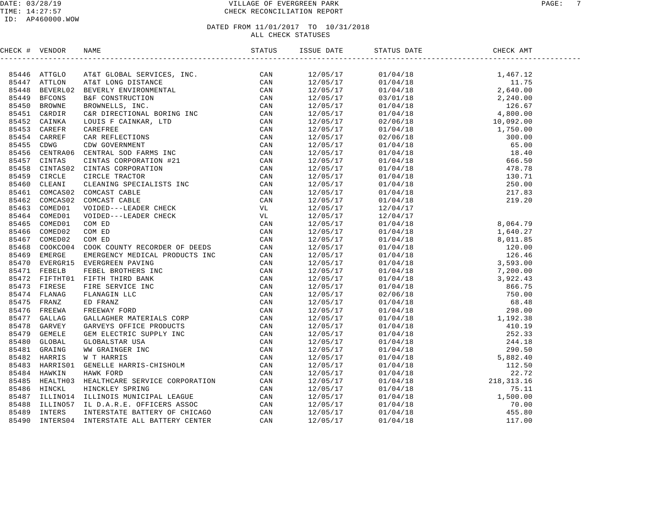#### DATE: 03/28/19 VILLAGE OF EVERGREEN PARK PAGE: 7 TIME: 14:27:57 CHECK RECONCILIATION REPORT

| CHECK # VENDOR |  |  |  |  |
|----------------|--|--|--|--|
|                |  |  |  |  |
|                |  |  |  |  |
|                |  |  |  |  |
|                |  |  |  |  |
|                |  |  |  |  |
|                |  |  |  |  |
|                |  |  |  |  |
|                |  |  |  |  |
|                |  |  |  |  |
|                |  |  |  |  |
|                |  |  |  |  |
|                |  |  |  |  |
|                |  |  |  |  |
|                |  |  |  |  |
|                |  |  |  |  |
|                |  |  |  |  |
|                |  |  |  |  |
|                |  |  |  |  |
|                |  |  |  |  |
|                |  |  |  |  |
|                |  |  |  |  |
|                |  |  |  |  |
|                |  |  |  |  |
|                |  |  |  |  |
|                |  |  |  |  |
|                |  |  |  |  |
|                |  |  |  |  |
|                |  |  |  |  |
|                |  |  |  |  |
|                |  |  |  |  |
|                |  |  |  |  |
|                |  |  |  |  |
|                |  |  |  |  |
|                |  |  |  |  |
|                |  |  |  |  |
|                |  |  |  |  |
|                |  |  |  |  |
|                |  |  |  |  |
|                |  |  |  |  |
|                |  |  |  |  |
|                |  |  |  |  |
|                |  |  |  |  |
|                |  |  |  |  |
|                |  |  |  |  |
|                |  |  |  |  |
|                |  |  |  |  |
|                |  |  |  |  |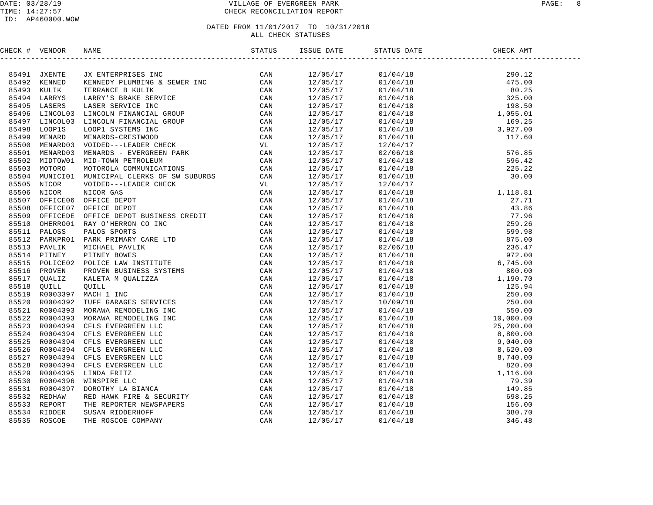#### DATE: 03/28/19 VILLAGE OF EVERGREEN PARK PAGE: 8 TIME: 14:27:57 CHECK RECONCILIATION REPORT

#### ID: AP460000.WOW

| CHECK # VENDOR |                |                                                                                                                                                                                                                               |  |                                                                                                                                                                                                                                                                       |  |
|----------------|----------------|-------------------------------------------------------------------------------------------------------------------------------------------------------------------------------------------------------------------------------|--|-----------------------------------------------------------------------------------------------------------------------------------------------------------------------------------------------------------------------------------------------------------------------|--|
|                |                | THE RANGE IN THE SERIES IN the SERIES AND MANUSCRIP (CAN BROWN FOR THE RANGE IN THE RANGE IN THE RANGE IN THE RANGE IN THE RANGE IN THE RANGE IN THE RANGE IN THE RANGE IN THE RANGE IN THE RANGE IN THE RANGE IN THE RANGE I |  | $\begin{tabular}{cccccccc} $458540141 & 81410850448 & 89112\\ 12/05/17 & 01/04/18 & 495.00\\ 12/05/17 & 01/04/18 & 80.25\\ 12/05/17 & 01/04/18 & 198.50\\ 12/05/17 & 01/04/18 & 198.50\\ 12/05/17 & 01/04/18 & 198.50\\ 12/05/17 & 01/04/18 & 198.50\\ 12/05/17 & 01$ |  |
|                | 85491 JXENTE   |                                                                                                                                                                                                                               |  |                                                                                                                                                                                                                                                                       |  |
|                | 85492 KENNED   |                                                                                                                                                                                                                               |  |                                                                                                                                                                                                                                                                       |  |
|                | 85493 KULIK    |                                                                                                                                                                                                                               |  |                                                                                                                                                                                                                                                                       |  |
| 85494          |                |                                                                                                                                                                                                                               |  |                                                                                                                                                                                                                                                                       |  |
| 85495          |                |                                                                                                                                                                                                                               |  |                                                                                                                                                                                                                                                                       |  |
| 85496          |                |                                                                                                                                                                                                                               |  |                                                                                                                                                                                                                                                                       |  |
| 85497          |                |                                                                                                                                                                                                                               |  |                                                                                                                                                                                                                                                                       |  |
| 85498          |                |                                                                                                                                                                                                                               |  |                                                                                                                                                                                                                                                                       |  |
|                | 85499 MENARD   |                                                                                                                                                                                                                               |  |                                                                                                                                                                                                                                                                       |  |
| 85500          |                |                                                                                                                                                                                                                               |  |                                                                                                                                                                                                                                                                       |  |
|                | 85501 MENARD03 |                                                                                                                                                                                                                               |  |                                                                                                                                                                                                                                                                       |  |
| 85502          |                |                                                                                                                                                                                                                               |  |                                                                                                                                                                                                                                                                       |  |
| 85503          |                |                                                                                                                                                                                                                               |  |                                                                                                                                                                                                                                                                       |  |
| 85504          |                |                                                                                                                                                                                                                               |  |                                                                                                                                                                                                                                                                       |  |
| 85505          |                |                                                                                                                                                                                                                               |  |                                                                                                                                                                                                                                                                       |  |
|                | 85506 NICOR    |                                                                                                                                                                                                                               |  |                                                                                                                                                                                                                                                                       |  |
| 85507          |                |                                                                                                                                                                                                                               |  |                                                                                                                                                                                                                                                                       |  |
| 85508          |                |                                                                                                                                                                                                                               |  |                                                                                                                                                                                                                                                                       |  |
| 85509          |                |                                                                                                                                                                                                                               |  |                                                                                                                                                                                                                                                                       |  |
| 85510          |                |                                                                                                                                                                                                                               |  |                                                                                                                                                                                                                                                                       |  |
| 85511          |                |                                                                                                                                                                                                                               |  |                                                                                                                                                                                                                                                                       |  |
| 85512          |                |                                                                                                                                                                                                                               |  |                                                                                                                                                                                                                                                                       |  |
|                | 85513 PAVLIK   |                                                                                                                                                                                                                               |  |                                                                                                                                                                                                                                                                       |  |
| 85514          |                |                                                                                                                                                                                                                               |  |                                                                                                                                                                                                                                                                       |  |
|                | 85515 POLICE02 |                                                                                                                                                                                                                               |  |                                                                                                                                                                                                                                                                       |  |
| 85516          |                |                                                                                                                                                                                                                               |  |                                                                                                                                                                                                                                                                       |  |
| 85517          |                |                                                                                                                                                                                                                               |  |                                                                                                                                                                                                                                                                       |  |
| 85518          |                |                                                                                                                                                                                                                               |  |                                                                                                                                                                                                                                                                       |  |
|                | 85519 R0003397 |                                                                                                                                                                                                                               |  |                                                                                                                                                                                                                                                                       |  |
|                | 85520 R0004392 |                                                                                                                                                                                                                               |  |                                                                                                                                                                                                                                                                       |  |
| 85521          |                |                                                                                                                                                                                                                               |  |                                                                                                                                                                                                                                                                       |  |
|                | 85522 R0004393 |                                                                                                                                                                                                                               |  |                                                                                                                                                                                                                                                                       |  |
|                | 85523 R0004394 |                                                                                                                                                                                                                               |  |                                                                                                                                                                                                                                                                       |  |
|                |                | 85524 R0004394 CFLS EVERGREEN LLC                                                                                                                                                                                             |  |                                                                                                                                                                                                                                                                       |  |
| 85525          |                |                                                                                                                                                                                                                               |  |                                                                                                                                                                                                                                                                       |  |
|                | 85526 R0004394 |                                                                                                                                                                                                                               |  |                                                                                                                                                                                                                                                                       |  |
|                |                | 85527 R0004394 CFLS EVERGREEN LLC                                                                                                                                                                                             |  |                                                                                                                                                                                                                                                                       |  |
| 85528          |                |                                                                                                                                                                                                                               |  |                                                                                                                                                                                                                                                                       |  |
|                | 85529 R0004395 |                                                                                                                                                                                                                               |  |                                                                                                                                                                                                                                                                       |  |
| 85530          |                |                                                                                                                                                                                                                               |  |                                                                                                                                                                                                                                                                       |  |
|                | 85531 R0004397 |                                                                                                                                                                                                                               |  |                                                                                                                                                                                                                                                                       |  |
| 85532          |                |                                                                                                                                                                                                                               |  |                                                                                                                                                                                                                                                                       |  |
| 85533          |                |                                                                                                                                                                                                                               |  |                                                                                                                                                                                                                                                                       |  |
| 85534          |                |                                                                                                                                                                                                                               |  |                                                                                                                                                                                                                                                                       |  |
| 85535          |                |                                                                                                                                                                                                                               |  |                                                                                                                                                                                                                                                                       |  |
|                |                |                                                                                                                                                                                                                               |  |                                                                                                                                                                                                                                                                       |  |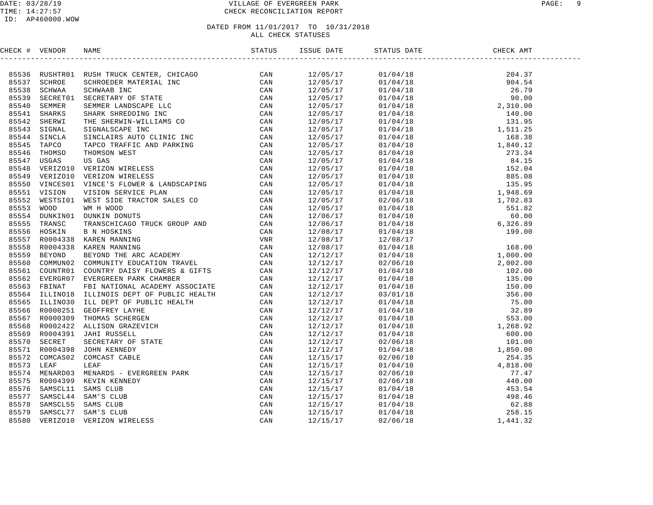#### DATE: 03/28/19 VILLAGE OF EVERGREEN PARK PAGE: 9 TIME: 14:27:57 CHECK RECONCILIATION REPORT

#### ID: AP460000.WOW

| CHECK # VENDOR |  |  |  |  |
|----------------|--|--|--|--|
|                |  |  |  |  |
|                |  |  |  |  |
|                |  |  |  |  |
|                |  |  |  |  |
|                |  |  |  |  |
|                |  |  |  |  |
|                |  |  |  |  |
|                |  |  |  |  |
|                |  |  |  |  |
|                |  |  |  |  |
|                |  |  |  |  |
|                |  |  |  |  |
|                |  |  |  |  |
|                |  |  |  |  |
|                |  |  |  |  |
|                |  |  |  |  |
|                |  |  |  |  |
|                |  |  |  |  |
|                |  |  |  |  |
|                |  |  |  |  |
|                |  |  |  |  |
|                |  |  |  |  |
|                |  |  |  |  |
|                |  |  |  |  |
|                |  |  |  |  |
|                |  |  |  |  |
|                |  |  |  |  |
|                |  |  |  |  |
|                |  |  |  |  |
|                |  |  |  |  |
|                |  |  |  |  |
|                |  |  |  |  |
|                |  |  |  |  |
|                |  |  |  |  |
|                |  |  |  |  |
|                |  |  |  |  |
|                |  |  |  |  |
|                |  |  |  |  |
|                |  |  |  |  |
|                |  |  |  |  |
|                |  |  |  |  |
|                |  |  |  |  |
|                |  |  |  |  |
|                |  |  |  |  |
|                |  |  |  |  |
|                |  |  |  |  |
|                |  |  |  |  |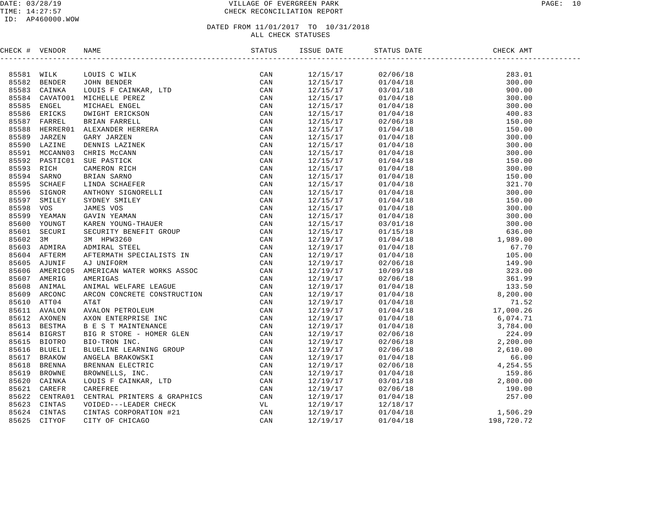#### DATE: 03/28/19 VILLAGE OF EVERGREEN PARK PAGE: 10 TIME: 14:27:57 CHECK RECONCILIATION REPORT

#### ID: AP460000.WOW

| CHECK # VENDOR |                |                                                                                                                                                                                                                               |          |                                                                                                                                                                                                                                                                                                                                                           |  |
|----------------|----------------|-------------------------------------------------------------------------------------------------------------------------------------------------------------------------------------------------------------------------------|----------|-----------------------------------------------------------------------------------------------------------------------------------------------------------------------------------------------------------------------------------------------------------------------------------------------------------------------------------------------------------|--|
|                |                | NAME TO BE THE READ CAN BE THE READ CAN BE STANDALLE PRESSURE IN THE SAME CAN ARRELL MOREL CAN ARRELL STAND STAND AND CAN DETERMINED AND CAN DETERMINED AND CAN BE THAT WHAT ARE BERE CAN ARRELL STAND ON THE REAL CAN ARRELL |          | $\begin{tabular}{l c c c} \hline \textbf{SFRV} & \textbf{GHEY} & \textbf{MW} \\[0.015cm] \hline \textbf{01/04/18} & \textbf{300.00} \\[0.017cm] \hline \textbf{03/01/18} & \textbf{300.00} \\[0.017cm] \hline \textbf{01/04/18} & \textbf{300.00} \\[0.017cm] \hline \textbf{01/04/18} & \textbf{400.83} \\[0.017cm] \hline \textbf{01/04/18} & \textbf{$ |  |
| 85581 WILK     |                |                                                                                                                                                                                                                               | 12/15/17 |                                                                                                                                                                                                                                                                                                                                                           |  |
|                | 85582 BENDER   |                                                                                                                                                                                                                               | 12/15/17 |                                                                                                                                                                                                                                                                                                                                                           |  |
| 85583          | CAINKA         |                                                                                                                                                                                                                               | 12/15/17 |                                                                                                                                                                                                                                                                                                                                                           |  |
| 85584          | CAVATO01       |                                                                                                                                                                                                                               | 12/15/17 |                                                                                                                                                                                                                                                                                                                                                           |  |
| 85585          | ENGEL          |                                                                                                                                                                                                                               | 12/15/17 |                                                                                                                                                                                                                                                                                                                                                           |  |
| 85586          | ERICKS         |                                                                                                                                                                                                                               | 12/15/17 |                                                                                                                                                                                                                                                                                                                                                           |  |
| 85587          | FARREL         |                                                                                                                                                                                                                               | 12/15/17 |                                                                                                                                                                                                                                                                                                                                                           |  |
| 85588          | HERRER01       |                                                                                                                                                                                                                               | 12/15/17 |                                                                                                                                                                                                                                                                                                                                                           |  |
| 85589          | JARZEN         |                                                                                                                                                                                                                               | 12/15/17 |                                                                                                                                                                                                                                                                                                                                                           |  |
| 85590          | LAZINE         |                                                                                                                                                                                                                               | 12/15/17 |                                                                                                                                                                                                                                                                                                                                                           |  |
|                | 85591 MCCANN03 |                                                                                                                                                                                                                               | 12/15/17 |                                                                                                                                                                                                                                                                                                                                                           |  |
| 85592          | PASTIC01       |                                                                                                                                                                                                                               | 12/15/17 |                                                                                                                                                                                                                                                                                                                                                           |  |
| 85593          | RICH           |                                                                                                                                                                                                                               | 12/15/17 |                                                                                                                                                                                                                                                                                                                                                           |  |
|                | 85594 SARNO    |                                                                                                                                                                                                                               | 12/15/17 |                                                                                                                                                                                                                                                                                                                                                           |  |
| 85595          | SCHAEF         |                                                                                                                                                                                                                               | 12/15/17 |                                                                                                                                                                                                                                                                                                                                                           |  |
| 85596          | SIGNOR         |                                                                                                                                                                                                                               | 12/15/17 |                                                                                                                                                                                                                                                                                                                                                           |  |
| 85597          | SMILEY         |                                                                                                                                                                                                                               | 12/15/17 |                                                                                                                                                                                                                                                                                                                                                           |  |
| 85598          | vos            |                                                                                                                                                                                                                               | 12/15/17 |                                                                                                                                                                                                                                                                                                                                                           |  |
| 85599          | YEAMAN         |                                                                                                                                                                                                                               | 12/15/17 |                                                                                                                                                                                                                                                                                                                                                           |  |
| 85600          | YOUNGT         |                                                                                                                                                                                                                               | 12/15/17 |                                                                                                                                                                                                                                                                                                                                                           |  |
| 85601          | SECURI         |                                                                                                                                                                                                                               | 12/15/17 |                                                                                                                                                                                                                                                                                                                                                           |  |
| 85602          | 3M             |                                                                                                                                                                                                                               | 12/19/17 |                                                                                                                                                                                                                                                                                                                                                           |  |
|                | 85603 ADMIRA   |                                                                                                                                                                                                                               | 12/19/17 |                                                                                                                                                                                                                                                                                                                                                           |  |
| 85604          | AFTERM         |                                                                                                                                                                                                                               | 12/19/17 |                                                                                                                                                                                                                                                                                                                                                           |  |
|                | 85605 AJUNIF   |                                                                                                                                                                                                                               | 12/19/17 |                                                                                                                                                                                                                                                                                                                                                           |  |
| 85606          | AMERIC05       |                                                                                                                                                                                                                               | 12/19/17 |                                                                                                                                                                                                                                                                                                                                                           |  |
| 85607          | AMERIG         |                                                                                                                                                                                                                               | 12/19/17 |                                                                                                                                                                                                                                                                                                                                                           |  |
| 85608          | ANIMAL         |                                                                                                                                                                                                                               | 12/19/17 |                                                                                                                                                                                                                                                                                                                                                           |  |
| 85609          | ARCONC         |                                                                                                                                                                                                                               | 12/19/17 |                                                                                                                                                                                                                                                                                                                                                           |  |
|                | 85610 ATT04    |                                                                                                                                                                                                                               | 12/19/17 |                                                                                                                                                                                                                                                                                                                                                           |  |
| 85611          | AVALON         |                                                                                                                                                                                                                               | 12/19/17 |                                                                                                                                                                                                                                                                                                                                                           |  |
|                | 85612 AXONEN   |                                                                                                                                                                                                                               | 12/19/17 |                                                                                                                                                                                                                                                                                                                                                           |  |
| 85613          | BESTMA         |                                                                                                                                                                                                                               | 12/19/17 |                                                                                                                                                                                                                                                                                                                                                           |  |
|                | 85614 BIGRST   |                                                                                                                                                                                                                               | 12/19/17 |                                                                                                                                                                                                                                                                                                                                                           |  |
| 85615          | <b>BIOTRO</b>  |                                                                                                                                                                                                                               | 12/19/17 |                                                                                                                                                                                                                                                                                                                                                           |  |
| 85616          | <b>BLUELI</b>  |                                                                                                                                                                                                                               | 12/19/17 |                                                                                                                                                                                                                                                                                                                                                           |  |
| 85617          | <b>BRAKOW</b>  |                                                                                                                                                                                                                               | 12/19/17 |                                                                                                                                                                                                                                                                                                                                                           |  |
| 85618          | <b>BRENNA</b>  |                                                                                                                                                                                                                               | 12/19/17 |                                                                                                                                                                                                                                                                                                                                                           |  |
| 85619          | <b>BROWNE</b>  |                                                                                                                                                                                                                               | 12/19/17 |                                                                                                                                                                                                                                                                                                                                                           |  |
| 85620          | CAINKA         |                                                                                                                                                                                                                               | 12/19/17 |                                                                                                                                                                                                                                                                                                                                                           |  |
| 85621          | CAREFR         |                                                                                                                                                                                                                               | 12/19/17 |                                                                                                                                                                                                                                                                                                                                                           |  |
| 85622          | CENTRA01       |                                                                                                                                                                                                                               | 12/19/17 |                                                                                                                                                                                                                                                                                                                                                           |  |
| 85623          | CINTAS         |                                                                                                                                                                                                                               | 12/19/17 |                                                                                                                                                                                                                                                                                                                                                           |  |
|                | 85624 CINTAS   |                                                                                                                                                                                                                               | 12/19/17 |                                                                                                                                                                                                                                                                                                                                                           |  |
| 85625          | CITYOF         |                                                                                                                                                                                                                               | 12/19/17 |                                                                                                                                                                                                                                                                                                                                                           |  |
|                |                |                                                                                                                                                                                                                               |          |                                                                                                                                                                                                                                                                                                                                                           |  |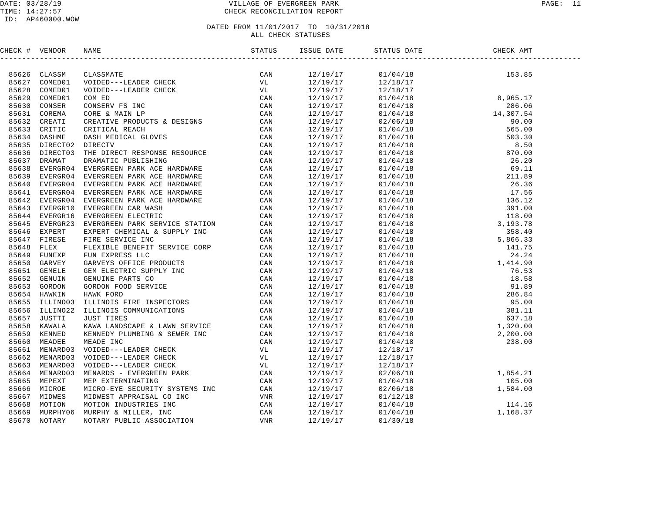#### DATE: 03/28/19 PAGE: 11 TIME: 14:27:57 CHECK RECONCILIATION REPORT

| CHECK # VENDOR |                                                                                                                                                                                                                                                                                                                                                                                       |  |  |  |
|----------------|---------------------------------------------------------------------------------------------------------------------------------------------------------------------------------------------------------------------------------------------------------------------------------------------------------------------------------------------------------------------------------------|--|--|--|
|                | $\begin{tabular}{cccccccc} \textbf{0.13}\textbf{0.14}\textbf{0.15}\textbf{0.16}\textbf{0.17}\textbf{0.17}\textbf{0.17}\textbf{0.17}\textbf{0.17}\textbf{0.17}\textbf{0.17}\textbf{0.17}\textbf{0.17}\textbf{0.17}\textbf{0.17}\textbf{0.17}\textbf{0.17}\textbf{0.17}\textbf{0.17}\textbf{0.17}\textbf{0.17}\textbf{0.17}\textbf{0.17}\textbf{0.17}\textbf{0.17}\textbf{0.17}\textbf$ |  |  |  |
|                |                                                                                                                                                                                                                                                                                                                                                                                       |  |  |  |
|                |                                                                                                                                                                                                                                                                                                                                                                                       |  |  |  |
|                |                                                                                                                                                                                                                                                                                                                                                                                       |  |  |  |
|                |                                                                                                                                                                                                                                                                                                                                                                                       |  |  |  |
|                |                                                                                                                                                                                                                                                                                                                                                                                       |  |  |  |
|                |                                                                                                                                                                                                                                                                                                                                                                                       |  |  |  |
|                |                                                                                                                                                                                                                                                                                                                                                                                       |  |  |  |
|                |                                                                                                                                                                                                                                                                                                                                                                                       |  |  |  |
|                |                                                                                                                                                                                                                                                                                                                                                                                       |  |  |  |
|                |                                                                                                                                                                                                                                                                                                                                                                                       |  |  |  |
|                |                                                                                                                                                                                                                                                                                                                                                                                       |  |  |  |
|                |                                                                                                                                                                                                                                                                                                                                                                                       |  |  |  |
|                |                                                                                                                                                                                                                                                                                                                                                                                       |  |  |  |
|                |                                                                                                                                                                                                                                                                                                                                                                                       |  |  |  |
|                |                                                                                                                                                                                                                                                                                                                                                                                       |  |  |  |
|                |                                                                                                                                                                                                                                                                                                                                                                                       |  |  |  |
|                |                                                                                                                                                                                                                                                                                                                                                                                       |  |  |  |
|                |                                                                                                                                                                                                                                                                                                                                                                                       |  |  |  |
|                |                                                                                                                                                                                                                                                                                                                                                                                       |  |  |  |
|                |                                                                                                                                                                                                                                                                                                                                                                                       |  |  |  |
|                |                                                                                                                                                                                                                                                                                                                                                                                       |  |  |  |
|                |                                                                                                                                                                                                                                                                                                                                                                                       |  |  |  |
|                |                                                                                                                                                                                                                                                                                                                                                                                       |  |  |  |
|                |                                                                                                                                                                                                                                                                                                                                                                                       |  |  |  |
|                |                                                                                                                                                                                                                                                                                                                                                                                       |  |  |  |
|                |                                                                                                                                                                                                                                                                                                                                                                                       |  |  |  |
|                |                                                                                                                                                                                                                                                                                                                                                                                       |  |  |  |
|                |                                                                                                                                                                                                                                                                                                                                                                                       |  |  |  |
|                |                                                                                                                                                                                                                                                                                                                                                                                       |  |  |  |
|                |                                                                                                                                                                                                                                                                                                                                                                                       |  |  |  |
|                |                                                                                                                                                                                                                                                                                                                                                                                       |  |  |  |
|                |                                                                                                                                                                                                                                                                                                                                                                                       |  |  |  |
|                |                                                                                                                                                                                                                                                                                                                                                                                       |  |  |  |
|                |                                                                                                                                                                                                                                                                                                                                                                                       |  |  |  |
|                |                                                                                                                                                                                                                                                                                                                                                                                       |  |  |  |
|                |                                                                                                                                                                                                                                                                                                                                                                                       |  |  |  |
|                |                                                                                                                                                                                                                                                                                                                                                                                       |  |  |  |
|                |                                                                                                                                                                                                                                                                                                                                                                                       |  |  |  |
|                |                                                                                                                                                                                                                                                                                                                                                                                       |  |  |  |
|                |                                                                                                                                                                                                                                                                                                                                                                                       |  |  |  |
|                |                                                                                                                                                                                                                                                                                                                                                                                       |  |  |  |
|                |                                                                                                                                                                                                                                                                                                                                                                                       |  |  |  |
|                |                                                                                                                                                                                                                                                                                                                                                                                       |  |  |  |
|                |                                                                                                                                                                                                                                                                                                                                                                                       |  |  |  |
|                |                                                                                                                                                                                                                                                                                                                                                                                       |  |  |  |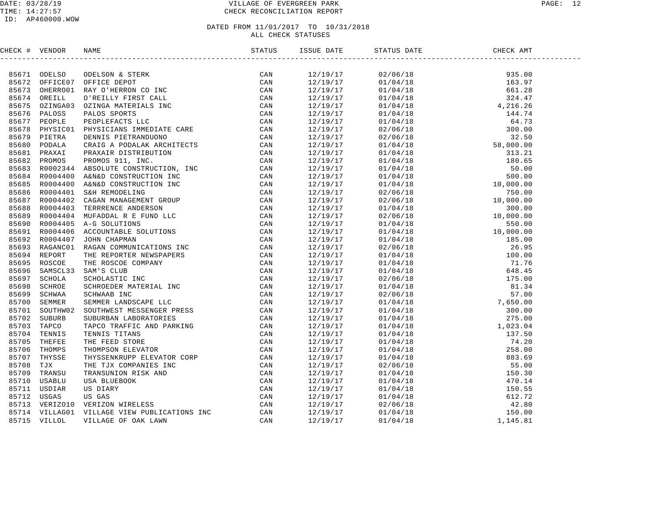#### DATE: 03/28/19 PAGE: 12 TIME: 14:27:57 CHECK RECONCILIATION REPORT

#### ID: AP460000.WOW

| CHECK # VENDOR |                                                                                                                                                                                                                               | ISSUE DATE             | STATUS DATE | CHECK AMT                                                                                                                                                                                                                                                                                                                                                                                                              |  |
|----------------|-------------------------------------------------------------------------------------------------------------------------------------------------------------------------------------------------------------------------------|------------------------|-------------|------------------------------------------------------------------------------------------------------------------------------------------------------------------------------------------------------------------------------------------------------------------------------------------------------------------------------------------------------------------------------------------------------------------------|--|
|                | THE C & PERIOD ONE ONE CONTROLS IN the STREET CAN BE A SAMPLE ONE CONTROLS AND CONTROLS IN A SAMPLE CONTROLL CONTROLL CONTROLL CONTROLL CONTROLL CONTROLL CONTROLL CONTROLL CONTROLL CONTROLL CONTROLL CONTROLL CONTROLL CONT |                        |             | $\begin{tabular}{l c c c} \multicolumn{4}{c}{\textbf{55.00}}} \multicolumn{4}{c}{\textbf{56.00}}} \multicolumn{4}{c}{\textbf{57.00}}} \multicolumn{4}{c}{\textbf{58.00}} \multicolumn{4}{c}{\textbf{59.01}}} \multicolumn{4}{c}{\textbf{59.02}} \multicolumn{4}{c}{\textbf{59.03}}} \multicolumn{4}{c}{\textbf{59.04}} \multicolumn{4}{c}{\textbf{59.05}} \multicolumn{4}{c}{\textbf{59.06}} \multicolumn{4}{c}{\text$ |  |
|                |                                                                                                                                                                                                                               | 12/19/17               |             |                                                                                                                                                                                                                                                                                                                                                                                                                        |  |
|                |                                                                                                                                                                                                                               | $12/19/17$<br>12/19/17 |             |                                                                                                                                                                                                                                                                                                                                                                                                                        |  |
|                |                                                                                                                                                                                                                               | 12/19/17               |             |                                                                                                                                                                                                                                                                                                                                                                                                                        |  |
|                |                                                                                                                                                                                                                               | 12/19/17               |             |                                                                                                                                                                                                                                                                                                                                                                                                                        |  |
|                |                                                                                                                                                                                                                               | 12/19/17               |             |                                                                                                                                                                                                                                                                                                                                                                                                                        |  |
|                |                                                                                                                                                                                                                               | 12/19/17               |             |                                                                                                                                                                                                                                                                                                                                                                                                                        |  |
|                |                                                                                                                                                                                                                               | 12/19/17               |             |                                                                                                                                                                                                                                                                                                                                                                                                                        |  |
|                |                                                                                                                                                                                                                               | 12/19/17               |             |                                                                                                                                                                                                                                                                                                                                                                                                                        |  |
|                |                                                                                                                                                                                                                               | 12/19/17               |             |                                                                                                                                                                                                                                                                                                                                                                                                                        |  |
|                |                                                                                                                                                                                                                               | 12/19/17               |             |                                                                                                                                                                                                                                                                                                                                                                                                                        |  |
|                |                                                                                                                                                                                                                               | 12/19/17               |             |                                                                                                                                                                                                                                                                                                                                                                                                                        |  |
|                |                                                                                                                                                                                                                               | 12/19/17               |             |                                                                                                                                                                                                                                                                                                                                                                                                                        |  |
|                |                                                                                                                                                                                                                               | 12/19/17<br>12/19/17   |             |                                                                                                                                                                                                                                                                                                                                                                                                                        |  |
|                |                                                                                                                                                                                                                               |                        |             |                                                                                                                                                                                                                                                                                                                                                                                                                        |  |
|                |                                                                                                                                                                                                                               | 12/19/17<br>12/19/17   |             |                                                                                                                                                                                                                                                                                                                                                                                                                        |  |
|                |                                                                                                                                                                                                                               |                        |             |                                                                                                                                                                                                                                                                                                                                                                                                                        |  |
|                |                                                                                                                                                                                                                               | 12/19/17               |             |                                                                                                                                                                                                                                                                                                                                                                                                                        |  |
|                |                                                                                                                                                                                                                               | 12/19/17<br>12/19/17   |             |                                                                                                                                                                                                                                                                                                                                                                                                                        |  |
|                |                                                                                                                                                                                                                               |                        |             |                                                                                                                                                                                                                                                                                                                                                                                                                        |  |
|                |                                                                                                                                                                                                                               |                        |             |                                                                                                                                                                                                                                                                                                                                                                                                                        |  |
|                |                                                                                                                                                                                                                               | 12/19/17<br>12/19/17   |             |                                                                                                                                                                                                                                                                                                                                                                                                                        |  |
|                |                                                                                                                                                                                                                               | 12/19/17               |             |                                                                                                                                                                                                                                                                                                                                                                                                                        |  |
|                |                                                                                                                                                                                                                               | 12/19/17               |             |                                                                                                                                                                                                                                                                                                                                                                                                                        |  |
|                |                                                                                                                                                                                                                               | 12/19/17<br>12/19/17   |             |                                                                                                                                                                                                                                                                                                                                                                                                                        |  |
|                |                                                                                                                                                                                                                               |                        |             |                                                                                                                                                                                                                                                                                                                                                                                                                        |  |
|                |                                                                                                                                                                                                                               | 12/19/17               |             |                                                                                                                                                                                                                                                                                                                                                                                                                        |  |
|                |                                                                                                                                                                                                                               | 12/19/17<br>12/19/17   |             |                                                                                                                                                                                                                                                                                                                                                                                                                        |  |
|                |                                                                                                                                                                                                                               |                        |             |                                                                                                                                                                                                                                                                                                                                                                                                                        |  |
|                |                                                                                                                                                                                                                               |                        |             |                                                                                                                                                                                                                                                                                                                                                                                                                        |  |
|                |                                                                                                                                                                                                                               | 12/19/17<br>12/19/17   |             |                                                                                                                                                                                                                                                                                                                                                                                                                        |  |
|                |                                                                                                                                                                                                                               | 12/19/17<br>12/19/17   |             |                                                                                                                                                                                                                                                                                                                                                                                                                        |  |
|                |                                                                                                                                                                                                                               |                        |             |                                                                                                                                                                                                                                                                                                                                                                                                                        |  |
|                |                                                                                                                                                                                                                               | 12/19/17<br>12/19/17   |             |                                                                                                                                                                                                                                                                                                                                                                                                                        |  |
|                |                                                                                                                                                                                                                               |                        |             |                                                                                                                                                                                                                                                                                                                                                                                                                        |  |
|                |                                                                                                                                                                                                                               | 12/19/17               |             |                                                                                                                                                                                                                                                                                                                                                                                                                        |  |
|                |                                                                                                                                                                                                                               | 12/19/17               |             |                                                                                                                                                                                                                                                                                                                                                                                                                        |  |
|                |                                                                                                                                                                                                                               | 12/19/17               |             |                                                                                                                                                                                                                                                                                                                                                                                                                        |  |
|                |                                                                                                                                                                                                                               | 12/19/17               |             |                                                                                                                                                                                                                                                                                                                                                                                                                        |  |
|                |                                                                                                                                                                                                                               | 12/19/17               |             |                                                                                                                                                                                                                                                                                                                                                                                                                        |  |
|                |                                                                                                                                                                                                                               | 12/19/17               |             |                                                                                                                                                                                                                                                                                                                                                                                                                        |  |
|                |                                                                                                                                                                                                                               | 12/19/17               |             |                                                                                                                                                                                                                                                                                                                                                                                                                        |  |
|                |                                                                                                                                                                                                                               |                        |             |                                                                                                                                                                                                                                                                                                                                                                                                                        |  |
|                |                                                                                                                                                                                                                               | 12/19/17<br>12/19/17   |             |                                                                                                                                                                                                                                                                                                                                                                                                                        |  |
|                |                                                                                                                                                                                                                               | 12/19/17               |             |                                                                                                                                                                                                                                                                                                                                                                                                                        |  |
|                |                                                                                                                                                                                                                               | 12/19/17               |             |                                                                                                                                                                                                                                                                                                                                                                                                                        |  |
|                |                                                                                                                                                                                                                               |                        |             |                                                                                                                                                                                                                                                                                                                                                                                                                        |  |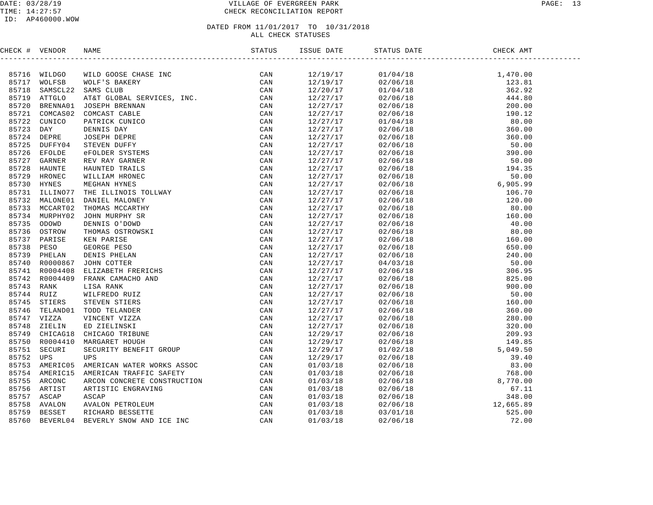| CHECK # VENDOR |                                                                                                                                                                                                                                                                                                                                                                                                                                        |  |  |  |
|----------------|----------------------------------------------------------------------------------------------------------------------------------------------------------------------------------------------------------------------------------------------------------------------------------------------------------------------------------------------------------------------------------------------------------------------------------------|--|--|--|
|                | $\begin{tabular}{cccccccc} $\mathbf{0.00664}\bullet$ & $\mathbf{0.00676}\bullet$ & $\mathbf{0.00676}\bullet$ & $\mathbf{0.00676}\bullet$ & $\mathbf{0.00676}\bullet$ & $\mathbf{0.00676}\bullet$ & $\mathbf{0.00676}\bullet$ & $\mathbf{0.00676}\bullet$ & $\mathbf{0.00676}\bullet$ & $\mathbf{0.00676}\bullet$ & $\mathbf{0.00676}\bullet$ & $\mathbf{0.00676}\bullet$ & $\mathbf{0.00676}\bullet$ & $\mathbf{0.00676}\bullet$ & $\$ |  |  |  |
|                |                                                                                                                                                                                                                                                                                                                                                                                                                                        |  |  |  |
|                |                                                                                                                                                                                                                                                                                                                                                                                                                                        |  |  |  |
|                |                                                                                                                                                                                                                                                                                                                                                                                                                                        |  |  |  |
|                |                                                                                                                                                                                                                                                                                                                                                                                                                                        |  |  |  |
|                |                                                                                                                                                                                                                                                                                                                                                                                                                                        |  |  |  |
|                |                                                                                                                                                                                                                                                                                                                                                                                                                                        |  |  |  |
|                |                                                                                                                                                                                                                                                                                                                                                                                                                                        |  |  |  |
|                |                                                                                                                                                                                                                                                                                                                                                                                                                                        |  |  |  |
|                |                                                                                                                                                                                                                                                                                                                                                                                                                                        |  |  |  |
|                |                                                                                                                                                                                                                                                                                                                                                                                                                                        |  |  |  |
|                |                                                                                                                                                                                                                                                                                                                                                                                                                                        |  |  |  |
|                |                                                                                                                                                                                                                                                                                                                                                                                                                                        |  |  |  |
|                |                                                                                                                                                                                                                                                                                                                                                                                                                                        |  |  |  |
|                |                                                                                                                                                                                                                                                                                                                                                                                                                                        |  |  |  |
|                |                                                                                                                                                                                                                                                                                                                                                                                                                                        |  |  |  |
|                |                                                                                                                                                                                                                                                                                                                                                                                                                                        |  |  |  |
|                |                                                                                                                                                                                                                                                                                                                                                                                                                                        |  |  |  |
|                |                                                                                                                                                                                                                                                                                                                                                                                                                                        |  |  |  |
|                |                                                                                                                                                                                                                                                                                                                                                                                                                                        |  |  |  |
|                |                                                                                                                                                                                                                                                                                                                                                                                                                                        |  |  |  |
|                |                                                                                                                                                                                                                                                                                                                                                                                                                                        |  |  |  |
|                |                                                                                                                                                                                                                                                                                                                                                                                                                                        |  |  |  |
|                |                                                                                                                                                                                                                                                                                                                                                                                                                                        |  |  |  |
|                |                                                                                                                                                                                                                                                                                                                                                                                                                                        |  |  |  |
|                |                                                                                                                                                                                                                                                                                                                                                                                                                                        |  |  |  |
|                |                                                                                                                                                                                                                                                                                                                                                                                                                                        |  |  |  |
|                |                                                                                                                                                                                                                                                                                                                                                                                                                                        |  |  |  |
|                |                                                                                                                                                                                                                                                                                                                                                                                                                                        |  |  |  |
|                |                                                                                                                                                                                                                                                                                                                                                                                                                                        |  |  |  |
|                |                                                                                                                                                                                                                                                                                                                                                                                                                                        |  |  |  |
|                |                                                                                                                                                                                                                                                                                                                                                                                                                                        |  |  |  |
|                |                                                                                                                                                                                                                                                                                                                                                                                                                                        |  |  |  |
|                |                                                                                                                                                                                                                                                                                                                                                                                                                                        |  |  |  |
|                |                                                                                                                                                                                                                                                                                                                                                                                                                                        |  |  |  |
|                |                                                                                                                                                                                                                                                                                                                                                                                                                                        |  |  |  |
|                |                                                                                                                                                                                                                                                                                                                                                                                                                                        |  |  |  |
|                |                                                                                                                                                                                                                                                                                                                                                                                                                                        |  |  |  |
|                |                                                                                                                                                                                                                                                                                                                                                                                                                                        |  |  |  |
|                |                                                                                                                                                                                                                                                                                                                                                                                                                                        |  |  |  |
|                |                                                                                                                                                                                                                                                                                                                                                                                                                                        |  |  |  |
|                |                                                                                                                                                                                                                                                                                                                                                                                                                                        |  |  |  |
|                |                                                                                                                                                                                                                                                                                                                                                                                                                                        |  |  |  |
|                |                                                                                                                                                                                                                                                                                                                                                                                                                                        |  |  |  |
|                |                                                                                                                                                                                                                                                                                                                                                                                                                                        |  |  |  |
|                |                                                                                                                                                                                                                                                                                                                                                                                                                                        |  |  |  |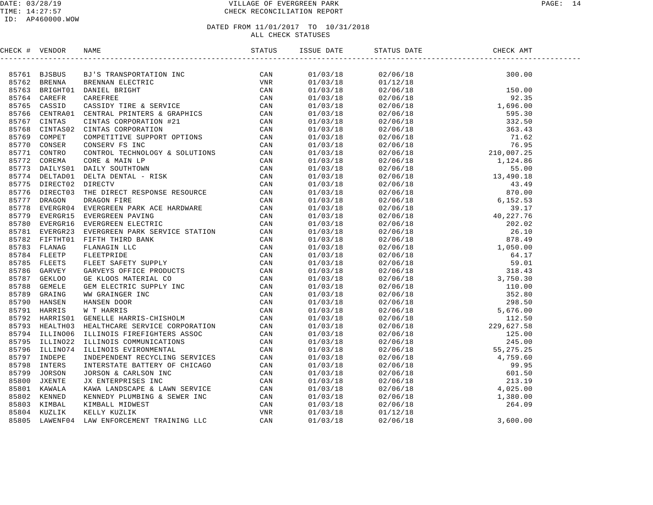#### DATE: 03/28/19 PAGE: 14 TIME: 14:27:57 CHECK RECONCILIATION REPORT

#### ID: AP460000.WOW

| CHECK # VENDOR |                                                                                                                                                                                                                                                                                                                                                                                                                                            |  |  |  |
|----------------|--------------------------------------------------------------------------------------------------------------------------------------------------------------------------------------------------------------------------------------------------------------------------------------------------------------------------------------------------------------------------------------------------------------------------------------------|--|--|--|
|                | $\begin{tabular}{cccccccc} $\mathbf{0.00664}\bullet$ & $\mathbf{0.00466}\bullet$ & $\mathbf{0.00466}\bullet$ & $\mathbf{0.00466}\bullet$ & $\mathbf{0.00466}\bullet$ & $\mathbf{0.0046}\bullet$ & $\mathbf{0.0046}\bullet$ & $\mathbf{0.0046}\bullet$ & $\mathbf{0.0046}\bullet$ & $\mathbf{0.0046}\bullet$ & $\mathbf{0.0046}\bullet$ & $\mathbf{0.0046}\bullet$ & $\mathbf{0.0046}\bullet$ & $\mathbf{0.0046}\bullet$ & $\mathbf{0.0046$ |  |  |  |
|                |                                                                                                                                                                                                                                                                                                                                                                                                                                            |  |  |  |
|                |                                                                                                                                                                                                                                                                                                                                                                                                                                            |  |  |  |
|                |                                                                                                                                                                                                                                                                                                                                                                                                                                            |  |  |  |
|                |                                                                                                                                                                                                                                                                                                                                                                                                                                            |  |  |  |
|                |                                                                                                                                                                                                                                                                                                                                                                                                                                            |  |  |  |
|                |                                                                                                                                                                                                                                                                                                                                                                                                                                            |  |  |  |
|                |                                                                                                                                                                                                                                                                                                                                                                                                                                            |  |  |  |
|                |                                                                                                                                                                                                                                                                                                                                                                                                                                            |  |  |  |
|                |                                                                                                                                                                                                                                                                                                                                                                                                                                            |  |  |  |
|                |                                                                                                                                                                                                                                                                                                                                                                                                                                            |  |  |  |
|                |                                                                                                                                                                                                                                                                                                                                                                                                                                            |  |  |  |
|                |                                                                                                                                                                                                                                                                                                                                                                                                                                            |  |  |  |
|                |                                                                                                                                                                                                                                                                                                                                                                                                                                            |  |  |  |
|                |                                                                                                                                                                                                                                                                                                                                                                                                                                            |  |  |  |
|                |                                                                                                                                                                                                                                                                                                                                                                                                                                            |  |  |  |
|                |                                                                                                                                                                                                                                                                                                                                                                                                                                            |  |  |  |
|                |                                                                                                                                                                                                                                                                                                                                                                                                                                            |  |  |  |
|                |                                                                                                                                                                                                                                                                                                                                                                                                                                            |  |  |  |
|                |                                                                                                                                                                                                                                                                                                                                                                                                                                            |  |  |  |
|                |                                                                                                                                                                                                                                                                                                                                                                                                                                            |  |  |  |
|                |                                                                                                                                                                                                                                                                                                                                                                                                                                            |  |  |  |
|                |                                                                                                                                                                                                                                                                                                                                                                                                                                            |  |  |  |
|                |                                                                                                                                                                                                                                                                                                                                                                                                                                            |  |  |  |
|                |                                                                                                                                                                                                                                                                                                                                                                                                                                            |  |  |  |
|                |                                                                                                                                                                                                                                                                                                                                                                                                                                            |  |  |  |
|                |                                                                                                                                                                                                                                                                                                                                                                                                                                            |  |  |  |
|                |                                                                                                                                                                                                                                                                                                                                                                                                                                            |  |  |  |
|                |                                                                                                                                                                                                                                                                                                                                                                                                                                            |  |  |  |
|                |                                                                                                                                                                                                                                                                                                                                                                                                                                            |  |  |  |
|                |                                                                                                                                                                                                                                                                                                                                                                                                                                            |  |  |  |
|                |                                                                                                                                                                                                                                                                                                                                                                                                                                            |  |  |  |
|                |                                                                                                                                                                                                                                                                                                                                                                                                                                            |  |  |  |
|                |                                                                                                                                                                                                                                                                                                                                                                                                                                            |  |  |  |
|                |                                                                                                                                                                                                                                                                                                                                                                                                                                            |  |  |  |
|                |                                                                                                                                                                                                                                                                                                                                                                                                                                            |  |  |  |
|                |                                                                                                                                                                                                                                                                                                                                                                                                                                            |  |  |  |
|                |                                                                                                                                                                                                                                                                                                                                                                                                                                            |  |  |  |
|                |                                                                                                                                                                                                                                                                                                                                                                                                                                            |  |  |  |
|                |                                                                                                                                                                                                                                                                                                                                                                                                                                            |  |  |  |
|                |                                                                                                                                                                                                                                                                                                                                                                                                                                            |  |  |  |
|                |                                                                                                                                                                                                                                                                                                                                                                                                                                            |  |  |  |
|                |                                                                                                                                                                                                                                                                                                                                                                                                                                            |  |  |  |
|                |                                                                                                                                                                                                                                                                                                                                                                                                                                            |  |  |  |
|                |                                                                                                                                                                                                                                                                                                                                                                                                                                            |  |  |  |
|                |                                                                                                                                                                                                                                                                                                                                                                                                                                            |  |  |  |
|                |                                                                                                                                                                                                                                                                                                                                                                                                                                            |  |  |  |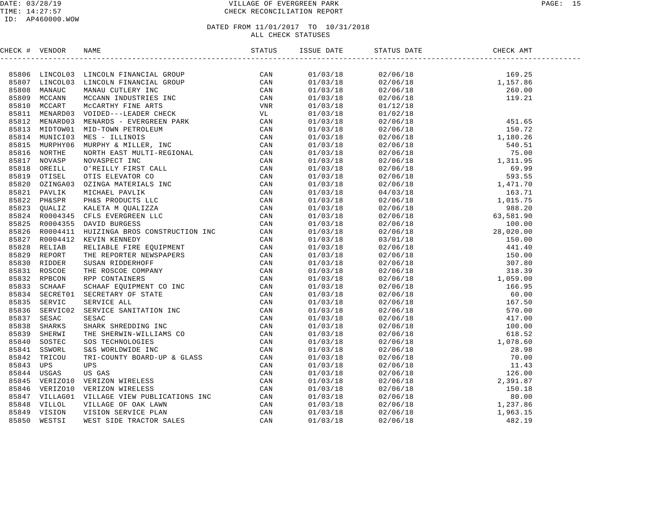#### DATE: 03/28/19 VILLAGE OF EVERGREEN PARK PAGE: 15 TIME: 14:27:57 CHECK RECONCILIATION REPORT

#### ID: AP460000.WOW

| CHECK # VENDOR |                                                                                                                                                                                                                                |  |                                                                                                                                                                                                                                                                           |  |
|----------------|--------------------------------------------------------------------------------------------------------------------------------------------------------------------------------------------------------------------------------|--|---------------------------------------------------------------------------------------------------------------------------------------------------------------------------------------------------------------------------------------------------------------------------|--|
|                | ENEXAT VERION NAME (STANDARD MINIMATERIES)<br>1970 - ANNOUNCE INDUSTRIES (STAND CONNECTIVE CAN BE CAN BE CAN ARREST THE CAN CONNECTIVE THE CAN BE CAN BE CAN BE CAN BE CAN BE CAN BE CAN BE CAN BE CAN BE CAN BE CAN BE CAN BE |  | $\begin{tabular}{ll ll ll ll } \hline & 0.1/0.3/18 & 0.2/06/18 & 1.59.25 \\ 0.1/0.3/18 & 0.2/06/18 & 1.59.25 \\ 0.1/0.3/18 & 0.2/06/18 & 1.59.26 \\ 0.1/0.3/18 & 0.2/06/18 & 1.52.1 \\ 0.1/0.3/18 & 0.2/06/18 & 1.52.1 \\ 0.1/0.3/18 & 0.2/06/18 & 1.54.16 \\ 0.1/0.3/18$ |  |
|                |                                                                                                                                                                                                                                |  |                                                                                                                                                                                                                                                                           |  |
|                |                                                                                                                                                                                                                                |  |                                                                                                                                                                                                                                                                           |  |
|                |                                                                                                                                                                                                                                |  |                                                                                                                                                                                                                                                                           |  |
|                |                                                                                                                                                                                                                                |  |                                                                                                                                                                                                                                                                           |  |
|                |                                                                                                                                                                                                                                |  |                                                                                                                                                                                                                                                                           |  |
|                |                                                                                                                                                                                                                                |  |                                                                                                                                                                                                                                                                           |  |
|                |                                                                                                                                                                                                                                |  |                                                                                                                                                                                                                                                                           |  |
|                |                                                                                                                                                                                                                                |  |                                                                                                                                                                                                                                                                           |  |
|                |                                                                                                                                                                                                                                |  |                                                                                                                                                                                                                                                                           |  |
|                |                                                                                                                                                                                                                                |  |                                                                                                                                                                                                                                                                           |  |
|                |                                                                                                                                                                                                                                |  |                                                                                                                                                                                                                                                                           |  |
|                |                                                                                                                                                                                                                                |  |                                                                                                                                                                                                                                                                           |  |
|                |                                                                                                                                                                                                                                |  |                                                                                                                                                                                                                                                                           |  |
|                |                                                                                                                                                                                                                                |  |                                                                                                                                                                                                                                                                           |  |
|                |                                                                                                                                                                                                                                |  |                                                                                                                                                                                                                                                                           |  |
|                |                                                                                                                                                                                                                                |  |                                                                                                                                                                                                                                                                           |  |
|                |                                                                                                                                                                                                                                |  |                                                                                                                                                                                                                                                                           |  |
|                |                                                                                                                                                                                                                                |  |                                                                                                                                                                                                                                                                           |  |
|                |                                                                                                                                                                                                                                |  |                                                                                                                                                                                                                                                                           |  |
|                |                                                                                                                                                                                                                                |  |                                                                                                                                                                                                                                                                           |  |
|                |                                                                                                                                                                                                                                |  |                                                                                                                                                                                                                                                                           |  |
|                |                                                                                                                                                                                                                                |  |                                                                                                                                                                                                                                                                           |  |
|                |                                                                                                                                                                                                                                |  |                                                                                                                                                                                                                                                                           |  |
|                |                                                                                                                                                                                                                                |  |                                                                                                                                                                                                                                                                           |  |
|                |                                                                                                                                                                                                                                |  |                                                                                                                                                                                                                                                                           |  |
|                |                                                                                                                                                                                                                                |  |                                                                                                                                                                                                                                                                           |  |
|                |                                                                                                                                                                                                                                |  |                                                                                                                                                                                                                                                                           |  |
|                |                                                                                                                                                                                                                                |  |                                                                                                                                                                                                                                                                           |  |
|                |                                                                                                                                                                                                                                |  |                                                                                                                                                                                                                                                                           |  |
|                |                                                                                                                                                                                                                                |  |                                                                                                                                                                                                                                                                           |  |
|                |                                                                                                                                                                                                                                |  |                                                                                                                                                                                                                                                                           |  |
|                |                                                                                                                                                                                                                                |  |                                                                                                                                                                                                                                                                           |  |
|                |                                                                                                                                                                                                                                |  |                                                                                                                                                                                                                                                                           |  |
|                |                                                                                                                                                                                                                                |  |                                                                                                                                                                                                                                                                           |  |
|                |                                                                                                                                                                                                                                |  |                                                                                                                                                                                                                                                                           |  |
|                |                                                                                                                                                                                                                                |  |                                                                                                                                                                                                                                                                           |  |
|                |                                                                                                                                                                                                                                |  |                                                                                                                                                                                                                                                                           |  |
|                |                                                                                                                                                                                                                                |  |                                                                                                                                                                                                                                                                           |  |
|                |                                                                                                                                                                                                                                |  |                                                                                                                                                                                                                                                                           |  |
|                |                                                                                                                                                                                                                                |  |                                                                                                                                                                                                                                                                           |  |
|                |                                                                                                                                                                                                                                |  |                                                                                                                                                                                                                                                                           |  |
|                |                                                                                                                                                                                                                                |  |                                                                                                                                                                                                                                                                           |  |
|                |                                                                                                                                                                                                                                |  |                                                                                                                                                                                                                                                                           |  |
|                |                                                                                                                                                                                                                                |  |                                                                                                                                                                                                                                                                           |  |
|                |                                                                                                                                                                                                                                |  |                                                                                                                                                                                                                                                                           |  |
|                |                                                                                                                                                                                                                                |  |                                                                                                                                                                                                                                                                           |  |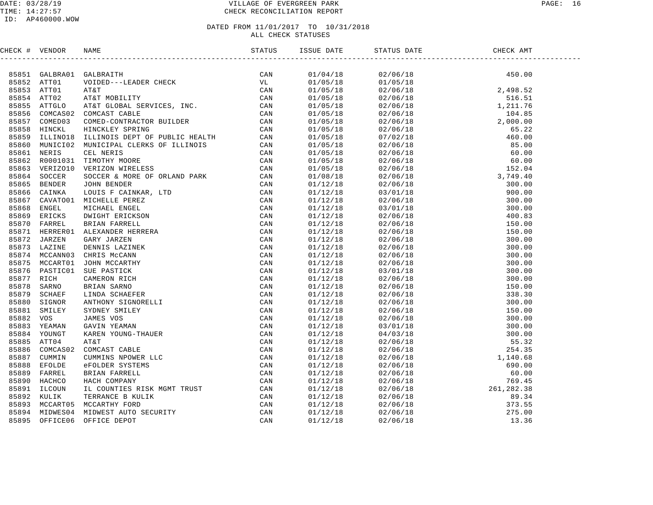#### DATE: 03/28/19 VILLAGE OF EVERGREEN PARK PAGE: 16 TIME: 14:27:57 CHECK RECONCILIATION REPORT

| CHECK # VENDOR |                |                                                                                                                                                                                                                               |  |  |  |
|----------------|----------------|-------------------------------------------------------------------------------------------------------------------------------------------------------------------------------------------------------------------------------|--|--|--|
|                |                | NAME TO CONSIDER THE SERVICE SERVICE SAN ARREST TO CAN ARREST CONNECT CONDUCTS THE CONSTRANT CONDUCTS THE CONDUCTS CONNECT CONDUCTS TO THE CONDUCTS OF THE CONDUCTS OF THE CONDUCTS OF THE CONDUCTS OF THE SERVICE SAN ARREST |  |  |  |
|                |                | 85851 GALBRA01 GALBRAITH                                                                                                                                                                                                      |  |  |  |
|                | 85852 ATT01    |                                                                                                                                                                                                                               |  |  |  |
|                | 85853 ATT01    |                                                                                                                                                                                                                               |  |  |  |
|                | 85854 ATT02    |                                                                                                                                                                                                                               |  |  |  |
| 85855          | ATTGLO         |                                                                                                                                                                                                                               |  |  |  |
| 85856          | COMCAS02       |                                                                                                                                                                                                                               |  |  |  |
| 85857          | COMED03        |                                                                                                                                                                                                                               |  |  |  |
| 85858          | HINCKL         |                                                                                                                                                                                                                               |  |  |  |
| 85859          | ILLINO18       |                                                                                                                                                                                                                               |  |  |  |
| 85860          | MUNICI02       |                                                                                                                                                                                                                               |  |  |  |
| 85861          | NERIS          |                                                                                                                                                                                                                               |  |  |  |
| 85862          | R0001031       |                                                                                                                                                                                                                               |  |  |  |
| 85863          | VERIZO10       |                                                                                                                                                                                                                               |  |  |  |
| 85864          | SOCCER         |                                                                                                                                                                                                                               |  |  |  |
| 85865          | <b>BENDER</b>  |                                                                                                                                                                                                                               |  |  |  |
| 85866          | CAINKA         |                                                                                                                                                                                                                               |  |  |  |
| 85867          | CAVATO01       |                                                                                                                                                                                                                               |  |  |  |
| 85868          | ENGEL          |                                                                                                                                                                                                                               |  |  |  |
| 85869          | ERICKS         |                                                                                                                                                                                                                               |  |  |  |
| 85870          | FARREL         |                                                                                                                                                                                                                               |  |  |  |
| 85871          | HERRER01       |                                                                                                                                                                                                                               |  |  |  |
|                | 85872 JARZEN   |                                                                                                                                                                                                                               |  |  |  |
|                | 85873 LAZINE   |                                                                                                                                                                                                                               |  |  |  |
|                | 85874 MCCANN03 |                                                                                                                                                                                                                               |  |  |  |
| 85875          | MCCART01       |                                                                                                                                                                                                                               |  |  |  |
| 85876          | PASTIC01       |                                                                                                                                                                                                                               |  |  |  |
| 85877          | RICH           |                                                                                                                                                                                                                               |  |  |  |
| 85878          | SARNO          |                                                                                                                                                                                                                               |  |  |  |
| 85879          | SCHAEF         |                                                                                                                                                                                                                               |  |  |  |
| 85880          | SIGNOR         |                                                                                                                                                                                                                               |  |  |  |
| 85881          | SMILEY         |                                                                                                                                                                                                                               |  |  |  |
| 85882          | vos            |                                                                                                                                                                                                                               |  |  |  |
| 85883          | YEAMAN         |                                                                                                                                                                                                                               |  |  |  |
| 85884          | YOUNGT         |                                                                                                                                                                                                                               |  |  |  |
| 85885          | ATT04          |                                                                                                                                                                                                                               |  |  |  |
| 85886          | COMCAS02       |                                                                                                                                                                                                                               |  |  |  |
| 85887          | CUMMIN         |                                                                                                                                                                                                                               |  |  |  |
| 85888          | <b>EFOLDE</b>  |                                                                                                                                                                                                                               |  |  |  |
| 85889          | FARREL         |                                                                                                                                                                                                                               |  |  |  |
| 85890          | HACHCO         |                                                                                                                                                                                                                               |  |  |  |
| 85891          | ILCOUN         |                                                                                                                                                                                                                               |  |  |  |
|                | 85892 KULIK    |                                                                                                                                                                                                                               |  |  |  |
|                |                | 85893 MCCART05 MCCARTHY FORD                                                                                                                                                                                                  |  |  |  |
| 85894          | MIDWES04       |                                                                                                                                                                                                                               |  |  |  |
| 85895          | OFFICE06       |                                                                                                                                                                                                                               |  |  |  |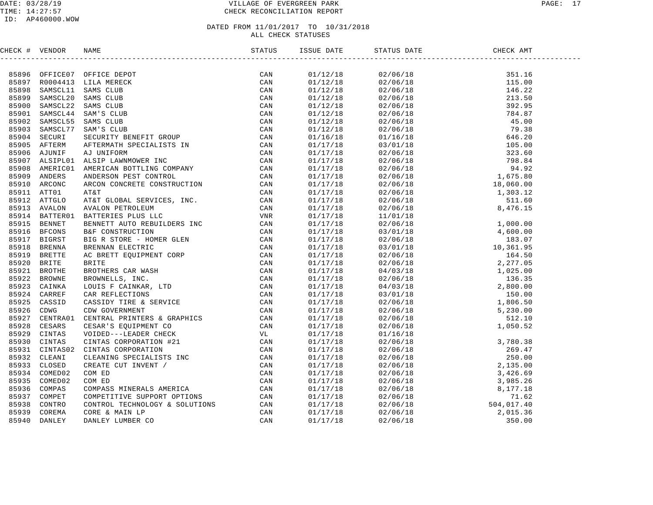#### DATE: 03/28/19 VILLAGE OF EVERGREEN PARK PAGE: 17 TIME: 14:27:57 CHECK RECONCILIATION REPORT

| CHECK # VENDOR |                |                                                                                                                                                                                                                                  |     |                      |                                                                                                                                                                                                                                                                              |  |
|----------------|----------------|----------------------------------------------------------------------------------------------------------------------------------------------------------------------------------------------------------------------------------|-----|----------------------|------------------------------------------------------------------------------------------------------------------------------------------------------------------------------------------------------------------------------------------------------------------------------|--|
|                |                | ANNE BERRIT TRIP & SERVICE<br>MANE CONFIGURATION CAN CAN MANE CONFIGURATION CONTINUES AND CONFIGURATION CONFIGURATION CONFIGURATION CONFIGURATION CONFIGURATION CONFIGURATION CONFIGURATION CONFIGURATION CONFIGURATION CONFIGUR |     |                      | $\begin{tabular}{cccccccc} 1 & 01/12/18 & 02/06/18 & 15.16 \\ 01/12/18 & 02/06/18 & 15.16 \\ 01/12/18 & 02/06/18 & 116.02 \\ 01/12/18 & 02/06/18 & 213.59 \\ 01/12/18 & 02/06/18 & 392.95 \\ 01/12/18 & 02/06/18 & 392.95 \\ 01/12/18 & 02/06/18 & 784.87 \\ 01/12/18 & 02/$ |  |
|                |                | 85896 OFFICE07 OFFICE DEPOT                                                                                                                                                                                                      | CAN |                      |                                                                                                                                                                                                                                                                              |  |
|                |                | 85897 R0004413 LILA MERECK                                                                                                                                                                                                       |     |                      |                                                                                                                                                                                                                                                                              |  |
| 85898          |                | SAMSCL11 SAMS CLUB                                                                                                                                                                                                               |     |                      |                                                                                                                                                                                                                                                                              |  |
| 85899          | SAMSCL20       |                                                                                                                                                                                                                                  |     |                      |                                                                                                                                                                                                                                                                              |  |
| 85900          | SAMSCL22       |                                                                                                                                                                                                                                  |     |                      |                                                                                                                                                                                                                                                                              |  |
| 85901          | SAMSCL44       |                                                                                                                                                                                                                                  |     |                      |                                                                                                                                                                                                                                                                              |  |
| 85902          | SAMSCL55       |                                                                                                                                                                                                                                  |     |                      |                                                                                                                                                                                                                                                                              |  |
| 85903          | SAMSCL77       |                                                                                                                                                                                                                                  |     |                      |                                                                                                                                                                                                                                                                              |  |
|                | 85904 SECURI   |                                                                                                                                                                                                                                  |     |                      |                                                                                                                                                                                                                                                                              |  |
|                | 85905 AFTERM   |                                                                                                                                                                                                                                  |     |                      |                                                                                                                                                                                                                                                                              |  |
| 85906          | AJUNIF         |                                                                                                                                                                                                                                  |     |                      |                                                                                                                                                                                                                                                                              |  |
|                | 85907 ALSIPL01 |                                                                                                                                                                                                                                  |     |                      |                                                                                                                                                                                                                                                                              |  |
| 85908          | AMERIC01       |                                                                                                                                                                                                                                  |     |                      |                                                                                                                                                                                                                                                                              |  |
|                | 85909 ANDERS   |                                                                                                                                                                                                                                  |     |                      |                                                                                                                                                                                                                                                                              |  |
|                | 85910 ARCONC   |                                                                                                                                                                                                                                  |     |                      |                                                                                                                                                                                                                                                                              |  |
|                | 85911 ATT01    |                                                                                                                                                                                                                                  |     |                      |                                                                                                                                                                                                                                                                              |  |
|                | 85912 ATTGLO   |                                                                                                                                                                                                                                  |     |                      |                                                                                                                                                                                                                                                                              |  |
|                | 85913 AVALON   |                                                                                                                                                                                                                                  |     |                      |                                                                                                                                                                                                                                                                              |  |
|                | 85914 BATTER01 |                                                                                                                                                                                                                                  |     |                      |                                                                                                                                                                                                                                                                              |  |
| 85915          | <b>BENNET</b>  |                                                                                                                                                                                                                                  |     |                      |                                                                                                                                                                                                                                                                              |  |
|                | 85916 BFCONS   |                                                                                                                                                                                                                                  |     |                      |                                                                                                                                                                                                                                                                              |  |
| 85917          | <b>BIGRST</b>  |                                                                                                                                                                                                                                  |     |                      |                                                                                                                                                                                                                                                                              |  |
| 85918          | <b>BRENNA</b>  |                                                                                                                                                                                                                                  |     |                      |                                                                                                                                                                                                                                                                              |  |
| 85919          | <b>BRETTE</b>  |                                                                                                                                                                                                                                  |     |                      |                                                                                                                                                                                                                                                                              |  |
| 85920          | BRITE          |                                                                                                                                                                                                                                  |     |                      |                                                                                                                                                                                                                                                                              |  |
| 85921          | BROTHE         |                                                                                                                                                                                                                                  |     |                      |                                                                                                                                                                                                                                                                              |  |
| 85922          | <b>BROWNE</b>  |                                                                                                                                                                                                                                  |     |                      |                                                                                                                                                                                                                                                                              |  |
|                | 85923 CAINKA   |                                                                                                                                                                                                                                  |     |                      |                                                                                                                                                                                                                                                                              |  |
| 85924          | CARREF         |                                                                                                                                                                                                                                  |     |                      |                                                                                                                                                                                                                                                                              |  |
| 85925          | CASSID         |                                                                                                                                                                                                                                  |     |                      |                                                                                                                                                                                                                                                                              |  |
| 85926          | CDWG           |                                                                                                                                                                                                                                  |     |                      |                                                                                                                                                                                                                                                                              |  |
| 85927          | CENTRA01       |                                                                                                                                                                                                                                  |     |                      |                                                                                                                                                                                                                                                                              |  |
| 85928          | CESARS         |                                                                                                                                                                                                                                  |     |                      |                                                                                                                                                                                                                                                                              |  |
| 85929          | CINTAS         |                                                                                                                                                                                                                                  |     | 01/17/18             |                                                                                                                                                                                                                                                                              |  |
| 85930          | CINTAS         |                                                                                                                                                                                                                                  |     | 01/17/18             |                                                                                                                                                                                                                                                                              |  |
| 85931          | CINTAS02       |                                                                                                                                                                                                                                  |     |                      |                                                                                                                                                                                                                                                                              |  |
| 85932          | CLEANI         |                                                                                                                                                                                                                                  |     | 01/17/18             |                                                                                                                                                                                                                                                                              |  |
| 85933          |                |                                                                                                                                                                                                                                  |     | 01/17/18             |                                                                                                                                                                                                                                                                              |  |
|                | CLOSED         |                                                                                                                                                                                                                                  |     | 01/17/18             |                                                                                                                                                                                                                                                                              |  |
| 85934          | COMED02        |                                                                                                                                                                                                                                  |     | 01/17/18             |                                                                                                                                                                                                                                                                              |  |
| 85935          | COMED02        |                                                                                                                                                                                                                                  |     | 01/17/18             |                                                                                                                                                                                                                                                                              |  |
| 85936          | COMPAS         |                                                                                                                                                                                                                                  |     | 01/17/18<br>01/17/18 |                                                                                                                                                                                                                                                                              |  |
| 85937          | COMPET         |                                                                                                                                                                                                                                  |     |                      | $\begin{array}{cccc} 02/06/18 & 1,030.52 \\ 01/16/18 & 3,780.38 \\ 02/06/18 & 269.47 \\ 02/06/18 & 250.00 \\ 02/06/18 & 2,135.00 \\ 02/06/18 & 3,426.69 \\ 02/06/18 & 3,985.26 \\ 02/06/18 & 3,985.26 \\ 02/06/18 & 71.62 \\ 02/06/18 & 71.62 \\ 02/06/18 & 2,015.36 \\ 02$  |  |
| 85938          | CONTRO         |                                                                                                                                                                                                                                  |     | 01/17/18             |                                                                                                                                                                                                                                                                              |  |
| 85939          | COREMA         |                                                                                                                                                                                                                                  |     | 01/17/18             |                                                                                                                                                                                                                                                                              |  |
|                | 85940 DANLEY   |                                                                                                                                                                                                                                  |     | 01/17/18             |                                                                                                                                                                                                                                                                              |  |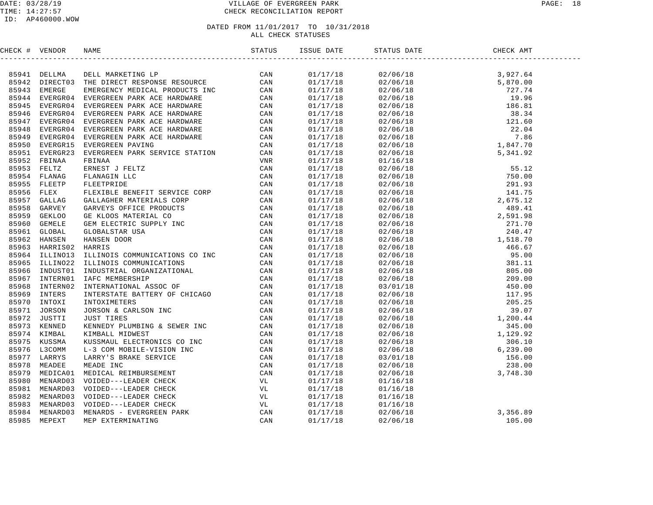| CHECK # VENDOR |                                                                                                                                                                                                                               |  |  |  |
|----------------|-------------------------------------------------------------------------------------------------------------------------------------------------------------------------------------------------------------------------------|--|--|--|
|                | 2019 + Particular management and the state of the state of the state of the state of the state of the state of the state of the state of the state of the state of the state of the state of the state of the state of the st |  |  |  |
|                |                                                                                                                                                                                                                               |  |  |  |
|                |                                                                                                                                                                                                                               |  |  |  |
|                |                                                                                                                                                                                                                               |  |  |  |
|                |                                                                                                                                                                                                                               |  |  |  |
|                |                                                                                                                                                                                                                               |  |  |  |
|                |                                                                                                                                                                                                                               |  |  |  |
|                |                                                                                                                                                                                                                               |  |  |  |
|                |                                                                                                                                                                                                                               |  |  |  |
|                |                                                                                                                                                                                                                               |  |  |  |
|                |                                                                                                                                                                                                                               |  |  |  |
|                |                                                                                                                                                                                                                               |  |  |  |
|                |                                                                                                                                                                                                                               |  |  |  |
|                |                                                                                                                                                                                                                               |  |  |  |
|                |                                                                                                                                                                                                                               |  |  |  |
|                |                                                                                                                                                                                                                               |  |  |  |
|                |                                                                                                                                                                                                                               |  |  |  |
|                |                                                                                                                                                                                                                               |  |  |  |
|                |                                                                                                                                                                                                                               |  |  |  |
|                |                                                                                                                                                                                                                               |  |  |  |
|                |                                                                                                                                                                                                                               |  |  |  |
|                |                                                                                                                                                                                                                               |  |  |  |
|                |                                                                                                                                                                                                                               |  |  |  |
|                |                                                                                                                                                                                                                               |  |  |  |
|                |                                                                                                                                                                                                                               |  |  |  |
|                |                                                                                                                                                                                                                               |  |  |  |
|                |                                                                                                                                                                                                                               |  |  |  |
|                |                                                                                                                                                                                                                               |  |  |  |
|                |                                                                                                                                                                                                                               |  |  |  |
|                |                                                                                                                                                                                                                               |  |  |  |
|                |                                                                                                                                                                                                                               |  |  |  |
|                |                                                                                                                                                                                                                               |  |  |  |
|                |                                                                                                                                                                                                                               |  |  |  |
|                |                                                                                                                                                                                                                               |  |  |  |
|                |                                                                                                                                                                                                                               |  |  |  |
|                |                                                                                                                                                                                                                               |  |  |  |
|                |                                                                                                                                                                                                                               |  |  |  |
|                |                                                                                                                                                                                                                               |  |  |  |
|                |                                                                                                                                                                                                                               |  |  |  |
|                |                                                                                                                                                                                                                               |  |  |  |
|                |                                                                                                                                                                                                                               |  |  |  |
|                |                                                                                                                                                                                                                               |  |  |  |
|                |                                                                                                                                                                                                                               |  |  |  |
|                |                                                                                                                                                                                                                               |  |  |  |
|                |                                                                                                                                                                                                                               |  |  |  |
|                |                                                                                                                                                                                                                               |  |  |  |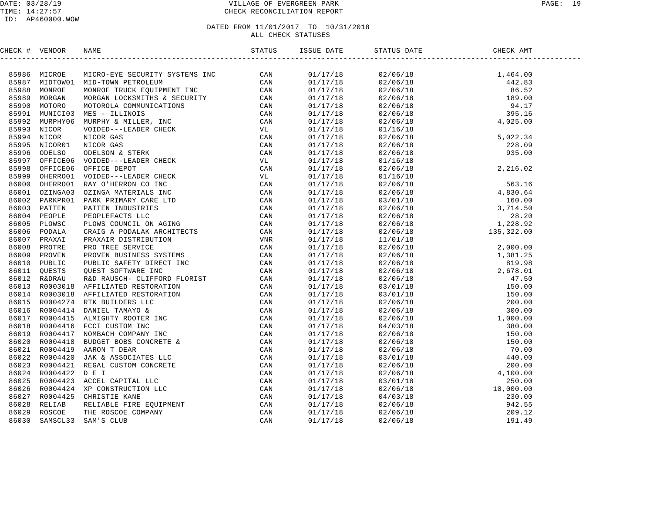#### DATE: 03/28/19 VILLAGE OF EVERGREEN PARK PAGE: 19 TIME: 14:27:57 CHECK RECONCILIATION REPORT

#### ID: AP460000.WOW

| CHECK # VENDOR | <b>NAME</b>                                                                                                                                                                                                                     | ISSUE DATE | STATUS DATE | CHECK AMT |  |
|----------------|---------------------------------------------------------------------------------------------------------------------------------------------------------------------------------------------------------------------------------|------------|-------------|-----------|--|
|                | ERECR 4 VERIDOS MAKS (FIGRE SECURITY SYSTEMS INC. 2011)<br>19588 MICROSON MID-TOWE BETROLEUM STRENG CAN INSTRUMENT RESP. COMMINISTED CAN INSTRUMENT IN the SECURITY of the CAN INSTRUMENT IN CAN INSTRUMENT IN CAN INSTRUMENT I |            |             |           |  |
|                |                                                                                                                                                                                                                                 |            |             |           |  |
|                |                                                                                                                                                                                                                                 |            |             |           |  |
|                |                                                                                                                                                                                                                                 |            |             |           |  |
|                |                                                                                                                                                                                                                                 |            |             |           |  |
|                |                                                                                                                                                                                                                                 |            |             |           |  |
|                |                                                                                                                                                                                                                                 |            |             |           |  |
|                |                                                                                                                                                                                                                                 |            |             |           |  |
|                |                                                                                                                                                                                                                                 |            |             |           |  |
|                |                                                                                                                                                                                                                                 |            |             |           |  |
|                |                                                                                                                                                                                                                                 |            |             |           |  |
|                |                                                                                                                                                                                                                                 |            |             |           |  |
|                |                                                                                                                                                                                                                                 |            |             |           |  |
|                |                                                                                                                                                                                                                                 |            |             |           |  |
|                |                                                                                                                                                                                                                                 |            |             |           |  |
|                |                                                                                                                                                                                                                                 |            |             |           |  |
|                |                                                                                                                                                                                                                                 |            |             |           |  |
|                |                                                                                                                                                                                                                                 |            |             |           |  |
|                |                                                                                                                                                                                                                                 |            |             |           |  |
|                |                                                                                                                                                                                                                                 |            |             |           |  |
|                |                                                                                                                                                                                                                                 |            |             |           |  |
|                |                                                                                                                                                                                                                                 |            |             |           |  |
|                |                                                                                                                                                                                                                                 |            |             |           |  |
|                |                                                                                                                                                                                                                                 |            |             |           |  |
|                |                                                                                                                                                                                                                                 |            |             |           |  |
|                |                                                                                                                                                                                                                                 |            |             |           |  |
|                |                                                                                                                                                                                                                                 |            |             |           |  |
|                |                                                                                                                                                                                                                                 |            |             |           |  |
|                |                                                                                                                                                                                                                                 |            |             |           |  |
|                |                                                                                                                                                                                                                                 |            |             |           |  |
|                |                                                                                                                                                                                                                                 |            |             |           |  |
|                |                                                                                                                                                                                                                                 |            |             |           |  |
|                |                                                                                                                                                                                                                                 |            |             |           |  |
|                |                                                                                                                                                                                                                                 |            |             |           |  |
|                |                                                                                                                                                                                                                                 |            |             |           |  |
|                |                                                                                                                                                                                                                                 |            |             |           |  |
|                |                                                                                                                                                                                                                                 |            |             |           |  |
|                |                                                                                                                                                                                                                                 |            |             |           |  |
|                |                                                                                                                                                                                                                                 |            |             |           |  |
|                |                                                                                                                                                                                                                                 |            |             |           |  |
|                |                                                                                                                                                                                                                                 |            |             |           |  |
|                |                                                                                                                                                                                                                                 |            |             |           |  |
|                |                                                                                                                                                                                                                                 |            |             |           |  |
|                |                                                                                                                                                                                                                                 |            |             |           |  |
|                |                                                                                                                                                                                                                                 |            |             |           |  |
|                |                                                                                                                                                                                                                                 |            |             |           |  |
|                |                                                                                                                                                                                                                                 |            |             |           |  |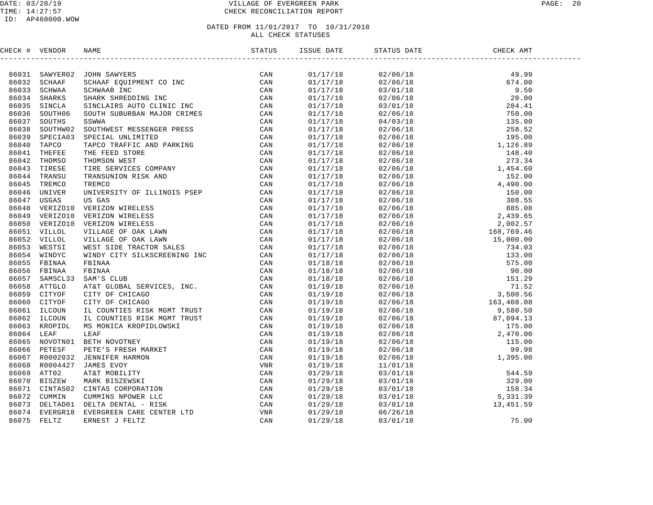#### DATE: 03/28/19 VILLAGE OF EVERGREEN PARK PAGE: 20 TIME: 14:27:57 CHECK RECONCILIATION REPORT

#### ID: AP460000.WOW

| CHECK # VENDOR |                                                                                                                                                                                                                               | ISSUE DATE | STATUS DATE | CHECK AMT |  |
|----------------|-------------------------------------------------------------------------------------------------------------------------------------------------------------------------------------------------------------------------------|------------|-------------|-----------|--|
|                | CHE VERTICAL SOME SAMPLES SERIES (CAN SAMPLES SERIES CON SAMPLES SERIES AND SCIENAR SERIES SERIES (CAN SAMPLES SERIES CAN SAMPLES SERIES (CAN SAMPLES SERIES CAN SAMPLES SERIES (CAN SAMPLES SERIES CAN SAMPLES SERIES (CAN S |            |             |           |  |
|                |                                                                                                                                                                                                                               | 01/17/18   |             |           |  |
|                |                                                                                                                                                                                                                               | 01/17/18   |             |           |  |
|                |                                                                                                                                                                                                                               | 01/17/18   |             |           |  |
|                |                                                                                                                                                                                                                               | 01/17/18   |             |           |  |
|                |                                                                                                                                                                                                                               | 01/17/18   |             |           |  |
|                |                                                                                                                                                                                                                               | 01/17/18   |             |           |  |
|                |                                                                                                                                                                                                                               | 01/17/18   |             |           |  |
|                |                                                                                                                                                                                                                               | 01/17/18   |             |           |  |
|                |                                                                                                                                                                                                                               | 01/17/18   |             |           |  |
|                |                                                                                                                                                                                                                               | 01/17/18   |             |           |  |
|                |                                                                                                                                                                                                                               | 01/17/18   |             |           |  |
|                |                                                                                                                                                                                                                               | 01/17/18   |             |           |  |
|                |                                                                                                                                                                                                                               | 01/17/18   |             |           |  |
|                |                                                                                                                                                                                                                               | 01/17/18   |             |           |  |
|                |                                                                                                                                                                                                                               | 01/17/18   |             |           |  |
|                |                                                                                                                                                                                                                               | 01/17/18   |             |           |  |
|                |                                                                                                                                                                                                                               | 01/17/18   |             |           |  |
|                |                                                                                                                                                                                                                               | 01/17/18   |             |           |  |
|                |                                                                                                                                                                                                                               | 01/17/18   |             |           |  |
|                |                                                                                                                                                                                                                               | 01/17/18   |             |           |  |
|                |                                                                                                                                                                                                                               | 01/17/18   |             |           |  |
|                |                                                                                                                                                                                                                               | 01/17/18   |             |           |  |
|                |                                                                                                                                                                                                                               | 01/17/18   |             |           |  |
|                |                                                                                                                                                                                                                               | 01/17/18   |             |           |  |
|                |                                                                                                                                                                                                                               | 01/18/18   |             |           |  |
|                |                                                                                                                                                                                                                               | 01/18/18   |             |           |  |
|                |                                                                                                                                                                                                                               | 01/18/18   |             |           |  |
|                |                                                                                                                                                                                                                               | 01/19/18   |             |           |  |
|                |                                                                                                                                                                                                                               | 01/19/18   |             |           |  |
|                |                                                                                                                                                                                                                               | 01/19/18   |             |           |  |
|                |                                                                                                                                                                                                                               | 01/19/18   |             |           |  |
|                |                                                                                                                                                                                                                               | 01/19/18   |             |           |  |
|                |                                                                                                                                                                                                                               | 01/19/18   |             |           |  |
|                |                                                                                                                                                                                                                               | 01/19/18   |             |           |  |
|                |                                                                                                                                                                                                                               | 01/19/18   |             |           |  |
|                |                                                                                                                                                                                                                               | 01/19/18   |             |           |  |
|                |                                                                                                                                                                                                                               | 01/19/18   |             |           |  |
|                |                                                                                                                                                                                                                               | 01/19/18   |             |           |  |
|                |                                                                                                                                                                                                                               | 01/29/18   |             |           |  |
|                |                                                                                                                                                                                                                               | 01/29/18   |             |           |  |
|                |                                                                                                                                                                                                                               | 01/29/18   |             |           |  |
|                |                                                                                                                                                                                                                               | 01/29/18   |             |           |  |
|                |                                                                                                                                                                                                                               | 01/29/18   |             |           |  |
|                |                                                                                                                                                                                                                               | 01/29/18   |             |           |  |
|                |                                                                                                                                                                                                                               | 01/29/18   |             |           |  |
|                |                                                                                                                                                                                                                               |            |             |           |  |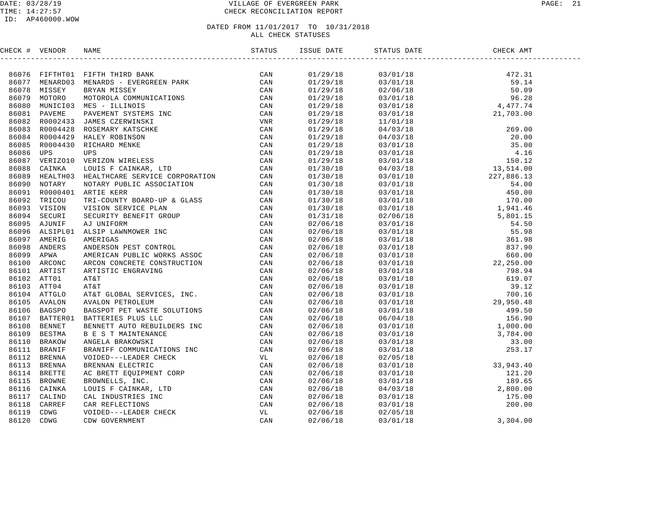#### DATE: 03/28/19 PAGE: 21 PAGE: 21 TIME: 14:27:57 CHECK RECONCILIATION REPORT

#### ID: AP460000.WOW

| CHECK # VENDOR |                                                                                                                                                                                                                               | ISSUE DATE               | STATUS DATE CHE | CHECK AMT                                                                                                                                                                                                                                                                    |  |
|----------------|-------------------------------------------------------------------------------------------------------------------------------------------------------------------------------------------------------------------------------|--------------------------|-----------------|------------------------------------------------------------------------------------------------------------------------------------------------------------------------------------------------------------------------------------------------------------------------------|--|
|                | NERGY & VERDOR IN MANY PRINCIP BANK IN THE SAME THE CAN BE A STANDARD AND RESPONSE TO A MANY SERVE THE CAN BE A STANDARD AND MANY IN THE CAN BE A STANDARD AND MANY IN THE CAN BE A STANDARD AND MANY IN THE CAN BE A STANDAR |                          |                 |                                                                                                                                                                                                                                                                              |  |
|                |                                                                                                                                                                                                                               | 01/29/18                 |                 |                                                                                                                                                                                                                                                                              |  |
|                |                                                                                                                                                                                                                               | 01/29/18                 |                 |                                                                                                                                                                                                                                                                              |  |
|                |                                                                                                                                                                                                                               | 01/29/18                 |                 |                                                                                                                                                                                                                                                                              |  |
|                |                                                                                                                                                                                                                               | 01/29/18<br>01/29/18     |                 |                                                                                                                                                                                                                                                                              |  |
|                |                                                                                                                                                                                                                               |                          |                 |                                                                                                                                                                                                                                                                              |  |
|                |                                                                                                                                                                                                                               | 01/29/18                 |                 |                                                                                                                                                                                                                                                                              |  |
|                |                                                                                                                                                                                                                               | 01/29/18                 |                 |                                                                                                                                                                                                                                                                              |  |
|                |                                                                                                                                                                                                                               | $01/29/18$<br>$01/29/18$ |                 |                                                                                                                                                                                                                                                                              |  |
|                |                                                                                                                                                                                                                               |                          |                 |                                                                                                                                                                                                                                                                              |  |
|                |                                                                                                                                                                                                                               | 01/29/18                 |                 |                                                                                                                                                                                                                                                                              |  |
|                |                                                                                                                                                                                                                               | 01/29/18                 |                 |                                                                                                                                                                                                                                                                              |  |
|                |                                                                                                                                                                                                                               | 01/29/18                 |                 |                                                                                                                                                                                                                                                                              |  |
|                |                                                                                                                                                                                                                               | $01/30/18$<br>$01/30/18$ |                 |                                                                                                                                                                                                                                                                              |  |
|                |                                                                                                                                                                                                                               |                          |                 |                                                                                                                                                                                                                                                                              |  |
|                |                                                                                                                                                                                                                               | 01/30/18                 |                 |                                                                                                                                                                                                                                                                              |  |
|                |                                                                                                                                                                                                                               | 01/30/18                 |                 |                                                                                                                                                                                                                                                                              |  |
|                |                                                                                                                                                                                                                               | $01/30/18$<br>$01/30/18$ |                 |                                                                                                                                                                                                                                                                              |  |
|                |                                                                                                                                                                                                                               |                          |                 |                                                                                                                                                                                                                                                                              |  |
|                |                                                                                                                                                                                                                               | 01/31/18                 |                 |                                                                                                                                                                                                                                                                              |  |
|                |                                                                                                                                                                                                                               | 02/06/18                 |                 |                                                                                                                                                                                                                                                                              |  |
|                |                                                                                                                                                                                                                               | 02/06/18                 |                 |                                                                                                                                                                                                                                                                              |  |
|                |                                                                                                                                                                                                                               | 02/06/18                 |                 |                                                                                                                                                                                                                                                                              |  |
|                |                                                                                                                                                                                                                               | 02/06/18                 |                 |                                                                                                                                                                                                                                                                              |  |
|                |                                                                                                                                                                                                                               | 02/06/18                 |                 |                                                                                                                                                                                                                                                                              |  |
|                |                                                                                                                                                                                                                               | 02/06/18                 |                 |                                                                                                                                                                                                                                                                              |  |
|                |                                                                                                                                                                                                                               | 02/06/18                 |                 |                                                                                                                                                                                                                                                                              |  |
|                |                                                                                                                                                                                                                               |                          |                 |                                                                                                                                                                                                                                                                              |  |
|                |                                                                                                                                                                                                                               | 02/06/18<br>02/06/18     |                 |                                                                                                                                                                                                                                                                              |  |
|                |                                                                                                                                                                                                                               | 02/06/18                 |                 |                                                                                                                                                                                                                                                                              |  |
|                |                                                                                                                                                                                                                               | 02/06/18                 |                 |                                                                                                                                                                                                                                                                              |  |
|                |                                                                                                                                                                                                                               | 02/06/18                 |                 |                                                                                                                                                                                                                                                                              |  |
|                |                                                                                                                                                                                                                               | 02/06/18                 |                 |                                                                                                                                                                                                                                                                              |  |
|                |                                                                                                                                                                                                                               | 02/06/18                 |                 |                                                                                                                                                                                                                                                                              |  |
|                |                                                                                                                                                                                                                               | 02/06/18                 |                 |                                                                                                                                                                                                                                                                              |  |
|                |                                                                                                                                                                                                                               | 02/06/18                 |                 |                                                                                                                                                                                                                                                                              |  |
|                |                                                                                                                                                                                                                               | 02/06/18                 |                 |                                                                                                                                                                                                                                                                              |  |
|                |                                                                                                                                                                                                                               | 02/06/18                 |                 |                                                                                                                                                                                                                                                                              |  |
|                |                                                                                                                                                                                                                               | 02/06/18                 |                 |                                                                                                                                                                                                                                                                              |  |
|                |                                                                                                                                                                                                                               | 02/06/18                 |                 |                                                                                                                                                                                                                                                                              |  |
|                |                                                                                                                                                                                                                               | 02/06/18                 |                 |                                                                                                                                                                                                                                                                              |  |
|                |                                                                                                                                                                                                                               | 02/06/18                 |                 |                                                                                                                                                                                                                                                                              |  |
|                |                                                                                                                                                                                                                               |                          |                 |                                                                                                                                                                                                                                                                              |  |
|                |                                                                                                                                                                                                                               | 02/06/18<br>02/06/18     |                 |                                                                                                                                                                                                                                                                              |  |
|                |                                                                                                                                                                                                                               | 02/06/18                 |                 |                                                                                                                                                                                                                                                                              |  |
|                |                                                                                                                                                                                                                               | 02/06/18                 |                 | $\begin{tabular}{cccc} 03/01/18 & 4, 477/74 \\ 3/01/18 & 4, 477/3.00 \\ 11/01/18 & 21, 703.00 \\ 04/03/18 & 269.00 \\ 04/03/18 & 269.00 \\ 03/01/18 & 35.00 \\ 03/01/18 & 15.01 \\ 03/01/18 & 15.01 \\ 03/01/18 & 15.01 \\ 03/01/18 & 15.01 \\ 03/01/18 & 54.00 \\ 03/01/18$ |  |
|                |                                                                                                                                                                                                                               |                          |                 |                                                                                                                                                                                                                                                                              |  |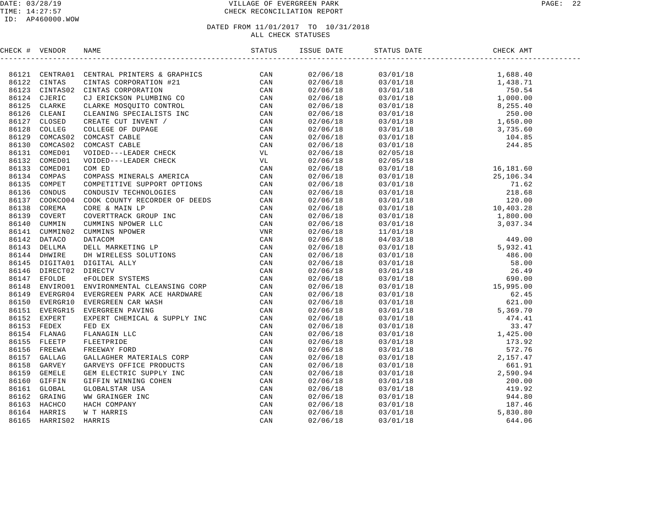#### DATE: 03/28/19 PAGE: 22 PAGE: 22 TIME: 14:27:57 CHECK RECONCILIATION REPORT

#### ID: AP460000.WOW

| CHECK # VENDOR |                                                                                                                                                                                                                               |  | STATUS DATE |  |
|----------------|-------------------------------------------------------------------------------------------------------------------------------------------------------------------------------------------------------------------------------|--|-------------|--|
|                | HERCA I VERDON RANE DE TRES CREATING CON AN ANGELE CAN CONSIDER A CONSIDERATION CONSIDER THE CAN CONSIDER THE CONSIDERATION CONSIDERED AND CONSIDER CREATING CONSIDER THE CONSIDERATION CONSIDER THE CONSIDERATION CONSIDER T |  |             |  |
|                |                                                                                                                                                                                                                               |  |             |  |
|                |                                                                                                                                                                                                                               |  |             |  |
|                |                                                                                                                                                                                                                               |  |             |  |
|                |                                                                                                                                                                                                                               |  |             |  |
|                |                                                                                                                                                                                                                               |  |             |  |
|                |                                                                                                                                                                                                                               |  |             |  |
|                |                                                                                                                                                                                                                               |  |             |  |
|                |                                                                                                                                                                                                                               |  |             |  |
|                |                                                                                                                                                                                                                               |  |             |  |
|                |                                                                                                                                                                                                                               |  |             |  |
|                |                                                                                                                                                                                                                               |  |             |  |
|                |                                                                                                                                                                                                                               |  |             |  |
|                |                                                                                                                                                                                                                               |  |             |  |
|                |                                                                                                                                                                                                                               |  |             |  |
|                |                                                                                                                                                                                                                               |  |             |  |
|                |                                                                                                                                                                                                                               |  |             |  |
|                |                                                                                                                                                                                                                               |  |             |  |
|                |                                                                                                                                                                                                                               |  |             |  |
|                |                                                                                                                                                                                                                               |  |             |  |
|                |                                                                                                                                                                                                                               |  |             |  |
|                |                                                                                                                                                                                                                               |  |             |  |
|                |                                                                                                                                                                                                                               |  |             |  |
|                |                                                                                                                                                                                                                               |  |             |  |
|                |                                                                                                                                                                                                                               |  |             |  |
|                |                                                                                                                                                                                                                               |  |             |  |
|                |                                                                                                                                                                                                                               |  |             |  |
|                |                                                                                                                                                                                                                               |  |             |  |
|                |                                                                                                                                                                                                                               |  |             |  |
|                |                                                                                                                                                                                                                               |  |             |  |
|                |                                                                                                                                                                                                                               |  |             |  |
|                |                                                                                                                                                                                                                               |  |             |  |
|                |                                                                                                                                                                                                                               |  |             |  |
|                |                                                                                                                                                                                                                               |  |             |  |
|                |                                                                                                                                                                                                                               |  |             |  |
|                |                                                                                                                                                                                                                               |  |             |  |
|                |                                                                                                                                                                                                                               |  |             |  |
|                |                                                                                                                                                                                                                               |  |             |  |
|                |                                                                                                                                                                                                                               |  |             |  |
|                |                                                                                                                                                                                                                               |  |             |  |
|                |                                                                                                                                                                                                                               |  |             |  |
|                |                                                                                                                                                                                                                               |  |             |  |
|                |                                                                                                                                                                                                                               |  |             |  |
|                |                                                                                                                                                                                                                               |  |             |  |
|                |                                                                                                                                                                                                                               |  |             |  |
|                |                                                                                                                                                                                                                               |  |             |  |
|                |                                                                                                                                                                                                                               |  |             |  |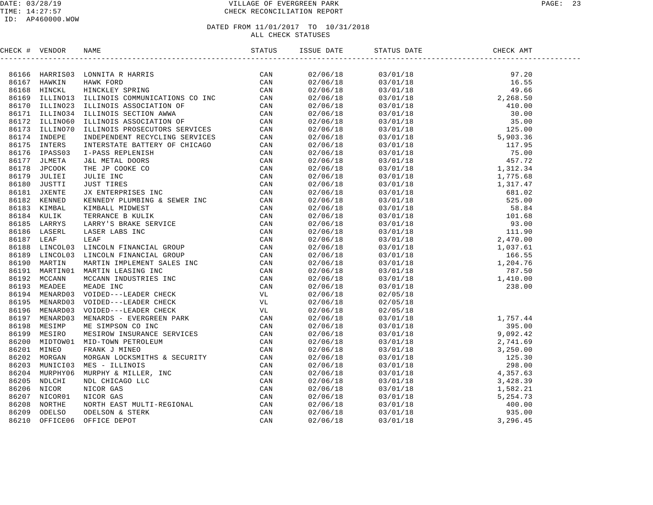#### DATE: 03/28/19 VILLAGE OF EVERGREEN PARK PAGE: 23 TIME: 14:27:57 CHECK RECONCILIATION REPORT

#### ID: AP460000.WOW

#### DATED FROM 11/01/2017 TO 10/31/2018 ALL CHECK STATUSES

CHECK # VENDOR NAME STATUS ISSUE DATE STATUS DATE CHECK AMT ------------------------------------------------------------------------------------------------------------------------------------86166 HARRIS03 LONNITA R HARRIS CAN 02/06/18 03/01/18 97.20 86167 HAWKIN HAWK FORD CAN 02/06/18 03/01/18 16.55 86168 HINCKL HINCKLEY SPRING CAN 02/06/18 03/01/18 49.66 86169 ILLINO13 ILLINOIS COMMUNICATIONS CO INC CAN 02/06/18 03/01/18 2,268.50 86170 ILLINO23 ILLINOIS ASSOCIATION OF CAN 02/06/18 03/01/18 410.00 86171 ILLINO34 ILLINOIS SECTION AWWA CAN 02/06/18 03/01/18 30.00 86172 ILLINO60 ILLINOIS ASSOCIATION OF CAN 02/06/18 03/01/18 35.00 86173 ILLINO70 ILLINOIS PROSECUTORS SERVICES CAN 02/06/18 03/01/18 125.00 86174 INDEPE INDEPENDENT RECYCLING SERVICES CAN 02/06/18 03/01/18 5,903.36 86175 INTERS INTERSTATE BATTERY OF CHICAGO CAN 02/06/18 03/01/18 117.95 86176 IPASS03 I-PASS REPLENISH CAN 02/06/18 03/01/18 75.00 86177 JLMETA J&L METAL DOORS CAN 02/06/18 03/01/18 457.72 86178 JPCOOK THE JP COOKE CO CAN 02/06/18 03/01/18 1,312.34 86179 JULIEI JULIE INC CAN 02/06/18 03/01/18 1,775.68 86180 JUSTTI JUST TIRES CAN 02/06/18 03/01/18 1,317.47 86181 JXENTE JX ENTERPRISES INC CAN 02/06/18 03/01/18 681.02 86182 KENNED KENNEDY PLUMBING & SEWER INC CAN 02/06/18 03/01/18 525.00 86183 KIMBAL KIMBALL MIDWEST CAN 02/06/18 03/01/18 58.84 86184 KULIK TERRANCE B KULIK CAN 02/06/18 03/01/18 101.68 86185 LARRYS LARRY'S BRAKE SERVICE CAN 02/06/18 03/01/18 93.00 86186 LASERL LASER LABS INC CAN 02/06/18 03/01/18 111.90 86187 LEAF LEAF CAN 02/06/18 03/01/18 2,470.00 86188 LINCOL03 LINCOLN FINANCIAL GROUP CAN 02/06/18 03/01/18 1,037.61 86189 LINCOL03 LINCOLN FINANCIAL GROUP CAN 02/06/18 03/01/18 166.55 86190 MARTIN MARTIN IMPLEMENT SALES INC CAN 02/06/18 03/01/18 1,204.76 86191 MARTIN01 MARTIN LEASING INC CAN 02/06/18 03/01/18 787.50 86192 MCCANN MCCANN INDUSTRIES INC CAN 02/06/18 03/01/18 1,410.00 86193 MEADEE MEADE INC CAN 02/06/18 03/01/18 238.00 86194 MENARD03 VOIDED---LEADER CHECK VL 02/06/18 02/05/18 86195 MENARD03 VOIDED---LEADER CHECK VL 02/06/18 02/05/18 86196 MENARD03 VOIDED---LEADER CHECK VL 02/06/18 02/05/18 86197 MENARD03 MENARDS - EVERGREEN PARK CAN 02/06/18 03/01/18 1,757.44 86198 MESIMP ME SIMPSON CO INC CAN 02/06/18 03/01/18 395.00 86199 MESIRO MESIROW INSURANCE SERVICES CAN 02/06/18 03/01/18 9,092.42 86200 MIDTOW01 MID-TOWN PETROLEUM CAN 02/06/18 03/01/18 2,741.69 86201 MINEO FRANK J MINEO CAN 02/06/18 03/01/18 3,250.00 86202 MORGAN MORGAN LOCKSMITHS & SECURITY CAN 02/06/18 03/01/18 125.30 86203 MUNICI03 MES - ILLINOIS CAN 02/06/18 03/01/18 298.00 86204 MURPHY06 MURPHY & MILLER, INC CAN 02/06/18 03/01/18 4,357.63 86205 NDLCHI NDL CHICAGO LLC CAN 02/06/18 03/01/18 3,428.39 86206 NICOR NICOR GAS CAN 02/06/18 03/01/18 1,582.21 86207 NICOR01 NICOR GAS CAN 02/06/18 03/01/18 5,254.73 86208 NORTHE NORTH EAST MULTI-REGIONAL CAN 02/06/18 03/01/18 400.00 86209 ODELSO ODELSON & STERK CAN 02/06/18 03/01/18 935.00 86210 OFFICE06 OFFICE DEPOT CAN 02/06/18 03/01/18 3,296.45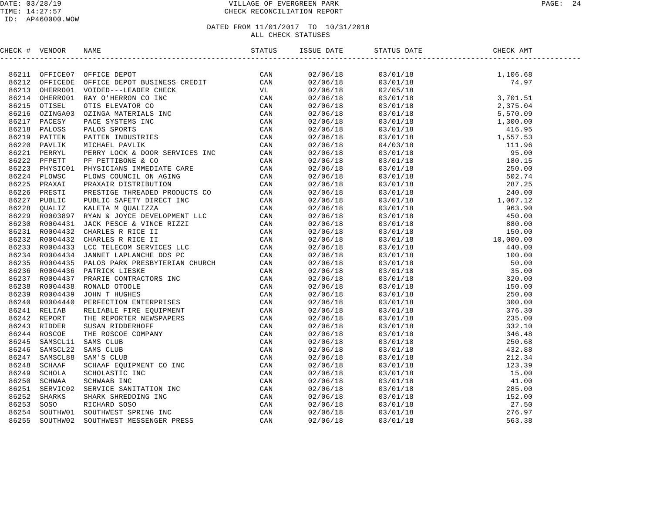#### DATE: 03/28/19 VILLAGE OF EVERGREEN PARK PAGE: 24 TIME: 14:27:57 CHECK RECONCILIATION REPORT

#### ID: AP460000.WOW

| CHECK # VENDOR |                                                                                                                                                                                                                               |  |  |  |
|----------------|-------------------------------------------------------------------------------------------------------------------------------------------------------------------------------------------------------------------------------|--|--|--|
|                | ENERGY & VERDIGE DE PRODUCE DE CARLES DE CARLES (CARLES DE CARLES DE CARLES DE CARLES DE CARLES DE CARLES DE CARLES DE CARLES DE CARLES DE CARLES DE CARLES DE CARLES DE CARLES DE CARLES DE CARLES DE CARLES DE CARLES DE CA |  |  |  |
|                |                                                                                                                                                                                                                               |  |  |  |
|                |                                                                                                                                                                                                                               |  |  |  |
|                |                                                                                                                                                                                                                               |  |  |  |
|                |                                                                                                                                                                                                                               |  |  |  |
|                |                                                                                                                                                                                                                               |  |  |  |
|                |                                                                                                                                                                                                                               |  |  |  |
|                |                                                                                                                                                                                                                               |  |  |  |
|                |                                                                                                                                                                                                                               |  |  |  |
|                |                                                                                                                                                                                                                               |  |  |  |
|                |                                                                                                                                                                                                                               |  |  |  |
|                |                                                                                                                                                                                                                               |  |  |  |
|                |                                                                                                                                                                                                                               |  |  |  |
|                |                                                                                                                                                                                                                               |  |  |  |
|                |                                                                                                                                                                                                                               |  |  |  |
|                |                                                                                                                                                                                                                               |  |  |  |
|                |                                                                                                                                                                                                                               |  |  |  |
|                |                                                                                                                                                                                                                               |  |  |  |
|                |                                                                                                                                                                                                                               |  |  |  |
|                |                                                                                                                                                                                                                               |  |  |  |
|                |                                                                                                                                                                                                                               |  |  |  |
|                |                                                                                                                                                                                                                               |  |  |  |
|                |                                                                                                                                                                                                                               |  |  |  |
|                |                                                                                                                                                                                                                               |  |  |  |
|                |                                                                                                                                                                                                                               |  |  |  |
|                |                                                                                                                                                                                                                               |  |  |  |
|                |                                                                                                                                                                                                                               |  |  |  |
|                |                                                                                                                                                                                                                               |  |  |  |
|                |                                                                                                                                                                                                                               |  |  |  |
|                |                                                                                                                                                                                                                               |  |  |  |
|                |                                                                                                                                                                                                                               |  |  |  |
|                |                                                                                                                                                                                                                               |  |  |  |
|                |                                                                                                                                                                                                                               |  |  |  |
|                |                                                                                                                                                                                                                               |  |  |  |
|                |                                                                                                                                                                                                                               |  |  |  |
|                |                                                                                                                                                                                                                               |  |  |  |
|                |                                                                                                                                                                                                                               |  |  |  |
|                |                                                                                                                                                                                                                               |  |  |  |
|                |                                                                                                                                                                                                                               |  |  |  |
|                |                                                                                                                                                                                                                               |  |  |  |
|                |                                                                                                                                                                                                                               |  |  |  |
|                |                                                                                                                                                                                                                               |  |  |  |
|                |                                                                                                                                                                                                                               |  |  |  |
|                |                                                                                                                                                                                                                               |  |  |  |
|                |                                                                                                                                                                                                                               |  |  |  |
|                |                                                                                                                                                                                                                               |  |  |  |
|                |                                                                                                                                                                                                                               |  |  |  |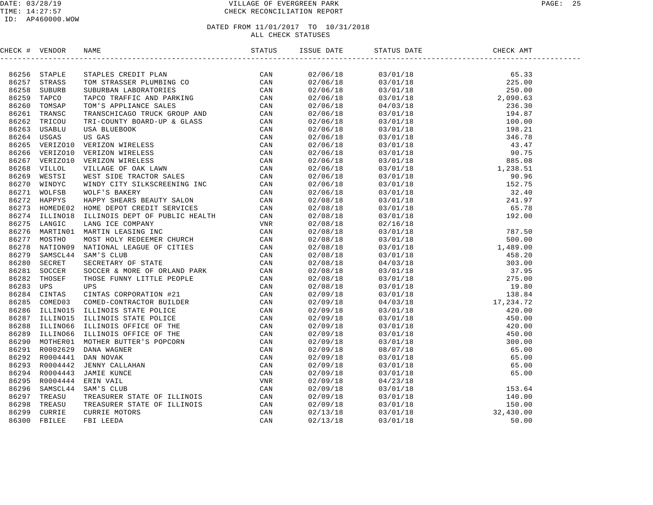#### DATE: 03/28/19 VILLAGE OF EVERGREEN PARK PAGE: 25 TIME: 14:27:57 CHECK RECONCILIATION REPORT

#### ID: AP460000.WOW

| CHECK # VENDOR |                                                                                                                                                                                                                               |  |                                                                                                                                                                                                                                                                               |  |
|----------------|-------------------------------------------------------------------------------------------------------------------------------------------------------------------------------------------------------------------------------|--|-------------------------------------------------------------------------------------------------------------------------------------------------------------------------------------------------------------------------------------------------------------------------------|--|
|                | TRANSFORM IN A MOREOVER CONTROLL IN THE STATE OF CAN 6258 STAPLE CAN 6258 SUBJURB SUBSTRATION (CAN 1992) THE STATE OF THE STANDAPTED AND THE STATE OF THE STANDAPT CAN CAN 1992 STATE OF THE STANDAPT CAN CAN 1992 STATE OF T |  | $\begin{tabular}{cccccccc} $15856 & 1078748 & 878705 & 04814 & 2885.08 \\ 1592706718 & 0370118 & 285.30 \\ 02706718 & 0370118 & 285.00 \\ 02706718 & 0370118 & 240.03 \\ 02706718 & 04703118 & 194.87 \\ 02706718 & 04703118 & 194.87 \\ 02706718 & 03701118 & 194.87 \\ 027$ |  |
|                |                                                                                                                                                                                                                               |  |                                                                                                                                                                                                                                                                               |  |
|                |                                                                                                                                                                                                                               |  |                                                                                                                                                                                                                                                                               |  |
|                |                                                                                                                                                                                                                               |  |                                                                                                                                                                                                                                                                               |  |
|                |                                                                                                                                                                                                                               |  |                                                                                                                                                                                                                                                                               |  |
|                |                                                                                                                                                                                                                               |  |                                                                                                                                                                                                                                                                               |  |
|                |                                                                                                                                                                                                                               |  |                                                                                                                                                                                                                                                                               |  |
|                |                                                                                                                                                                                                                               |  |                                                                                                                                                                                                                                                                               |  |
|                |                                                                                                                                                                                                                               |  |                                                                                                                                                                                                                                                                               |  |
|                |                                                                                                                                                                                                                               |  |                                                                                                                                                                                                                                                                               |  |
|                |                                                                                                                                                                                                                               |  |                                                                                                                                                                                                                                                                               |  |
|                |                                                                                                                                                                                                                               |  |                                                                                                                                                                                                                                                                               |  |
|                |                                                                                                                                                                                                                               |  |                                                                                                                                                                                                                                                                               |  |
|                |                                                                                                                                                                                                                               |  |                                                                                                                                                                                                                                                                               |  |
|                |                                                                                                                                                                                                                               |  |                                                                                                                                                                                                                                                                               |  |
|                |                                                                                                                                                                                                                               |  |                                                                                                                                                                                                                                                                               |  |
|                |                                                                                                                                                                                                                               |  |                                                                                                                                                                                                                                                                               |  |
|                |                                                                                                                                                                                                                               |  |                                                                                                                                                                                                                                                                               |  |
|                |                                                                                                                                                                                                                               |  |                                                                                                                                                                                                                                                                               |  |
|                |                                                                                                                                                                                                                               |  |                                                                                                                                                                                                                                                                               |  |
|                |                                                                                                                                                                                                                               |  |                                                                                                                                                                                                                                                                               |  |
|                |                                                                                                                                                                                                                               |  |                                                                                                                                                                                                                                                                               |  |
|                |                                                                                                                                                                                                                               |  |                                                                                                                                                                                                                                                                               |  |
|                |                                                                                                                                                                                                                               |  |                                                                                                                                                                                                                                                                               |  |
|                |                                                                                                                                                                                                                               |  |                                                                                                                                                                                                                                                                               |  |
|                |                                                                                                                                                                                                                               |  |                                                                                                                                                                                                                                                                               |  |
|                |                                                                                                                                                                                                                               |  |                                                                                                                                                                                                                                                                               |  |
|                |                                                                                                                                                                                                                               |  |                                                                                                                                                                                                                                                                               |  |
|                |                                                                                                                                                                                                                               |  |                                                                                                                                                                                                                                                                               |  |
|                |                                                                                                                                                                                                                               |  |                                                                                                                                                                                                                                                                               |  |
|                |                                                                                                                                                                                                                               |  |                                                                                                                                                                                                                                                                               |  |
|                |                                                                                                                                                                                                                               |  |                                                                                                                                                                                                                                                                               |  |
|                |                                                                                                                                                                                                                               |  |                                                                                                                                                                                                                                                                               |  |
|                |                                                                                                                                                                                                                               |  |                                                                                                                                                                                                                                                                               |  |
|                |                                                                                                                                                                                                                               |  |                                                                                                                                                                                                                                                                               |  |
|                |                                                                                                                                                                                                                               |  |                                                                                                                                                                                                                                                                               |  |
|                |                                                                                                                                                                                                                               |  |                                                                                                                                                                                                                                                                               |  |
|                |                                                                                                                                                                                                                               |  |                                                                                                                                                                                                                                                                               |  |
|                |                                                                                                                                                                                                                               |  |                                                                                                                                                                                                                                                                               |  |
|                |                                                                                                                                                                                                                               |  |                                                                                                                                                                                                                                                                               |  |
|                |                                                                                                                                                                                                                               |  |                                                                                                                                                                                                                                                                               |  |
|                |                                                                                                                                                                                                                               |  |                                                                                                                                                                                                                                                                               |  |
|                |                                                                                                                                                                                                                               |  |                                                                                                                                                                                                                                                                               |  |
|                |                                                                                                                                                                                                                               |  |                                                                                                                                                                                                                                                                               |  |
|                |                                                                                                                                                                                                                               |  |                                                                                                                                                                                                                                                                               |  |
|                |                                                                                                                                                                                                                               |  |                                                                                                                                                                                                                                                                               |  |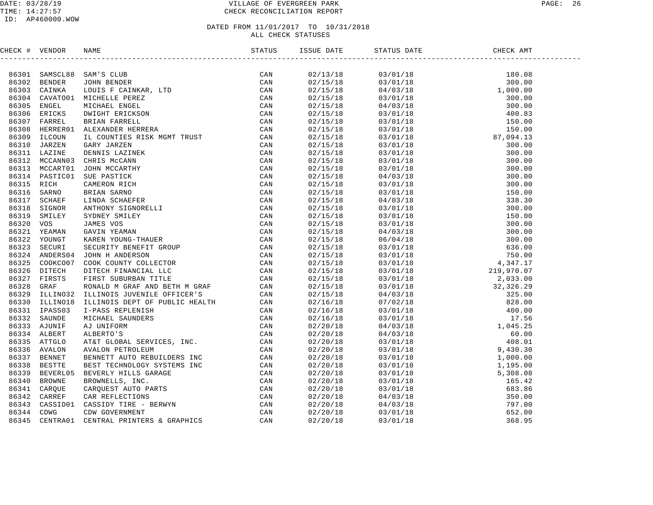|            | CHECK # VENDOR |                                                                                                                                                                                                                               | ISSUE DATE | STATUS DATE | DATE CHECK CHECK<br>CHECK AMT |  |
|------------|----------------|-------------------------------------------------------------------------------------------------------------------------------------------------------------------------------------------------------------------------------|------------|-------------|-------------------------------|--|
|            |                | NAME SAMPER CAN BE AN ANDERS AN AN EXAMPLE CAN ARREST THE CAN ARREST CAN ARREST CAN ARREST CAN ARREST CAN ARREST CAN ARREST CAN ARREST CAN ARREST SURFACE CAN ARREST SURFACE CAN ARREST SURFACE CAN ARREST SURFACE CAN ARREST |            |             |                               |  |
|            |                | 86301 SAMSCL88 SAM'S CLUB                                                                                                                                                                                                     | 02/13/18   |             |                               |  |
|            | 86302 BENDER   |                                                                                                                                                                                                                               | 02/15/18   |             |                               |  |
| 86303      | CAINKA         |                                                                                                                                                                                                                               | 02/15/18   |             |                               |  |
| 86304      |                | CAVATO01 MICHELLE PEREZ                                                                                                                                                                                                       | 02/15/18   |             |                               |  |
| 86305      | ENGEL          |                                                                                                                                                                                                                               | 02/15/18   |             |                               |  |
| 86306      | ERICKS         |                                                                                                                                                                                                                               | 02/15/18   |             |                               |  |
| 86307      | FARREL         |                                                                                                                                                                                                                               | 02/15/18   |             |                               |  |
| 86308      | HERRER01       |                                                                                                                                                                                                                               | 02/15/18   |             |                               |  |
| 86309      | ILCOUN         |                                                                                                                                                                                                                               | 02/15/18   |             |                               |  |
| 86310      | JARZEN         |                                                                                                                                                                                                                               | 02/15/18   |             |                               |  |
|            | 86311 LAZINE   |                                                                                                                                                                                                                               | 02/15/18   |             |                               |  |
|            | 86312 MCCANN03 |                                                                                                                                                                                                                               | 02/15/18   |             |                               |  |
| 86313      | MCCART01       |                                                                                                                                                                                                                               | 02/15/18   |             |                               |  |
|            | 86314 PASTIC01 |                                                                                                                                                                                                                               | 02/15/18   |             |                               |  |
| 86315      | RICH           |                                                                                                                                                                                                                               | 02/15/18   |             |                               |  |
| 86316      | SARNO          |                                                                                                                                                                                                                               | 02/15/18   |             |                               |  |
| 86317      | <b>SCHAEF</b>  |                                                                                                                                                                                                                               | 02/15/18   |             |                               |  |
| 86318      | SIGNOR         |                                                                                                                                                                                                                               | 02/15/18   |             |                               |  |
| 86319      | SMILEY         |                                                                                                                                                                                                                               | 02/15/18   |             |                               |  |
| 86320      | VOS            |                                                                                                                                                                                                                               | 02/15/18   |             |                               |  |
| 86321      | YEAMAN         |                                                                                                                                                                                                                               | 02/15/18   |             |                               |  |
| 86322      | YOUNGT         |                                                                                                                                                                                                                               | 02/15/18   |             |                               |  |
| 86323      | SECURI         |                                                                                                                                                                                                                               | 02/15/18   |             |                               |  |
|            | 86324 ANDERS04 |                                                                                                                                                                                                                               | 02/15/18   |             |                               |  |
| 86325      | COOKCO07       |                                                                                                                                                                                                                               | 02/15/18   |             |                               |  |
| 86326      | DITECH         |                                                                                                                                                                                                                               | 02/15/18   |             |                               |  |
| 86327      | FIRSTS         |                                                                                                                                                                                                                               | 02/15/18   |             |                               |  |
| 86328      | GRAF           |                                                                                                                                                                                                                               | 02/15/18   |             |                               |  |
| 86329      | ILLINO32       |                                                                                                                                                                                                                               | 02/15/18   |             |                               |  |
|            | 86330 ILLINO18 |                                                                                                                                                                                                                               | 02/16/18   |             |                               |  |
| 86331      | IPASS03        |                                                                                                                                                                                                                               | 02/16/18   |             |                               |  |
|            | 86332 SAUNDE   |                                                                                                                                                                                                                               | 02/16/18   |             |                               |  |
|            | 86333 AJUNIF   |                                                                                                                                                                                                                               | 02/20/18   |             |                               |  |
|            | 86334 ALBERT   |                                                                                                                                                                                                                               | 02/20/18   |             |                               |  |
|            | 86335 ATTGLO   |                                                                                                                                                                                                                               | 02/20/18   |             |                               |  |
|            | 86336 AVALON   |                                                                                                                                                                                                                               | 02/20/18   |             |                               |  |
|            | 86337 BENNET   |                                                                                                                                                                                                                               | 02/20/18   |             |                               |  |
| 86338      | <b>BESTTE</b>  |                                                                                                                                                                                                                               | 02/20/18   |             |                               |  |
| 86339      | BEVERL05       |                                                                                                                                                                                                                               | 02/20/18   |             |                               |  |
| 86340      | <b>BROWNE</b>  |                                                                                                                                                                                                                               | 02/20/18   |             |                               |  |
| 86341      | CARQUE         |                                                                                                                                                                                                                               | 02/20/18   |             |                               |  |
| 86342      | CARREF         |                                                                                                                                                                                                                               | 02/20/18   |             |                               |  |
| 86343      | CASSID01       |                                                                                                                                                                                                                               | 02/20/18   |             |                               |  |
| 86344 CDWG |                |                                                                                                                                                                                                                               | 02/20/18   |             |                               |  |
| 86345      | CENTRA01       |                                                                                                                                                                                                                               | 02/20/18   |             |                               |  |
|            |                |                                                                                                                                                                                                                               |            |             |                               |  |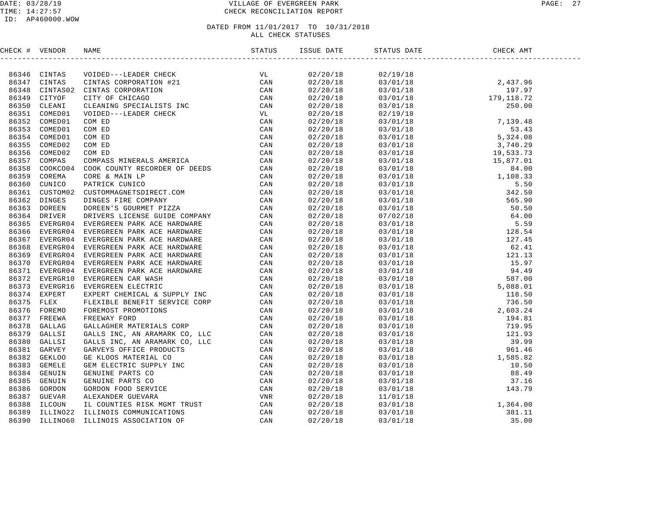#### DATE: 03/28/19 VILLAGE OF EVERGREEN PARK PAGE: 27 CHECK RECONCILIATION REPORT

# DATED FROM 11/01/2017 TO 10/31/2018

ALL CHECK STATUSES

| CHECK # VENDOR |  |  |  |
|----------------|--|--|--|
|                |  |  |  |
|                |  |  |  |
|                |  |  |  |
|                |  |  |  |
|                |  |  |  |
|                |  |  |  |
|                |  |  |  |
|                |  |  |  |
|                |  |  |  |
|                |  |  |  |
|                |  |  |  |
|                |  |  |  |
|                |  |  |  |
|                |  |  |  |
|                |  |  |  |
|                |  |  |  |
|                |  |  |  |
|                |  |  |  |
|                |  |  |  |
|                |  |  |  |
|                |  |  |  |
|                |  |  |  |
|                |  |  |  |
|                |  |  |  |
|                |  |  |  |
|                |  |  |  |
|                |  |  |  |
|                |  |  |  |
|                |  |  |  |
|                |  |  |  |
|                |  |  |  |
|                |  |  |  |
|                |  |  |  |
|                |  |  |  |
|                |  |  |  |
|                |  |  |  |
|                |  |  |  |
|                |  |  |  |
|                |  |  |  |
|                |  |  |  |
|                |  |  |  |
|                |  |  |  |
|                |  |  |  |
|                |  |  |  |
|                |  |  |  |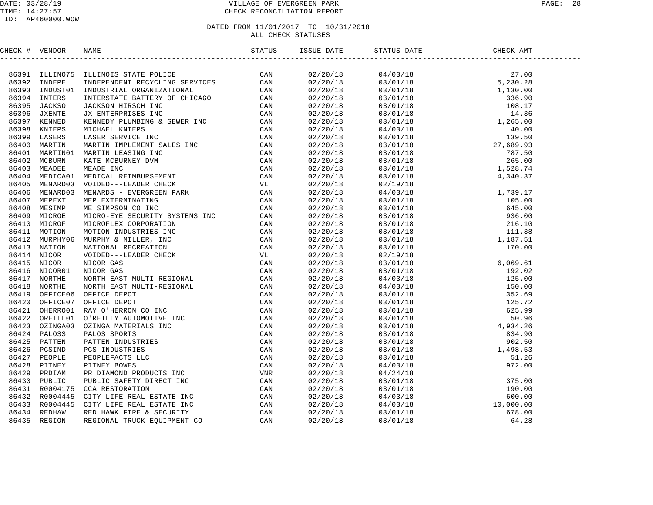#### DATE: 03/28/19 VILLAGE OF EVERGREEN PARK PAGE: 28 TIME: 14:27:57 CHECK RECONCILIATION REPORT

| CHECK # VENDOR |                                                                                                                                                                                                                               | STATUS ISSUE DATE STATUS DATE |  |  |
|----------------|-------------------------------------------------------------------------------------------------------------------------------------------------------------------------------------------------------------------------------|-------------------------------|--|--|
|                | (1910) 1930, 1940, 1940, 1940, 1940, 1940, 1940, 1940, 1940, 1940, 1940, 1940, 1940, 1940, 1940, 1940, 1940, 1940, 1940, 1940, 1940, 1940, 1940, 1940, 1940, 1940, 1940, 1940, 1940, 1940, 1940, 1940, 1940, 1940, 1940, 1940 |                               |  |  |
|                |                                                                                                                                                                                                                               |                               |  |  |
|                |                                                                                                                                                                                                                               |                               |  |  |
|                |                                                                                                                                                                                                                               |                               |  |  |
|                |                                                                                                                                                                                                                               |                               |  |  |
|                |                                                                                                                                                                                                                               |                               |  |  |
|                |                                                                                                                                                                                                                               |                               |  |  |
|                |                                                                                                                                                                                                                               |                               |  |  |
|                |                                                                                                                                                                                                                               |                               |  |  |
|                |                                                                                                                                                                                                                               |                               |  |  |
|                |                                                                                                                                                                                                                               |                               |  |  |
|                |                                                                                                                                                                                                                               |                               |  |  |
|                |                                                                                                                                                                                                                               |                               |  |  |
|                |                                                                                                                                                                                                                               |                               |  |  |
|                |                                                                                                                                                                                                                               |                               |  |  |
|                |                                                                                                                                                                                                                               |                               |  |  |
|                |                                                                                                                                                                                                                               |                               |  |  |
|                |                                                                                                                                                                                                                               |                               |  |  |
|                |                                                                                                                                                                                                                               |                               |  |  |
|                |                                                                                                                                                                                                                               |                               |  |  |
|                |                                                                                                                                                                                                                               |                               |  |  |
|                |                                                                                                                                                                                                                               |                               |  |  |
|                |                                                                                                                                                                                                                               |                               |  |  |
|                |                                                                                                                                                                                                                               |                               |  |  |
|                |                                                                                                                                                                                                                               |                               |  |  |
|                |                                                                                                                                                                                                                               |                               |  |  |
|                |                                                                                                                                                                                                                               |                               |  |  |
|                |                                                                                                                                                                                                                               |                               |  |  |
|                |                                                                                                                                                                                                                               |                               |  |  |
|                |                                                                                                                                                                                                                               |                               |  |  |
|                |                                                                                                                                                                                                                               |                               |  |  |
|                |                                                                                                                                                                                                                               |                               |  |  |
|                |                                                                                                                                                                                                                               |                               |  |  |
|                |                                                                                                                                                                                                                               |                               |  |  |
|                |                                                                                                                                                                                                                               |                               |  |  |
|                |                                                                                                                                                                                                                               |                               |  |  |
|                |                                                                                                                                                                                                                               |                               |  |  |
|                |                                                                                                                                                                                                                               |                               |  |  |
|                |                                                                                                                                                                                                                               |                               |  |  |
|                |                                                                                                                                                                                                                               |                               |  |  |
|                |                                                                                                                                                                                                                               |                               |  |  |
|                |                                                                                                                                                                                                                               |                               |  |  |
|                |                                                                                                                                                                                                                               |                               |  |  |
|                |                                                                                                                                                                                                                               |                               |  |  |
|                |                                                                                                                                                                                                                               |                               |  |  |
|                |                                                                                                                                                                                                                               |                               |  |  |
|                |                                                                                                                                                                                                                               |                               |  |  |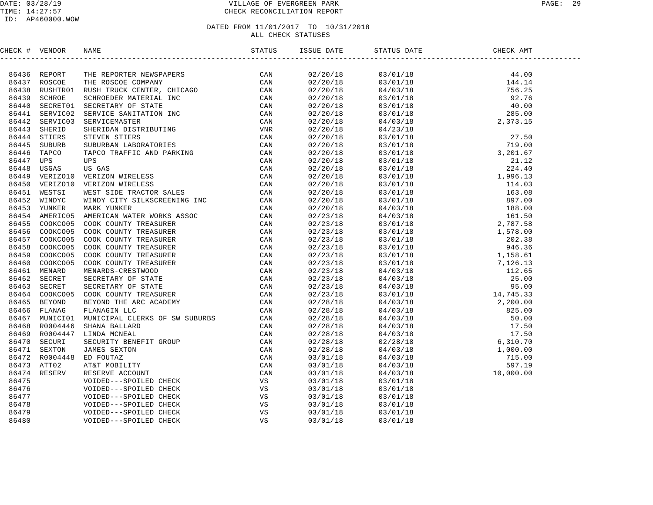#### DATE: 03/28/19 VILLAGE OF EVERGREEN PARK PAGE: 29 TIME: 14:27:57 CHECK RECONCILIATION REPORT

#### ID: AP460000.WOW

| CHECK # VENDOR |                                                                                                                                                                                                                               |                                  | STATUS DATE                                                                                                                                                                                                                                                                     | CHECK AMT |  |
|----------------|-------------------------------------------------------------------------------------------------------------------------------------------------------------------------------------------------------------------------------|----------------------------------|---------------------------------------------------------------------------------------------------------------------------------------------------------------------------------------------------------------------------------------------------------------------------------|-----------|--|
|                | HEATH VERION RADIE THE REPORTER TREATING THE REPORT THEORY ON THE REPORT THE REPORT IN A SECTION OF A SAME IN A SECTION OF A SAME IN A SECTION OF A SAME IN A SECTION OF A SAME IN A SECTION OF A SAME IN A SECTION OF A SAME |                                  | $\begin{tabular}{cccccccc} 0.3/01/18 & 44.00 \\ 0.3/01/18 & 44.00 \\ 0.3/01/18 & 144.14 \\ 0.4/03/18 & 144.14 \\ 0.5/01/18 & 92.76 \\ 0.3/01/18 & 40.00 \\ 0.4/03/18 & 285.00 \\ 0.4/03/18 & 27.50 \\ 0.3/01/18 & 79.00 \\ 0.3/01/18 & 79.00 \\ 0.3/01/18 & 79.00 \\ 0.3/01/18$ |           |  |
|                |                                                                                                                                                                                                                               | 02/20/18                         |                                                                                                                                                                                                                                                                                 |           |  |
|                |                                                                                                                                                                                                                               | 02/20/18<br>02/20/18             |                                                                                                                                                                                                                                                                                 |           |  |
|                |                                                                                                                                                                                                                               | 02/20/18                         |                                                                                                                                                                                                                                                                                 |           |  |
|                |                                                                                                                                                                                                                               | 02/20/18                         |                                                                                                                                                                                                                                                                                 |           |  |
|                |                                                                                                                                                                                                                               | 02/20/18                         |                                                                                                                                                                                                                                                                                 |           |  |
|                |                                                                                                                                                                                                                               | 02/20/18                         |                                                                                                                                                                                                                                                                                 |           |  |
|                |                                                                                                                                                                                                                               | 02/20/18                         |                                                                                                                                                                                                                                                                                 |           |  |
|                |                                                                                                                                                                                                                               | 02/20/18                         |                                                                                                                                                                                                                                                                                 |           |  |
|                |                                                                                                                                                                                                                               | 02/20/18<br>02/20/18<br>02/20/18 |                                                                                                                                                                                                                                                                                 |           |  |
|                |                                                                                                                                                                                                                               |                                  |                                                                                                                                                                                                                                                                                 |           |  |
|                |                                                                                                                                                                                                                               | 02/20/18                         |                                                                                                                                                                                                                                                                                 |           |  |
|                |                                                                                                                                                                                                                               | 02/20/18                         |                                                                                                                                                                                                                                                                                 |           |  |
|                |                                                                                                                                                                                                                               | 02/20/18<br>02/20/18             |                                                                                                                                                                                                                                                                                 |           |  |
|                |                                                                                                                                                                                                                               |                                  |                                                                                                                                                                                                                                                                                 |           |  |
|                |                                                                                                                                                                                                                               | 02/20/18                         |                                                                                                                                                                                                                                                                                 |           |  |
|                |                                                                                                                                                                                                                               | 02/20/18                         |                                                                                                                                                                                                                                                                                 |           |  |
|                |                                                                                                                                                                                                                               | 02/20/18                         |                                                                                                                                                                                                                                                                                 |           |  |
|                |                                                                                                                                                                                                                               | 02/20/18<br>02/23/18             |                                                                                                                                                                                                                                                                                 |           |  |
|                |                                                                                                                                                                                                                               |                                  |                                                                                                                                                                                                                                                                                 |           |  |
|                |                                                                                                                                                                                                                               | 02/23/18                         |                                                                                                                                                                                                                                                                                 |           |  |
|                |                                                                                                                                                                                                                               | 02/23/18                         |                                                                                                                                                                                                                                                                                 |           |  |
|                |                                                                                                                                                                                                                               | 02/23/18<br>02/23/18             |                                                                                                                                                                                                                                                                                 |           |  |
|                |                                                                                                                                                                                                                               |                                  |                                                                                                                                                                                                                                                                                 |           |  |
|                |                                                                                                                                                                                                                               | 02/23/18                         |                                                                                                                                                                                                                                                                                 |           |  |
|                |                                                                                                                                                                                                                               | 02/23/18                         |                                                                                                                                                                                                                                                                                 |           |  |
|                |                                                                                                                                                                                                                               | 02/23/18                         |                                                                                                                                                                                                                                                                                 |           |  |
|                |                                                                                                                                                                                                                               | 02/23/18                         |                                                                                                                                                                                                                                                                                 |           |  |
|                |                                                                                                                                                                                                                               | 02/23/18                         |                                                                                                                                                                                                                                                                                 |           |  |
|                |                                                                                                                                                                                                                               | 02/23/18                         |                                                                                                                                                                                                                                                                                 |           |  |
|                |                                                                                                                                                                                                                               | 02/28/18                         |                                                                                                                                                                                                                                                                                 |           |  |
|                |                                                                                                                                                                                                                               | 02/28/18                         |                                                                                                                                                                                                                                                                                 |           |  |
|                |                                                                                                                                                                                                                               | 02/28/18                         |                                                                                                                                                                                                                                                                                 |           |  |
|                |                                                                                                                                                                                                                               | 02/28/18                         |                                                                                                                                                                                                                                                                                 |           |  |
|                |                                                                                                                                                                                                                               | 02/28/18                         |                                                                                                                                                                                                                                                                                 |           |  |
|                |                                                                                                                                                                                                                               | 02/28/18                         |                                                                                                                                                                                                                                                                                 |           |  |
|                |                                                                                                                                                                                                                               | 02/28/18                         |                                                                                                                                                                                                                                                                                 |           |  |
|                |                                                                                                                                                                                                                               | 03/01/18                         |                                                                                                                                                                                                                                                                                 |           |  |
|                |                                                                                                                                                                                                                               | 03/01/18                         |                                                                                                                                                                                                                                                                                 |           |  |
|                |                                                                                                                                                                                                                               | 03/01/18                         |                                                                                                                                                                                                                                                                                 |           |  |
|                |                                                                                                                                                                                                                               |                                  | 03/01/18                                                                                                                                                                                                                                                                        |           |  |
|                |                                                                                                                                                                                                                               | 03/01/18<br>03/01/18             | 03/01/18                                                                                                                                                                                                                                                                        |           |  |
|                |                                                                                                                                                                                                                               | 03/01/18                         | 03/01/18                                                                                                                                                                                                                                                                        |           |  |
|                |                                                                                                                                                                                                                               | 03/01/18                         | 03/01/18                                                                                                                                                                                                                                                                        |           |  |
|                |                                                                                                                                                                                                                               | 03/01/18                         | 03/01/18                                                                                                                                                                                                                                                                        |           |  |
|                |                                                                                                                                                                                                                               | 03/01/18                         | 03/01/18                                                                                                                                                                                                                                                                        |           |  |
|                |                                                                                                                                                                                                                               |                                  |                                                                                                                                                                                                                                                                                 |           |  |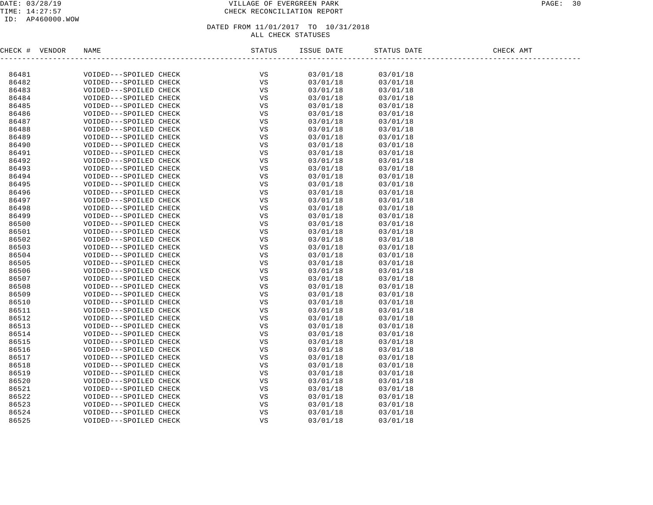#### DATE: 03/28/19 VILLAGE OF EVERGREEN PARK PAGE: 30 TIME: 14:27:57 CHECK RECONCILIATION REPORT

#### ID: AP460000.WOW

#### DATED FROM 11/01/2017 TO 10/31/2018 ALL CHECK STATUSES

CHECK # VENDOR NAME STATUS ISSUE DATE STATUS DATE CHECK AMT ------------------------------------------------------------------------------------------------------------------------------------86481 VOIDED---SPOILED CHECK VS 03/01/18 03/01/18 86482 VOIDED---SPOILED CHECK VS 03/01/18 03/01/18 86483 VOIDED---SPOILED CHECK VS 03/01/18 03/01/18 86484 VOIDED---SPOILED CHECK VS 03/01/18 03/01/18 86485 VOIDED---SPOILED CHECK VS 03/01/18 03/01/18 86486 VOIDED---SPOILED CHECK VS 03/01/18 03/01/18 86487 VOIDED---SPOILED CHECK VS 03/01/18 03/01/18 86488 VOIDED---SPOILED CHECK VS 03/01/18 03/01/18 86489 VOIDED---SPOILED CHECK VS 03/01/18 03/01/18 86490 VOIDED---SPOILED CHECK VS 03/01/18 03/01/18 86491 VOIDED---SPOILED CHECK VS 03/01/18 03/01/18 86492 VOIDED---SPOILED CHECK VS 03/01/18 03/01/18 86493 VOIDED---SPOILED CHECK VS 03/01/18 03/01/18 86494 VOIDED---SPOILED CHECK VS 03/01/18 03/01/18 86495 VOIDED---SPOILED CHECK VS 03/01/18 03/01/18 86496 VOIDED---SPOILED CHECK VS 03/01/18 03/01/18 86497 VOIDED---SPOILED CHECK VS 03/01/18 03/01/18 86498 VOIDED---SPOILED CHECK VS 03/01/18 03/01/18 86499 VOIDED---SPOILED CHECK VS 03/01/18 03/01/18 86500 VOIDED---SPOILED CHECK VS 03/01/18 03/01/18 86501 VOIDED---SPOILED CHECK VS 03/01/18 03/01/18 86502 VOIDED---SPOILED CHECK VS 03/01/18 03/01/18 86503 VOIDED---SPOILED CHECK VS 03/01/18 03/01/18 86504 VOIDED---SPOILED CHECK VS 03/01/18 03/01/18 86505 VOIDED---SPOILED CHECK VS 03/01/18 03/01/18 86506 VOIDED---SPOILED CHECK VS 03/01/18 03/01/18 86507 VOIDED---SPOILED CHECK VS 03/01/18 03/01/18 86508 VOIDED---SPOILED CHECK VS 03/01/18 03/01/18 86509 VOIDED---SPOILED CHECK VS 03/01/18 03/01/18 86510 VOIDED---SPOILED CHECK VS 03/01/18 03/01/18 86511 VOIDED---SPOILED CHECK VS 03/01/18 03/01/18 86512 VOIDED---SPOILED CHECK VS 03/01/18 03/01/18 86513 VOIDED---SPOILED CHECK VS 03/01/18 03/01/18 86514 VOIDED---SPOILED CHECK VS 03/01/18 03/01/18 86515 VOIDED---SPOILED CHECK VS 03/01/18 03/01/18 86516 VOIDED---SPOILED CHECK VS 03/01/18 03/01/18 86517 VOIDED---SPOILED CHECK VS 03/01/18 03/01/18 86518 VOIDED---SPOILED CHECK VS 03/01/18 03/01/18 86519 VOIDED---SPOILED CHECK VS 03/01/18 03/01/18 86520 VOIDED---SPOILED CHECK VS 03/01/18 03/01/18 86521 VOIDED---SPOILED CHECK VS 03/01/18 03/01/18 86522 VOIDED---SPOILED CHECK VS 03/01/18 03/01/18 86523 VOIDED---SPOILED CHECK VS 03/01/18 03/01/18 86524 VOIDED---SPOILED CHECK VS 03/01/18 03/01/18 86525 VOIDED---SPOILED CHECK VS 03/01/18 03/01/18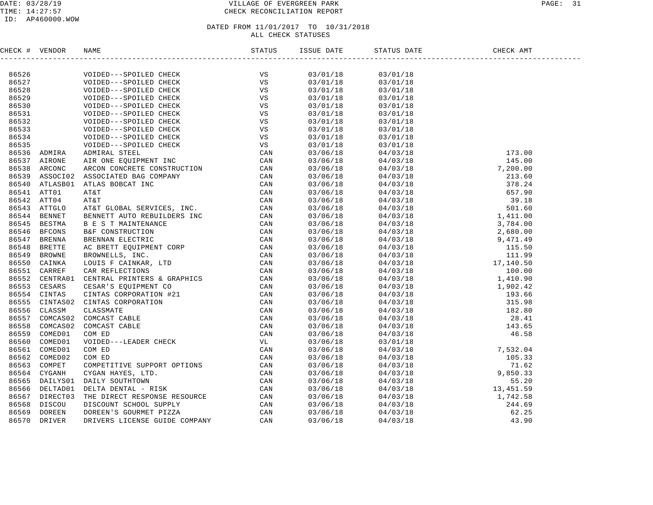#### DATE: 03/28/19 VILLAGE OF EVERGREEN PARK PAGE: 31 TIME: 14:27:57 CHECK RECONCILIATION REPORT

# DATED FROM 11/01/2017 TO 10/31/2018

ALL CHECK STATUSES

CHECK # VENDOR NAME STATUS ISSUE DATE STATUS DATE CHECK AMT ------------------------------------------------------------------------------------------------------------------------------------86526 VOIDED---SPOILED CHECK VS 03/01/18 03/01/18 86527 VOIDED---SPOILED CHECK VS 03/01/18 03/01/18 86528 VOIDED---SPOILED CHECK VS 03/01/18 03/01/18 86529 VOIDED---SPOILED CHECK VS 03/01/18 03/01/18 86530 VOIDED---SPOILED CHECK VS 03/01/18 03/01/18 86531 VOIDED---SPOILED CHECK VS 03/01/18 03/01/18 86532 VOIDED---SPOILED CHECK VS 03/01/18 03/01/18 86533 VOIDED---SPOILED CHECK VS 03/01/18 03/01/18 86534 VOIDED---SPOILED CHECK VS 03/01/18 03/01/18 86535 VOIDED---SPOILED CHECK VS 03/01/18 03/01/18 86536 ADMIRA ADMIRAL STEEL CAN 03/06/18 04/03/18 173.00 86537 AIRONE AIR ONE EQUIPMENT INC CAN 03/06/18 04/03/18 145.00 86538 ARCONC ARCON CONCRETE CONSTRUCTION CAN 03/06/18 04/03/18 7,200.00 86539 ASSOCI02 ASSOCIATED BAG COMPANY CAN 03/06/18 04/03/18 213.60 86540 ATLASB01 ATLAS BOBCAT INC CAN 03/06/18 04/03/18 378.24 86541 ATT01 AT&T CAN 03/06/18 04/03/18 657.90 86542 ATT04 AT&T CAN 03/06/18 04/03/18 39.18 86543 ATTGLO AT&T GLOBAL SERVICES, INC. CAN 03/06/18 04/03/18 501.60 86544 BENNET BENNETT AUTO REBUILDERS INC CAN 03/06/18 04/03/18 1,411.00 86545 BESTMA B E S T MAINTENANCE CAN 03/06/18 04/03/18 3,784.00 86546 BFCONS B&F CONSTRUCTION CAN 03/06/18 04/03/18 2,680.00 86547 BRENNA BRENNAN ELECTRIC CAN 03/06/18 04/03/18 9,471.49 86548 BRETTE AC BRETT EQUIPMENT CORP CAN 03/06/18 04/03/18 115.50 86549 BROWNE BROWNELLS, INC. CAN 03/06/18 04/03/18 111.99 86550 CAINKA LOUIS F CAINKAR, LTD CAN 03/06/18 04/03/18 17,140.50 86551 CARREF CAR REFLECTIONS CAN 03/06/18 04/03/18 100.00 86552 CENTRA01 CENTRAL PRINTERS & GRAPHICS CAN 03/06/18 04/03/18 1,410.90 86553 CESARS CESAR'S EQUIPMENT CO CAN 03/06/18 04/03/18 1,902.42 86554 CINTAS CINTAS CORPORATION #21 CAN 03/06/18 04/03/18 193.66 86555 CINTAS02 CINTAS CORPORATION CAN 03/06/18 04/03/18 315.98 86556 CLASSM CLASSMATE CAN 03/06/18 04/03/18 182.80 86557 COMCAS02 COMCAST CABLE CAN 03/06/18 04/03/18 28.41 86558 COMCAS02 COMCAST CABLE CAN 03/06/18 04/03/18 143.65 86559 COMED01 COM ED CAN 03/06/18 04/03/18 46.58 86560 COMED01 VOIDED---LEADER CHECK VL 03/06/18 03/01/18 86561 COMED01 COM ED CAN 03/06/18 04/03/18 7,532.04 86562 COMED02 COM ED CAN 03/06/18 04/03/18 105.33 86563 COMPET COMPETITIVE SUPPORT OPTIONS CAN 03/06/18 04/03/18 71.62 86564 CYGANH CYGAN HAYES, LTD. CAN 03/06/18 04/03/18 9,850.33 86565 DAILYS01 DAILY SOUTHTOWN CAN 03/06/18 04/03/18 55.20 86566 DELTAD01 DELTA DENTAL - RISK CAN 03/06/18 04/03/18 13,451.59 86567 DIRECT03 THE DIRECT RESPONSE RESOURCE CAN 03/06/18 04/03/18 1,742.58 86568 DISCOU DISCOUNT SCHOOL SUPPLY CAN 03/06/18 04/03/18 244.69 86569 DOREEN DOREEN'S GOURMET PIZZA CAN 03/06/18 04/03/18 62.25 86570 DRIVER DRIVERS LICENSE GUIDE COMPANY CAN 03/06/18 04/03/18 43.90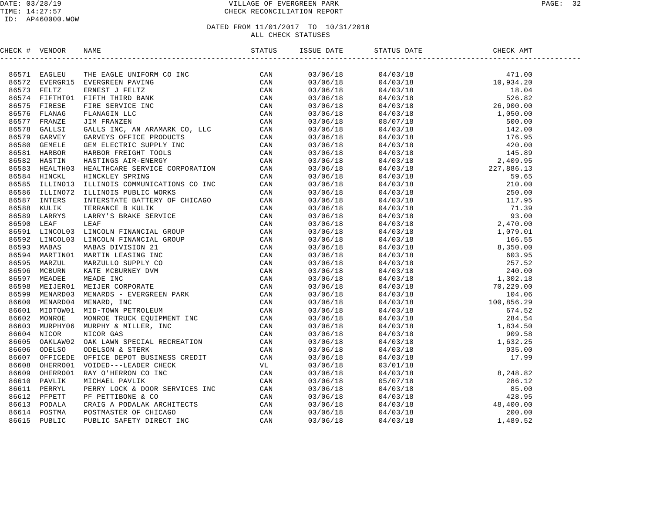# TIME: 14:27:57 CHECK RECONCILIATION REPORT

| CHECK # VENDOR | NAME                                                                                                                                                                                                                          | ISSUE DATE | STATUS DATE | CHECK AMT |  |
|----------------|-------------------------------------------------------------------------------------------------------------------------------------------------------------------------------------------------------------------------------|------------|-------------|-----------|--|
|                | HERC # VERIDOR RAME PARTICULAR DETAINS ON THE RELEASE AND A SERVE AND RELEASE AND SERVE THE SERVE IN A SERVE AND SERVE AND SERVE THE PARTICULAR CONDUCTS IN THE SERVE THE PARTICULAR CONDUCTS IN THE SERVE THE PARTICULAR CON |            |             |           |  |
|                |                                                                                                                                                                                                                               |            |             |           |  |
|                |                                                                                                                                                                                                                               |            |             |           |  |
|                |                                                                                                                                                                                                                               |            |             |           |  |
|                |                                                                                                                                                                                                                               |            |             |           |  |
|                |                                                                                                                                                                                                                               |            |             |           |  |
|                |                                                                                                                                                                                                                               |            |             |           |  |
|                |                                                                                                                                                                                                                               |            |             |           |  |
|                |                                                                                                                                                                                                                               |            |             |           |  |
|                |                                                                                                                                                                                                                               |            |             |           |  |
|                |                                                                                                                                                                                                                               |            |             |           |  |
|                |                                                                                                                                                                                                                               |            |             |           |  |
|                |                                                                                                                                                                                                                               |            |             |           |  |
|                |                                                                                                                                                                                                                               |            |             |           |  |
|                |                                                                                                                                                                                                                               |            |             |           |  |
|                |                                                                                                                                                                                                                               |            |             |           |  |
|                |                                                                                                                                                                                                                               |            |             |           |  |
|                |                                                                                                                                                                                                                               |            |             |           |  |
|                |                                                                                                                                                                                                                               |            |             |           |  |
|                |                                                                                                                                                                                                                               |            |             |           |  |
|                |                                                                                                                                                                                                                               |            |             |           |  |
|                |                                                                                                                                                                                                                               |            |             |           |  |
|                |                                                                                                                                                                                                                               |            |             |           |  |
|                |                                                                                                                                                                                                                               |            |             |           |  |
|                |                                                                                                                                                                                                                               |            |             |           |  |
|                |                                                                                                                                                                                                                               |            |             |           |  |
|                |                                                                                                                                                                                                                               |            |             |           |  |
|                |                                                                                                                                                                                                                               |            |             |           |  |
|                |                                                                                                                                                                                                                               |            |             |           |  |
|                |                                                                                                                                                                                                                               |            |             |           |  |
|                |                                                                                                                                                                                                                               |            |             |           |  |
|                |                                                                                                                                                                                                                               |            |             |           |  |
|                |                                                                                                                                                                                                                               |            |             |           |  |
|                |                                                                                                                                                                                                                               |            |             |           |  |
|                |                                                                                                                                                                                                                               |            |             |           |  |
|                |                                                                                                                                                                                                                               |            |             |           |  |
|                |                                                                                                                                                                                                                               |            |             |           |  |
|                |                                                                                                                                                                                                                               |            |             |           |  |
|                |                                                                                                                                                                                                                               |            |             |           |  |
|                |                                                                                                                                                                                                                               |            |             |           |  |
|                |                                                                                                                                                                                                                               |            |             |           |  |
|                |                                                                                                                                                                                                                               |            |             |           |  |
|                |                                                                                                                                                                                                                               |            |             |           |  |
|                |                                                                                                                                                                                                                               |            |             |           |  |
|                |                                                                                                                                                                                                                               |            |             |           |  |
|                |                                                                                                                                                                                                                               |            |             |           |  |
|                |                                                                                                                                                                                                                               |            |             |           |  |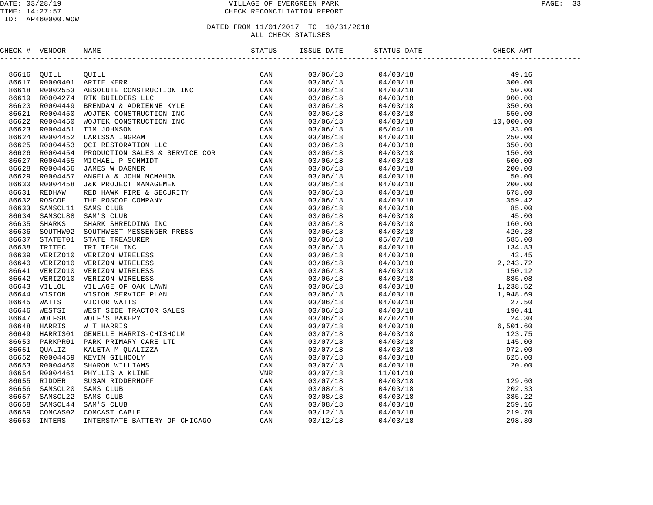#### DATE: 03/28/19 VILLAGE OF EVERGREEN PARK PAGE: 33 TIME: 14:27:57 CHECK RECONCILIATION REPORT

| CHECK # VENDOR |  | ISSUE DATE |  |  |
|----------------|--|------------|--|--|
|                |  |            |  |  |
|                |  | 03/06/18   |  |  |
|                |  | 03/06/18   |  |  |
|                |  | 03/06/18   |  |  |
|                |  | 03/06/18   |  |  |
|                |  | 03/06/18   |  |  |
|                |  | 03/06/18   |  |  |
|                |  | 03/06/18   |  |  |
|                |  | 03/06/18   |  |  |
|                |  | 03/06/18   |  |  |
|                |  | 03/06/18   |  |  |
|                |  | 03/06/18   |  |  |
|                |  | 03/06/18   |  |  |
|                |  | 03/06/18   |  |  |
|                |  | 03/06/18   |  |  |
|                |  | 03/06/18   |  |  |
|                |  | 03/06/18   |  |  |
|                |  | 03/06/18   |  |  |
|                |  | 03/06/18   |  |  |
|                |  | 03/06/18   |  |  |
|                |  | 03/06/18   |  |  |
|                |  | 03/06/18   |  |  |
|                |  | 03/06/18   |  |  |
|                |  | 03/06/18   |  |  |
|                |  | 03/06/18   |  |  |
|                |  | 03/06/18   |  |  |
|                |  | 03/06/18   |  |  |
|                |  | 03/06/18   |  |  |
|                |  | 03/06/18   |  |  |
|                |  | 03/06/18   |  |  |
|                |  | 03/06/18   |  |  |
|                |  | 03/06/18   |  |  |
|                |  | 03/06/18   |  |  |
|                |  | 03/07/18   |  |  |
|                |  | 03/07/18   |  |  |
|                |  | 03/07/18   |  |  |
|                |  | 03/07/18   |  |  |
|                |  | 03/07/18   |  |  |
|                |  | 03/07/18   |  |  |
|                |  | 03/07/18   |  |  |
|                |  | 03/07/18   |  |  |
|                |  | 03/08/18   |  |  |
|                |  | 03/08/18   |  |  |
|                |  | 03/08/18   |  |  |
|                |  | 03/12/18   |  |  |
|                |  | 03/12/18   |  |  |
|                |  |            |  |  |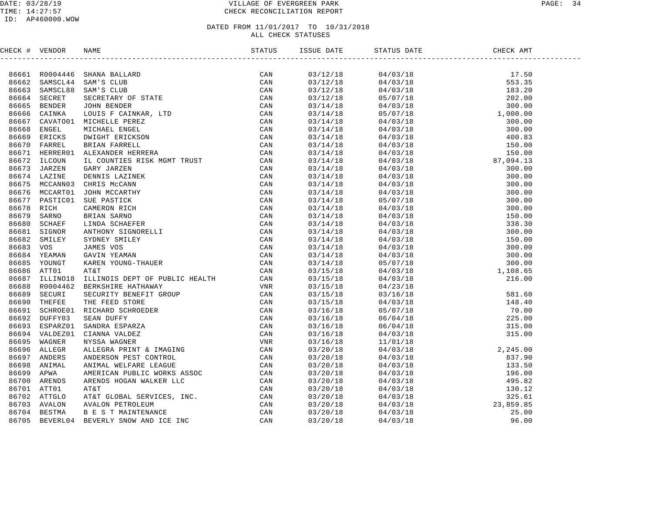#### DATE: 03/28/19 PAGE: 34 TIME: 14:27:57 CHECK RECONCILIATION REPORT

| CHECK # VENDOR |                | NAME                              | STATUS | ISSUE DATE | STATUS DATE CHECK AM | CHECK AMT |  |
|----------------|----------------|-----------------------------------|--------|------------|----------------------|-----------|--|
|                |                |                                   |        |            |                      |           |  |
|                |                | 86661 R0004446 SHANA BALLARD      |        | 03/12/18   |                      |           |  |
| 86662          |                | SAMSCL44 SAM'S CLUB               |        | 03/12/18   |                      |           |  |
| 86663          | SAMSCL88       |                                   |        | 03/12/18   |                      |           |  |
| 86664          | SECRET         |                                   |        | 03/12/18   |                      |           |  |
| 86665          | <b>BENDER</b>  |                                   |        | 03/14/18   |                      |           |  |
| 86666          | CAINKA         |                                   |        | 03/14/18   |                      |           |  |
| 86667          | CAVATO01       |                                   |        | 03/14/18   |                      |           |  |
| 86668          | ENGEL          |                                   |        | 03/14/18   |                      |           |  |
| 86669          | ERICKS         |                                   |        | 03/14/18   |                      |           |  |
| 86670          | FARREL         |                                   |        | 03/14/18   |                      |           |  |
|                | 86671 HERRER01 |                                   |        | 03/14/18   |                      |           |  |
| 86672          | ILCOUN         |                                   |        | 03/14/18   |                      |           |  |
| 86673          | JARZEN         |                                   |        | 03/14/18   |                      |           |  |
|                | 86674 LAZINE   |                                   |        | 03/14/18   |                      |           |  |
| 86675          | MCCANN03       |                                   |        | 03/14/18   |                      |           |  |
| 86676          | MCCART01       |                                   |        | 03/14/18   |                      |           |  |
| 86677          | PASTIC01       |                                   |        | 03/14/18   |                      |           |  |
| 86678          | RICH           |                                   |        | 03/14/18   |                      |           |  |
| 86679          | SARNO          |                                   |        | 03/14/18   |                      |           |  |
| 86680          | SCHAEF         |                                   |        | 03/14/18   |                      |           |  |
| 86681          | SIGNOR         |                                   |        | 03/14/18   |                      |           |  |
| 86682          | SMILEY         |                                   |        | 03/14/18   |                      |           |  |
| 86683          | vos            |                                   |        | 03/14/18   |                      |           |  |
| 86684          | YEAMAN         |                                   |        | 03/14/18   |                      |           |  |
| 86685          | YOUNGT         |                                   |        | 03/14/18   |                      |           |  |
| 86686          | ATT01          |                                   |        | 03/15/18   |                      |           |  |
| 86687          | ILLINO18       |                                   |        | 03/15/18   |                      |           |  |
| 86688          | R0004462       |                                   |        | 03/15/18   |                      |           |  |
| 86689          | SECURI         |                                   |        | 03/15/18   |                      |           |  |
| 86690          | THEFEE         |                                   |        | 03/15/18   |                      |           |  |
| 86691          | SCHROE01       |                                   |        | 03/16/18   |                      |           |  |
|                | 86692 DUFFY03  |                                   |        | 03/16/18   |                      |           |  |
| 86693          | ESPARZ01       |                                   |        | 03/16/18   |                      |           |  |
|                | 86694 VALDEZ01 |                                   |        | 03/16/18   |                      |           |  |
| 86695          | WAGNER         |                                   |        | 03/16/18   |                      |           |  |
| 86696          | ALLEGR         |                                   |        | 03/20/18   |                      |           |  |
| 86697          | ANDERS         |                                   |        | 03/20/18   |                      |           |  |
| 86698          | ANIMAL         |                                   |        | 03/20/18   |                      |           |  |
| 86699          | APWA           |                                   |        | 03/20/18   |                      |           |  |
| 86700          | ARENDS         |                                   |        | 03/20/18   |                      |           |  |
|                | 86701 ATT01    |                                   |        | 03/20/18   |                      |           |  |
| 86702          | ATTGLO         |                                   |        | 03/20/18   |                      |           |  |
| 86703          | AVALON         |                                   |        | 03/20/18   |                      |           |  |
| 86704          | BESTMA         |                                   |        | 03/20/18   |                      |           |  |
| 86705          |                | BEVERL04 BEVERLY SNOW AND ICE INC |        | 03/20/18   |                      |           |  |
|                |                |                                   |        |            |                      |           |  |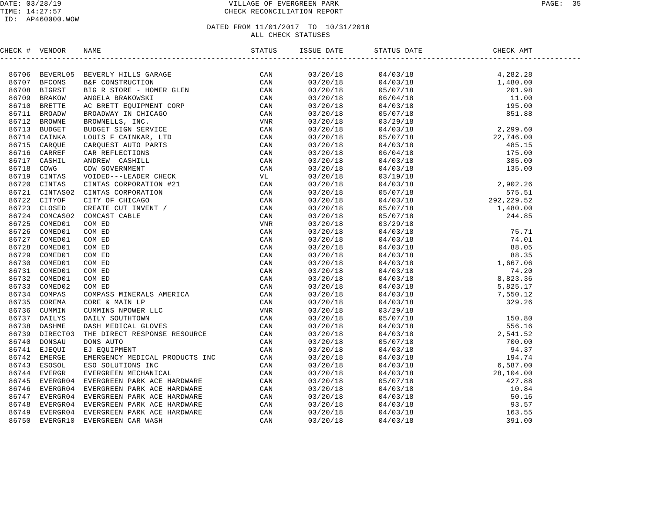#### DATE: 03/28/19 VILLAGE OF EVERGREEN PARK PAGE: 35 TIME: 14:27:57 CHECK RECONCILIATION REPORT

#### ID: AP460000.WOW

| CHECK # VENDOR |                                                                                                                                                                                                                               |  |  |  |
|----------------|-------------------------------------------------------------------------------------------------------------------------------------------------------------------------------------------------------------------------------|--|--|--|
|                | NEXTRE VERIODS NAME IN A STRUCTURE CAN ARREST TREET AND A STRUCTURE AND INTERFERENCE IN A STRUCTURE ON A STRUCTURE ON A STRUCTURE OF A STRUCTURE OF A STRUCTURE OF A STRUCTURE OF A STRUCTURE OF A STRUCTURE OF A STRUCTURE O |  |  |  |
|                |                                                                                                                                                                                                                               |  |  |  |
|                |                                                                                                                                                                                                                               |  |  |  |
|                |                                                                                                                                                                                                                               |  |  |  |
|                |                                                                                                                                                                                                                               |  |  |  |
|                |                                                                                                                                                                                                                               |  |  |  |
|                |                                                                                                                                                                                                                               |  |  |  |
|                |                                                                                                                                                                                                                               |  |  |  |
|                |                                                                                                                                                                                                                               |  |  |  |
|                |                                                                                                                                                                                                                               |  |  |  |
|                |                                                                                                                                                                                                                               |  |  |  |
|                |                                                                                                                                                                                                                               |  |  |  |
|                |                                                                                                                                                                                                                               |  |  |  |
|                |                                                                                                                                                                                                                               |  |  |  |
|                |                                                                                                                                                                                                                               |  |  |  |
|                |                                                                                                                                                                                                                               |  |  |  |
|                |                                                                                                                                                                                                                               |  |  |  |
|                |                                                                                                                                                                                                                               |  |  |  |
|                |                                                                                                                                                                                                                               |  |  |  |
|                |                                                                                                                                                                                                                               |  |  |  |
|                |                                                                                                                                                                                                                               |  |  |  |
|                |                                                                                                                                                                                                                               |  |  |  |
|                |                                                                                                                                                                                                                               |  |  |  |
|                |                                                                                                                                                                                                                               |  |  |  |
|                |                                                                                                                                                                                                                               |  |  |  |
|                |                                                                                                                                                                                                                               |  |  |  |
|                |                                                                                                                                                                                                                               |  |  |  |
|                |                                                                                                                                                                                                                               |  |  |  |
|                |                                                                                                                                                                                                                               |  |  |  |
|                |                                                                                                                                                                                                                               |  |  |  |
|                |                                                                                                                                                                                                                               |  |  |  |
|                |                                                                                                                                                                                                                               |  |  |  |
|                |                                                                                                                                                                                                                               |  |  |  |
|                |                                                                                                                                                                                                                               |  |  |  |
|                |                                                                                                                                                                                                                               |  |  |  |
|                |                                                                                                                                                                                                                               |  |  |  |
|                |                                                                                                                                                                                                                               |  |  |  |
|                |                                                                                                                                                                                                                               |  |  |  |
|                |                                                                                                                                                                                                                               |  |  |  |
|                |                                                                                                                                                                                                                               |  |  |  |
|                |                                                                                                                                                                                                                               |  |  |  |
|                |                                                                                                                                                                                                                               |  |  |  |
|                |                                                                                                                                                                                                                               |  |  |  |
|                |                                                                                                                                                                                                                               |  |  |  |
|                |                                                                                                                                                                                                                               |  |  |  |
|                |                                                                                                                                                                                                                               |  |  |  |
|                |                                                                                                                                                                                                                               |  |  |  |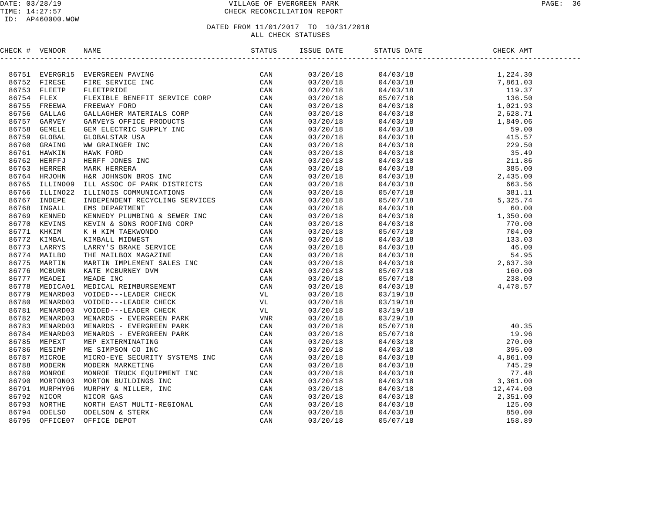| CHECK # VENDOR | OR NAME STATUS STATUS ISSUE DATE STATUS ISSUE DATE STATUS I                                                                                                                                                                   |                      |                                                                                                                                                                                                                                                                          |  |
|----------------|-------------------------------------------------------------------------------------------------------------------------------------------------------------------------------------------------------------------------------|----------------------|--------------------------------------------------------------------------------------------------------------------------------------------------------------------------------------------------------------------------------------------------------------------------|--|
|                | NERGY NEWTON RANGE INTERNATION CONFIRMED AND AN ANNUAL METAL COMPANY INTO A 1975 IN THE SERVICE IN A 1975 CONFIRMATION CONFIRMATION CONFIRMATION CONFIRMATION CONFIRMATION CONFIRMATION CONFIRMATION CONFIRMATION CONFIRMATIO |                      | $\begin{tabular}{cccccccc} 0.3720/18 & 0.4703/18 & 0.4703/18 \\ 0.3720/18 & 0.4703/18 & 0.4703/18 \\ 0.3720/18 & 0.4703/18 & 0.4703/18 \\ 0.3720/18 & 0.4703/18 & 0.4703/18 \\ 0.3720/18 & 0.4703/18 & 0.4703/18 \\ 0.3720/18 & 0.4703/18 & 0.4703/18 \\ 0.3720/18 & 0$  |  |
|                |                                                                                                                                                                                                                               |                      |                                                                                                                                                                                                                                                                          |  |
|                |                                                                                                                                                                                                                               |                      |                                                                                                                                                                                                                                                                          |  |
|                |                                                                                                                                                                                                                               |                      |                                                                                                                                                                                                                                                                          |  |
|                |                                                                                                                                                                                                                               |                      |                                                                                                                                                                                                                                                                          |  |
|                |                                                                                                                                                                                                                               |                      |                                                                                                                                                                                                                                                                          |  |
|                |                                                                                                                                                                                                                               |                      |                                                                                                                                                                                                                                                                          |  |
|                |                                                                                                                                                                                                                               |                      |                                                                                                                                                                                                                                                                          |  |
|                |                                                                                                                                                                                                                               |                      |                                                                                                                                                                                                                                                                          |  |
|                |                                                                                                                                                                                                                               |                      |                                                                                                                                                                                                                                                                          |  |
|                |                                                                                                                                                                                                                               |                      |                                                                                                                                                                                                                                                                          |  |
|                |                                                                                                                                                                                                                               |                      |                                                                                                                                                                                                                                                                          |  |
|                |                                                                                                                                                                                                                               |                      |                                                                                                                                                                                                                                                                          |  |
|                |                                                                                                                                                                                                                               |                      |                                                                                                                                                                                                                                                                          |  |
|                |                                                                                                                                                                                                                               |                      |                                                                                                                                                                                                                                                                          |  |
|                |                                                                                                                                                                                                                               |                      |                                                                                                                                                                                                                                                                          |  |
|                |                                                                                                                                                                                                                               |                      |                                                                                                                                                                                                                                                                          |  |
|                |                                                                                                                                                                                                                               |                      |                                                                                                                                                                                                                                                                          |  |
|                |                                                                                                                                                                                                                               |                      |                                                                                                                                                                                                                                                                          |  |
|                |                                                                                                                                                                                                                               |                      |                                                                                                                                                                                                                                                                          |  |
|                |                                                                                                                                                                                                                               |                      |                                                                                                                                                                                                                                                                          |  |
|                |                                                                                                                                                                                                                               |                      |                                                                                                                                                                                                                                                                          |  |
|                |                                                                                                                                                                                                                               |                      |                                                                                                                                                                                                                                                                          |  |
|                |                                                                                                                                                                                                                               |                      |                                                                                                                                                                                                                                                                          |  |
|                |                                                                                                                                                                                                                               |                      |                                                                                                                                                                                                                                                                          |  |
|                |                                                                                                                                                                                                                               |                      |                                                                                                                                                                                                                                                                          |  |
|                |                                                                                                                                                                                                                               |                      |                                                                                                                                                                                                                                                                          |  |
|                |                                                                                                                                                                                                                               |                      |                                                                                                                                                                                                                                                                          |  |
|                |                                                                                                                                                                                                                               |                      |                                                                                                                                                                                                                                                                          |  |
|                |                                                                                                                                                                                                                               | 03/20/18<br>03/20/18 | 03/19/18                                                                                                                                                                                                                                                                 |  |
|                |                                                                                                                                                                                                                               | 03/20/18             | 03/19/18                                                                                                                                                                                                                                                                 |  |
|                |                                                                                                                                                                                                                               | 03/20/18             | 03/19/18                                                                                                                                                                                                                                                                 |  |
|                |                                                                                                                                                                                                                               |                      |                                                                                                                                                                                                                                                                          |  |
|                |                                                                                                                                                                                                                               |                      |                                                                                                                                                                                                                                                                          |  |
|                |                                                                                                                                                                                                                               |                      |                                                                                                                                                                                                                                                                          |  |
|                |                                                                                                                                                                                                                               |                      |                                                                                                                                                                                                                                                                          |  |
|                |                                                                                                                                                                                                                               |                      |                                                                                                                                                                                                                                                                          |  |
|                |                                                                                                                                                                                                                               |                      |                                                                                                                                                                                                                                                                          |  |
|                |                                                                                                                                                                                                                               |                      |                                                                                                                                                                                                                                                                          |  |
|                |                                                                                                                                                                                                                               |                      |                                                                                                                                                                                                                                                                          |  |
|                |                                                                                                                                                                                                                               |                      |                                                                                                                                                                                                                                                                          |  |
|                |                                                                                                                                                                                                                               |                      |                                                                                                                                                                                                                                                                          |  |
|                |                                                                                                                                                                                                                               |                      | $\begin{array}{cccc} 03/20/18 & 03/19/18 \\ 03/20/18 & 03/29/18 \\ 03/20/18 & 05/07/18 & 19.96 \\ 03/20/18 & 05/07/18 & 19.96 \\ 03/20/18 & 04/03/18 & 270.00 \\ 03/20/18 & 04/03/18 & 4,861.00 \\ 03/20/18 & 04/03/18 & 745.29 \\ 03/20/18 & 04/03/18 & 745.29 \\ 03/2$ |  |
|                |                                                                                                                                                                                                                               |                      |                                                                                                                                                                                                                                                                          |  |
|                |                                                                                                                                                                                                                               |                      |                                                                                                                                                                                                                                                                          |  |
|                |                                                                                                                                                                                                                               |                      |                                                                                                                                                                                                                                                                          |  |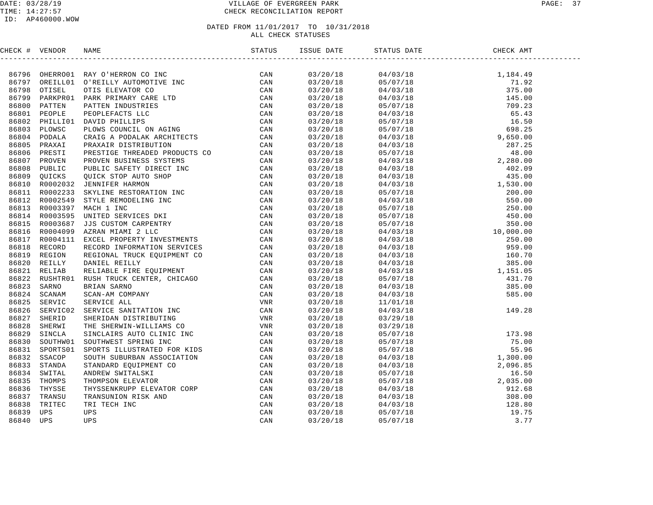| CHECK # VENDOR |                                                                                                                                                                                                                                | ISSUE DATE | STATUS DATE |                                                                                                                                                                                                                                                                              |  |
|----------------|--------------------------------------------------------------------------------------------------------------------------------------------------------------------------------------------------------------------------------|------------|-------------|------------------------------------------------------------------------------------------------------------------------------------------------------------------------------------------------------------------------------------------------------------------------------|--|
|                | HECK # VERDOOR NAME<br>HECK # VERDOOR NAME OF HET AUTOMOTIVE THE CAN ARREST CHANGE ON A SAME AND CONSULTATION CONTINUES. THE CONSULTING CAN ARREST CONSULTATION CONSULTING CAN ARREST CONSULTATION CONSULT IN THE CONSULTATION |            |             |                                                                                                                                                                                                                                                                              |  |
|                |                                                                                                                                                                                                                                | 03/20/18   |             |                                                                                                                                                                                                                                                                              |  |
|                |                                                                                                                                                                                                                                | 03/20/18   |             |                                                                                                                                                                                                                                                                              |  |
|                |                                                                                                                                                                                                                                | 03/20/18   |             |                                                                                                                                                                                                                                                                              |  |
|                |                                                                                                                                                                                                                                | 03/20/18   |             |                                                                                                                                                                                                                                                                              |  |
|                |                                                                                                                                                                                                                                | 03/20/18   |             |                                                                                                                                                                                                                                                                              |  |
|                |                                                                                                                                                                                                                                | 03/20/18   |             |                                                                                                                                                                                                                                                                              |  |
|                |                                                                                                                                                                                                                                | 03/20/18   |             |                                                                                                                                                                                                                                                                              |  |
|                |                                                                                                                                                                                                                                | 03/20/18   |             |                                                                                                                                                                                                                                                                              |  |
|                |                                                                                                                                                                                                                                | 03/20/18   |             |                                                                                                                                                                                                                                                                              |  |
|                |                                                                                                                                                                                                                                | 03/20/18   |             |                                                                                                                                                                                                                                                                              |  |
|                |                                                                                                                                                                                                                                | 03/20/18   |             |                                                                                                                                                                                                                                                                              |  |
|                |                                                                                                                                                                                                                                | 03/20/18   |             |                                                                                                                                                                                                                                                                              |  |
|                |                                                                                                                                                                                                                                | 03/20/18   |             |                                                                                                                                                                                                                                                                              |  |
|                |                                                                                                                                                                                                                                | 03/20/18   |             |                                                                                                                                                                                                                                                                              |  |
|                |                                                                                                                                                                                                                                | 03/20/18   |             |                                                                                                                                                                                                                                                                              |  |
|                |                                                                                                                                                                                                                                | 03/20/18   |             |                                                                                                                                                                                                                                                                              |  |
|                |                                                                                                                                                                                                                                | 03/20/18   |             |                                                                                                                                                                                                                                                                              |  |
|                |                                                                                                                                                                                                                                | 03/20/18   |             |                                                                                                                                                                                                                                                                              |  |
|                |                                                                                                                                                                                                                                | 03/20/18   |             |                                                                                                                                                                                                                                                                              |  |
|                |                                                                                                                                                                                                                                | 03/20/18   |             |                                                                                                                                                                                                                                                                              |  |
|                |                                                                                                                                                                                                                                | 03/20/18   |             |                                                                                                                                                                                                                                                                              |  |
|                |                                                                                                                                                                                                                                | 03/20/18   |             |                                                                                                                                                                                                                                                                              |  |
|                |                                                                                                                                                                                                                                | 03/20/18   |             |                                                                                                                                                                                                                                                                              |  |
|                |                                                                                                                                                                                                                                | 03/20/18   |             |                                                                                                                                                                                                                                                                              |  |
|                |                                                                                                                                                                                                                                | 03/20/18   |             |                                                                                                                                                                                                                                                                              |  |
|                |                                                                                                                                                                                                                                | 03/20/18   |             |                                                                                                                                                                                                                                                                              |  |
|                |                                                                                                                                                                                                                                | 03/20/18   |             |                                                                                                                                                                                                                                                                              |  |
|                |                                                                                                                                                                                                                                | 03/20/18   |             |                                                                                                                                                                                                                                                                              |  |
|                |                                                                                                                                                                                                                                | 03/20/18   |             |                                                                                                                                                                                                                                                                              |  |
|                |                                                                                                                                                                                                                                | 03/20/18   |             |                                                                                                                                                                                                                                                                              |  |
|                |                                                                                                                                                                                                                                | 03/20/18   |             |                                                                                                                                                                                                                                                                              |  |
|                |                                                                                                                                                                                                                                | 03/20/18   |             |                                                                                                                                                                                                                                                                              |  |
|                |                                                                                                                                                                                                                                | 03/20/18   |             |                                                                                                                                                                                                                                                                              |  |
|                |                                                                                                                                                                                                                                | 03/20/18   |             |                                                                                                                                                                                                                                                                              |  |
|                |                                                                                                                                                                                                                                | 03/20/18   |             |                                                                                                                                                                                                                                                                              |  |
|                |                                                                                                                                                                                                                                | 03/20/18   |             |                                                                                                                                                                                                                                                                              |  |
|                |                                                                                                                                                                                                                                | 03/20/18   |             |                                                                                                                                                                                                                                                                              |  |
|                |                                                                                                                                                                                                                                | 03/20/18   |             |                                                                                                                                                                                                                                                                              |  |
|                |                                                                                                                                                                                                                                | 03/20/18   |             |                                                                                                                                                                                                                                                                              |  |
|                |                                                                                                                                                                                                                                | 03/20/18   |             |                                                                                                                                                                                                                                                                              |  |
|                |                                                                                                                                                                                                                                | 03/20/18   |             |                                                                                                                                                                                                                                                                              |  |
|                |                                                                                                                                                                                                                                | 03/20/18   |             | $\begin{array}{cccc} 03/29/18 & 173.98 \\ 05/07/18 & 173.98 \\ 05/07/18 & 75.00 \\ 05/07/18 & 55.96 \\ 04/03/18 & 1,300.00 \\ 04/03/18 & 1,300.00 \\ 05/07/18 & 16.50 \\ 05/07/18 & 2,035.00 \\ 04/03/18 & 2,035.00 \\ 04/03/18 & 308.00 \\ 04/03/18 & 128.80 \\ 05/07/18 &$ |  |
|                |                                                                                                                                                                                                                                | 03/20/18   |             |                                                                                                                                                                                                                                                                              |  |
|                |                                                                                                                                                                                                                                | 03/20/18   |             |                                                                                                                                                                                                                                                                              |  |
|                |                                                                                                                                                                                                                                | 03/20/18   |             |                                                                                                                                                                                                                                                                              |  |
|                |                                                                                                                                                                                                                                |            |             |                                                                                                                                                                                                                                                                              |  |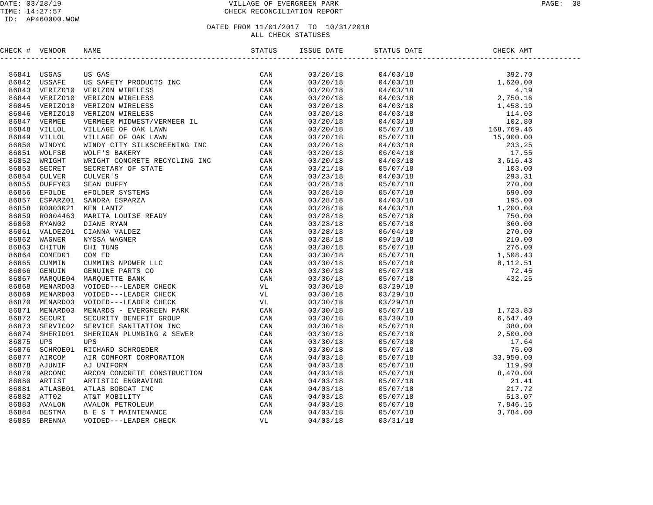#### DATE: 03/28/19 VILLAGE OF EVERGREEN PARK PAGE: 38 TIME: 14:27:57 CHECK RECONCILIATION REPORT

| CHECK # VENDOR |                                                                                                                                                                                                                               |  |  |  |
|----------------|-------------------------------------------------------------------------------------------------------------------------------------------------------------------------------------------------------------------------------|--|--|--|
|                | NERGY & VERTICAL IN THE SECRET PRODUCES IN the SECRET SCHOOL CONSULTING (CAN GET AND THE SECRET PRODUCES IN THE SECRET OF A SECRET AND THE SECRET CONSULTING THE CAN CONSULTED AND CONSULTING THE SECRET SECRET SECRET SECRET |  |  |  |
|                |                                                                                                                                                                                                                               |  |  |  |
|                |                                                                                                                                                                                                                               |  |  |  |
|                |                                                                                                                                                                                                                               |  |  |  |
|                |                                                                                                                                                                                                                               |  |  |  |
|                |                                                                                                                                                                                                                               |  |  |  |
|                |                                                                                                                                                                                                                               |  |  |  |
|                |                                                                                                                                                                                                                               |  |  |  |
|                |                                                                                                                                                                                                                               |  |  |  |
|                |                                                                                                                                                                                                                               |  |  |  |
|                |                                                                                                                                                                                                                               |  |  |  |
|                |                                                                                                                                                                                                                               |  |  |  |
|                |                                                                                                                                                                                                                               |  |  |  |
|                |                                                                                                                                                                                                                               |  |  |  |
|                |                                                                                                                                                                                                                               |  |  |  |
|                |                                                                                                                                                                                                                               |  |  |  |
|                |                                                                                                                                                                                                                               |  |  |  |
|                |                                                                                                                                                                                                                               |  |  |  |
|                |                                                                                                                                                                                                                               |  |  |  |
|                |                                                                                                                                                                                                                               |  |  |  |
|                |                                                                                                                                                                                                                               |  |  |  |
|                |                                                                                                                                                                                                                               |  |  |  |
|                |                                                                                                                                                                                                                               |  |  |  |
|                |                                                                                                                                                                                                                               |  |  |  |
|                |                                                                                                                                                                                                                               |  |  |  |
|                |                                                                                                                                                                                                                               |  |  |  |
|                |                                                                                                                                                                                                                               |  |  |  |
|                |                                                                                                                                                                                                                               |  |  |  |
|                |                                                                                                                                                                                                                               |  |  |  |
|                |                                                                                                                                                                                                                               |  |  |  |
|                |                                                                                                                                                                                                                               |  |  |  |
|                |                                                                                                                                                                                                                               |  |  |  |
|                |                                                                                                                                                                                                                               |  |  |  |
|                |                                                                                                                                                                                                                               |  |  |  |
|                |                                                                                                                                                                                                                               |  |  |  |
|                |                                                                                                                                                                                                                               |  |  |  |
|                |                                                                                                                                                                                                                               |  |  |  |
|                |                                                                                                                                                                                                                               |  |  |  |
|                |                                                                                                                                                                                                                               |  |  |  |
|                |                                                                                                                                                                                                                               |  |  |  |
|                |                                                                                                                                                                                                                               |  |  |  |
|                |                                                                                                                                                                                                                               |  |  |  |
|                |                                                                                                                                                                                                                               |  |  |  |
|                |                                                                                                                                                                                                                               |  |  |  |
|                |                                                                                                                                                                                                                               |  |  |  |
|                |                                                                                                                                                                                                                               |  |  |  |
|                |                                                                                                                                                                                                                               |  |  |  |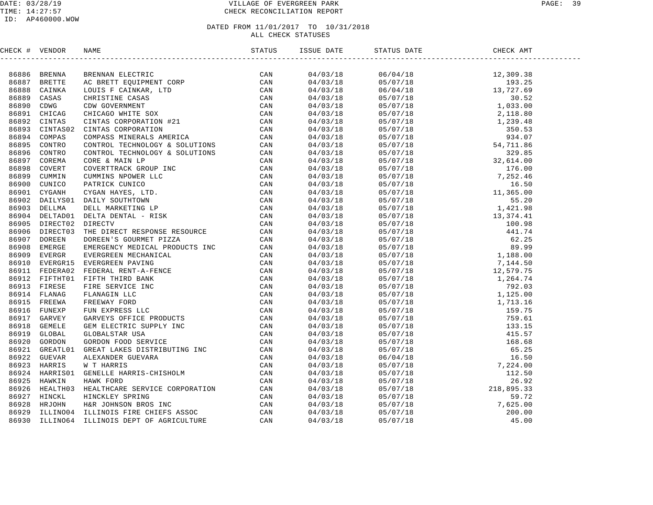| CHECK # VENDOR |                                                                                                                                                                                                                                 |  | STATUS DATE |  |
|----------------|---------------------------------------------------------------------------------------------------------------------------------------------------------------------------------------------------------------------------------|--|-------------|--|
|                | FRONT # VENDOR RAMP (SAMPLE TRINGET)<br>REGRESSION AREN'INDRESSION CONDUCTS TRINGET CAN BE AN ARREST CONDUCT ON THE SAMPLE CAN CONDUCT ON A SAMPLE CAN CONDUCT ON THE SAMPLE CAN CONDUCT ON THE SAMPLE CAN CONDUCT ON THE SAMPL |  |             |  |
|                |                                                                                                                                                                                                                                 |  |             |  |
|                |                                                                                                                                                                                                                                 |  |             |  |
|                |                                                                                                                                                                                                                                 |  |             |  |
|                |                                                                                                                                                                                                                                 |  |             |  |
|                |                                                                                                                                                                                                                                 |  |             |  |
|                |                                                                                                                                                                                                                                 |  |             |  |
|                |                                                                                                                                                                                                                                 |  |             |  |
|                |                                                                                                                                                                                                                                 |  |             |  |
|                |                                                                                                                                                                                                                                 |  |             |  |
|                |                                                                                                                                                                                                                                 |  |             |  |
|                |                                                                                                                                                                                                                                 |  |             |  |
|                |                                                                                                                                                                                                                                 |  |             |  |
|                |                                                                                                                                                                                                                                 |  |             |  |
|                |                                                                                                                                                                                                                                 |  |             |  |
|                |                                                                                                                                                                                                                                 |  |             |  |
|                |                                                                                                                                                                                                                                 |  |             |  |
|                |                                                                                                                                                                                                                                 |  |             |  |
|                |                                                                                                                                                                                                                                 |  |             |  |
|                |                                                                                                                                                                                                                                 |  |             |  |
|                |                                                                                                                                                                                                                                 |  |             |  |
|                |                                                                                                                                                                                                                                 |  |             |  |
|                |                                                                                                                                                                                                                                 |  |             |  |
|                |                                                                                                                                                                                                                                 |  |             |  |
|                |                                                                                                                                                                                                                                 |  |             |  |
|                |                                                                                                                                                                                                                                 |  |             |  |
|                |                                                                                                                                                                                                                                 |  |             |  |
|                |                                                                                                                                                                                                                                 |  |             |  |
|                |                                                                                                                                                                                                                                 |  |             |  |
|                |                                                                                                                                                                                                                                 |  |             |  |
|                |                                                                                                                                                                                                                                 |  |             |  |
|                |                                                                                                                                                                                                                                 |  |             |  |
|                |                                                                                                                                                                                                                                 |  |             |  |
|                |                                                                                                                                                                                                                                 |  |             |  |
|                |                                                                                                                                                                                                                                 |  |             |  |
|                |                                                                                                                                                                                                                                 |  |             |  |
|                |                                                                                                                                                                                                                                 |  |             |  |
|                |                                                                                                                                                                                                                                 |  |             |  |
|                |                                                                                                                                                                                                                                 |  |             |  |
|                |                                                                                                                                                                                                                                 |  |             |  |
|                |                                                                                                                                                                                                                                 |  |             |  |
|                |                                                                                                                                                                                                                                 |  |             |  |
|                |                                                                                                                                                                                                                                 |  |             |  |
|                |                                                                                                                                                                                                                                 |  |             |  |
|                |                                                                                                                                                                                                                                 |  |             |  |
|                |                                                                                                                                                                                                                                 |  |             |  |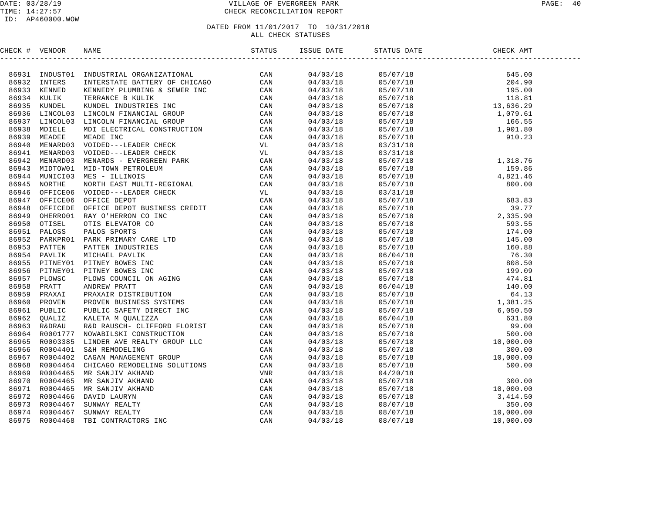#### DATE: 03/28/19 PAGE: 40 PAGE: 40 TIME: 14:27:57 CHECK RECONCILIATION REPORT

#### ID: AP460000.WOW

| CHECK # VENDOR |                                                                                                                                                                                                                              | ISSUE DATE                         | STATUS DATE                                                                                                                                                                                                                                                                      | CHECK AMT |  |
|----------------|------------------------------------------------------------------------------------------------------------------------------------------------------------------------------------------------------------------------------|------------------------------------|----------------------------------------------------------------------------------------------------------------------------------------------------------------------------------------------------------------------------------------------------------------------------------|-----------|--|
|                | SERIES A VENDOR NAME DESIGNATION CONSULTER CAN CONSULTER AN INCOLLUSE THE CONSULTER CONSULTER (CAN CONSULTER CONSULTER CONSULTER CONSULTER CONSULTER PRODUCED TO CONSULTER CONSULTER CONSULTER CONSULTER CONSULTER CONSULTER |                                    |                                                                                                                                                                                                                                                                                  |           |  |
|                |                                                                                                                                                                                                                              | $04/03/18$<br>04/03/18<br>04/03/18 | $\begin{array}{cccc} 05/07/18 & 645.00 \\ 05/07/18 & 204.90 \\ 05/07/18 & 195.00 \\ 05/07/18 & 118.81 \\ 05/07/18 & 13,636.29 \\ 05/07/18 & 1,079.61 \\ 05/07/18 & 1,679.61 \\ 05/07/18 & 1,079.61 \\ 05/07/18 & 1,901.80 \\ 05/07/18 & 910.23 \\ 03/31/18 & 910.23 \end{array}$ |           |  |
|                |                                                                                                                                                                                                                              |                                    |                                                                                                                                                                                                                                                                                  |           |  |
|                |                                                                                                                                                                                                                              |                                    |                                                                                                                                                                                                                                                                                  |           |  |
|                |                                                                                                                                                                                                                              | $04/03/18$<br>04/03/18             |                                                                                                                                                                                                                                                                                  |           |  |
|                |                                                                                                                                                                                                                              |                                    |                                                                                                                                                                                                                                                                                  |           |  |
|                |                                                                                                                                                                                                                              | $04/03/18$<br>$04/03/18$           |                                                                                                                                                                                                                                                                                  |           |  |
|                |                                                                                                                                                                                                                              |                                    |                                                                                                                                                                                                                                                                                  |           |  |
|                |                                                                                                                                                                                                                              | $04/03/18$<br>04/03/18             |                                                                                                                                                                                                                                                                                  |           |  |
|                |                                                                                                                                                                                                                              |                                    |                                                                                                                                                                                                                                                                                  |           |  |
|                |                                                                                                                                                                                                                              | 04/03/18                           |                                                                                                                                                                                                                                                                                  |           |  |
|                |                                                                                                                                                                                                                              |                                    |                                                                                                                                                                                                                                                                                  |           |  |
|                |                                                                                                                                                                                                                              |                                    |                                                                                                                                                                                                                                                                                  |           |  |
|                |                                                                                                                                                                                                                              |                                    |                                                                                                                                                                                                                                                                                  |           |  |
|                |                                                                                                                                                                                                                              |                                    |                                                                                                                                                                                                                                                                                  |           |  |
|                |                                                                                                                                                                                                                              |                                    |                                                                                                                                                                                                                                                                                  |           |  |
|                |                                                                                                                                                                                                                              |                                    |                                                                                                                                                                                                                                                                                  |           |  |
|                |                                                                                                                                                                                                                              |                                    |                                                                                                                                                                                                                                                                                  |           |  |
|                |                                                                                                                                                                                                                              |                                    |                                                                                                                                                                                                                                                                                  |           |  |
|                |                                                                                                                                                                                                                              |                                    |                                                                                                                                                                                                                                                                                  |           |  |
|                |                                                                                                                                                                                                                              |                                    |                                                                                                                                                                                                                                                                                  |           |  |
|                |                                                                                                                                                                                                                              |                                    |                                                                                                                                                                                                                                                                                  |           |  |
|                |                                                                                                                                                                                                                              |                                    |                                                                                                                                                                                                                                                                                  |           |  |
|                |                                                                                                                                                                                                                              |                                    |                                                                                                                                                                                                                                                                                  |           |  |
|                |                                                                                                                                                                                                                              |                                    |                                                                                                                                                                                                                                                                                  |           |  |
|                |                                                                                                                                                                                                                              |                                    |                                                                                                                                                                                                                                                                                  |           |  |
|                |                                                                                                                                                                                                                              |                                    |                                                                                                                                                                                                                                                                                  |           |  |
|                |                                                                                                                                                                                                                              |                                    |                                                                                                                                                                                                                                                                                  |           |  |
|                |                                                                                                                                                                                                                              |                                    |                                                                                                                                                                                                                                                                                  |           |  |
|                |                                                                                                                                                                                                                              |                                    |                                                                                                                                                                                                                                                                                  |           |  |
|                |                                                                                                                                                                                                                              |                                    |                                                                                                                                                                                                                                                                                  |           |  |
|                |                                                                                                                                                                                                                              |                                    |                                                                                                                                                                                                                                                                                  |           |  |
|                |                                                                                                                                                                                                                              |                                    |                                                                                                                                                                                                                                                                                  |           |  |
|                |                                                                                                                                                                                                                              |                                    |                                                                                                                                                                                                                                                                                  |           |  |
|                |                                                                                                                                                                                                                              |                                    |                                                                                                                                                                                                                                                                                  |           |  |
|                |                                                                                                                                                                                                                              |                                    |                                                                                                                                                                                                                                                                                  |           |  |
|                |                                                                                                                                                                                                                              |                                    |                                                                                                                                                                                                                                                                                  |           |  |
|                |                                                                                                                                                                                                                              |                                    |                                                                                                                                                                                                                                                                                  |           |  |
|                |                                                                                                                                                                                                                              |                                    |                                                                                                                                                                                                                                                                                  |           |  |
|                |                                                                                                                                                                                                                              |                                    |                                                                                                                                                                                                                                                                                  |           |  |
|                |                                                                                                                                                                                                                              |                                    |                                                                                                                                                                                                                                                                                  |           |  |
|                |                                                                                                                                                                                                                              |                                    |                                                                                                                                                                                                                                                                                  |           |  |
|                |                                                                                                                                                                                                                              |                                    |                                                                                                                                                                                                                                                                                  |           |  |
|                |                                                                                                                                                                                                                              |                                    |                                                                                                                                                                                                                                                                                  |           |  |
|                |                                                                                                                                                                                                                              |                                    |                                                                                                                                                                                                                                                                                  |           |  |
|                |                                                                                                                                                                                                                              |                                    |                                                                                                                                                                                                                                                                                  |           |  |
|                |                                                                                                                                                                                                                              |                                    |                                                                                                                                                                                                                                                                                  |           |  |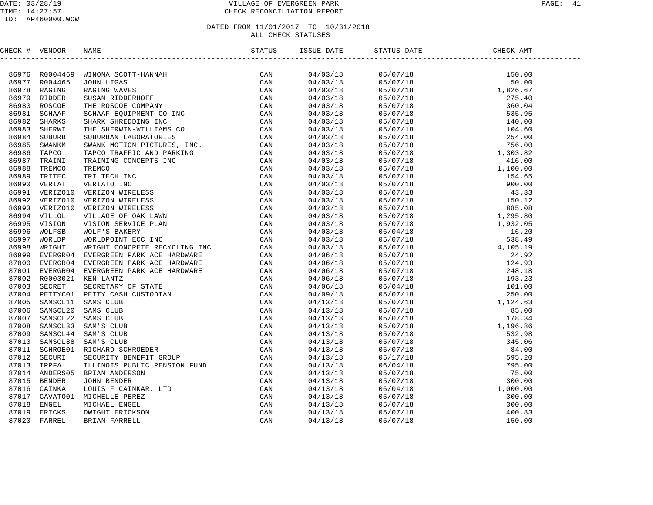#### DATE: 03/28/19 PAGE: 41 TIME: 14:27:57 CHECK RECONCILIATION REPORT

#### ID: AP460000.WOW

| CHECK # VENDOR |                                                                                                                                                                                                                                       |  |  |  |
|----------------|---------------------------------------------------------------------------------------------------------------------------------------------------------------------------------------------------------------------------------------|--|--|--|
|                | INCRE (# VERDOR WAND MONE CONTRAINER (200 1)<br>1973 NOOMAS STONE RANK (200 1)<br>19878 NOOMAS STONE RANK (200 1)<br>19878 NOOMAS STONE STONE STONE STONE CAN<br>1989 NOON CONTRAINS STONE STONE CAN RECONSER THE STREAM POTTER ON PA |  |  |  |
|                |                                                                                                                                                                                                                                       |  |  |  |
|                |                                                                                                                                                                                                                                       |  |  |  |
|                |                                                                                                                                                                                                                                       |  |  |  |
|                |                                                                                                                                                                                                                                       |  |  |  |
|                |                                                                                                                                                                                                                                       |  |  |  |
|                |                                                                                                                                                                                                                                       |  |  |  |
|                |                                                                                                                                                                                                                                       |  |  |  |
|                |                                                                                                                                                                                                                                       |  |  |  |
|                |                                                                                                                                                                                                                                       |  |  |  |
|                |                                                                                                                                                                                                                                       |  |  |  |
|                |                                                                                                                                                                                                                                       |  |  |  |
|                |                                                                                                                                                                                                                                       |  |  |  |
|                |                                                                                                                                                                                                                                       |  |  |  |
|                |                                                                                                                                                                                                                                       |  |  |  |
|                |                                                                                                                                                                                                                                       |  |  |  |
|                |                                                                                                                                                                                                                                       |  |  |  |
|                |                                                                                                                                                                                                                                       |  |  |  |
|                |                                                                                                                                                                                                                                       |  |  |  |
|                |                                                                                                                                                                                                                                       |  |  |  |
|                |                                                                                                                                                                                                                                       |  |  |  |
|                |                                                                                                                                                                                                                                       |  |  |  |
|                |                                                                                                                                                                                                                                       |  |  |  |
|                |                                                                                                                                                                                                                                       |  |  |  |
|                |                                                                                                                                                                                                                                       |  |  |  |
|                |                                                                                                                                                                                                                                       |  |  |  |
|                |                                                                                                                                                                                                                                       |  |  |  |
|                |                                                                                                                                                                                                                                       |  |  |  |
|                |                                                                                                                                                                                                                                       |  |  |  |
|                |                                                                                                                                                                                                                                       |  |  |  |
|                |                                                                                                                                                                                                                                       |  |  |  |
|                |                                                                                                                                                                                                                                       |  |  |  |
|                |                                                                                                                                                                                                                                       |  |  |  |
|                |                                                                                                                                                                                                                                       |  |  |  |
|                |                                                                                                                                                                                                                                       |  |  |  |
|                |                                                                                                                                                                                                                                       |  |  |  |
|                |                                                                                                                                                                                                                                       |  |  |  |
|                |                                                                                                                                                                                                                                       |  |  |  |
|                |                                                                                                                                                                                                                                       |  |  |  |
|                |                                                                                                                                                                                                                                       |  |  |  |
|                |                                                                                                                                                                                                                                       |  |  |  |
|                |                                                                                                                                                                                                                                       |  |  |  |
|                |                                                                                                                                                                                                                                       |  |  |  |
|                |                                                                                                                                                                                                                                       |  |  |  |
|                |                                                                                                                                                                                                                                       |  |  |  |
|                |                                                                                                                                                                                                                                       |  |  |  |
|                |                                                                                                                                                                                                                                       |  |  |  |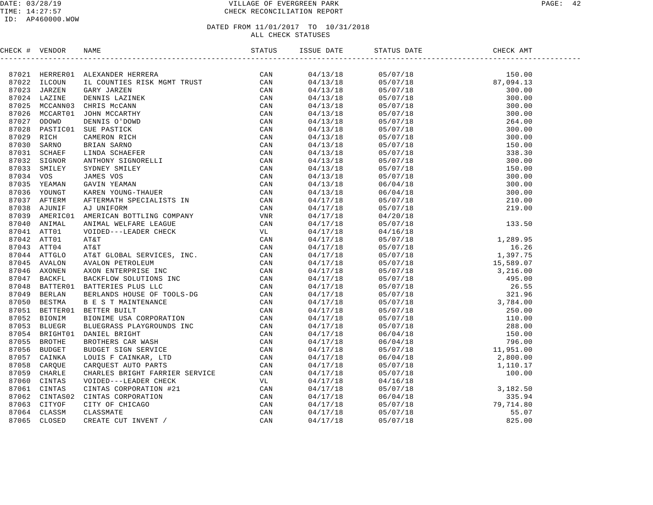| CHECK # VENDOR |                                                                                                                                                                                                                                         |  |  |  |
|----------------|-----------------------------------------------------------------------------------------------------------------------------------------------------------------------------------------------------------------------------------------|--|--|--|
|                | INCRE 4 VERIDOR RAME<br>1721 FRESTRAD LACAYADDR RESERE MERCI INTERNET CAN 1872<br>1723 JELOVIE IL COUNTIES RESERE MERCI TRUST CAN 1872<br>1723 JELOVIE IL COUNTIES RESERE MERCI TRUST CAN 1972<br>1723 JELOVIE DENIS LAZINER<br>1723 MA |  |  |  |
|                |                                                                                                                                                                                                                                         |  |  |  |
|                |                                                                                                                                                                                                                                         |  |  |  |
|                |                                                                                                                                                                                                                                         |  |  |  |
|                |                                                                                                                                                                                                                                         |  |  |  |
|                |                                                                                                                                                                                                                                         |  |  |  |
|                |                                                                                                                                                                                                                                         |  |  |  |
|                |                                                                                                                                                                                                                                         |  |  |  |
|                |                                                                                                                                                                                                                                         |  |  |  |
|                |                                                                                                                                                                                                                                         |  |  |  |
|                |                                                                                                                                                                                                                                         |  |  |  |
|                |                                                                                                                                                                                                                                         |  |  |  |
|                |                                                                                                                                                                                                                                         |  |  |  |
|                |                                                                                                                                                                                                                                         |  |  |  |
|                |                                                                                                                                                                                                                                         |  |  |  |
|                |                                                                                                                                                                                                                                         |  |  |  |
|                |                                                                                                                                                                                                                                         |  |  |  |
|                |                                                                                                                                                                                                                                         |  |  |  |
|                |                                                                                                                                                                                                                                         |  |  |  |
|                |                                                                                                                                                                                                                                         |  |  |  |
|                |                                                                                                                                                                                                                                         |  |  |  |
|                |                                                                                                                                                                                                                                         |  |  |  |
|                |                                                                                                                                                                                                                                         |  |  |  |
|                |                                                                                                                                                                                                                                         |  |  |  |
|                |                                                                                                                                                                                                                                         |  |  |  |
|                |                                                                                                                                                                                                                                         |  |  |  |
|                |                                                                                                                                                                                                                                         |  |  |  |
|                |                                                                                                                                                                                                                                         |  |  |  |
|                |                                                                                                                                                                                                                                         |  |  |  |
|                |                                                                                                                                                                                                                                         |  |  |  |
|                |                                                                                                                                                                                                                                         |  |  |  |
|                |                                                                                                                                                                                                                                         |  |  |  |
|                |                                                                                                                                                                                                                                         |  |  |  |
|                |                                                                                                                                                                                                                                         |  |  |  |
|                |                                                                                                                                                                                                                                         |  |  |  |
|                |                                                                                                                                                                                                                                         |  |  |  |
|                |                                                                                                                                                                                                                                         |  |  |  |
|                |                                                                                                                                                                                                                                         |  |  |  |
|                |                                                                                                                                                                                                                                         |  |  |  |
|                |                                                                                                                                                                                                                                         |  |  |  |
|                |                                                                                                                                                                                                                                         |  |  |  |
|                |                                                                                                                                                                                                                                         |  |  |  |
|                |                                                                                                                                                                                                                                         |  |  |  |
|                |                                                                                                                                                                                                                                         |  |  |  |
|                |                                                                                                                                                                                                                                         |  |  |  |
|                |                                                                                                                                                                                                                                         |  |  |  |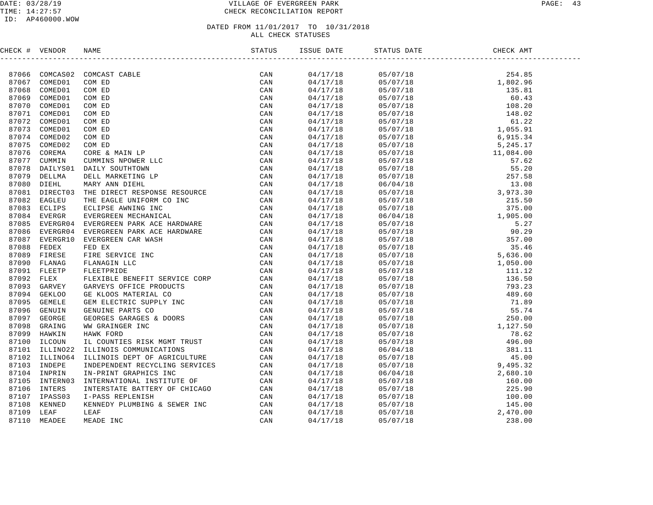#### DATE: 03/28/19 VILLAGE OF EVERGREEN PARK PAGE: 43 TIME: 14:27:57 CHECK RECONCILIATION REPORT

| CHECK # VENDOR |                |                                                                                                                                                                                                                                                                                                                                                                                                                                                                                               |  |                                                                                                                                                                                                                                                                                                     |  |
|----------------|----------------|-----------------------------------------------------------------------------------------------------------------------------------------------------------------------------------------------------------------------------------------------------------------------------------------------------------------------------------------------------------------------------------------------------------------------------------------------------------------------------------------------|--|-----------------------------------------------------------------------------------------------------------------------------------------------------------------------------------------------------------------------------------------------------------------------------------------------------|--|
|                |                | $\begin{tabular}{cccc} \multicolumn{2}{c}{\begin{tabular}{l} \multicolumn{2}{c}{\begin{tabular}{l} \multicolumn{2}{c}{\multicolumn{2}{c}{\multicolumn{2}{c}{\multicolumn{2}{c}{\multicolumn{2}{c}{\multicolumn{2}{c}{\multicolumn{2}{c}{\multicolumn{2}{c}{\multicolumn{2}{c}{\multicolumn{2}{c}{\multicolumn{2}{c}{\multicolumn{2}{c}{\multicolumn{2}{c}{\multicolumn{2}{c}{\multicolumn{2}{c}{\multicolumn{2}{c}{\multicolumn{2}{c}{\multicolumn{2}{c}{\multicolumn{2}{c}{\multicolumn{2}{$ |  | $\begin{tabular}{cccccccc} $214119 & $181714 & $874198 & $261497 & $18867 & $181718 & $181687 & $181687 & $181687 & $181687 & $181687 & $181687 & $181687 & $181687 & $181687 & $181687 & $181687 & $181687 & $181687 & $181687 & $181687 & $181687 & $181687 & $181687 & $181687 & $181687 & $181$ |  |
|                |                | 87066 COMCAS02 COMCAST CABLE                                                                                                                                                                                                                                                                                                                                                                                                                                                                  |  |                                                                                                                                                                                                                                                                                                     |  |
|                | 87067 COMED01  |                                                                                                                                                                                                                                                                                                                                                                                                                                                                                               |  |                                                                                                                                                                                                                                                                                                     |  |
| 87068          |                |                                                                                                                                                                                                                                                                                                                                                                                                                                                                                               |  |                                                                                                                                                                                                                                                                                                     |  |
| 87069          |                |                                                                                                                                                                                                                                                                                                                                                                                                                                                                                               |  |                                                                                                                                                                                                                                                                                                     |  |
| 87070          |                |                                                                                                                                                                                                                                                                                                                                                                                                                                                                                               |  |                                                                                                                                                                                                                                                                                                     |  |
| 87071          |                |                                                                                                                                                                                                                                                                                                                                                                                                                                                                                               |  |                                                                                                                                                                                                                                                                                                     |  |
|                | 87072 COMED01  |                                                                                                                                                                                                                                                                                                                                                                                                                                                                                               |  |                                                                                                                                                                                                                                                                                                     |  |
|                | 87073 COMED01  |                                                                                                                                                                                                                                                                                                                                                                                                                                                                                               |  |                                                                                                                                                                                                                                                                                                     |  |
|                | 87074 COMED02  |                                                                                                                                                                                                                                                                                                                                                                                                                                                                                               |  |                                                                                                                                                                                                                                                                                                     |  |
| 87075          |                |                                                                                                                                                                                                                                                                                                                                                                                                                                                                                               |  |                                                                                                                                                                                                                                                                                                     |  |
| 87076          |                |                                                                                                                                                                                                                                                                                                                                                                                                                                                                                               |  |                                                                                                                                                                                                                                                                                                     |  |
| 87077          |                |                                                                                                                                                                                                                                                                                                                                                                                                                                                                                               |  |                                                                                                                                                                                                                                                                                                     |  |
| 87078          |                |                                                                                                                                                                                                                                                                                                                                                                                                                                                                                               |  |                                                                                                                                                                                                                                                                                                     |  |
|                | 87079 DELLMA   |                                                                                                                                                                                                                                                                                                                                                                                                                                                                                               |  |                                                                                                                                                                                                                                                                                                     |  |
| 87080          |                |                                                                                                                                                                                                                                                                                                                                                                                                                                                                                               |  |                                                                                                                                                                                                                                                                                                     |  |
|                | 87081 DIRECT03 |                                                                                                                                                                                                                                                                                                                                                                                                                                                                                               |  |                                                                                                                                                                                                                                                                                                     |  |
| 87082          |                |                                                                                                                                                                                                                                                                                                                                                                                                                                                                                               |  |                                                                                                                                                                                                                                                                                                     |  |
|                | 87083 ECLIPS   |                                                                                                                                                                                                                                                                                                                                                                                                                                                                                               |  |                                                                                                                                                                                                                                                                                                     |  |
|                | 87084 EVERGR   |                                                                                                                                                                                                                                                                                                                                                                                                                                                                                               |  |                                                                                                                                                                                                                                                                                                     |  |
| 87085          |                |                                                                                                                                                                                                                                                                                                                                                                                                                                                                                               |  |                                                                                                                                                                                                                                                                                                     |  |
|                | 87086 EVERGR04 |                                                                                                                                                                                                                                                                                                                                                                                                                                                                                               |  |                                                                                                                                                                                                                                                                                                     |  |
| 87087          |                |                                                                                                                                                                                                                                                                                                                                                                                                                                                                                               |  |                                                                                                                                                                                                                                                                                                     |  |
|                | 87088 FEDEX    |                                                                                                                                                                                                                                                                                                                                                                                                                                                                                               |  |                                                                                                                                                                                                                                                                                                     |  |
| 87089          |                |                                                                                                                                                                                                                                                                                                                                                                                                                                                                                               |  |                                                                                                                                                                                                                                                                                                     |  |
|                | 87090 FLANAG   |                                                                                                                                                                                                                                                                                                                                                                                                                                                                                               |  |                                                                                                                                                                                                                                                                                                     |  |
|                | 87091 FLEETP   |                                                                                                                                                                                                                                                                                                                                                                                                                                                                                               |  |                                                                                                                                                                                                                                                                                                     |  |
| 87092 FLEX     |                |                                                                                                                                                                                                                                                                                                                                                                                                                                                                                               |  |                                                                                                                                                                                                                                                                                                     |  |
|                | 87093 GARVEY   |                                                                                                                                                                                                                                                                                                                                                                                                                                                                                               |  |                                                                                                                                                                                                                                                                                                     |  |
| 87094          |                |                                                                                                                                                                                                                                                                                                                                                                                                                                                                                               |  |                                                                                                                                                                                                                                                                                                     |  |
|                | 87095 GEMELE   |                                                                                                                                                                                                                                                                                                                                                                                                                                                                                               |  |                                                                                                                                                                                                                                                                                                     |  |
|                | 87096 GENUIN   |                                                                                                                                                                                                                                                                                                                                                                                                                                                                                               |  |                                                                                                                                                                                                                                                                                                     |  |
|                | 87097 GEORGE   |                                                                                                                                                                                                                                                                                                                                                                                                                                                                                               |  |                                                                                                                                                                                                                                                                                                     |  |
| 87098          |                |                                                                                                                                                                                                                                                                                                                                                                                                                                                                                               |  |                                                                                                                                                                                                                                                                                                     |  |
|                | 87099 HAWKIN   |                                                                                                                                                                                                                                                                                                                                                                                                                                                                                               |  |                                                                                                                                                                                                                                                                                                     |  |
| 87100          |                |                                                                                                                                                                                                                                                                                                                                                                                                                                                                                               |  |                                                                                                                                                                                                                                                                                                     |  |
| 87101          |                |                                                                                                                                                                                                                                                                                                                                                                                                                                                                                               |  |                                                                                                                                                                                                                                                                                                     |  |
|                | 87102 ILLINO64 |                                                                                                                                                                                                                                                                                                                                                                                                                                                                                               |  |                                                                                                                                                                                                                                                                                                     |  |
| 87103          |                |                                                                                                                                                                                                                                                                                                                                                                                                                                                                                               |  |                                                                                                                                                                                                                                                                                                     |  |
|                | 87104 INPRIN   |                                                                                                                                                                                                                                                                                                                                                                                                                                                                                               |  |                                                                                                                                                                                                                                                                                                     |  |
| 87105          |                |                                                                                                                                                                                                                                                                                                                                                                                                                                                                                               |  |                                                                                                                                                                                                                                                                                                     |  |
|                | 87106 INTERS   |                                                                                                                                                                                                                                                                                                                                                                                                                                                                                               |  |                                                                                                                                                                                                                                                                                                     |  |
| 87107          |                |                                                                                                                                                                                                                                                                                                                                                                                                                                                                                               |  |                                                                                                                                                                                                                                                                                                     |  |
| 87108          |                |                                                                                                                                                                                                                                                                                                                                                                                                                                                                                               |  |                                                                                                                                                                                                                                                                                                     |  |
| 87109          |                |                                                                                                                                                                                                                                                                                                                                                                                                                                                                                               |  |                                                                                                                                                                                                                                                                                                     |  |
|                | 87110 MEADEE   |                                                                                                                                                                                                                                                                                                                                                                                                                                                                                               |  |                                                                                                                                                                                                                                                                                                     |  |
|                |                |                                                                                                                                                                                                                                                                                                                                                                                                                                                                                               |  |                                                                                                                                                                                                                                                                                                     |  |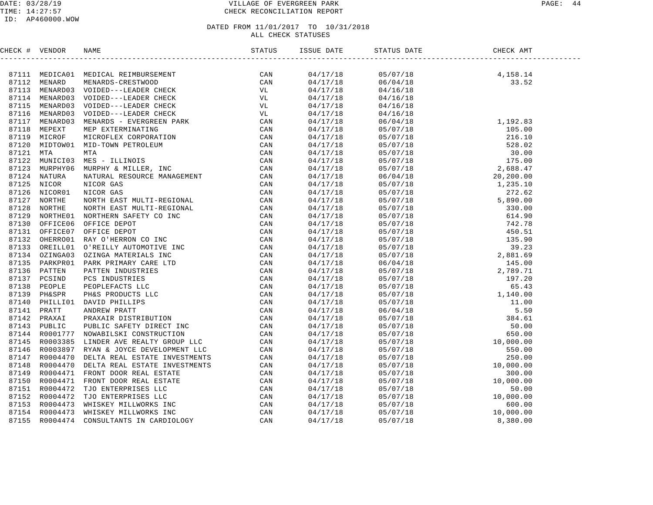#### DATE: 03/28/19 PAGE: 44 TIME: 14:27:57 CHECK RECONCILIATION REPORT

#### ID: AP460000.WOW

| CHECK # VENDOR |  | ISSUE DATE | STATUS DATE<br>________________                                                                                                                                                                                                                                                 | DATE CHE<br>----------------------<br>CHECK AMT |  |
|----------------|--|------------|---------------------------------------------------------------------------------------------------------------------------------------------------------------------------------------------------------------------------------------------------------------------------------|-------------------------------------------------|--|
|                |  |            |                                                                                                                                                                                                                                                                                 |                                                 |  |
|                |  | 04/17/18   |                                                                                                                                                                                                                                                                                 | $05/07/18$<br>06/04/18<br>04/16/18<br>04/16/18  |  |
|                |  | 04/17/18   | 06/04/18                                                                                                                                                                                                                                                                        |                                                 |  |
|                |  | 04/17/18   | 04/16/18                                                                                                                                                                                                                                                                        |                                                 |  |
|                |  | 04/17/18   | 04/16/18                                                                                                                                                                                                                                                                        |                                                 |  |
|                |  | 04/17/18   | 04/16/18                                                                                                                                                                                                                                                                        |                                                 |  |
|                |  | 04/17/18   | 04/16/18                                                                                                                                                                                                                                                                        |                                                 |  |
|                |  | 04/17/18   |                                                                                                                                                                                                                                                                                 |                                                 |  |
|                |  | 04/17/18   |                                                                                                                                                                                                                                                                                 |                                                 |  |
|                |  | 04/17/18   |                                                                                                                                                                                                                                                                                 |                                                 |  |
|                |  | 04/17/18   |                                                                                                                                                                                                                                                                                 |                                                 |  |
|                |  | 04/17/18   |                                                                                                                                                                                                                                                                                 |                                                 |  |
|                |  | 04/17/18   |                                                                                                                                                                                                                                                                                 |                                                 |  |
|                |  | 04/17/18   |                                                                                                                                                                                                                                                                                 |                                                 |  |
|                |  | 04/17/18   |                                                                                                                                                                                                                                                                                 |                                                 |  |
|                |  | 04/17/18   |                                                                                                                                                                                                                                                                                 |                                                 |  |
|                |  | 04/17/18   |                                                                                                                                                                                                                                                                                 |                                                 |  |
|                |  | 04/17/18   |                                                                                                                                                                                                                                                                                 |                                                 |  |
|                |  | 04/17/18   |                                                                                                                                                                                                                                                                                 |                                                 |  |
|                |  | 04/17/18   |                                                                                                                                                                                                                                                                                 |                                                 |  |
|                |  | 04/17/18   |                                                                                                                                                                                                                                                                                 |                                                 |  |
|                |  | 04/17/18   |                                                                                                                                                                                                                                                                                 |                                                 |  |
|                |  | 04/17/18   |                                                                                                                                                                                                                                                                                 |                                                 |  |
|                |  | 04/17/18   |                                                                                                                                                                                                                                                                                 |                                                 |  |
|                |  | 04/17/18   |                                                                                                                                                                                                                                                                                 |                                                 |  |
|                |  | 04/17/18   |                                                                                                                                                                                                                                                                                 |                                                 |  |
|                |  | 04/17/18   |                                                                                                                                                                                                                                                                                 |                                                 |  |
|                |  | 04/17/18   |                                                                                                                                                                                                                                                                                 |                                                 |  |
|                |  | 04/17/18   |                                                                                                                                                                                                                                                                                 |                                                 |  |
|                |  | 04/17/18   |                                                                                                                                                                                                                                                                                 |                                                 |  |
|                |  | 04/17/18   |                                                                                                                                                                                                                                                                                 |                                                 |  |
|                |  | 04/17/18   |                                                                                                                                                                                                                                                                                 |                                                 |  |
|                |  | 04/17/18   |                                                                                                                                                                                                                                                                                 |                                                 |  |
|                |  | 04/17/18   |                                                                                                                                                                                                                                                                                 |                                                 |  |
|                |  | 04/17/18   |                                                                                                                                                                                                                                                                                 |                                                 |  |
|                |  | 04/17/18   |                                                                                                                                                                                                                                                                                 |                                                 |  |
|                |  | 04/17/18   |                                                                                                                                                                                                                                                                                 |                                                 |  |
|                |  | 04/17/18   |                                                                                                                                                                                                                                                                                 |                                                 |  |
|                |  | 04/17/18   |                                                                                                                                                                                                                                                                                 |                                                 |  |
|                |  | 04/17/18   |                                                                                                                                                                                                                                                                                 |                                                 |  |
|                |  | 04/17/18   |                                                                                                                                                                                                                                                                                 |                                                 |  |
|                |  | 04/17/18   |                                                                                                                                                                                                                                                                                 |                                                 |  |
|                |  | 04/17/18   | $\begin{tabular}{cccc} 0.4716718 \\ 0.4716718 \\ 0.5707718 \\ 0.6707718 \\ 0.7707719 \\ 0.8707719 \\ 0.9107719 \\ 0.92107719 \\ 0.93707718 \\ 0.94707719 \\ 0.95707718 \\ 0.96707718 \\ 0.9707718 \\ 0.9707718 \\ 0.9707718 \\ 0.9707718 \\ 0.9707718 \\ 0.9707718 \\ 0.970771$ |                                                 |  |
|                |  | 04/17/18   |                                                                                                                                                                                                                                                                                 |                                                 |  |
|                |  | 04/17/18   |                                                                                                                                                                                                                                                                                 |                                                 |  |
|                |  | 04/17/18   |                                                                                                                                                                                                                                                                                 |                                                 |  |
|                |  |            |                                                                                                                                                                                                                                                                                 |                                                 |  |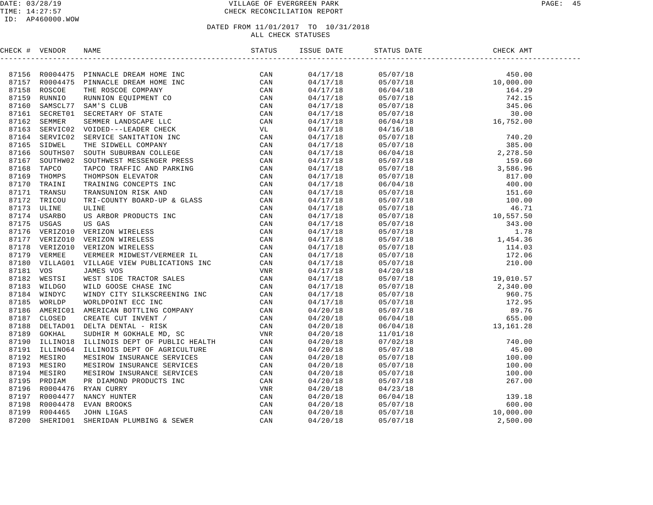#### DATE: 03/28/19 VILLAGE OF EVERGREEN PARK PAGE: 45 TIME: 14:27:57 CHECK RECONCILIATION REPORT

### ID: AP460000.WOW

| CHECK # VENDOR |                                                                                                                                                                                                                               |                          | STATUS DATE                                                                                                                                                                                                                                                                   |  |
|----------------|-------------------------------------------------------------------------------------------------------------------------------------------------------------------------------------------------------------------------------|--------------------------|-------------------------------------------------------------------------------------------------------------------------------------------------------------------------------------------------------------------------------------------------------------------------------|--|
|                | ENERGY # VERYONG NAME PERMICLE DERIVATION IN THE CONTROL CAN STATE STATES AND CONTROLL IN THE RECORD TOWARD THE STATES AND STATES AND STATES AND STATES AND STATES AND STATES AND STATES AND STATES AND STATES AND STATES AND |                          | $\begin{tabular}{cccccccc} 0 & 0.17/18 & 0.5/07/18 & 450.00 \\ 0 & 0.4/17/18 & 0.5/07/18 & 450.00 \\ 0 & 0.4/17/18 & 0.5/07/18 & 10.000.00 \\ 0 & 0.4/17/18 & 0.5/07/18 & 742.15 \\ 0 & 0.4/17/18 & 0.5/07/18 & 345.06 \\ 0 & 0.4/17/18 & 0.5/07/18 & 345.06 \\ 0 & 0.4/17/1$ |  |
|                |                                                                                                                                                                                                                               |                          |                                                                                                                                                                                                                                                                               |  |
|                |                                                                                                                                                                                                                               |                          |                                                                                                                                                                                                                                                                               |  |
|                |                                                                                                                                                                                                                               |                          |                                                                                                                                                                                                                                                                               |  |
|                |                                                                                                                                                                                                                               |                          |                                                                                                                                                                                                                                                                               |  |
|                |                                                                                                                                                                                                                               |                          |                                                                                                                                                                                                                                                                               |  |
|                |                                                                                                                                                                                                                               |                          |                                                                                                                                                                                                                                                                               |  |
|                |                                                                                                                                                                                                                               |                          |                                                                                                                                                                                                                                                                               |  |
|                |                                                                                                                                                                                                                               |                          |                                                                                                                                                                                                                                                                               |  |
|                |                                                                                                                                                                                                                               |                          |                                                                                                                                                                                                                                                                               |  |
|                |                                                                                                                                                                                                                               |                          |                                                                                                                                                                                                                                                                               |  |
|                |                                                                                                                                                                                                                               |                          |                                                                                                                                                                                                                                                                               |  |
|                |                                                                                                                                                                                                                               |                          |                                                                                                                                                                                                                                                                               |  |
|                |                                                                                                                                                                                                                               |                          |                                                                                                                                                                                                                                                                               |  |
|                |                                                                                                                                                                                                                               |                          |                                                                                                                                                                                                                                                                               |  |
|                |                                                                                                                                                                                                                               |                          |                                                                                                                                                                                                                                                                               |  |
|                |                                                                                                                                                                                                                               |                          |                                                                                                                                                                                                                                                                               |  |
|                |                                                                                                                                                                                                                               |                          |                                                                                                                                                                                                                                                                               |  |
|                |                                                                                                                                                                                                                               |                          |                                                                                                                                                                                                                                                                               |  |
|                |                                                                                                                                                                                                                               |                          |                                                                                                                                                                                                                                                                               |  |
|                |                                                                                                                                                                                                                               |                          |                                                                                                                                                                                                                                                                               |  |
|                |                                                                                                                                                                                                                               |                          |                                                                                                                                                                                                                                                                               |  |
|                |                                                                                                                                                                                                                               |                          |                                                                                                                                                                                                                                                                               |  |
|                |                                                                                                                                                                                                                               |                          |                                                                                                                                                                                                                                                                               |  |
|                |                                                                                                                                                                                                                               |                          |                                                                                                                                                                                                                                                                               |  |
|                |                                                                                                                                                                                                                               |                          |                                                                                                                                                                                                                                                                               |  |
|                |                                                                                                                                                                                                                               |                          |                                                                                                                                                                                                                                                                               |  |
|                |                                                                                                                                                                                                                               |                          |                                                                                                                                                                                                                                                                               |  |
|                |                                                                                                                                                                                                                               |                          |                                                                                                                                                                                                                                                                               |  |
|                |                                                                                                                                                                                                                               |                          |                                                                                                                                                                                                                                                                               |  |
|                |                                                                                                                                                                                                                               |                          |                                                                                                                                                                                                                                                                               |  |
|                |                                                                                                                                                                                                                               |                          |                                                                                                                                                                                                                                                                               |  |
|                |                                                                                                                                                                                                                               |                          |                                                                                                                                                                                                                                                                               |  |
|                |                                                                                                                                                                                                                               |                          |                                                                                                                                                                                                                                                                               |  |
|                |                                                                                                                                                                                                                               | 04/20/18                 |                                                                                                                                                                                                                                                                               |  |
|                |                                                                                                                                                                                                                               | 04/20/18                 |                                                                                                                                                                                                                                                                               |  |
|                |                                                                                                                                                                                                                               | 04/20/18                 |                                                                                                                                                                                                                                                                               |  |
|                |                                                                                                                                                                                                                               | 04/20/18                 |                                                                                                                                                                                                                                                                               |  |
|                |                                                                                                                                                                                                                               | 04/20/18                 |                                                                                                                                                                                                                                                                               |  |
|                |                                                                                                                                                                                                                               | 04/20/18                 |                                                                                                                                                                                                                                                                               |  |
|                |                                                                                                                                                                                                                               | 04/20/18                 |                                                                                                                                                                                                                                                                               |  |
|                |                                                                                                                                                                                                                               | 04/20/18                 |                                                                                                                                                                                                                                                                               |  |
|                |                                                                                                                                                                                                                               | 04/20/18                 |                                                                                                                                                                                                                                                                               |  |
|                |                                                                                                                                                                                                                               |                          |                                                                                                                                                                                                                                                                               |  |
|                |                                                                                                                                                                                                                               | $04/20/18$<br>$04/20/18$ |                                                                                                                                                                                                                                                                               |  |
|                |                                                                                                                                                                                                                               | 04/20/18                 | $\begin{array}{cccc} 06/04/18 & 13,161.28 \\ 11/01/18 & 77/02/18 & 740.00 \\ 05/07/18 & 45.00 \\ 05/07/18 & 100.00 \\ 05/07/18 & 100.00 \\ 05/07/18 & 100.00 \\ 04/23/18 & 6/04/18 & 139.18 \\ 05/07/18 & 139.18 \\ 05/07/18 & 10,000.00 \\ 05/07/18 & 10,000.00 \\ 05/07$    |  |
|                |                                                                                                                                                                                                                               |                          |                                                                                                                                                                                                                                                                               |  |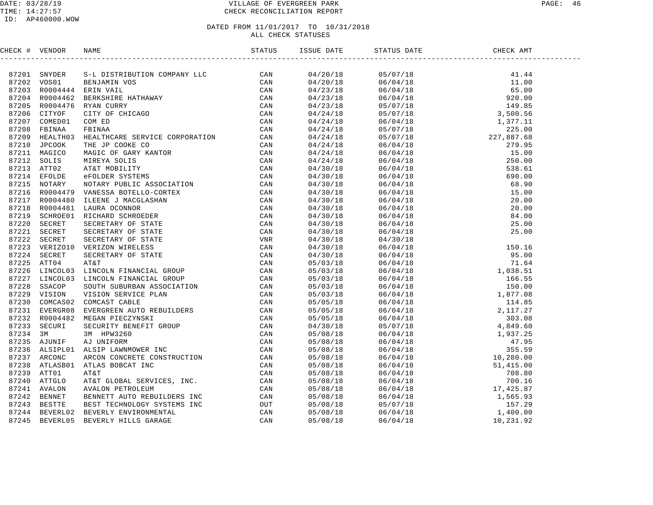#### DATE: 03/28/19 VILLAGE OF EVERGREEN PARK PAGE: 46 TIME: 14:27:57 CHECK RECONCILIATION REPORT

| CHECK # VENDOR |  |  |  |  |
|----------------|--|--|--|--|
|                |  |  |  |  |
|                |  |  |  |  |
|                |  |  |  |  |
|                |  |  |  |  |
|                |  |  |  |  |
|                |  |  |  |  |
|                |  |  |  |  |
|                |  |  |  |  |
|                |  |  |  |  |
|                |  |  |  |  |
|                |  |  |  |  |
|                |  |  |  |  |
|                |  |  |  |  |
|                |  |  |  |  |
|                |  |  |  |  |
|                |  |  |  |  |
|                |  |  |  |  |
|                |  |  |  |  |
|                |  |  |  |  |
|                |  |  |  |  |
|                |  |  |  |  |
|                |  |  |  |  |
|                |  |  |  |  |
|                |  |  |  |  |
|                |  |  |  |  |
|                |  |  |  |  |
|                |  |  |  |  |
|                |  |  |  |  |
|                |  |  |  |  |
|                |  |  |  |  |
|                |  |  |  |  |
|                |  |  |  |  |
|                |  |  |  |  |
|                |  |  |  |  |
|                |  |  |  |  |
|                |  |  |  |  |
|                |  |  |  |  |
|                |  |  |  |  |
|                |  |  |  |  |
|                |  |  |  |  |
|                |  |  |  |  |
|                |  |  |  |  |
|                |  |  |  |  |
|                |  |  |  |  |
|                |  |  |  |  |
|                |  |  |  |  |
|                |  |  |  |  |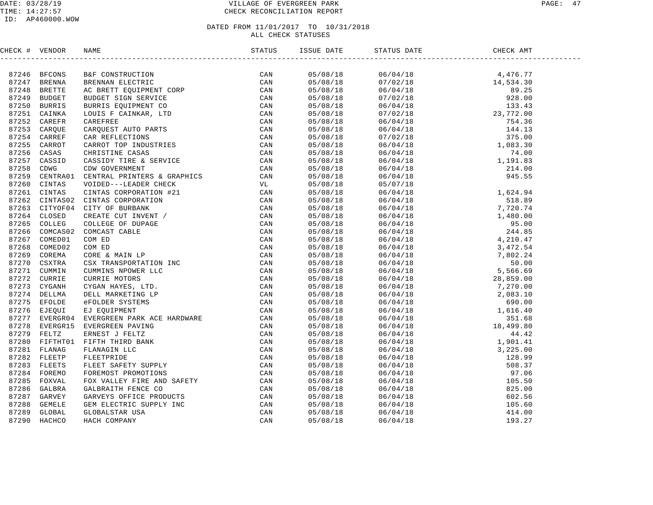| CHECK # VENDOR | NAME                                                                                                                                                                                                                                 | ISSUE DATE | STATUS DATE | CHECK AMT |  |
|----------------|--------------------------------------------------------------------------------------------------------------------------------------------------------------------------------------------------------------------------------------|------------|-------------|-----------|--|
|                | <b>1746 BEVONS WAND (THE STREET PROPERTY STRESS)</b><br>1747 BERINA BERNAH MERCINE CAN CARR MANUFIC CAN ARREST CONDUCT ON A SERVICE CAN DRESS DESCRIPTION (THE AND CONDUCT ON THE STRESS) CAN CAN PROPERT CONDUCT THE STRESS CONDUCT |            |             |           |  |
|                |                                                                                                                                                                                                                                      |            |             |           |  |
|                |                                                                                                                                                                                                                                      |            |             |           |  |
|                |                                                                                                                                                                                                                                      |            |             |           |  |
|                |                                                                                                                                                                                                                                      |            |             |           |  |
|                |                                                                                                                                                                                                                                      |            |             |           |  |
|                |                                                                                                                                                                                                                                      |            |             |           |  |
|                |                                                                                                                                                                                                                                      |            |             |           |  |
|                |                                                                                                                                                                                                                                      |            |             |           |  |
|                |                                                                                                                                                                                                                                      |            |             |           |  |
|                |                                                                                                                                                                                                                                      |            |             |           |  |
|                |                                                                                                                                                                                                                                      |            |             |           |  |
|                |                                                                                                                                                                                                                                      |            |             |           |  |
|                |                                                                                                                                                                                                                                      |            |             |           |  |
|                |                                                                                                                                                                                                                                      |            |             |           |  |
|                |                                                                                                                                                                                                                                      |            |             |           |  |
|                |                                                                                                                                                                                                                                      |            |             |           |  |
|                |                                                                                                                                                                                                                                      |            |             |           |  |
|                |                                                                                                                                                                                                                                      |            |             |           |  |
|                |                                                                                                                                                                                                                                      |            |             |           |  |
|                |                                                                                                                                                                                                                                      |            |             |           |  |
|                |                                                                                                                                                                                                                                      |            |             |           |  |
|                |                                                                                                                                                                                                                                      |            |             |           |  |
|                |                                                                                                                                                                                                                                      |            |             |           |  |
|                |                                                                                                                                                                                                                                      |            |             |           |  |
|                |                                                                                                                                                                                                                                      |            |             |           |  |
|                |                                                                                                                                                                                                                                      |            |             |           |  |
|                |                                                                                                                                                                                                                                      |            |             |           |  |
|                |                                                                                                                                                                                                                                      |            |             |           |  |
|                |                                                                                                                                                                                                                                      |            |             |           |  |
|                |                                                                                                                                                                                                                                      |            |             |           |  |
|                |                                                                                                                                                                                                                                      |            |             |           |  |
|                |                                                                                                                                                                                                                                      |            |             |           |  |
|                |                                                                                                                                                                                                                                      |            |             |           |  |
|                |                                                                                                                                                                                                                                      |            |             |           |  |
|                |                                                                                                                                                                                                                                      |            |             |           |  |
|                |                                                                                                                                                                                                                                      |            |             |           |  |
|                |                                                                                                                                                                                                                                      |            |             |           |  |
|                |                                                                                                                                                                                                                                      |            |             |           |  |
|                |                                                                                                                                                                                                                                      |            |             |           |  |
|                |                                                                                                                                                                                                                                      |            |             |           |  |
|                |                                                                                                                                                                                                                                      |            |             |           |  |
|                |                                                                                                                                                                                                                                      |            |             |           |  |
|                |                                                                                                                                                                                                                                      |            |             |           |  |
|                |                                                                                                                                                                                                                                      |            |             |           |  |
|                |                                                                                                                                                                                                                                      |            |             |           |  |
|                |                                                                                                                                                                                                                                      |            |             |           |  |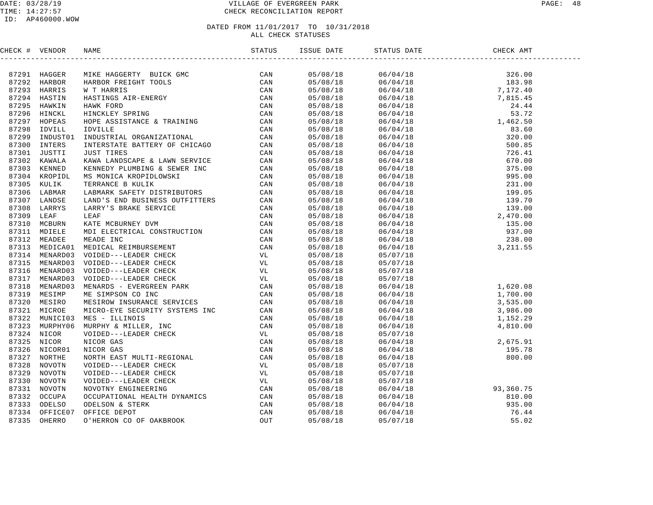#### DATE: 03/28/19 PAGE: 48 PAGE: 48 TIME: 14:27:57 CHECK RECONCILIATION REPORT

| CHECK # VENDOR |                | NAME                                                                                                                                                                                                                                               | ISSUE DATE | STATUS DATE                                                                 | CHECK AMT                                                                                                                                         |  |
|----------------|----------------|----------------------------------------------------------------------------------------------------------------------------------------------------------------------------------------------------------------------------------------------------|------------|-----------------------------------------------------------------------------|---------------------------------------------------------------------------------------------------------------------------------------------------|--|
|                |                | MIKE HAGGERTY BUICK GMC<br>HARBOR FREIGHT TOOLS<br>M T HARRIS<br>MASTINGS AIR-ENERGY<br>HAWK FORD<br>HINCKLEY SPRING<br>HOPE ASSISTANCE & TRAINING<br>IOPE ASSISTANCE & TRAINING<br>IOPE ASSISTANCE & TRAINING<br>IOPE ASSISTANCE & TRAINING<br>IO |            |                                                                             |                                                                                                                                                   |  |
|                | 87291 HAGGER   |                                                                                                                                                                                                                                                    | 05/08/18   |                                                                             |                                                                                                                                                   |  |
|                | 87292 HARBOR   |                                                                                                                                                                                                                                                    | 05/08/18   |                                                                             |                                                                                                                                                   |  |
|                | 87293 HARRIS   |                                                                                                                                                                                                                                                    | 05/08/18   |                                                                             |                                                                                                                                                   |  |
|                | 87294 HASTIN   |                                                                                                                                                                                                                                                    | 05/08/18   |                                                                             |                                                                                                                                                   |  |
|                | 87295 HAWKIN   |                                                                                                                                                                                                                                                    | 05/08/18   |                                                                             |                                                                                                                                                   |  |
|                | 87296 HINCKL   |                                                                                                                                                                                                                                                    | 05/08/18   |                                                                             |                                                                                                                                                   |  |
|                | 87297 HOPEAS   |                                                                                                                                                                                                                                                    | 05/08/18   |                                                                             |                                                                                                                                                   |  |
| 87298          | IDVILL         |                                                                                                                                                                                                                                                    | 05/08/18   |                                                                             |                                                                                                                                                   |  |
| 87299          | INDUST01       |                                                                                                                                                                                                                                                    | 05/08/18   |                                                                             |                                                                                                                                                   |  |
|                | 87300 INTERS   |                                                                                                                                                                                                                                                    | 05/08/18   |                                                                             |                                                                                                                                                   |  |
|                | 87301 JUSTTI   |                                                                                                                                                                                                                                                    | 05/08/18   |                                                                             |                                                                                                                                                   |  |
|                | 87302 KAWALA   |                                                                                                                                                                                                                                                    | 05/08/18   |                                                                             |                                                                                                                                                   |  |
|                | 87303 KENNED   |                                                                                                                                                                                                                                                    | 05/08/18   |                                                                             |                                                                                                                                                   |  |
|                | 87304 KROPIDL  |                                                                                                                                                                                                                                                    | 05/08/18   |                                                                             |                                                                                                                                                   |  |
|                | 87305 KULIK    |                                                                                                                                                                                                                                                    | 05/08/18   |                                                                             |                                                                                                                                                   |  |
|                | 87306 LABMAR   |                                                                                                                                                                                                                                                    | 05/08/18   |                                                                             |                                                                                                                                                   |  |
|                | 87307 LANDSE   |                                                                                                                                                                                                                                                    | 05/08/18   |                                                                             |                                                                                                                                                   |  |
|                | 87308 LARRYS   |                                                                                                                                                                                                                                                    | 05/08/18   |                                                                             |                                                                                                                                                   |  |
| 87309 LEAF     |                |                                                                                                                                                                                                                                                    | 05/08/18   |                                                                             |                                                                                                                                                   |  |
| 87310          | MCBURN         |                                                                                                                                                                                                                                                    | 05/08/18   |                                                                             |                                                                                                                                                   |  |
|                | 87311 MDIELE   |                                                                                                                                                                                                                                                    | 05/08/18   |                                                                             |                                                                                                                                                   |  |
|                | 87312 MEADEE   |                                                                                                                                                                                                                                                    | 05/08/18   |                                                                             |                                                                                                                                                   |  |
|                | 87313 MEDICA01 |                                                                                                                                                                                                                                                    | 05/08/18   |                                                                             |                                                                                                                                                   |  |
|                | 87314 MENARD03 |                                                                                                                                                                                                                                                    | 05/08/18   | 05/07/18                                                                    |                                                                                                                                                   |  |
|                | 87315 MENARD03 |                                                                                                                                                                                                                                                    | 05/08/18   | 05/07/18                                                                    |                                                                                                                                                   |  |
|                | 87316 MENARD03 |                                                                                                                                                                                                                                                    | 05/08/18   | 05/07/18                                                                    |                                                                                                                                                   |  |
|                | 87317 MENARD03 |                                                                                                                                                                                                                                                    | 05/08/18   | 05/07/18                                                                    |                                                                                                                                                   |  |
|                | 87318 MENARD03 |                                                                                                                                                                                                                                                    | 05/08/18   |                                                                             | $\begin{array}{cccc} 05/07/16 & 1,620.08 \\ 06/04/18 & 1,700.00 \\ 06/04/18 & 3,535.00 \\ 06/04/18 & 3,986.00 \\ 06/04/18 & 1,152.29 \end{array}$ |  |
|                | 87319 MESIMP   |                                                                                                                                                                                                                                                    | 05/08/18   |                                                                             |                                                                                                                                                   |  |
|                | 87320 MESIRO   |                                                                                                                                                                                                                                                    | 05/08/18   |                                                                             |                                                                                                                                                   |  |
| 87321          | MICROE         |                                                                                                                                                                                                                                                    | 05/08/18   |                                                                             |                                                                                                                                                   |  |
|                | 87322 MUNICI03 |                                                                                                                                                                                                                                                    | 05/08/18   |                                                                             |                                                                                                                                                   |  |
| 87323          | MURPHY06       |                                                                                                                                                                                                                                                    | 05/08/18   | 06/04/18                                                                    | 4,810.00                                                                                                                                          |  |
|                | 87324 NICOR    |                                                                                                                                                                                                                                                    | 05/08/18   | 05/07/18                                                                    |                                                                                                                                                   |  |
|                | 87325 NICOR    |                                                                                                                                                                                                                                                    | 05/08/18   | $06/04/18$<br>$06/04/18$<br>$06/04/18$<br>$06/04/18$<br>$060.00$            |                                                                                                                                                   |  |
|                | 87326 NICOR01  |                                                                                                                                                                                                                                                    | 05/08/18   |                                                                             |                                                                                                                                                   |  |
| 87327          | NORTHE         |                                                                                                                                                                                                                                                    | 05/08/18   |                                                                             |                                                                                                                                                   |  |
| 87328          | NOVOTN         |                                                                                                                                                                                                                                                    | 05/08/18   | 05/07/18                                                                    |                                                                                                                                                   |  |
| 87329          | NOVOTN         |                                                                                                                                                                                                                                                    | 05/08/18   | 05/07/18                                                                    |                                                                                                                                                   |  |
| 87330          | NOVOTN         |                                                                                                                                                                                                                                                    | 05/08/18   | 05/07/18                                                                    |                                                                                                                                                   |  |
|                | 87331 NOVOTN   |                                                                                                                                                                                                                                                    | 05/08/18   | 06/04/18                                                                    | 93, 360. 75                                                                                                                                       |  |
| 87332          | OCCUPA         |                                                                                                                                                                                                                                                    | 05/08/18   |                                                                             | 810.00                                                                                                                                            |  |
| 87333          | ODELSO         |                                                                                                                                                                                                                                                    | 05/08/18   |                                                                             | 935.00                                                                                                                                            |  |
| 87334          | OFFICE07       |                                                                                                                                                                                                                                                    | 05/08/18   |                                                                             | 76.44                                                                                                                                             |  |
| 87335          | OHERRO         | INTERSTATE BATTERY OF CHICAGO CAN<br>INTERSTATE BATTERY OF CHICAGO CAN<br>KENIED CAN<br>KAWA LANDSCAPE & LAWI SERVICE CAN<br>KENIED CAN<br>KENIED CAN<br>TERRANCE B<br>KUUMENT CAN<br>TERRANCE BAULIK CAN<br>ILARM-IS END BUSINESS OUTFITTERS      | 05/08/18   | $\begin{array}{l} 06/04/18 \\ 06/04/18 \\ 06/04/18 \\ 05/07/18 \end{array}$ | 55.02                                                                                                                                             |  |
|                |                |                                                                                                                                                                                                                                                    |            |                                                                             |                                                                                                                                                   |  |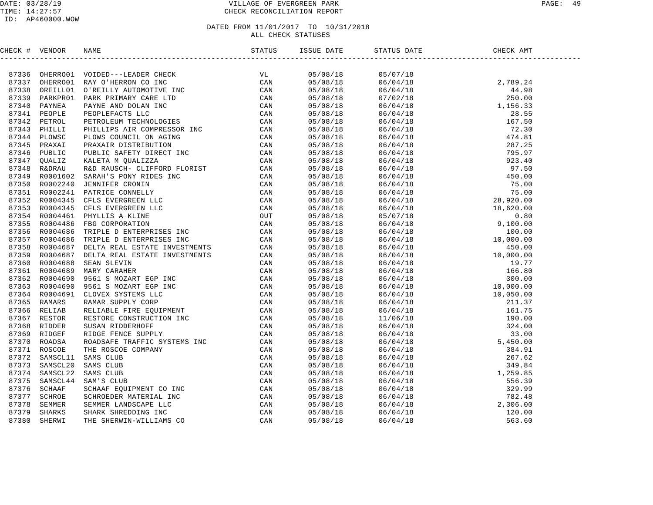#### DATE: 03/28/19 VILLAGE OF EVERGREEN PARK PAGE: 49 TIME: 14:27:57 CHECK RECONCILIATION REPORT

#### ID: AP460000.WOW

| CHECK # VENDOR |  |  | CHECK AMT |  |
|----------------|--|--|-----------|--|
|                |  |  |           |  |
|                |  |  |           |  |
|                |  |  |           |  |
|                |  |  |           |  |
|                |  |  |           |  |
|                |  |  |           |  |
|                |  |  |           |  |
|                |  |  |           |  |
|                |  |  |           |  |
|                |  |  |           |  |
|                |  |  |           |  |
|                |  |  |           |  |
|                |  |  |           |  |
|                |  |  |           |  |
|                |  |  |           |  |
|                |  |  |           |  |
|                |  |  |           |  |
|                |  |  |           |  |
|                |  |  |           |  |
|                |  |  |           |  |
|                |  |  |           |  |
|                |  |  |           |  |
|                |  |  |           |  |
|                |  |  |           |  |
|                |  |  |           |  |
|                |  |  |           |  |
|                |  |  |           |  |
|                |  |  |           |  |
|                |  |  |           |  |
|                |  |  |           |  |
|                |  |  |           |  |
|                |  |  |           |  |
|                |  |  |           |  |
|                |  |  |           |  |
|                |  |  |           |  |
|                |  |  |           |  |
|                |  |  |           |  |
|                |  |  |           |  |
|                |  |  |           |  |
|                |  |  |           |  |
|                |  |  |           |  |
|                |  |  |           |  |
|                |  |  |           |  |
|                |  |  |           |  |
|                |  |  |           |  |
|                |  |  |           |  |
|                |  |  |           |  |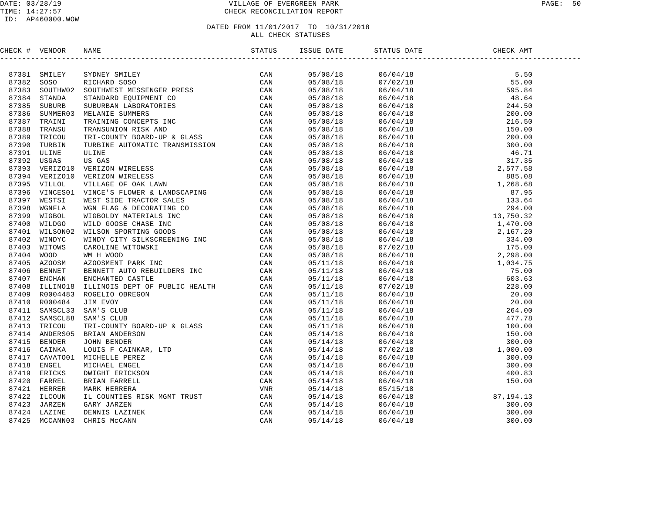#### DATE: 03/28/19 VILLAGE OF EVERGREEN PARK PAGE: 50 TIME: 14:27:57 CHECK RECONCILIATION REPORT

#### ID: AP460000.WOW

| CHECK # VENDOR |                                                                                                                                                                                                                                       |  |  |  |
|----------------|---------------------------------------------------------------------------------------------------------------------------------------------------------------------------------------------------------------------------------------|--|--|--|
|                | INCRE (# VERIDOS NAME)<br>19738 SONO STUTUES STATIST (2000)<br>19738 SONO STUTUES SONO CONTRESS MESSINGER PRESS (2000)<br>19738 SONO STUTUES SUPERINT CO CAN 19738 SUPERINT CONTRESS (2000)<br>19738 SUPERINT TRANSIST SUPERINT CO CA |  |  |  |
|                |                                                                                                                                                                                                                                       |  |  |  |
|                |                                                                                                                                                                                                                                       |  |  |  |
|                |                                                                                                                                                                                                                                       |  |  |  |
|                |                                                                                                                                                                                                                                       |  |  |  |
|                |                                                                                                                                                                                                                                       |  |  |  |
|                |                                                                                                                                                                                                                                       |  |  |  |
|                |                                                                                                                                                                                                                                       |  |  |  |
|                |                                                                                                                                                                                                                                       |  |  |  |
|                |                                                                                                                                                                                                                                       |  |  |  |
|                |                                                                                                                                                                                                                                       |  |  |  |
|                |                                                                                                                                                                                                                                       |  |  |  |
|                |                                                                                                                                                                                                                                       |  |  |  |
|                |                                                                                                                                                                                                                                       |  |  |  |
|                |                                                                                                                                                                                                                                       |  |  |  |
|                |                                                                                                                                                                                                                                       |  |  |  |
|                |                                                                                                                                                                                                                                       |  |  |  |
|                |                                                                                                                                                                                                                                       |  |  |  |
|                |                                                                                                                                                                                                                                       |  |  |  |
|                |                                                                                                                                                                                                                                       |  |  |  |
|                |                                                                                                                                                                                                                                       |  |  |  |
|                |                                                                                                                                                                                                                                       |  |  |  |
|                |                                                                                                                                                                                                                                       |  |  |  |
|                |                                                                                                                                                                                                                                       |  |  |  |
|                |                                                                                                                                                                                                                                       |  |  |  |
|                |                                                                                                                                                                                                                                       |  |  |  |
|                |                                                                                                                                                                                                                                       |  |  |  |
|                |                                                                                                                                                                                                                                       |  |  |  |
|                |                                                                                                                                                                                                                                       |  |  |  |
|                |                                                                                                                                                                                                                                       |  |  |  |
|                |                                                                                                                                                                                                                                       |  |  |  |
|                |                                                                                                                                                                                                                                       |  |  |  |
|                |                                                                                                                                                                                                                                       |  |  |  |
|                |                                                                                                                                                                                                                                       |  |  |  |
|                |                                                                                                                                                                                                                                       |  |  |  |
|                |                                                                                                                                                                                                                                       |  |  |  |
|                |                                                                                                                                                                                                                                       |  |  |  |
|                |                                                                                                                                                                                                                                       |  |  |  |
|                |                                                                                                                                                                                                                                       |  |  |  |
|                |                                                                                                                                                                                                                                       |  |  |  |
|                |                                                                                                                                                                                                                                       |  |  |  |
|                |                                                                                                                                                                                                                                       |  |  |  |
|                |                                                                                                                                                                                                                                       |  |  |  |
|                |                                                                                                                                                                                                                                       |  |  |  |
|                |                                                                                                                                                                                                                                       |  |  |  |
|                |                                                                                                                                                                                                                                       |  |  |  |
|                |                                                                                                                                                                                                                                       |  |  |  |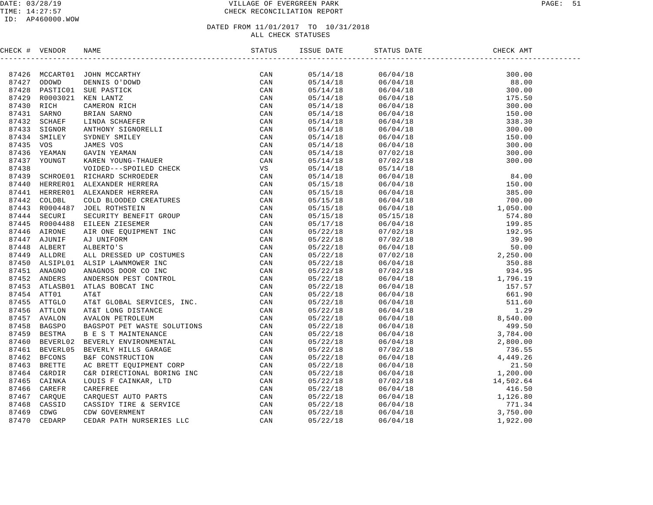#### DATE: 03/28/19 PAGE: 51 PAGE: 51 TIME: 14:27:57 CHECK RECONCILIATION REPORT

#### ID: AP460000.WOW

| CHECK # VENDOR |                                                                                                                                                                                                                               |     |  |  |
|----------------|-------------------------------------------------------------------------------------------------------------------------------------------------------------------------------------------------------------------------------|-----|--|--|
|                | THERM VERIDOS NORMAL MANIFORM (NAMER 19742) CODEMA (NAMER 19742) AND A STRONG THE MANY CONTROL SUPPLY (NAMER 19743) STRONG MANIFORM (NAMER 19743) STRONG MANIFORM (NAMER 19743) STRONG MANIFORM (NAMER 19743) STRONG MANIFORM |     |  |  |
|                |                                                                                                                                                                                                                               | CAN |  |  |
|                |                                                                                                                                                                                                                               |     |  |  |
|                |                                                                                                                                                                                                                               |     |  |  |
|                |                                                                                                                                                                                                                               |     |  |  |
|                |                                                                                                                                                                                                                               |     |  |  |
|                |                                                                                                                                                                                                                               |     |  |  |
|                |                                                                                                                                                                                                                               |     |  |  |
|                |                                                                                                                                                                                                                               |     |  |  |
|                |                                                                                                                                                                                                                               |     |  |  |
|                |                                                                                                                                                                                                                               |     |  |  |
|                |                                                                                                                                                                                                                               |     |  |  |
|                |                                                                                                                                                                                                                               |     |  |  |
|                |                                                                                                                                                                                                                               |     |  |  |
|                |                                                                                                                                                                                                                               |     |  |  |
|                |                                                                                                                                                                                                                               |     |  |  |
|                |                                                                                                                                                                                                                               |     |  |  |
|                |                                                                                                                                                                                                                               |     |  |  |
|                |                                                                                                                                                                                                                               |     |  |  |
|                |                                                                                                                                                                                                                               |     |  |  |
|                |                                                                                                                                                                                                                               |     |  |  |
|                |                                                                                                                                                                                                                               |     |  |  |
|                |                                                                                                                                                                                                                               |     |  |  |
|                |                                                                                                                                                                                                                               |     |  |  |
|                |                                                                                                                                                                                                                               |     |  |  |
|                |                                                                                                                                                                                                                               |     |  |  |
|                |                                                                                                                                                                                                                               |     |  |  |
|                |                                                                                                                                                                                                                               |     |  |  |
|                |                                                                                                                                                                                                                               |     |  |  |
|                |                                                                                                                                                                                                                               |     |  |  |
|                |                                                                                                                                                                                                                               |     |  |  |
|                |                                                                                                                                                                                                                               |     |  |  |
|                |                                                                                                                                                                                                                               |     |  |  |
|                |                                                                                                                                                                                                                               |     |  |  |
|                |                                                                                                                                                                                                                               |     |  |  |
|                |                                                                                                                                                                                                                               |     |  |  |
|                |                                                                                                                                                                                                                               |     |  |  |
|                |                                                                                                                                                                                                                               |     |  |  |
|                |                                                                                                                                                                                                                               |     |  |  |
|                |                                                                                                                                                                                                                               |     |  |  |
|                |                                                                                                                                                                                                                               |     |  |  |
|                |                                                                                                                                                                                                                               |     |  |  |
|                |                                                                                                                                                                                                                               |     |  |  |
|                |                                                                                                                                                                                                                               |     |  |  |
|                |                                                                                                                                                                                                                               |     |  |  |
|                |                                                                                                                                                                                                                               |     |  |  |
|                |                                                                                                                                                                                                                               |     |  |  |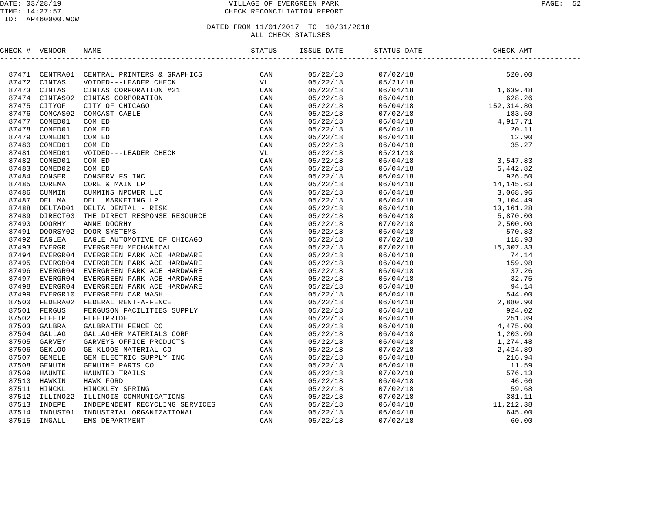#### DATE: 03/28/19 PAGE: 52 PAGE: 52 TIME: 14:27:57 CHECK RECONCILIATION REPORT

| CHECK # VENDOR |  |  | STATUS DATE | DATE CHECK AMT |  |
|----------------|--|--|-------------|----------------|--|
|                |  |  |             |                |  |
|                |  |  |             |                |  |
|                |  |  |             |                |  |
|                |  |  |             |                |  |
|                |  |  |             |                |  |
|                |  |  |             |                |  |
|                |  |  |             |                |  |
|                |  |  |             |                |  |
|                |  |  |             |                |  |
|                |  |  |             |                |  |
|                |  |  |             |                |  |
|                |  |  |             |                |  |
|                |  |  |             |                |  |
|                |  |  |             |                |  |
|                |  |  |             |                |  |
|                |  |  |             |                |  |
|                |  |  |             |                |  |
|                |  |  |             |                |  |
|                |  |  |             |                |  |
|                |  |  |             |                |  |
|                |  |  |             |                |  |
|                |  |  |             |                |  |
|                |  |  |             |                |  |
|                |  |  |             |                |  |
|                |  |  |             |                |  |
|                |  |  |             |                |  |
|                |  |  |             |                |  |
|                |  |  |             |                |  |
|                |  |  |             |                |  |
|                |  |  |             |                |  |
|                |  |  |             |                |  |
|                |  |  |             |                |  |
|                |  |  |             |                |  |
|                |  |  |             |                |  |
|                |  |  |             |                |  |
|                |  |  |             |                |  |
|                |  |  |             |                |  |
|                |  |  |             |                |  |
|                |  |  |             |                |  |
|                |  |  |             |                |  |
|                |  |  |             |                |  |
|                |  |  |             |                |  |
|                |  |  |             |                |  |
|                |  |  |             |                |  |
|                |  |  |             |                |  |
|                |  |  |             |                |  |
|                |  |  |             |                |  |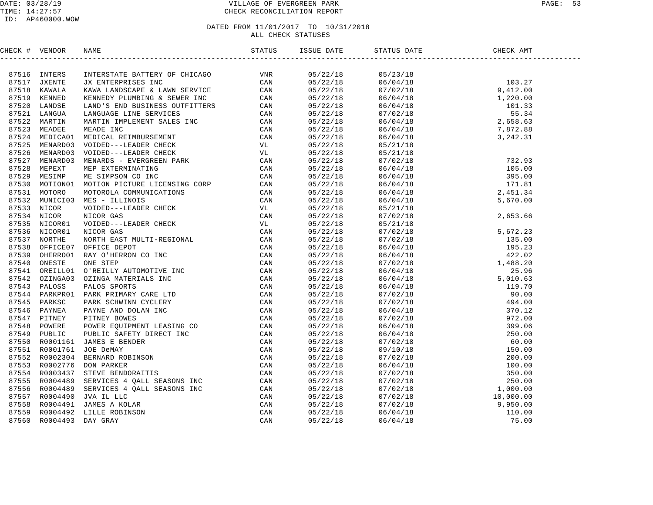|  |  |                                                                                                                                                                                                                                                                         | CHECK AMT |  |
|--|--|-------------------------------------------------------------------------------------------------------------------------------------------------------------------------------------------------------------------------------------------------------------------------|-----------|--|
|  |  |                                                                                                                                                                                                                                                                         |           |  |
|  |  | $\begin{array}{cccc} 05/22/18 & 05/23/18 & 103.27 \\ 05/22/18 & 06/04/18 & 103.27 \\ 05/22/18 & 07/02/18 & 9,412.00 \\ 05/22/18 & 06/04/18 & 1,220.00 \\ 05/22/18 & 06/04/18 & 101.33 \\ 05/22/18 & 07/02/18 & 55.34 \\ 05/22/18 & 06/04/18 & 2,658.63 \\ 05/22/18 & 0$ |           |  |
|  |  |                                                                                                                                                                                                                                                                         |           |  |
|  |  |                                                                                                                                                                                                                                                                         |           |  |
|  |  |                                                                                                                                                                                                                                                                         |           |  |
|  |  |                                                                                                                                                                                                                                                                         |           |  |
|  |  |                                                                                                                                                                                                                                                                         |           |  |
|  |  |                                                                                                                                                                                                                                                                         |           |  |
|  |  |                                                                                                                                                                                                                                                                         |           |  |
|  |  |                                                                                                                                                                                                                                                                         |           |  |
|  |  |                                                                                                                                                                                                                                                                         |           |  |
|  |  |                                                                                                                                                                                                                                                                         |           |  |
|  |  |                                                                                                                                                                                                                                                                         |           |  |
|  |  |                                                                                                                                                                                                                                                                         |           |  |
|  |  |                                                                                                                                                                                                                                                                         |           |  |
|  |  |                                                                                                                                                                                                                                                                         |           |  |
|  |  |                                                                                                                                                                                                                                                                         |           |  |
|  |  |                                                                                                                                                                                                                                                                         |           |  |
|  |  |                                                                                                                                                                                                                                                                         |           |  |
|  |  |                                                                                                                                                                                                                                                                         |           |  |
|  |  |                                                                                                                                                                                                                                                                         |           |  |
|  |  |                                                                                                                                                                                                                                                                         |           |  |
|  |  |                                                                                                                                                                                                                                                                         |           |  |
|  |  |                                                                                                                                                                                                                                                                         |           |  |
|  |  |                                                                                                                                                                                                                                                                         |           |  |
|  |  |                                                                                                                                                                                                                                                                         |           |  |
|  |  |                                                                                                                                                                                                                                                                         |           |  |
|  |  |                                                                                                                                                                                                                                                                         |           |  |
|  |  |                                                                                                                                                                                                                                                                         |           |  |
|  |  |                                                                                                                                                                                                                                                                         |           |  |
|  |  |                                                                                                                                                                                                                                                                         |           |  |
|  |  |                                                                                                                                                                                                                                                                         |           |  |
|  |  |                                                                                                                                                                                                                                                                         |           |  |
|  |  |                                                                                                                                                                                                                                                                         |           |  |
|  |  |                                                                                                                                                                                                                                                                         |           |  |
|  |  |                                                                                                                                                                                                                                                                         |           |  |
|  |  |                                                                                                                                                                                                                                                                         |           |  |
|  |  |                                                                                                                                                                                                                                                                         |           |  |
|  |  |                                                                                                                                                                                                                                                                         |           |  |
|  |  |                                                                                                                                                                                                                                                                         |           |  |
|  |  |                                                                                                                                                                                                                                                                         |           |  |
|  |  |                                                                                                                                                                                                                                                                         |           |  |
|  |  | $\begin{array}{cccc} 0.72/18 & 0.6/04/18\\ 0.8/22/18 & 0.6/04/18\\ 0.8/22/18 & 0.7/02/18\\ 0.9/22/18 & 0.6/04/18\\ 0.9/22/18 & 0.6/04/18\\ 0.9/22/18 & 0.6/04/18\\ 0.9/22/18 & 0.6/04/18\\ 0.9/22/18 & 0.6/04/18\\ 0.9/22/18 & 0.6/04/18\\ 0.9/22/18 & 0.6/0$           |           |  |
|  |  |                                                                                                                                                                                                                                                                         |           |  |
|  |  |                                                                                                                                                                                                                                                                         |           |  |
|  |  |                                                                                                                                                                                                                                                                         |           |  |
|  |  |                                                                                                                                                                                                                                                                         |           |  |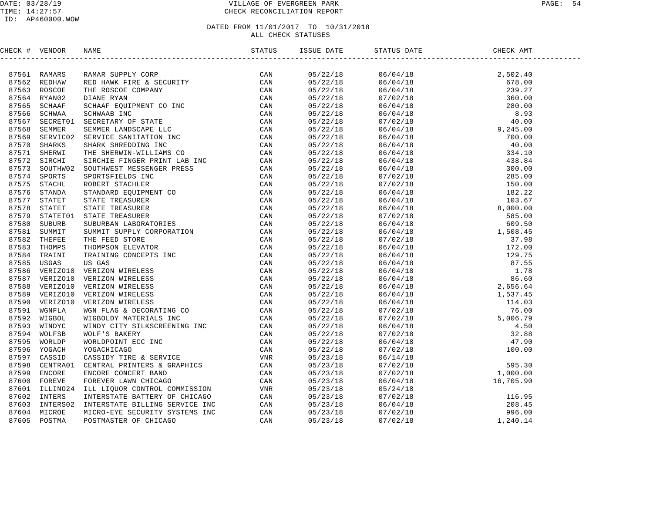#### DATE: 03/28/19 PAGE: 54 PAGE: 54 TIME: 14:27:57 CHECK RECONCILIATION REPORT

| CHECK # VENDOR |                                                                                                                                                                                                                               |  |  |  |
|----------------|-------------------------------------------------------------------------------------------------------------------------------------------------------------------------------------------------------------------------------|--|--|--|
|                | 2006-14 19900-16 19900-16 19900-16 2000-27 12000-28 2000-28 2000-28 2000-28 2000-28 2000-28 2000-28 2000-28 2000-28 2000-28 2000-28 2000-28 2000-28 2000-28 2000-28 2000-28 2000-28 2000-28 2000-28 2000-28 2000-28 2000-28 2 |  |  |  |
|                |                                                                                                                                                                                                                               |  |  |  |
|                |                                                                                                                                                                                                                               |  |  |  |
|                |                                                                                                                                                                                                                               |  |  |  |
|                |                                                                                                                                                                                                                               |  |  |  |
|                |                                                                                                                                                                                                                               |  |  |  |
|                |                                                                                                                                                                                                                               |  |  |  |
|                |                                                                                                                                                                                                                               |  |  |  |
|                |                                                                                                                                                                                                                               |  |  |  |
|                |                                                                                                                                                                                                                               |  |  |  |
|                |                                                                                                                                                                                                                               |  |  |  |
|                |                                                                                                                                                                                                                               |  |  |  |
|                |                                                                                                                                                                                                                               |  |  |  |
|                |                                                                                                                                                                                                                               |  |  |  |
|                |                                                                                                                                                                                                                               |  |  |  |
|                |                                                                                                                                                                                                                               |  |  |  |
|                |                                                                                                                                                                                                                               |  |  |  |
|                |                                                                                                                                                                                                                               |  |  |  |
|                |                                                                                                                                                                                                                               |  |  |  |
|                |                                                                                                                                                                                                                               |  |  |  |
|                |                                                                                                                                                                                                                               |  |  |  |
|                |                                                                                                                                                                                                                               |  |  |  |
|                |                                                                                                                                                                                                                               |  |  |  |
|                |                                                                                                                                                                                                                               |  |  |  |
|                |                                                                                                                                                                                                                               |  |  |  |
|                |                                                                                                                                                                                                                               |  |  |  |
|                |                                                                                                                                                                                                                               |  |  |  |
|                |                                                                                                                                                                                                                               |  |  |  |
|                |                                                                                                                                                                                                                               |  |  |  |
|                |                                                                                                                                                                                                                               |  |  |  |
|                |                                                                                                                                                                                                                               |  |  |  |
|                |                                                                                                                                                                                                                               |  |  |  |
|                |                                                                                                                                                                                                                               |  |  |  |
|                |                                                                                                                                                                                                                               |  |  |  |
|                |                                                                                                                                                                                                                               |  |  |  |
|                |                                                                                                                                                                                                                               |  |  |  |
|                |                                                                                                                                                                                                                               |  |  |  |
|                |                                                                                                                                                                                                                               |  |  |  |
|                |                                                                                                                                                                                                                               |  |  |  |
|                |                                                                                                                                                                                                                               |  |  |  |
|                |                                                                                                                                                                                                                               |  |  |  |
|                |                                                                                                                                                                                                                               |  |  |  |
|                |                                                                                                                                                                                                                               |  |  |  |
|                |                                                                                                                                                                                                                               |  |  |  |
|                |                                                                                                                                                                                                                               |  |  |  |
|                |                                                                                                                                                                                                                               |  |  |  |
|                |                                                                                                                                                                                                                               |  |  |  |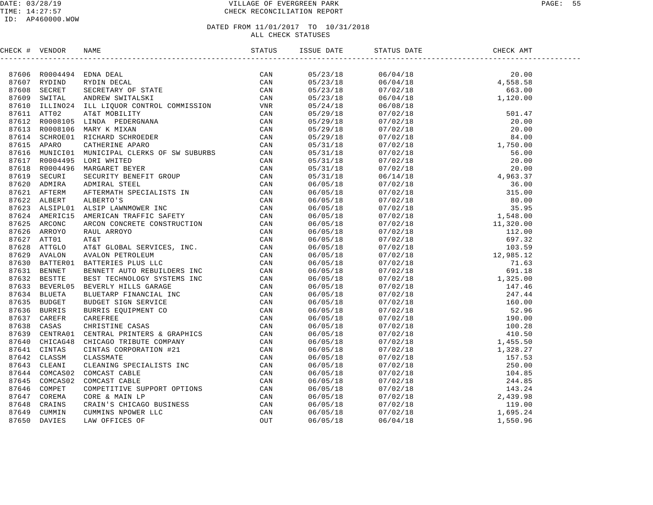| CHECK # VENDOR |                                                                                                                                                                                                                                                                                                                                                                                                                            |  |          |  |
|----------------|----------------------------------------------------------------------------------------------------------------------------------------------------------------------------------------------------------------------------------------------------------------------------------------------------------------------------------------------------------------------------------------------------------------------------|--|----------|--|
|                | $\begin{tabular}{ c c c c c c c c} \hline & $\text{PCEP1}$ & $\text{PCEP1}$ & $\text{PCEP1}$ & $\text{PCEP1}$ & $\text{PCEP1}$ & $\text{PCEP1}$ & $\text{PCEP1}$ & $\text{PCEP1}$ & $\text{PCEP1}$ & $\text{PCEP1}$ & $\text{PCEP1}$ & $\text{PCEP1}$ & $\text{PCEP1}$ & $\text{PCEP1}$ & $\text{PCEP1}$ & $\text{PCEP1}$ & $\text{PCEP1}$ & $\text{PCEP1}$ & $\text{PCEP1}$ & $\text{PCEP1}$ & $\text{PCEP1}$ & $\text{P$ |  |          |  |
|                |                                                                                                                                                                                                                                                                                                                                                                                                                            |  |          |  |
|                |                                                                                                                                                                                                                                                                                                                                                                                                                            |  |          |  |
|                |                                                                                                                                                                                                                                                                                                                                                                                                                            |  |          |  |
|                |                                                                                                                                                                                                                                                                                                                                                                                                                            |  |          |  |
|                |                                                                                                                                                                                                                                                                                                                                                                                                                            |  |          |  |
|                |                                                                                                                                                                                                                                                                                                                                                                                                                            |  |          |  |
|                |                                                                                                                                                                                                                                                                                                                                                                                                                            |  |          |  |
|                |                                                                                                                                                                                                                                                                                                                                                                                                                            |  |          |  |
|                |                                                                                                                                                                                                                                                                                                                                                                                                                            |  |          |  |
|                |                                                                                                                                                                                                                                                                                                                                                                                                                            |  |          |  |
|                |                                                                                                                                                                                                                                                                                                                                                                                                                            |  |          |  |
|                |                                                                                                                                                                                                                                                                                                                                                                                                                            |  |          |  |
|                |                                                                                                                                                                                                                                                                                                                                                                                                                            |  |          |  |
|                |                                                                                                                                                                                                                                                                                                                                                                                                                            |  |          |  |
|                |                                                                                                                                                                                                                                                                                                                                                                                                                            |  |          |  |
|                |                                                                                                                                                                                                                                                                                                                                                                                                                            |  |          |  |
|                |                                                                                                                                                                                                                                                                                                                                                                                                                            |  |          |  |
|                |                                                                                                                                                                                                                                                                                                                                                                                                                            |  |          |  |
|                |                                                                                                                                                                                                                                                                                                                                                                                                                            |  |          |  |
|                |                                                                                                                                                                                                                                                                                                                                                                                                                            |  |          |  |
|                |                                                                                                                                                                                                                                                                                                                                                                                                                            |  |          |  |
|                |                                                                                                                                                                                                                                                                                                                                                                                                                            |  |          |  |
|                |                                                                                                                                                                                                                                                                                                                                                                                                                            |  |          |  |
|                |                                                                                                                                                                                                                                                                                                                                                                                                                            |  |          |  |
|                |                                                                                                                                                                                                                                                                                                                                                                                                                            |  |          |  |
|                |                                                                                                                                                                                                                                                                                                                                                                                                                            |  |          |  |
|                |                                                                                                                                                                                                                                                                                                                                                                                                                            |  |          |  |
|                |                                                                                                                                                                                                                                                                                                                                                                                                                            |  |          |  |
|                |                                                                                                                                                                                                                                                                                                                                                                                                                            |  |          |  |
|                |                                                                                                                                                                                                                                                                                                                                                                                                                            |  |          |  |
|                |                                                                                                                                                                                                                                                                                                                                                                                                                            |  |          |  |
|                |                                                                                                                                                                                                                                                                                                                                                                                                                            |  |          |  |
|                |                                                                                                                                                                                                                                                                                                                                                                                                                            |  |          |  |
|                |                                                                                                                                                                                                                                                                                                                                                                                                                            |  |          |  |
|                |                                                                                                                                                                                                                                                                                                                                                                                                                            |  |          |  |
|                |                                                                                                                                                                                                                                                                                                                                                                                                                            |  |          |  |
|                |                                                                                                                                                                                                                                                                                                                                                                                                                            |  |          |  |
|                |                                                                                                                                                                                                                                                                                                                                                                                                                            |  |          |  |
|                |                                                                                                                                                                                                                                                                                                                                                                                                                            |  |          |  |
|                |                                                                                                                                                                                                                                                                                                                                                                                                                            |  |          |  |
|                |                                                                                                                                                                                                                                                                                                                                                                                                                            |  |          |  |
|                |                                                                                                                                                                                                                                                                                                                                                                                                                            |  |          |  |
|                |                                                                                                                                                                                                                                                                                                                                                                                                                            |  |          |  |
|                |                                                                                                                                                                                                                                                                                                                                                                                                                            |  |          |  |
|                |                                                                                                                                                                                                                                                                                                                                                                                                                            |  | 06/04/18 |  |
|                |                                                                                                                                                                                                                                                                                                                                                                                                                            |  |          |  |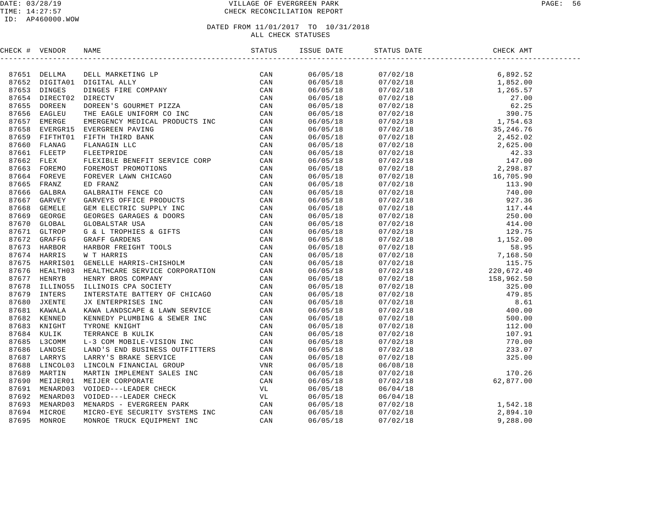| CHECK # VENDOR |              |                                                                                                                                                                                                                                          |          |                                                                                                                                                                                                                                                                                                                                                                                                                                             |                                                                                                                                                        |  |
|----------------|--------------|------------------------------------------------------------------------------------------------------------------------------------------------------------------------------------------------------------------------------------------|----------|---------------------------------------------------------------------------------------------------------------------------------------------------------------------------------------------------------------------------------------------------------------------------------------------------------------------------------------------------------------------------------------------------------------------------------------------|--------------------------------------------------------------------------------------------------------------------------------------------------------|--|
|                |              | 197651 DELLIM DELL MARKETING LP (MARKETING LP CAN 197652 DITTAIL ALLY CONNECT CAN ARREST CONNECT DIRECT CONNECT CAN ARREST CONNECT DENEST CONNECT AND A STRESS DESCRIPTION CONNECT AND CONNECT SUPPOSE THE ENGLE BARROW MEDICA           |          | $\begin{tabular}{l c c c c c} \hline \multicolumn{4}{c}{\textbf{5.69}} \hline \multicolumn{4}{c}{\textbf{6.69}} \hline \multicolumn{4}{c}{\textbf{6.60}} \hline \multicolumn{4}{c}{\textbf{6.60}} \hline \multicolumn{4}{c}{\textbf{6.60}} \hline \multicolumn{4}{c}{\textbf{6.60}} \hline \multicolumn{4}{c}{\textbf{6.60}} \hline \multicolumn{4}{c}{\textbf{6.60}} \hline \multicolumn{4}{c}{\textbf{6.60}} \hline \multicolumn{4}{c}{\$ |                                                                                                                                                        |  |
|                |              |                                                                                                                                                                                                                                          |          |                                                                                                                                                                                                                                                                                                                                                                                                                                             |                                                                                                                                                        |  |
|                |              |                                                                                                                                                                                                                                          |          |                                                                                                                                                                                                                                                                                                                                                                                                                                             |                                                                                                                                                        |  |
|                |              |                                                                                                                                                                                                                                          |          |                                                                                                                                                                                                                                                                                                                                                                                                                                             |                                                                                                                                                        |  |
|                |              |                                                                                                                                                                                                                                          |          |                                                                                                                                                                                                                                                                                                                                                                                                                                             |                                                                                                                                                        |  |
|                |              |                                                                                                                                                                                                                                          |          |                                                                                                                                                                                                                                                                                                                                                                                                                                             |                                                                                                                                                        |  |
|                |              |                                                                                                                                                                                                                                          |          |                                                                                                                                                                                                                                                                                                                                                                                                                                             |                                                                                                                                                        |  |
|                |              |                                                                                                                                                                                                                                          |          |                                                                                                                                                                                                                                                                                                                                                                                                                                             |                                                                                                                                                        |  |
|                |              |                                                                                                                                                                                                                                          |          |                                                                                                                                                                                                                                                                                                                                                                                                                                             |                                                                                                                                                        |  |
|                |              |                                                                                                                                                                                                                                          |          |                                                                                                                                                                                                                                                                                                                                                                                                                                             |                                                                                                                                                        |  |
|                |              |                                                                                                                                                                                                                                          |          |                                                                                                                                                                                                                                                                                                                                                                                                                                             |                                                                                                                                                        |  |
|                |              |                                                                                                                                                                                                                                          |          |                                                                                                                                                                                                                                                                                                                                                                                                                                             |                                                                                                                                                        |  |
|                |              |                                                                                                                                                                                                                                          |          |                                                                                                                                                                                                                                                                                                                                                                                                                                             |                                                                                                                                                        |  |
|                |              |                                                                                                                                                                                                                                          |          |                                                                                                                                                                                                                                                                                                                                                                                                                                             |                                                                                                                                                        |  |
|                |              |                                                                                                                                                                                                                                          |          |                                                                                                                                                                                                                                                                                                                                                                                                                                             |                                                                                                                                                        |  |
|                |              |                                                                                                                                                                                                                                          |          |                                                                                                                                                                                                                                                                                                                                                                                                                                             |                                                                                                                                                        |  |
|                |              |                                                                                                                                                                                                                                          |          |                                                                                                                                                                                                                                                                                                                                                                                                                                             |                                                                                                                                                        |  |
|                |              |                                                                                                                                                                                                                                          |          |                                                                                                                                                                                                                                                                                                                                                                                                                                             |                                                                                                                                                        |  |
|                |              |                                                                                                                                                                                                                                          |          |                                                                                                                                                                                                                                                                                                                                                                                                                                             |                                                                                                                                                        |  |
|                |              |                                                                                                                                                                                                                                          |          |                                                                                                                                                                                                                                                                                                                                                                                                                                             |                                                                                                                                                        |  |
|                |              |                                                                                                                                                                                                                                          |          |                                                                                                                                                                                                                                                                                                                                                                                                                                             |                                                                                                                                                        |  |
|                |              |                                                                                                                                                                                                                                          |          |                                                                                                                                                                                                                                                                                                                                                                                                                                             |                                                                                                                                                        |  |
|                |              |                                                                                                                                                                                                                                          |          |                                                                                                                                                                                                                                                                                                                                                                                                                                             |                                                                                                                                                        |  |
|                |              |                                                                                                                                                                                                                                          |          |                                                                                                                                                                                                                                                                                                                                                                                                                                             |                                                                                                                                                        |  |
|                |              |                                                                                                                                                                                                                                          |          |                                                                                                                                                                                                                                                                                                                                                                                                                                             |                                                                                                                                                        |  |
|                |              |                                                                                                                                                                                                                                          |          |                                                                                                                                                                                                                                                                                                                                                                                                                                             |                                                                                                                                                        |  |
|                |              |                                                                                                                                                                                                                                          |          |                                                                                                                                                                                                                                                                                                                                                                                                                                             |                                                                                                                                                        |  |
|                |              |                                                                                                                                                                                                                                          |          |                                                                                                                                                                                                                                                                                                                                                                                                                                             |                                                                                                                                                        |  |
|                |              |                                                                                                                                                                                                                                          |          |                                                                                                                                                                                                                                                                                                                                                                                                                                             |                                                                                                                                                        |  |
|                |              |                                                                                                                                                                                                                                          |          |                                                                                                                                                                                                                                                                                                                                                                                                                                             |                                                                                                                                                        |  |
|                |              |                                                                                                                                                                                                                                          |          |                                                                                                                                                                                                                                                                                                                                                                                                                                             |                                                                                                                                                        |  |
|                |              |                                                                                                                                                                                                                                          |          |                                                                                                                                                                                                                                                                                                                                                                                                                                             |                                                                                                                                                        |  |
|                |              |                                                                                                                                                                                                                                          |          |                                                                                                                                                                                                                                                                                                                                                                                                                                             |                                                                                                                                                        |  |
|                |              |                                                                                                                                                                                                                                          |          |                                                                                                                                                                                                                                                                                                                                                                                                                                             |                                                                                                                                                        |  |
|                |              |                                                                                                                                                                                                                                          |          |                                                                                                                                                                                                                                                                                                                                                                                                                                             |                                                                                                                                                        |  |
|                |              |                                                                                                                                                                                                                                          |          |                                                                                                                                                                                                                                                                                                                                                                                                                                             |                                                                                                                                                        |  |
|                |              |                                                                                                                                                                                                                                          |          |                                                                                                                                                                                                                                                                                                                                                                                                                                             |                                                                                                                                                        |  |
|                |              |                                                                                                                                                                                                                                          |          |                                                                                                                                                                                                                                                                                                                                                                                                                                             |                                                                                                                                                        |  |
|                |              |                                                                                                                                                                                                                                          |          |                                                                                                                                                                                                                                                                                                                                                                                                                                             |                                                                                                                                                        |  |
|                |              |                                                                                                                                                                                                                                          |          |                                                                                                                                                                                                                                                                                                                                                                                                                                             |                                                                                                                                                        |  |
|                |              |                                                                                                                                                                                                                                          |          |                                                                                                                                                                                                                                                                                                                                                                                                                                             |                                                                                                                                                        |  |
|                |              |                                                                                                                                                                                                                                          |          |                                                                                                                                                                                                                                                                                                                                                                                                                                             |                                                                                                                                                        |  |
|                |              | 87675 HARRISO1 GENELLE HARRIS-CHISHOLM CAN<br>87675 HEALTHO1 HEALTHCARE SERVICE CORPORATION CAN<br>87677 HENRY BENER BOS COMPANY<br>87677 HENRY BENER DESCRIPTION CAN<br>87679 INTERS INTERSITATE BATTERY OF CHICAGO CAN<br>87681 KAWALA | 06/05/18 |                                                                                                                                                                                                                                                                                                                                                                                                                                             | $06/04/18$<br>$07/02/18$<br>$07/02/18$<br>$07/02/18$<br>$07/02/18$<br>$07/02/18$<br>$07/02/18$<br>$07/02/18$<br>$07/02/18$<br>$07/02/18$<br>$07/02/18$ |  |
|                |              |                                                                                                                                                                                                                                          | 06/05/18 |                                                                                                                                                                                                                                                                                                                                                                                                                                             |                                                                                                                                                        |  |
| 87694          | MICROE       | MICRO-EYE SECURITY SYSTEMS INC CAN<br>MONROE TRUCK EQUIPMENT INC CAN                                                                                                                                                                     | 06/05/18 |                                                                                                                                                                                                                                                                                                                                                                                                                                             |                                                                                                                                                        |  |
|                | 87695 MONROE |                                                                                                                                                                                                                                          | 06/05/18 |                                                                                                                                                                                                                                                                                                                                                                                                                                             |                                                                                                                                                        |  |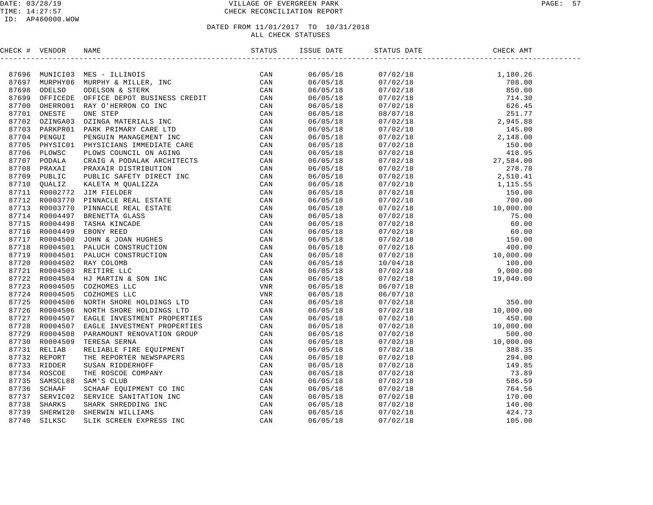| CHECK # VENDOR |                                                                                                                                                                                                                               | ISSUE DATE           | STATUS DATE                                                                                                                                                                                                                                                                                        | CHECK AMT |  |
|----------------|-------------------------------------------------------------------------------------------------------------------------------------------------------------------------------------------------------------------------------|----------------------|----------------------------------------------------------------------------------------------------------------------------------------------------------------------------------------------------------------------------------------------------------------------------------------------------|-----------|--|
|                | NERGY & VENDOR NAMES (NERGY STATISTIC CAN STATISTY AND THE STATISTY ON A STATISTY ON A STATISTY ON A STATISTY ON A STATISTY ON A STATISTY ON A STATISTY ON A STATISTY ON A STATISTY ON A STATISTY ON A STATISTY ON A STATISTY |                      | $\begin{tabular}{@{}c c c c} \hline \rule{0pt}{0pt} $0.702/18$ & $1,180.26$ \\ $0.7/02/18$ & $708.00$ \\ $0.7/02/18$ & $714.30$ \\ $0.7/02/18$ & $714.30$ \\ $0.7/02/18$ & $251.77$ \\ $0.7/02/18$ & $251.77$ \\ $0.7/02/18$ & $251.77$ \\ $0.7/02/18$ & $245.80$ \\ $0.7/02/18$ & $145.00$ \\ $0$ |           |  |
|                |                                                                                                                                                                                                                               | 06/05/18             |                                                                                                                                                                                                                                                                                                    |           |  |
|                |                                                                                                                                                                                                                               | 06/05/18<br>06/05/18 |                                                                                                                                                                                                                                                                                                    |           |  |
|                |                                                                                                                                                                                                                               | 06/05/18             |                                                                                                                                                                                                                                                                                                    |           |  |
|                |                                                                                                                                                                                                                               | 06/05/18             |                                                                                                                                                                                                                                                                                                    |           |  |
|                |                                                                                                                                                                                                                               | 06/05/18             |                                                                                                                                                                                                                                                                                                    |           |  |
|                |                                                                                                                                                                                                                               | 06/05/18             |                                                                                                                                                                                                                                                                                                    |           |  |
|                |                                                                                                                                                                                                                               | 06/05/18             |                                                                                                                                                                                                                                                                                                    |           |  |
|                |                                                                                                                                                                                                                               | 06/05/18             |                                                                                                                                                                                                                                                                                                    |           |  |
|                |                                                                                                                                                                                                                               | 06/05/18             |                                                                                                                                                                                                                                                                                                    |           |  |
|                |                                                                                                                                                                                                                               | 06/05/18             |                                                                                                                                                                                                                                                                                                    |           |  |
|                |                                                                                                                                                                                                                               | 06/05/18             |                                                                                                                                                                                                                                                                                                    |           |  |
|                |                                                                                                                                                                                                                               | 06/05/18             |                                                                                                                                                                                                                                                                                                    |           |  |
|                |                                                                                                                                                                                                                               | 06/05/18             |                                                                                                                                                                                                                                                                                                    |           |  |
|                |                                                                                                                                                                                                                               | 06/05/18             |                                                                                                                                                                                                                                                                                                    |           |  |
|                |                                                                                                                                                                                                                               | 06/05/18             |                                                                                                                                                                                                                                                                                                    |           |  |
|                |                                                                                                                                                                                                                               | 06/05/18             |                                                                                                                                                                                                                                                                                                    |           |  |
|                |                                                                                                                                                                                                                               | 06/05/18             |                                                                                                                                                                                                                                                                                                    |           |  |
|                |                                                                                                                                                                                                                               | 06/05/18             |                                                                                                                                                                                                                                                                                                    |           |  |
|                |                                                                                                                                                                                                                               | 06/05/18             |                                                                                                                                                                                                                                                                                                    |           |  |
|                |                                                                                                                                                                                                                               | 06/05/18             |                                                                                                                                                                                                                                                                                                    |           |  |
|                |                                                                                                                                                                                                                               | 06/05/18             |                                                                                                                                                                                                                                                                                                    |           |  |
|                |                                                                                                                                                                                                                               | 06/05/18             |                                                                                                                                                                                                                                                                                                    |           |  |
|                |                                                                                                                                                                                                                               | 06/05/18             |                                                                                                                                                                                                                                                                                                    |           |  |
|                |                                                                                                                                                                                                                               | 06/05/18             |                                                                                                                                                                                                                                                                                                    |           |  |
|                |                                                                                                                                                                                                                               | 06/05/18             |                                                                                                                                                                                                                                                                                                    |           |  |
|                |                                                                                                                                                                                                                               | 06/05/18             |                                                                                                                                                                                                                                                                                                    |           |  |
|                |                                                                                                                                                                                                                               | 06/05/18             |                                                                                                                                                                                                                                                                                                    |           |  |
|                |                                                                                                                                                                                                                               | 06/05/18             |                                                                                                                                                                                                                                                                                                    |           |  |
|                |                                                                                                                                                                                                                               | 06/05/18             |                                                                                                                                                                                                                                                                                                    |           |  |
|                |                                                                                                                                                                                                                               | 06/05/18             |                                                                                                                                                                                                                                                                                                    |           |  |
|                |                                                                                                                                                                                                                               | 06/05/18             |                                                                                                                                                                                                                                                                                                    |           |  |
|                |                                                                                                                                                                                                                               | 06/05/18             |                                                                                                                                                                                                                                                                                                    |           |  |
|                |                                                                                                                                                                                                                               | 06/05/18             |                                                                                                                                                                                                                                                                                                    |           |  |
|                |                                                                                                                                                                                                                               | 06/05/18             |                                                                                                                                                                                                                                                                                                    |           |  |
|                |                                                                                                                                                                                                                               | 06/05/18             |                                                                                                                                                                                                                                                                                                    |           |  |
|                |                                                                                                                                                                                                                               | 06/05/18             |                                                                                                                                                                                                                                                                                                    |           |  |
|                |                                                                                                                                                                                                                               | 06/05/18             |                                                                                                                                                                                                                                                                                                    |           |  |
|                |                                                                                                                                                                                                                               | 06/05/18             |                                                                                                                                                                                                                                                                                                    |           |  |
|                |                                                                                                                                                                                                                               | 06/05/18             |                                                                                                                                                                                                                                                                                                    |           |  |
|                |                                                                                                                                                                                                                               | 06/05/18             |                                                                                                                                                                                                                                                                                                    |           |  |
|                |                                                                                                                                                                                                                               | 06/05/18             |                                                                                                                                                                                                                                                                                                    |           |  |
|                |                                                                                                                                                                                                                               | 06/05/18             | $\begin{array}{cccc} 06/07/18 & 350.00 \\ 06/07/18 & 350.00 \\ 07/02/18 & 10,000.00 \\ 07/02/18 & 450.00 \\ 07/02/18 & 10,000.00 \\ 07/02/18 & 10,000.00 \\ 07/02/18 & 500.00 \\ 07/02/18 & 10,000.00 \\ 07/02/18 & 294.00 \\ 07/02/18 & 294.00 \\ 07/02/18 & 73.89 \\ 07/$                        |           |  |
|                |                                                                                                                                                                                                                               | 06/05/18             |                                                                                                                                                                                                                                                                                                    |           |  |
|                |                                                                                                                                                                                                                               | 06/05/18             |                                                                                                                                                                                                                                                                                                    |           |  |
|                |                                                                                                                                                                                                                               | 06/05/18             |                                                                                                                                                                                                                                                                                                    |           |  |
|                |                                                                                                                                                                                                                               |                      |                                                                                                                                                                                                                                                                                                    |           |  |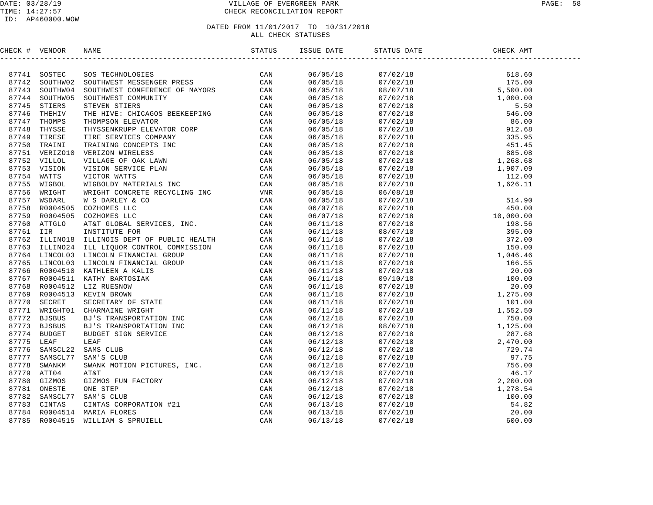#### DATE: 03/28/19 VILLAGE OF EVERGREEN PARK PAGE: 58 TIME: 14:27:57 CHECK RECONCILIATION REPORT

| CHECK # VENDOR | NAME STATUS STATUS ISSUE DATE STATUS ISSUE DEN STATUS                                                                                                                                                                        | ISSUE DATE STATUS DATE |  |  |
|----------------|------------------------------------------------------------------------------------------------------------------------------------------------------------------------------------------------------------------------------|------------------------|--|--|
|                | NERGY & VENDOR MARIA SCITTERING TREATEST IN A SUPPRED AND A STANDAPTED AND A STANDAPTED AND A STANDAPTED OF THE STANDAPTED ON A STANDAPTED TO A STANDAPTED TO A STANDAPTED AND CONSULTED AND STANDAPTED TO A STANDAPTED TO A |                        |  |  |
|                |                                                                                                                                                                                                                              |                        |  |  |
|                |                                                                                                                                                                                                                              |                        |  |  |
|                |                                                                                                                                                                                                                              |                        |  |  |
|                |                                                                                                                                                                                                                              |                        |  |  |
|                |                                                                                                                                                                                                                              |                        |  |  |
|                |                                                                                                                                                                                                                              |                        |  |  |
|                |                                                                                                                                                                                                                              |                        |  |  |
|                |                                                                                                                                                                                                                              |                        |  |  |
|                |                                                                                                                                                                                                                              |                        |  |  |
|                |                                                                                                                                                                                                                              |                        |  |  |
|                |                                                                                                                                                                                                                              |                        |  |  |
|                |                                                                                                                                                                                                                              |                        |  |  |
|                |                                                                                                                                                                                                                              |                        |  |  |
|                |                                                                                                                                                                                                                              |                        |  |  |
|                |                                                                                                                                                                                                                              |                        |  |  |
|                |                                                                                                                                                                                                                              |                        |  |  |
|                |                                                                                                                                                                                                                              |                        |  |  |
|                |                                                                                                                                                                                                                              |                        |  |  |
|                |                                                                                                                                                                                                                              |                        |  |  |
|                |                                                                                                                                                                                                                              |                        |  |  |
|                |                                                                                                                                                                                                                              |                        |  |  |
|                |                                                                                                                                                                                                                              |                        |  |  |
|                |                                                                                                                                                                                                                              |                        |  |  |
|                |                                                                                                                                                                                                                              |                        |  |  |
|                |                                                                                                                                                                                                                              |                        |  |  |
|                |                                                                                                                                                                                                                              |                        |  |  |
|                |                                                                                                                                                                                                                              |                        |  |  |
|                |                                                                                                                                                                                                                              |                        |  |  |
|                |                                                                                                                                                                                                                              |                        |  |  |
|                |                                                                                                                                                                                                                              |                        |  |  |
|                |                                                                                                                                                                                                                              |                        |  |  |
|                |                                                                                                                                                                                                                              |                        |  |  |
|                |                                                                                                                                                                                                                              |                        |  |  |
|                |                                                                                                                                                                                                                              |                        |  |  |
|                |                                                                                                                                                                                                                              |                        |  |  |
|                |                                                                                                                                                                                                                              |                        |  |  |
|                |                                                                                                                                                                                                                              |                        |  |  |
|                |                                                                                                                                                                                                                              |                        |  |  |
|                |                                                                                                                                                                                                                              |                        |  |  |
|                |                                                                                                                                                                                                                              |                        |  |  |
|                |                                                                                                                                                                                                                              |                        |  |  |
|                |                                                                                                                                                                                                                              |                        |  |  |
|                |                                                                                                                                                                                                                              |                        |  |  |
|                |                                                                                                                                                                                                                              |                        |  |  |
|                |                                                                                                                                                                                                                              |                        |  |  |
|                |                                                                                                                                                                                                                              |                        |  |  |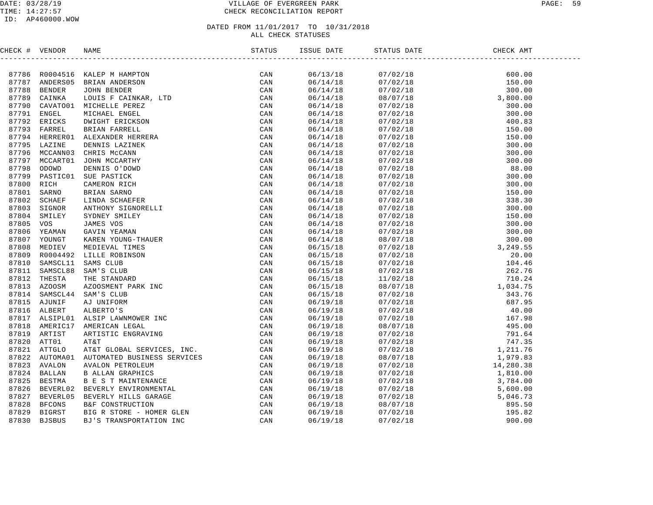#### DATE: 03/28/19 VILLAGE OF EVERGREEN PARK PAGE: 59 TIME: 14:27:57 CHECK RECONCILIATION REPORT

#### ID: AP460000.WOW

| CHECK # VENDOR |  |  |  |  |
|----------------|--|--|--|--|
|                |  |  |  |  |
|                |  |  |  |  |
|                |  |  |  |  |
|                |  |  |  |  |
|                |  |  |  |  |
|                |  |  |  |  |
|                |  |  |  |  |
|                |  |  |  |  |
|                |  |  |  |  |
|                |  |  |  |  |
|                |  |  |  |  |
|                |  |  |  |  |
|                |  |  |  |  |
|                |  |  |  |  |
|                |  |  |  |  |
|                |  |  |  |  |
|                |  |  |  |  |
|                |  |  |  |  |
|                |  |  |  |  |
|                |  |  |  |  |
|                |  |  |  |  |
|                |  |  |  |  |
|                |  |  |  |  |
|                |  |  |  |  |
|                |  |  |  |  |
|                |  |  |  |  |
|                |  |  |  |  |
|                |  |  |  |  |
|                |  |  |  |  |
|                |  |  |  |  |
|                |  |  |  |  |
|                |  |  |  |  |
|                |  |  |  |  |
|                |  |  |  |  |
|                |  |  |  |  |
|                |  |  |  |  |
|                |  |  |  |  |
|                |  |  |  |  |
|                |  |  |  |  |
|                |  |  |  |  |
|                |  |  |  |  |
|                |  |  |  |  |
|                |  |  |  |  |
|                |  |  |  |  |
|                |  |  |  |  |
|                |  |  |  |  |
|                |  |  |  |  |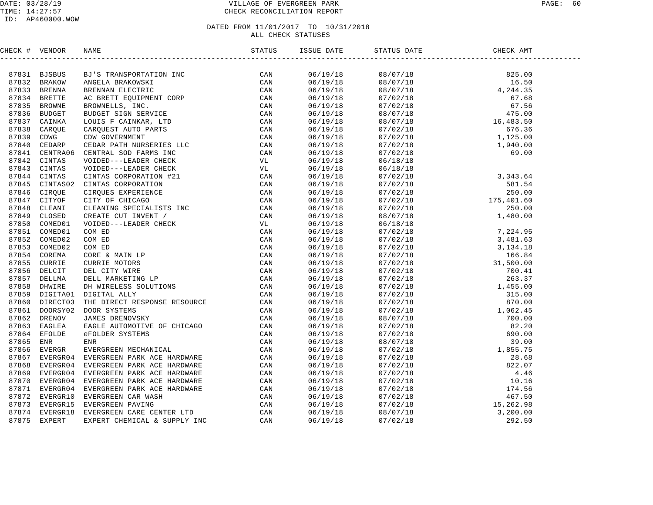#### DATE: 03/28/19 VILLAGE OF EVERGREEN PARK PAGE: 60 TIME: 14:27:57 CHECK RECONCILIATION REPORT

#### ID: AP460000.WOW

| CHECK # VENDOR |  |  | STATUS DATE |  |
|----------------|--|--|-------------|--|
|                |  |  |             |  |
|                |  |  |             |  |
|                |  |  |             |  |
|                |  |  |             |  |
|                |  |  |             |  |
|                |  |  |             |  |
|                |  |  |             |  |
|                |  |  |             |  |
|                |  |  |             |  |
|                |  |  |             |  |
|                |  |  |             |  |
|                |  |  |             |  |
|                |  |  |             |  |
|                |  |  |             |  |
|                |  |  |             |  |
|                |  |  |             |  |
|                |  |  |             |  |
|                |  |  |             |  |
|                |  |  |             |  |
|                |  |  |             |  |
|                |  |  |             |  |
|                |  |  |             |  |
|                |  |  |             |  |
|                |  |  |             |  |
|                |  |  |             |  |
|                |  |  |             |  |
|                |  |  |             |  |
|                |  |  |             |  |
|                |  |  |             |  |
|                |  |  |             |  |
|                |  |  |             |  |
|                |  |  |             |  |
|                |  |  |             |  |
|                |  |  |             |  |
|                |  |  |             |  |
|                |  |  |             |  |
|                |  |  |             |  |
|                |  |  |             |  |
|                |  |  |             |  |
|                |  |  |             |  |
|                |  |  |             |  |
|                |  |  |             |  |
|                |  |  |             |  |
|                |  |  |             |  |
|                |  |  |             |  |
|                |  |  |             |  |
|                |  |  |             |  |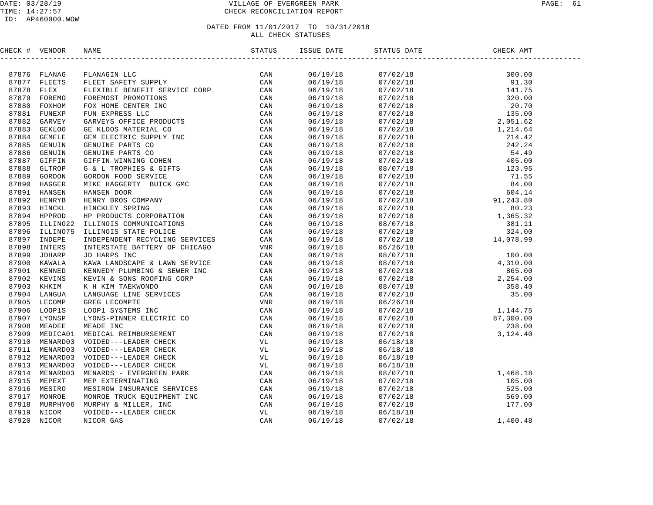#### DATE: 03/28/19 PAGE: 61 PAGE: 61 TIME: 14:27:57 CHECK RECONCILIATION REPORT

#### ID: AP460000.WOW

| CHECK # VENDOR |                | NAME | ISSUE DATE | STATUS DATE                                                                                                                                                                                                                 | CHECK AMT |  |
|----------------|----------------|------|------------|-----------------------------------------------------------------------------------------------------------------------------------------------------------------------------------------------------------------------------|-----------|--|
|                |                |      |            |                                                                                                                                                                                                                             |           |  |
|                | 87876 FLANAG   |      | 06/19/18   |                                                                                                                                                                                                                             |           |  |
|                | 87877 FLEETS   |      | 06/19/18   |                                                                                                                                                                                                                             |           |  |
| 87878 FLEX     |                |      | 06/19/18   |                                                                                                                                                                                                                             |           |  |
|                | 87879 FOREMO   |      | 06/19/18   |                                                                                                                                                                                                                             |           |  |
|                | 87880 FOXHOM   |      | 06/19/18   |                                                                                                                                                                                                                             |           |  |
|                | 87881 FUNEXP   |      | 06/19/18   |                                                                                                                                                                                                                             |           |  |
|                | 87882 GARVEY   |      | 06/19/18   |                                                                                                                                                                                                                             |           |  |
| 87883          | <b>GEKLOO</b>  |      | 06/19/18   |                                                                                                                                                                                                                             |           |  |
|                | 87884 GEMELE   |      | 06/19/18   |                                                                                                                                                                                                                             |           |  |
|                | 87885 GENUIN   |      | 06/19/18   |                                                                                                                                                                                                                             |           |  |
|                | 87886 GENUIN   |      | 06/19/18   |                                                                                                                                                                                                                             |           |  |
| 87887          | GIFFIN         |      | 06/19/18   |                                                                                                                                                                                                                             |           |  |
| 87888          | GLTROP         |      | 06/19/18   |                                                                                                                                                                                                                             |           |  |
|                | 87889 GORDON   |      | 06/19/18   |                                                                                                                                                                                                                             |           |  |
|                | 87890 HAGGER   |      | 06/19/18   |                                                                                                                                                                                                                             |           |  |
|                | 87891 HANSEN   |      | 06/19/18   |                                                                                                                                                                                                                             |           |  |
|                | 87892 HENRYB   |      | 06/19/18   |                                                                                                                                                                                                                             |           |  |
|                | 87893 HINCKL   |      | 06/19/18   |                                                                                                                                                                                                                             |           |  |
|                | 87894 HPPROD   |      | 06/19/18   |                                                                                                                                                                                                                             |           |  |
|                | 87895 ILLINO22 |      | 06/19/18   |                                                                                                                                                                                                                             |           |  |
|                | 87896 ILLINO75 |      | 06/19/18   |                                                                                                                                                                                                                             |           |  |
| 87897          | INDEPE         |      | 06/19/18   |                                                                                                                                                                                                                             |           |  |
|                | 87898 INTERS   |      | 06/19/18   |                                                                                                                                                                                                                             |           |  |
| 87899          | JDHARP         |      | 06/19/18   |                                                                                                                                                                                                                             |           |  |
|                | 87900 KAWALA   |      | 06/19/18   |                                                                                                                                                                                                                             |           |  |
|                | 87901 KENNED   |      | 06/19/18   |                                                                                                                                                                                                                             |           |  |
|                | 87902 KEVINS   |      | 06/19/18   |                                                                                                                                                                                                                             |           |  |
|                | 87903 KHKIM    |      | 06/19/18   |                                                                                                                                                                                                                             |           |  |
|                | 87904 LANGUA   |      | 06/19/18   |                                                                                                                                                                                                                             |           |  |
|                | 87905 LECOMP   |      | 06/19/18   |                                                                                                                                                                                                                             |           |  |
|                | 87906 LOOP1S   |      | 06/19/18   |                                                                                                                                                                                                                             |           |  |
|                | 87907 LYONSP   |      | 06/19/18   |                                                                                                                                                                                                                             |           |  |
|                | 87908 MEADEE   |      | 06/19/18   |                                                                                                                                                                                                                             |           |  |
|                | 87909 MEDICA01 |      | 06/19/18   |                                                                                                                                                                                                                             |           |  |
|                | 87910 MENARD03 |      | 06/19/18   | 06/18/18                                                                                                                                                                                                                    |           |  |
|                | 87911 MENARD03 |      | 06/19/18   | 06/18/18                                                                                                                                                                                                                    |           |  |
|                | 87912 MENARD03 |      | 06/19/18   | 06/18/18                                                                                                                                                                                                                    |           |  |
|                | 87913 MENARD03 |      | 06/19/18   | 06/18/18                                                                                                                                                                                                                    |           |  |
|                | 87914 MENARD03 |      | 06/19/18   |                                                                                                                                                                                                                             |           |  |
|                | 87915 MEPEXT   |      | 06/19/18   |                                                                                                                                                                                                                             |           |  |
|                | 87916 MESIRO   |      | 06/19/18   |                                                                                                                                                                                                                             |           |  |
|                | 87917 MONROE   |      | 06/19/18   |                                                                                                                                                                                                                             |           |  |
| 87918          | MURPHY06       |      | 06/19/18   |                                                                                                                                                                                                                             |           |  |
| 87919          | NICOR          |      | 06/19/18   |                                                                                                                                                                                                                             |           |  |
| 87920          | NICOR          |      | 06/19/18   | $\begin{array}{cccc} 06/18/18 & & & & & 1,468.18 \\ 08/07/18 & & & & 1,468.18 \\ 07/02/18 & & & 105.00 \\ 07/02/18 & & & 525.00 \\ 07/02/18 & & & 569.00 \\ 07/02/18 & & & 177.00 \\ 06/18/18 & & & & 1,400.48 \end{array}$ |           |  |
|                |                |      |            |                                                                                                                                                                                                                             |           |  |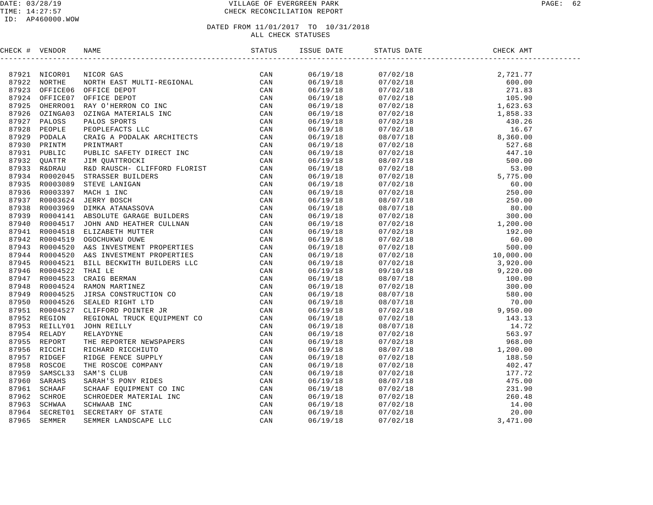#### DATE: 03/28/19 VILLAGE OF EVERGREEN PARK PAGE: 62 TIME: 14:27:57 CHECK RECONCILIATION REPORT

#### ID: AP460000.WOW

| CHECK # VENDOR |                                                                                                                                                                                                                               |                                  | STATUS DATE CHEC | CHECK AMT                                                                                                                                                                                                                                                                                                                      |  |
|----------------|-------------------------------------------------------------------------------------------------------------------------------------------------------------------------------------------------------------------------------|----------------------------------|------------------|--------------------------------------------------------------------------------------------------------------------------------------------------------------------------------------------------------------------------------------------------------------------------------------------------------------------------------|--|
|                | :CX # VENDOR MANS THE REPORT ON CAN STAND THE REPORT ON A STANDAPTER CAN STAND INTO THE REPORT OF THE REPORT ON A STANDAPTER CAN STAND THE REPORT OF THE REPORT OF THE REPORT OF THE REPORT OF THE REPORT OF THE REPORT OF TH |                                  |                  | $\begin{tabular}{l c c c} SINUS DANSE\\[-2mm] $\begin{array}{l} \multicolumn{1}{l}{017/02/18} & 2,721.77 \\[-2mm] \hline 07/02/18 & 2,721.77 \\[-2mm] \hline 07/02/18 & 271.73 \\[-2mm] \hline 07/02/18 & 16.90.00 \\[-2mm] \hline 07/02/18 & 1,858.33 \\[-2mm] \hline 07/02/18 & 1,858.33 \\[-2mm] \hline 07/02/18 & 1,858.3$ |  |
|                |                                                                                                                                                                                                                               | 06/19/18<br>06/19/18             |                  |                                                                                                                                                                                                                                                                                                                                |  |
|                |                                                                                                                                                                                                                               |                                  |                  |                                                                                                                                                                                                                                                                                                                                |  |
|                |                                                                                                                                                                                                                               | 06/19/18                         |                  |                                                                                                                                                                                                                                                                                                                                |  |
|                |                                                                                                                                                                                                                               | 06/19/18<br>06/19/18             |                  |                                                                                                                                                                                                                                                                                                                                |  |
|                |                                                                                                                                                                                                                               |                                  |                  |                                                                                                                                                                                                                                                                                                                                |  |
|                |                                                                                                                                                                                                                               | 06/19/18                         |                  |                                                                                                                                                                                                                                                                                                                                |  |
|                |                                                                                                                                                                                                                               | 06/19/18                         |                  |                                                                                                                                                                                                                                                                                                                                |  |
|                |                                                                                                                                                                                                                               | 06/19/18<br>06/19/18             |                  |                                                                                                                                                                                                                                                                                                                                |  |
|                |                                                                                                                                                                                                                               |                                  |                  |                                                                                                                                                                                                                                                                                                                                |  |
|                |                                                                                                                                                                                                                               | 06/19/18                         |                  |                                                                                                                                                                                                                                                                                                                                |  |
|                |                                                                                                                                                                                                                               | 06/19/18                         |                  |                                                                                                                                                                                                                                                                                                                                |  |
|                |                                                                                                                                                                                                                               | 06/19/18                         |                  |                                                                                                                                                                                                                                                                                                                                |  |
|                |                                                                                                                                                                                                                               | 06/19/18<br>06/19/18             |                  |                                                                                                                                                                                                                                                                                                                                |  |
|                |                                                                                                                                                                                                                               | 06/19/18                         |                  |                                                                                                                                                                                                                                                                                                                                |  |
|                |                                                                                                                                                                                                                               | 06/19/18                         |                  |                                                                                                                                                                                                                                                                                                                                |  |
|                |                                                                                                                                                                                                                               | 06/19/18                         |                  |                                                                                                                                                                                                                                                                                                                                |  |
|                |                                                                                                                                                                                                                               | 06/19/18<br>06/19/18             |                  |                                                                                                                                                                                                                                                                                                                                |  |
|                |                                                                                                                                                                                                                               |                                  |                  |                                                                                                                                                                                                                                                                                                                                |  |
|                |                                                                                                                                                                                                                               | 06/19/18                         |                  |                                                                                                                                                                                                                                                                                                                                |  |
|                |                                                                                                                                                                                                                               |                                  |                  |                                                                                                                                                                                                                                                                                                                                |  |
|                |                                                                                                                                                                                                                               | 06/19/18<br>06/19/18             |                  |                                                                                                                                                                                                                                                                                                                                |  |
|                |                                                                                                                                                                                                                               | $06/19/18$<br>$06/19/18$         |                  |                                                                                                                                                                                                                                                                                                                                |  |
|                |                                                                                                                                                                                                                               |                                  |                  |                                                                                                                                                                                                                                                                                                                                |  |
|                |                                                                                                                                                                                                                               |                                  |                  |                                                                                                                                                                                                                                                                                                                                |  |
|                |                                                                                                                                                                                                                               | 06/19/18<br>06/19/18             |                  |                                                                                                                                                                                                                                                                                                                                |  |
|                |                                                                                                                                                                                                                               | 06/19/18<br>06/19/18<br>06/19/18 |                  |                                                                                                                                                                                                                                                                                                                                |  |
|                |                                                                                                                                                                                                                               |                                  |                  |                                                                                                                                                                                                                                                                                                                                |  |
|                |                                                                                                                                                                                                                               |                                  |                  |                                                                                                                                                                                                                                                                                                                                |  |
|                |                                                                                                                                                                                                                               | 06/19/18                         |                  |                                                                                                                                                                                                                                                                                                                                |  |
|                |                                                                                                                                                                                                                               | 06/19/18                         |                  |                                                                                                                                                                                                                                                                                                                                |  |
|                |                                                                                                                                                                                                                               | 06/19/18                         |                  |                                                                                                                                                                                                                                                                                                                                |  |
|                |                                                                                                                                                                                                                               | 06/19/18                         |                  |                                                                                                                                                                                                                                                                                                                                |  |
|                |                                                                                                                                                                                                                               | 06/19/18                         |                  |                                                                                                                                                                                                                                                                                                                                |  |
|                |                                                                                                                                                                                                                               | 06/19/18                         |                  |                                                                                                                                                                                                                                                                                                                                |  |
|                |                                                                                                                                                                                                                               | 06/19/18                         |                  |                                                                                                                                                                                                                                                                                                                                |  |
|                |                                                                                                                                                                                                                               | 06/19/18<br>06/19/18             |                  |                                                                                                                                                                                                                                                                                                                                |  |
|                |                                                                                                                                                                                                                               |                                  |                  |                                                                                                                                                                                                                                                                                                                                |  |
|                |                                                                                                                                                                                                                               | 06/19/18                         |                  |                                                                                                                                                                                                                                                                                                                                |  |
|                |                                                                                                                                                                                                                               | 06/19/18                         |                  |                                                                                                                                                                                                                                                                                                                                |  |
|                |                                                                                                                                                                                                                               | 06/19/18                         |                  |                                                                                                                                                                                                                                                                                                                                |  |
|                |                                                                                                                                                                                                                               | 06/19/18                         |                  |                                                                                                                                                                                                                                                                                                                                |  |
|                |                                                                                                                                                                                                                               |                                  |                  |                                                                                                                                                                                                                                                                                                                                |  |
|                |                                                                                                                                                                                                                               | 06/19/18<br>06/19/18             |                  |                                                                                                                                                                                                                                                                                                                                |  |
|                |                                                                                                                                                                                                                               | 06/19/18                         |                  |                                                                                                                                                                                                                                                                                                                                |  |
|                |                                                                                                                                                                                                                               | 06/19/18                         |                  |                                                                                                                                                                                                                                                                                                                                |  |
|                |                                                                                                                                                                                                                               |                                  |                  |                                                                                                                                                                                                                                                                                                                                |  |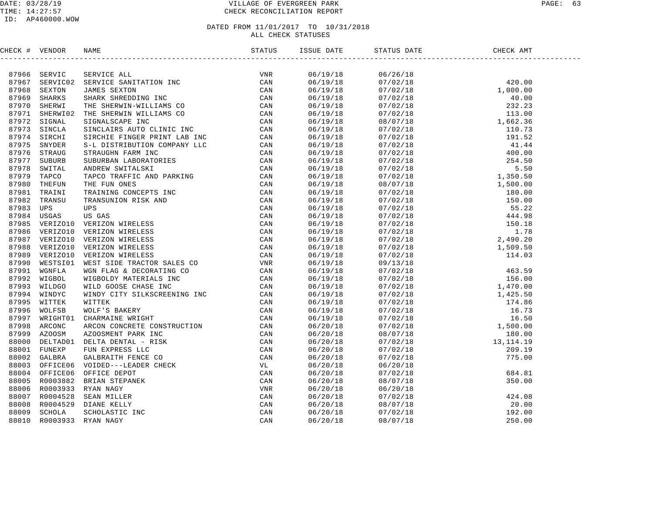### DATE: 03/28/19 VILLAGE OF EVERGREEN PARK PAGE: 63 TIME: 14:27:57 CHECK RECONCILIATION REPORT

#### ID: AP460000.WOW

### DATED FROM 11/01/2017 TO 10/31/2018 ALL CHECK STATUSES

CHECK # VENDOR NAME STATUS ISSUE DATE STATUS DATE CHECK AMT ------------------------------------------------------------------------------------------------------------------------------------87966 SERVIC SERVICE ALL VNR 06/19/18 06/26/18 87967 SERVIC02 SERVICE SANITATION INC CAN 06/19/18 07/02/18 420.00 87968 SEXTON JAMES SEXTON CAN 06/19/18 07/02/18 1,000.00 87969 SHARKS SHARK SHREDDING INC CAN 06/19/18 07/02/18 40.00 87970 SHERWI THE SHERWIN-WILLIAMS CO CAN 06/19/18 07/02/18 232.23 87971 SHERWI02 THE SHERWIN WILLIAMS CO CAN 06/19/18 07/02/18 113.00 87972 SIGNAL SIGNALSCAPE INC CAN 06/19/18 08/07/18 1,662.36 87973 SINCLA SINCLAIRS AUTO CLINIC INC CAN 06/19/18 07/02/18 110.73 87974 SIRCHI SIRCHIE FINGER PRINT LAB INC CAN 06/19/18 07/02/18 191.52 87975 SNYDER S-L DISTRIBUTION COMPANY LLC CAN 06/19/18 07/02/18 41.44 87976 STRAUG STRAUGHN FARM INC CAN 06/19/18 07/02/18 400.00 87977 SUBURB SUBURBAN LABORATORIES CAN 06/19/18 07/02/18 254.50 87978 SWITAL ANDREW SWITALSKI CAN 06/19/18 07/02/18 5.50 87979 TAPCO TAPCO TRAFFIC AND PARKING CAN 06/19/18 07/02/18 1,350.50 87980 THEFUN THE FUN ONES CAN 06/19/18 08/07/18 1,500.00 87981 TRAINI TRAINING CONCEPTS INC CAN 06/19/18 07/02/18 180.00 87982 TRANSU TRANSUNION RISK AND CAN 06/19/18 07/02/18 150.00 87983 UPS UPS CAN 06/19/18 07/02/18 55.22 87984 USGAS US GAS CAN 06/19/18 07/02/18 444.98 87985 VERIZO10 VERIZON WIRELESS CAN 06/19/18 07/02/18 150.18 87986 VERIZO10 VERIZON WIRELESS CAN 06/19/18 07/02/18 1.78 87987 VERIZO10 VERIZON WIRELESS CAN 06/19/18 07/02/18 2,490.20 87988 VERIZO10 VERIZON WIRELESS CAN 06/19/18 07/02/18 1,509.50 87989 VERIZO10 VERIZON WIRELESS CAN 06/19/18 07/02/18 114.03 87990 WESTSI01 WEST SIDE TRACTOR SALES CO VNR 06/19/18 09/13/18 87991 WGNFLA WGN FLAG & DECORATING CO CAN 06/19/18 07/02/18 463.59 87992 WIGBOL WIGBOLDY MATERIALS INC CAN 06/19/18 07/02/18 156.00 87993 WILDGO WILD GOOSE CHASE INC CAN 06/19/18 07/02/18 1,470.00 87994 WINDYC WINDY CITY SILKSCREENING INC CAN 06/19/18 07/02/18 1,425.50 87995 WITTEK WITTEK CAN 06/19/18 07/02/18 174.86 87996 WOLFSB WOLF'S BAKERY CAN 06/19/18 07/02/18 16.73 87997 WRIGHT01 CHARMAINE WRIGHT CAN 06/19/18 07/02/18 16.50 87998 ARCONC ARCON CONCRETE CONSTRUCTION CAN 06/20/18 07/02/18 1,500.00 87999 AZOOSM AZOOSMENT PARK INC CAN 06/20/18 08/07/18 180.00 88000 DELTAD01 DELTA DENTAL - RISK CAN 06/20/18 07/02/18 13,114.19 88001 FUNEXP FUN EXPRESS LLC CAN 06/20/18 07/02/18 209.19 88002 GALBRA GALBRAITH FENCE CO CAN 06/20/18 07/02/18 775.00 88003 OFFICE06 VOIDED---LEADER CHECK VL 06/20/18 06/20/18 88004 OFFICE06 OFFICE DEPOT CAN 06/20/18 07/02/18 684.81 88005 R0003882 BRIAN STEPANEK CAN 06/20/18 08/07/18 350.00 88006 R0003933 RYAN NAGY VNR 06/20/18 06/20/18 88007 R0004528 SEAN MILLER CAN 06/20/18 07/02/18 424.08 88008 R0004529 DIANE KELLY CAN 06/20/18 08/07/18 20.00 88009 SCHOLA SCHOLASTIC INC CAN 06/20/18 07/02/18 192.00 88010 R0003933 RYAN NAGY CAN 06/20/18 08/07/18 250.00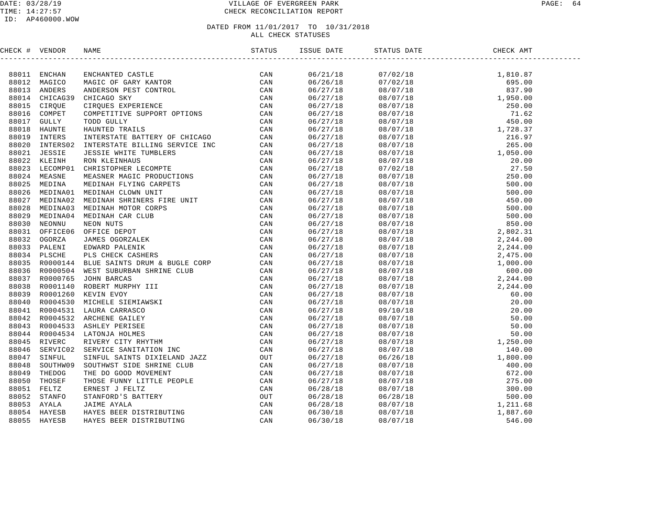#### DATE: 03/28/19 PAGE: 64 PAGE: 64 TIME: 14:27:57 CHECK RECONCILIATION REPORT

| CHECK # VENDOR | NAME |  | CHECK AMT |  |
|----------------|------|--|-----------|--|
|                |      |  |           |  |
|                |      |  |           |  |
|                |      |  |           |  |
|                |      |  |           |  |
|                |      |  |           |  |
|                |      |  |           |  |
|                |      |  |           |  |
|                |      |  |           |  |
|                |      |  |           |  |
|                |      |  |           |  |
|                |      |  |           |  |
|                |      |  |           |  |
|                |      |  |           |  |
|                |      |  |           |  |
|                |      |  |           |  |
|                |      |  |           |  |
|                |      |  |           |  |
|                |      |  |           |  |
|                |      |  |           |  |
|                |      |  |           |  |
|                |      |  |           |  |
|                |      |  |           |  |
|                |      |  |           |  |
|                |      |  |           |  |
|                |      |  |           |  |
|                |      |  |           |  |
|                |      |  |           |  |
|                |      |  |           |  |
|                |      |  |           |  |
|                |      |  |           |  |
|                |      |  |           |  |
|                |      |  |           |  |
|                |      |  |           |  |
|                |      |  |           |  |
|                |      |  |           |  |
|                |      |  |           |  |
|                |      |  |           |  |
|                |      |  |           |  |
|                |      |  |           |  |
|                |      |  |           |  |
|                |      |  |           |  |
|                |      |  |           |  |
|                |      |  |           |  |
|                |      |  |           |  |
|                |      |  |           |  |
|                |      |  |           |  |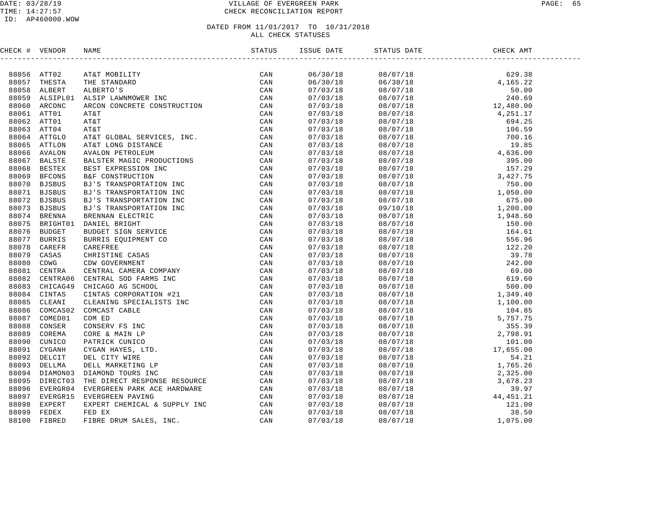#### DATE: 03/28/19 VILLAGE OF EVERGREEN PARK PAGE: 65 TIME: 14:27:57 CHECK RECONCILIATION REPORT

| CHECK # VENDOR |                | <b>NAME</b> | ISSUE DATE | STATUS DATE                                                                                                                                                                                                                                                                                                                                                                  | CHECK AMT |  |
|----------------|----------------|-------------|------------|------------------------------------------------------------------------------------------------------------------------------------------------------------------------------------------------------------------------------------------------------------------------------------------------------------------------------------------------------------------------------|-----------|--|
|                |                |             |            | $\begin{tabular}{l c c c} \hline \textbf{S1-01} & \textbf{GHEY AMM} \\[-2mm] \hline \textbf{13-02} & \textbf{08/07/18} & \textbf{0.00} \\[-2mm] \hline \textbf{08/07/18} & \textbf{0.00} \\[-2mm] \hline \textbf{08/07/18} & \textbf{0.00} \\[-2mm] \hline \textbf{08/07/18} & \textbf{0.00} \\[-2mm] \hline \textbf{08/07/18} & \textbf{0.00} \\[-2mm] \hline \textbf{08/0$ |           |  |
|                | 88056 ATT02    |             | 06/30/18   |                                                                                                                                                                                                                                                                                                                                                                              |           |  |
|                | 88057 THESTA   |             | 06/30/18   |                                                                                                                                                                                                                                                                                                                                                                              |           |  |
|                | 88058 ALBERT   |             | 07/03/18   |                                                                                                                                                                                                                                                                                                                                                                              |           |  |
|                | 88059 ALSIPL01 |             | 07/03/18   |                                                                                                                                                                                                                                                                                                                                                                              |           |  |
|                | 88060 ARCONC   |             | 07/03/18   |                                                                                                                                                                                                                                                                                                                                                                              |           |  |
|                | 88061 ATT01    |             | 07/03/18   |                                                                                                                                                                                                                                                                                                                                                                              |           |  |
|                | 88062 ATT01    |             | 07/03/18   |                                                                                                                                                                                                                                                                                                                                                                              |           |  |
|                | 88063 ATT04    |             | 07/03/18   |                                                                                                                                                                                                                                                                                                                                                                              |           |  |
|                | 88064 ATTGLO   |             | 07/03/18   |                                                                                                                                                                                                                                                                                                                                                                              |           |  |
| 88065          | ATTLON         |             | 07/03/18   |                                                                                                                                                                                                                                                                                                                                                                              |           |  |
|                | 88066 AVALON   |             | 07/03/18   |                                                                                                                                                                                                                                                                                                                                                                              |           |  |
| 88067          | <b>BALSTE</b>  |             | 07/03/18   |                                                                                                                                                                                                                                                                                                                                                                              |           |  |
| 88068          | <b>BESTEX</b>  |             | 07/03/18   |                                                                                                                                                                                                                                                                                                                                                                              |           |  |
|                | 88069 BFCONS   |             | 07/03/18   |                                                                                                                                                                                                                                                                                                                                                                              |           |  |
|                | 88070 BJSBUS   |             | 07/03/18   |                                                                                                                                                                                                                                                                                                                                                                              |           |  |
|                | 88071 BJSBUS   |             | 07/03/18   |                                                                                                                                                                                                                                                                                                                                                                              |           |  |
| 88072          | <b>BJSBUS</b>  |             | 07/03/18   |                                                                                                                                                                                                                                                                                                                                                                              |           |  |
| 88073          | <b>BJSBUS</b>  |             | 07/03/18   |                                                                                                                                                                                                                                                                                                                                                                              |           |  |
| 88074          | BRENNA         |             | 07/03/18   |                                                                                                                                                                                                                                                                                                                                                                              |           |  |
| 88075          | BRIGHT01       |             | 07/03/18   |                                                                                                                                                                                                                                                                                                                                                                              |           |  |
| 88076          | <b>BUDGET</b>  |             | 07/03/18   |                                                                                                                                                                                                                                                                                                                                                                              |           |  |
| 88077          | <b>BURRIS</b>  |             | 07/03/18   |                                                                                                                                                                                                                                                                                                                                                                              |           |  |
| 88078          | CAREFR         |             | 07/03/18   |                                                                                                                                                                                                                                                                                                                                                                              |           |  |
| 88079          | CASAS          |             | 07/03/18   |                                                                                                                                                                                                                                                                                                                                                                              |           |  |
| 88080          | CDWG           |             | 07/03/18   |                                                                                                                                                                                                                                                                                                                                                                              |           |  |
| 88081          | CENTRA         |             | 07/03/18   |                                                                                                                                                                                                                                                                                                                                                                              |           |  |
| 88082          | CENTRA06       |             | 07/03/18   |                                                                                                                                                                                                                                                                                                                                                                              |           |  |
|                | 88083 CHICAG49 |             | 07/03/18   |                                                                                                                                                                                                                                                                                                                                                                              |           |  |
| 88084          | CINTAS         |             | 07/03/18   |                                                                                                                                                                                                                                                                                                                                                                              |           |  |
| 88085          | CLEANI         |             | 07/03/18   |                                                                                                                                                                                                                                                                                                                                                                              |           |  |
| 88086          | COMCAS02       |             | 07/03/18   |                                                                                                                                                                                                                                                                                                                                                                              |           |  |
| 88087          | COMED01        |             | 07/03/18   |                                                                                                                                                                                                                                                                                                                                                                              |           |  |
| 88088          | CONSER         |             | 07/03/18   |                                                                                                                                                                                                                                                                                                                                                                              |           |  |
| 88089          | COREMA         |             | 07/03/18   |                                                                                                                                                                                                                                                                                                                                                                              |           |  |
| 88090          | CUNICO         |             | 07/03/18   |                                                                                                                                                                                                                                                                                                                                                                              |           |  |
| 88091          | CYGANH         |             | 07/03/18   |                                                                                                                                                                                                                                                                                                                                                                              |           |  |
|                | 88092 DELCIT   |             | 07/03/18   |                                                                                                                                                                                                                                                                                                                                                                              |           |  |
|                | 88093 DELLMA   |             | 07/03/18   |                                                                                                                                                                                                                                                                                                                                                                              |           |  |
|                | 88094 DIAMON03 |             | 07/03/18   |                                                                                                                                                                                                                                                                                                                                                                              |           |  |
| 88095          | DIRECT03       |             | 07/03/18   |                                                                                                                                                                                                                                                                                                                                                                              |           |  |
|                | 88096 EVERGR04 |             | 07/03/18   |                                                                                                                                                                                                                                                                                                                                                                              |           |  |
| 88097          | EVERGR15       |             | 07/03/18   |                                                                                                                                                                                                                                                                                                                                                                              |           |  |
| 88098          | EXPERT         |             | 07/03/18   |                                                                                                                                                                                                                                                                                                                                                                              |           |  |
| 88099          | FEDEX          |             | 07/03/18   |                                                                                                                                                                                                                                                                                                                                                                              |           |  |
| 88100          | FIBRED         |             | 07/03/18   |                                                                                                                                                                                                                                                                                                                                                                              |           |  |
|                |                |             |            |                                                                                                                                                                                                                                                                                                                                                                              |           |  |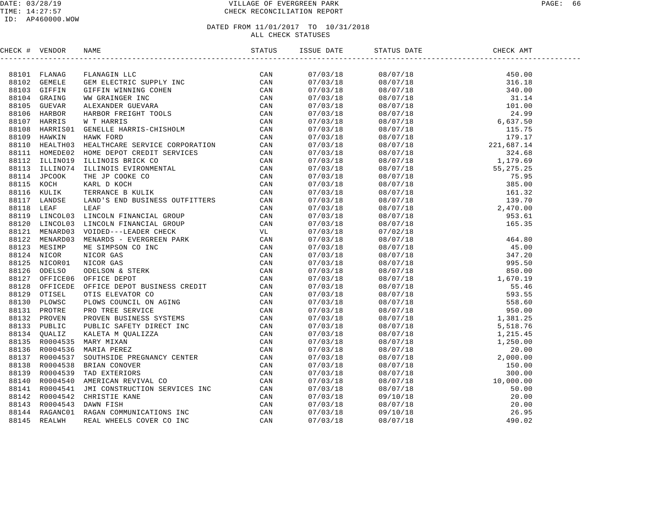### DATE: 03/28/19 VILLAGE OF EVERGREEN PARK PAGE: 66 TIME: 14:27:57 CHECK RECONCILIATION REPORT

| CHECK # VENDOR |                                                                                                                                                                                                                                                                                                                                                              | ISSUE DATE | STATUS DATE | $\mathcal{L}(\mathcal{L}^{\text{max}}_{\mathcal{L}^{\text{max}}_{\mathcal{L}^{\text{max}}_{\mathcal{L}^{\text{max}}_{\mathcal{L}^{\text{max}}_{\mathcal{L}^{\text{max}}_{\mathcal{L}^{\text{max}}_{\mathcal{L}^{\text{max}}_{\mathcal{L}^{\text{max}}_{\mathcal{L}^{\text{max}}_{\mathcal{L}^{\text{max}}_{\mathcal{L}^{\text{max}}_{\mathcal{L}^{\text{max}}_{\mathcal{L}^{\text{max}}_{\mathcal{L}^{\text{max}}_{\mathcal{L}^{\text{max}}_{\mathcal{L}$<br>CHECK AMT |  |
|----------------|--------------------------------------------------------------------------------------------------------------------------------------------------------------------------------------------------------------------------------------------------------------------------------------------------------------------------------------------------------------|------------|-------------|------------------------------------------------------------------------------------------------------------------------------------------------------------------------------------------------------------------------------------------------------------------------------------------------------------------------------------------------------------------------------------------------------------------------------------------------------------------------|--|
|                | $\begin{tabular}{l cccc} \textbf{H211} & \textbf{F112000} & \textbf{H1211} & \textbf{S13111} & \textbf{S14111} & \textbf{S15111} & \textbf{S15111} & \textbf{S1511} & \textbf{S1511} & \textbf{S1511} & \textbf{S1511} & \textbf{S1511} & \textbf{S1511} & \textbf{S1511} & \textbf{S1511} & \textbf{S1511} & \textbf{S1511} & \textbf{S1511} & \textbf{S15$ |            |             |                                                                                                                                                                                                                                                                                                                                                                                                                                                                        |  |
|                |                                                                                                                                                                                                                                                                                                                                                              |            |             |                                                                                                                                                                                                                                                                                                                                                                                                                                                                        |  |
|                |                                                                                                                                                                                                                                                                                                                                                              |            |             |                                                                                                                                                                                                                                                                                                                                                                                                                                                                        |  |
|                |                                                                                                                                                                                                                                                                                                                                                              |            |             |                                                                                                                                                                                                                                                                                                                                                                                                                                                                        |  |
|                |                                                                                                                                                                                                                                                                                                                                                              |            |             |                                                                                                                                                                                                                                                                                                                                                                                                                                                                        |  |
|                |                                                                                                                                                                                                                                                                                                                                                              |            |             |                                                                                                                                                                                                                                                                                                                                                                                                                                                                        |  |
|                |                                                                                                                                                                                                                                                                                                                                                              |            |             |                                                                                                                                                                                                                                                                                                                                                                                                                                                                        |  |
|                |                                                                                                                                                                                                                                                                                                                                                              |            |             |                                                                                                                                                                                                                                                                                                                                                                                                                                                                        |  |
|                |                                                                                                                                                                                                                                                                                                                                                              |            |             |                                                                                                                                                                                                                                                                                                                                                                                                                                                                        |  |
|                |                                                                                                                                                                                                                                                                                                                                                              |            |             |                                                                                                                                                                                                                                                                                                                                                                                                                                                                        |  |
|                |                                                                                                                                                                                                                                                                                                                                                              |            |             |                                                                                                                                                                                                                                                                                                                                                                                                                                                                        |  |
|                |                                                                                                                                                                                                                                                                                                                                                              |            |             |                                                                                                                                                                                                                                                                                                                                                                                                                                                                        |  |
|                |                                                                                                                                                                                                                                                                                                                                                              |            |             |                                                                                                                                                                                                                                                                                                                                                                                                                                                                        |  |
|                |                                                                                                                                                                                                                                                                                                                                                              |            |             |                                                                                                                                                                                                                                                                                                                                                                                                                                                                        |  |
|                |                                                                                                                                                                                                                                                                                                                                                              |            |             |                                                                                                                                                                                                                                                                                                                                                                                                                                                                        |  |
|                |                                                                                                                                                                                                                                                                                                                                                              |            |             |                                                                                                                                                                                                                                                                                                                                                                                                                                                                        |  |
|                |                                                                                                                                                                                                                                                                                                                                                              |            |             |                                                                                                                                                                                                                                                                                                                                                                                                                                                                        |  |
|                |                                                                                                                                                                                                                                                                                                                                                              |            |             |                                                                                                                                                                                                                                                                                                                                                                                                                                                                        |  |
|                |                                                                                                                                                                                                                                                                                                                                                              |            |             |                                                                                                                                                                                                                                                                                                                                                                                                                                                                        |  |
|                |                                                                                                                                                                                                                                                                                                                                                              |            |             |                                                                                                                                                                                                                                                                                                                                                                                                                                                                        |  |
|                |                                                                                                                                                                                                                                                                                                                                                              |            |             |                                                                                                                                                                                                                                                                                                                                                                                                                                                                        |  |
|                |                                                                                                                                                                                                                                                                                                                                                              |            |             |                                                                                                                                                                                                                                                                                                                                                                                                                                                                        |  |
|                |                                                                                                                                                                                                                                                                                                                                                              |            |             |                                                                                                                                                                                                                                                                                                                                                                                                                                                                        |  |
|                |                                                                                                                                                                                                                                                                                                                                                              |            |             |                                                                                                                                                                                                                                                                                                                                                                                                                                                                        |  |
|                |                                                                                                                                                                                                                                                                                                                                                              |            |             |                                                                                                                                                                                                                                                                                                                                                                                                                                                                        |  |
|                |                                                                                                                                                                                                                                                                                                                                                              |            |             |                                                                                                                                                                                                                                                                                                                                                                                                                                                                        |  |
|                |                                                                                                                                                                                                                                                                                                                                                              |            |             |                                                                                                                                                                                                                                                                                                                                                                                                                                                                        |  |
|                |                                                                                                                                                                                                                                                                                                                                                              |            |             |                                                                                                                                                                                                                                                                                                                                                                                                                                                                        |  |
|                |                                                                                                                                                                                                                                                                                                                                                              |            |             |                                                                                                                                                                                                                                                                                                                                                                                                                                                                        |  |
|                |                                                                                                                                                                                                                                                                                                                                                              |            |             |                                                                                                                                                                                                                                                                                                                                                                                                                                                                        |  |
|                |                                                                                                                                                                                                                                                                                                                                                              |            |             |                                                                                                                                                                                                                                                                                                                                                                                                                                                                        |  |
|                |                                                                                                                                                                                                                                                                                                                                                              |            |             |                                                                                                                                                                                                                                                                                                                                                                                                                                                                        |  |
|                |                                                                                                                                                                                                                                                                                                                                                              |            |             |                                                                                                                                                                                                                                                                                                                                                                                                                                                                        |  |
|                |                                                                                                                                                                                                                                                                                                                                                              |            |             |                                                                                                                                                                                                                                                                                                                                                                                                                                                                        |  |
|                |                                                                                                                                                                                                                                                                                                                                                              |            |             |                                                                                                                                                                                                                                                                                                                                                                                                                                                                        |  |
|                |                                                                                                                                                                                                                                                                                                                                                              |            |             |                                                                                                                                                                                                                                                                                                                                                                                                                                                                        |  |
|                |                                                                                                                                                                                                                                                                                                                                                              |            |             |                                                                                                                                                                                                                                                                                                                                                                                                                                                                        |  |
|                |                                                                                                                                                                                                                                                                                                                                                              |            |             |                                                                                                                                                                                                                                                                                                                                                                                                                                                                        |  |
|                |                                                                                                                                                                                                                                                                                                                                                              |            |             |                                                                                                                                                                                                                                                                                                                                                                                                                                                                        |  |
|                |                                                                                                                                                                                                                                                                                                                                                              |            |             |                                                                                                                                                                                                                                                                                                                                                                                                                                                                        |  |
|                |                                                                                                                                                                                                                                                                                                                                                              |            |             |                                                                                                                                                                                                                                                                                                                                                                                                                                                                        |  |
|                |                                                                                                                                                                                                                                                                                                                                                              |            |             |                                                                                                                                                                                                                                                                                                                                                                                                                                                                        |  |
|                |                                                                                                                                                                                                                                                                                                                                                              |            |             |                                                                                                                                                                                                                                                                                                                                                                                                                                                                        |  |
|                |                                                                                                                                                                                                                                                                                                                                                              |            |             |                                                                                                                                                                                                                                                                                                                                                                                                                                                                        |  |
|                |                                                                                                                                                                                                                                                                                                                                                              |            |             |                                                                                                                                                                                                                                                                                                                                                                                                                                                                        |  |
|                |                                                                                                                                                                                                                                                                                                                                                              |            |             |                                                                                                                                                                                                                                                                                                                                                                                                                                                                        |  |
|                |                                                                                                                                                                                                                                                                                                                                                              |            |             |                                                                                                                                                                                                                                                                                                                                                                                                                                                                        |  |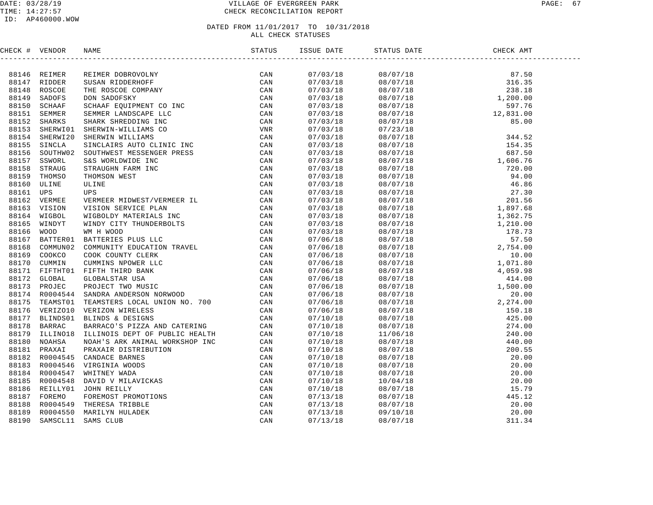#### DATE: 03/28/19 VILLAGE OF EVERGREEN PARK PAGE: 67 TIME: 14:27:57 CHECK RECONCILIATION REPORT

| CHECK # VENDOR |                                                                                                                                                                                                                                                                                                                                                                                                                     | ISSUE DATE | STATUS DATE | CHECK AMT |  |
|----------------|---------------------------------------------------------------------------------------------------------------------------------------------------------------------------------------------------------------------------------------------------------------------------------------------------------------------------------------------------------------------------------------------------------------------|------------|-------------|-----------|--|
|                | $\begin{tabular}{cccccccc} \bf 4 & $W{\rm FDDE}$ & $W{\rm EEMB}$ & $R{\rm EEMB}$ & $R{\rm EEMB}$ & $R{\rm EEMB}$ & $R{\rm EEMB}$ & $R{\rm EEMB}$ & $R{\rm EEMB}$ & $R{\rm EEMB}$ & $R{\rm EEMB}$ & $R{\rm EEMB}$ & $R{\rm EEMB}$ & $R{\rm EEMB}$ & $R{\rm EEMB}$ & $R{\rm EEMB}$ & $R{\rm EEMB}$ & $R{\rm EEMB}$ & $R{\rm EEMB}$ & $R{\rm EEMB}$ & $R{\rm EEMB}$ & $R{\rm EEMB}$ & $R{\rm EEMB}$ & $R{\rm EEMB}$ &$ |            |             |           |  |
|                |                                                                                                                                                                                                                                                                                                                                                                                                                     | 07/03/18   |             |           |  |
|                |                                                                                                                                                                                                                                                                                                                                                                                                                     | 07/03/18   |             |           |  |
|                |                                                                                                                                                                                                                                                                                                                                                                                                                     | 07/03/18   |             |           |  |
|                |                                                                                                                                                                                                                                                                                                                                                                                                                     | 07/03/18   |             |           |  |
|                |                                                                                                                                                                                                                                                                                                                                                                                                                     | 07/03/18   |             |           |  |
|                |                                                                                                                                                                                                                                                                                                                                                                                                                     | 07/03/18   |             |           |  |
|                |                                                                                                                                                                                                                                                                                                                                                                                                                     | 07/03/18   |             |           |  |
|                |                                                                                                                                                                                                                                                                                                                                                                                                                     | 07/03/18   |             |           |  |
|                |                                                                                                                                                                                                                                                                                                                                                                                                                     | 07/03/18   |             |           |  |
|                |                                                                                                                                                                                                                                                                                                                                                                                                                     | 07/03/18   |             |           |  |
|                |                                                                                                                                                                                                                                                                                                                                                                                                                     | 07/03/18   |             |           |  |
|                |                                                                                                                                                                                                                                                                                                                                                                                                                     | 07/03/18   |             |           |  |
|                |                                                                                                                                                                                                                                                                                                                                                                                                                     | 07/03/18   |             |           |  |
|                |                                                                                                                                                                                                                                                                                                                                                                                                                     | 07/03/18   |             |           |  |
|                |                                                                                                                                                                                                                                                                                                                                                                                                                     | 07/03/18   |             |           |  |
|                |                                                                                                                                                                                                                                                                                                                                                                                                                     | 07/03/18   |             |           |  |
|                |                                                                                                                                                                                                                                                                                                                                                                                                                     | 07/03/18   |             |           |  |
|                |                                                                                                                                                                                                                                                                                                                                                                                                                     | 07/03/18   |             |           |  |
|                |                                                                                                                                                                                                                                                                                                                                                                                                                     | 07/03/18   |             |           |  |
|                |                                                                                                                                                                                                                                                                                                                                                                                                                     | 07/03/18   |             |           |  |
|                |                                                                                                                                                                                                                                                                                                                                                                                                                     | 07/03/18   |             |           |  |
|                |                                                                                                                                                                                                                                                                                                                                                                                                                     | 07/06/18   |             |           |  |
|                |                                                                                                                                                                                                                                                                                                                                                                                                                     | 07/06/18   |             |           |  |
|                |                                                                                                                                                                                                                                                                                                                                                                                                                     | 07/06/18   |             |           |  |
|                |                                                                                                                                                                                                                                                                                                                                                                                                                     | 07/06/18   |             |           |  |
|                |                                                                                                                                                                                                                                                                                                                                                                                                                     | 07/06/18   |             |           |  |
|                |                                                                                                                                                                                                                                                                                                                                                                                                                     | 07/06/18   |             |           |  |
|                |                                                                                                                                                                                                                                                                                                                                                                                                                     | 07/06/18   |             |           |  |
|                |                                                                                                                                                                                                                                                                                                                                                                                                                     | 07/06/18   |             |           |  |
|                |                                                                                                                                                                                                                                                                                                                                                                                                                     | 07/06/18   |             |           |  |
|                |                                                                                                                                                                                                                                                                                                                                                                                                                     | 07/06/18   |             |           |  |
|                |                                                                                                                                                                                                                                                                                                                                                                                                                     | 07/10/18   |             |           |  |
|                |                                                                                                                                                                                                                                                                                                                                                                                                                     | 07/10/18   |             |           |  |
|                |                                                                                                                                                                                                                                                                                                                                                                                                                     | 07/10/18   |             |           |  |
|                |                                                                                                                                                                                                                                                                                                                                                                                                                     | 07/10/18   |             |           |  |
|                |                                                                                                                                                                                                                                                                                                                                                                                                                     | 07/10/18   |             |           |  |
|                |                                                                                                                                                                                                                                                                                                                                                                                                                     | 07/10/18   |             |           |  |
|                |                                                                                                                                                                                                                                                                                                                                                                                                                     | 07/10/18   |             |           |  |
|                |                                                                                                                                                                                                                                                                                                                                                                                                                     | 07/10/18   |             |           |  |
|                |                                                                                                                                                                                                                                                                                                                                                                                                                     | 07/10/18   |             |           |  |
|                |                                                                                                                                                                                                                                                                                                                                                                                                                     | 07/10/18   |             |           |  |
|                |                                                                                                                                                                                                                                                                                                                                                                                                                     | 07/13/18   |             |           |  |
|                |                                                                                                                                                                                                                                                                                                                                                                                                                     | 07/13/18   |             |           |  |
|                |                                                                                                                                                                                                                                                                                                                                                                                                                     | 07/13/18   |             |           |  |
|                |                                                                                                                                                                                                                                                                                                                                                                                                                     | 07/13/18   |             |           |  |
|                |                                                                                                                                                                                                                                                                                                                                                                                                                     |            |             |           |  |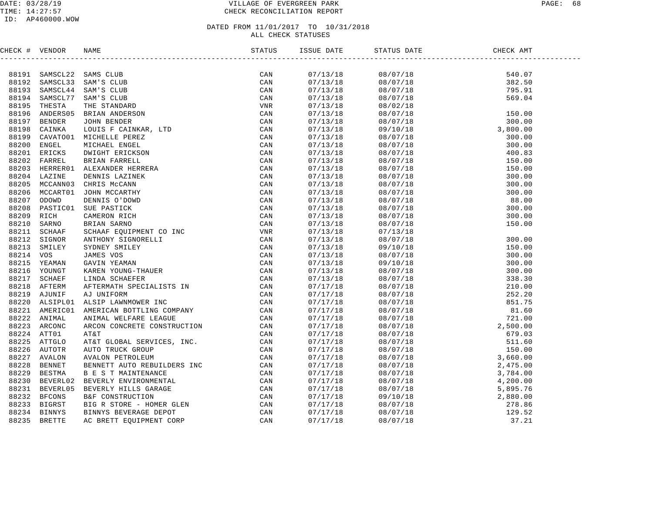#### DATE: 03/28/19 VILLAGE OF EVERGREEN PARK PAGE: 68 TIME: 14:27:57 CHECK RECONCILIATION REPORT

| CHECK # VENDOR |                                                                                                                                                                                                                                                                                                                                                                                                                                                                                                                  |          |  |  |
|----------------|------------------------------------------------------------------------------------------------------------------------------------------------------------------------------------------------------------------------------------------------------------------------------------------------------------------------------------------------------------------------------------------------------------------------------------------------------------------------------------------------------------------|----------|--|--|
|                | $\begin{tabular}{l cccc} \multicolumn{1}{c}{\begin{tabular}{l} \multicolumn{1}{c}{\begin{tabular}{l} \multicolumn{1}{c}{\begin{tabular}{l} \multicolumn{1}{c}{\begin{tabular}{l} \multicolumn{1}{c}{\begin{tabular}{l} \multicolumn{1}{c}{\begin{tabular}{l} \multicolumn{1}{c}{\begin{tabular}{l} \multicolumn{1}{c}{\begin{tabular}{l} \multicolumn{1}{c}{\begin{tabular}{l} \multicolumn{1}{c}{\begin{tabular}{l} \multicolumn{1}{c}{\begin{tabular}{l} \multicolumn{1}{c}{\begin{tabular}{l} \multicolumn{1$ |          |  |  |
|                |                                                                                                                                                                                                                                                                                                                                                                                                                                                                                                                  | 07/13/18 |  |  |
|                |                                                                                                                                                                                                                                                                                                                                                                                                                                                                                                                  | 07/13/18 |  |  |
|                |                                                                                                                                                                                                                                                                                                                                                                                                                                                                                                                  | 07/13/18 |  |  |
|                |                                                                                                                                                                                                                                                                                                                                                                                                                                                                                                                  | 07/13/18 |  |  |
|                |                                                                                                                                                                                                                                                                                                                                                                                                                                                                                                                  | 07/13/18 |  |  |
|                |                                                                                                                                                                                                                                                                                                                                                                                                                                                                                                                  | 07/13/18 |  |  |
|                |                                                                                                                                                                                                                                                                                                                                                                                                                                                                                                                  | 07/13/18 |  |  |
|                |                                                                                                                                                                                                                                                                                                                                                                                                                                                                                                                  | 07/13/18 |  |  |
|                |                                                                                                                                                                                                                                                                                                                                                                                                                                                                                                                  | 07/13/18 |  |  |
|                |                                                                                                                                                                                                                                                                                                                                                                                                                                                                                                                  | 07/13/18 |  |  |
|                |                                                                                                                                                                                                                                                                                                                                                                                                                                                                                                                  | 07/13/18 |  |  |
|                |                                                                                                                                                                                                                                                                                                                                                                                                                                                                                                                  | 07/13/18 |  |  |
|                |                                                                                                                                                                                                                                                                                                                                                                                                                                                                                                                  | 07/13/18 |  |  |
|                |                                                                                                                                                                                                                                                                                                                                                                                                                                                                                                                  | 07/13/18 |  |  |
|                |                                                                                                                                                                                                                                                                                                                                                                                                                                                                                                                  | 07/13/18 |  |  |
|                |                                                                                                                                                                                                                                                                                                                                                                                                                                                                                                                  | 07/13/18 |  |  |
|                |                                                                                                                                                                                                                                                                                                                                                                                                                                                                                                                  | 07/13/18 |  |  |
|                |                                                                                                                                                                                                                                                                                                                                                                                                                                                                                                                  | 07/13/18 |  |  |
|                |                                                                                                                                                                                                                                                                                                                                                                                                                                                                                                                  | 07/13/18 |  |  |
|                |                                                                                                                                                                                                                                                                                                                                                                                                                                                                                                                  | 07/13/18 |  |  |
|                |                                                                                                                                                                                                                                                                                                                                                                                                                                                                                                                  | 07/13/18 |  |  |
|                |                                                                                                                                                                                                                                                                                                                                                                                                                                                                                                                  | 07/13/18 |  |  |
|                |                                                                                                                                                                                                                                                                                                                                                                                                                                                                                                                  | 07/13/18 |  |  |
|                |                                                                                                                                                                                                                                                                                                                                                                                                                                                                                                                  | 07/13/18 |  |  |
|                |                                                                                                                                                                                                                                                                                                                                                                                                                                                                                                                  | 07/13/18 |  |  |
|                |                                                                                                                                                                                                                                                                                                                                                                                                                                                                                                                  | 07/13/18 |  |  |
|                |                                                                                                                                                                                                                                                                                                                                                                                                                                                                                                                  | 07/13/18 |  |  |
|                |                                                                                                                                                                                                                                                                                                                                                                                                                                                                                                                  | 07/17/18 |  |  |
|                |                                                                                                                                                                                                                                                                                                                                                                                                                                                                                                                  | 07/17/18 |  |  |
|                |                                                                                                                                                                                                                                                                                                                                                                                                                                                                                                                  | 07/17/18 |  |  |
|                |                                                                                                                                                                                                                                                                                                                                                                                                                                                                                                                  | 07/17/18 |  |  |
|                |                                                                                                                                                                                                                                                                                                                                                                                                                                                                                                                  | 07/17/18 |  |  |
|                |                                                                                                                                                                                                                                                                                                                                                                                                                                                                                                                  | 07/17/18 |  |  |
|                |                                                                                                                                                                                                                                                                                                                                                                                                                                                                                                                  | 07/17/18 |  |  |
|                |                                                                                                                                                                                                                                                                                                                                                                                                                                                                                                                  | 07/17/18 |  |  |
|                |                                                                                                                                                                                                                                                                                                                                                                                                                                                                                                                  | 07/17/18 |  |  |
|                |                                                                                                                                                                                                                                                                                                                                                                                                                                                                                                                  | 07/17/18 |  |  |
|                |                                                                                                                                                                                                                                                                                                                                                                                                                                                                                                                  | 07/17/18 |  |  |
|                |                                                                                                                                                                                                                                                                                                                                                                                                                                                                                                                  | 07/17/18 |  |  |
|                |                                                                                                                                                                                                                                                                                                                                                                                                                                                                                                                  | 07/17/18 |  |  |
|                |                                                                                                                                                                                                                                                                                                                                                                                                                                                                                                                  | 07/17/18 |  |  |
|                |                                                                                                                                                                                                                                                                                                                                                                                                                                                                                                                  | 07/17/18 |  |  |
|                |                                                                                                                                                                                                                                                                                                                                                                                                                                                                                                                  | 07/17/18 |  |  |
|                |                                                                                                                                                                                                                                                                                                                                                                                                                                                                                                                  | 07/17/18 |  |  |
|                |                                                                                                                                                                                                                                                                                                                                                                                                                                                                                                                  | 07/17/18 |  |  |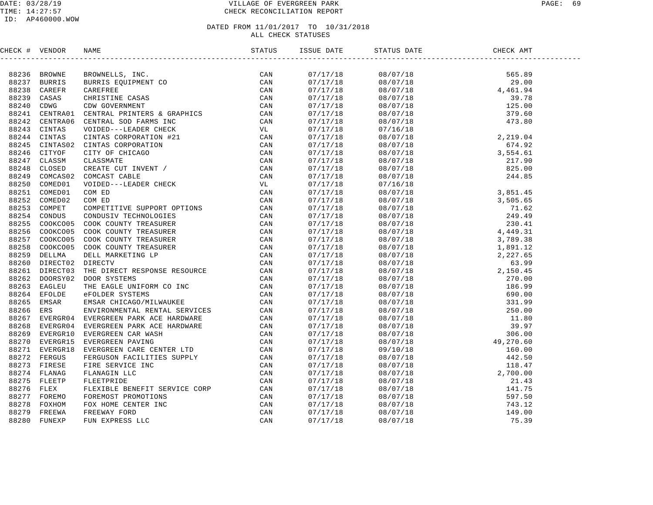#### DATED FROM 11/01/2017 TO 10/31/2018 ALL CHECK STATUSES

CHECK # VENDOR NAME STATUS ISSUE DATE STATUS DATE CHECK AMT ------------------------------------------------------------------------------------------------------------------------------------88236 BROWNE BROWNELLS, INC. CAN 07/17/18 08/07/18 565.89 88237 BURRIS BURRIS EQUIPMENT CO CAN 07/17/18 08/07/18 29.00 88238 CAREFR CAREFREE CAN 07/17/18 08/07/18 4 ,461.94 88239 CASAS CHRISTINE CASAS CAN 07/17/18 08/07/18 39.78 88240 CDWG CDW GOVERNMENT CAN 07/17/18 08/07/18 125.00 88241 CENTRA01 CENTRAL PRINTERS & GRAPHICS CAN 07/17/18 08/07/18 379.60 88242 CENTRA06 CENTRAL SOD FARMS INC CAN 07/17/18 08/07/18 473.80 88243 CINTAS VOIDED---LEADER CHECK VL 07/17/18 07/16/18 88244 CINTAS CINTAS CORPORATION #21 CAN 07/17/18 08/07/18 2,219.04 88245 CINTAS02 CINTAS CORPORATION CAN 07/17/18 08/07/18 674.92 88246 CITYOF CITY OF CHICAGO CAN 07/17/18 08/07/18 3,554.61 88247 CLASSM CLASSMATE CAN 07/17/18 08/07/18 217.90 88248 CLOSED CREATE CUT INVENT / CAN 07/17/18 08/07/18 825.00 88249 COMCAS02 COMCAST CABLE CAN 07/17/18 08/07/18 244.85 88250 COMED01 VOIDED---LEADER CHECK VL 07/17/18 07/16/18 88251 COMED01 COM ED CAN 07/17/18 08/07/18 3,851.45 88252 COMED02 COM ED CAN 07/17/18 08/07/18 3,505.65 88253 COMPET COMPETITIVE SUPPORT OPTIONS CAN 07/17/18 08/07/18 71.62 88254 CONDUS CONDUSIV TECHNOLOGIES CAN 07/17/18 08/07/18 249.49 88255 COOKCO05 COOK COUNTY TREASURER CAN 07/17/18 08/07/18 230.41 88256 COOKCO05 COOK COUNTY TREASURER CAN 07/17/18 08/07/18 4,449.31 88257 COOKCO05 COOK COUNTY TREASURER CAN 07/17/18 08/07/18 3,789.38 88258 COOKCO05 COOK COUNTY TREASURER CAN 07/17/18 08/07/18 1,891.12 88259 DELLMA DELL MARKETING LP CAN 07/17/18 08/07/18 2,227.65 88260 DIRECT02 DIRECTV CAN 07/17/18 08/07/18 63.99 88261 DIRECT03 THE DIRECT RESPONSE RESOURCE CAN 07/17/18 08/07/18 2,150.45 88262 DOORSY02 DOOR SYSTEMS CAN 07/17/18 08/07/18 270.00 88263 EAGLEU THE EAGLE UNIFORM CO INC CAN 07/17/18 08/07/18 186.99 88264 EFOLDE eFOLDER SYSTEMS CAN 07/17/18 08/07/18 690.00 88265 EMSAR EMSAR CHICAGO/MILWAUKEE CAN 07/17/18 08/07/18 331.99 88266 ERS ENVIRONMENTAL RENTAL SERVICES CAN 07/17/18 08/07/18 250.00 88267 EVERGR04 EVERGREEN PARK ACE HARDWARE CAN 07/17/18 08/07/18 11.80 88268 EVERGR04 EVERGREEN PARK ACE HARDWARE CAN 07/17/18 08/07/18 39.97 88269 EVERGR10 EVERGREEN CAR WASH CAN 07/17/18 08/07/18 306.00 88270 EVERGR15 EVERGREEN PAVING CAN 07/17/18 08/07/18 49,270.60 88271 EVERGR18 EVERGREEN CARE CENTER LTD CAN 07/17/18 09/10/18 160.00 88272 FERGUS FERGUSON FACILITIES SUPPLY CAN 07/17/18 08/07/18 442.50 88273 FIRESE FIRE SERVICE INC CAN 07/17/18 08/07/18 118.47 88274 FLANAG FLANAGIN LLC CAN 07/17/18 08/07/18 2,700.00 88275 FLEETP FLEETPRIDE CAN 07/17/18 08/07/18 21.43 88276 FLEX FLEXIBLE BENEFIT SERVICE CORP CAN 07/17/18 08/07/18 141.75 88277 FOREMO FOREMOST PROMOTIONS CAN 07/17/18 08/07/18 597.50 88278 FOXHOM FOX HOME CENTER INC CAN 07/17/18 08/07/18 743.12 88279 FREEWA FREEWAY FORD CAN 07/17/18 08/07/18 149.00 88280 FUNEXP FUN EXPRESS LLC CAN 07/17/18 08/07/18 75.39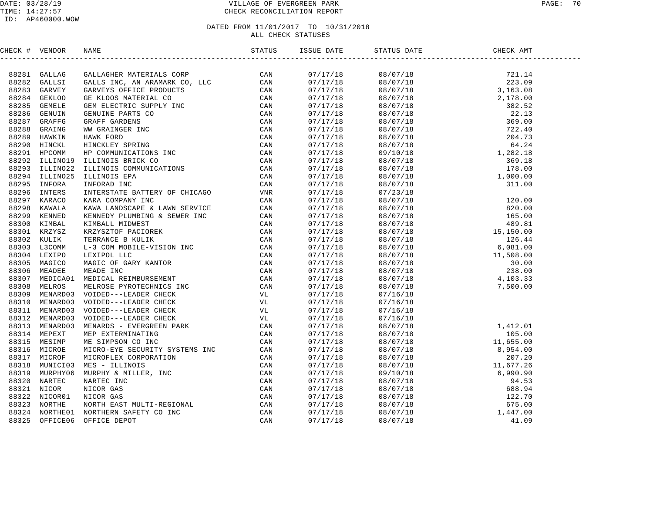#### DATE: 03/28/19 VILLAGE OF EVERGREEN PARK PAGE: 70 TIME: 14:27:57 CHECK RECONCILIATION REPORT

| CHECK # VENDOR |  | ISSUE DATE           | STATUS DATE | DATE CHECK AMT                                                                                                                                                                                                                                                                       |  |
|----------------|--|----------------------|-------------|--------------------------------------------------------------------------------------------------------------------------------------------------------------------------------------------------------------------------------------------------------------------------------------|--|
|                |  |                      |             | $\begin{tabular}{cccccc} 0.8/07/18 & 721.14 \\ 0.8/07/18 & 721.14 \\ 0.8/07/18 & 223.09 \\ 0.8/07/18 & 3,163.08 \\ 0.8/07/18 & 3,163.08 \\ 0.8/07/18 & 382.52 \\ 0.8/07/18 & 369.00 \\ 0.8/07/18 & 369.00 \\ 0.8/07/18 & 369.00 \\ 0.8/07/18 & 369.00 \\ 0.8/07/18 & 22.13$          |  |
|                |  | 07/17/18             |             |                                                                                                                                                                                                                                                                                      |  |
|                |  | 07/17/18             |             |                                                                                                                                                                                                                                                                                      |  |
|                |  | 07/17/18             |             |                                                                                                                                                                                                                                                                                      |  |
|                |  | 07/17/18             |             |                                                                                                                                                                                                                                                                                      |  |
|                |  | 07/17/18             |             |                                                                                                                                                                                                                                                                                      |  |
|                |  | 07/17/18             |             |                                                                                                                                                                                                                                                                                      |  |
|                |  | 07/17/18             |             |                                                                                                                                                                                                                                                                                      |  |
|                |  | 07/17/18             |             |                                                                                                                                                                                                                                                                                      |  |
|                |  | 07/17/18             |             |                                                                                                                                                                                                                                                                                      |  |
|                |  | 07/17/18             |             |                                                                                                                                                                                                                                                                                      |  |
|                |  | 07/17/18             |             |                                                                                                                                                                                                                                                                                      |  |
|                |  | 07/17/18             |             |                                                                                                                                                                                                                                                                                      |  |
|                |  | 07/17/18             |             |                                                                                                                                                                                                                                                                                      |  |
|                |  | 07/17/18<br>07/17/18 |             |                                                                                                                                                                                                                                                                                      |  |
|                |  |                      |             |                                                                                                                                                                                                                                                                                      |  |
|                |  | 07/17/18             |             |                                                                                                                                                                                                                                                                                      |  |
|                |  | 07/17/18             |             |                                                                                                                                                                                                                                                                                      |  |
|                |  | 07/17/18             |             |                                                                                                                                                                                                                                                                                      |  |
|                |  | 07/17/18             |             |                                                                                                                                                                                                                                                                                      |  |
|                |  | 07/17/18             |             |                                                                                                                                                                                                                                                                                      |  |
|                |  | 07/17/18             |             |                                                                                                                                                                                                                                                                                      |  |
|                |  | 07/17/18             |             |                                                                                                                                                                                                                                                                                      |  |
|                |  | 07/17/18             |             |                                                                                                                                                                                                                                                                                      |  |
|                |  | 07/17/18             |             |                                                                                                                                                                                                                                                                                      |  |
|                |  | 07/17/18             |             |                                                                                                                                                                                                                                                                                      |  |
|                |  | 07/17/18             |             |                                                                                                                                                                                                                                                                                      |  |
|                |  |                      |             |                                                                                                                                                                                                                                                                                      |  |
|                |  | 07/17/18<br>07/17/18 |             |                                                                                                                                                                                                                                                                                      |  |
|                |  | 07/17/18             | 07/16/18    |                                                                                                                                                                                                                                                                                      |  |
|                |  | 07/17/18             | 07/16/18    |                                                                                                                                                                                                                                                                                      |  |
|                |  | 07/17/18             | 07/16/18    |                                                                                                                                                                                                                                                                                      |  |
|                |  | 07/17/18             |             |                                                                                                                                                                                                                                                                                      |  |
|                |  | 07/17/18             |             |                                                                                                                                                                                                                                                                                      |  |
|                |  | 07/17/18             |             |                                                                                                                                                                                                                                                                                      |  |
|                |  | 07/17/18             |             |                                                                                                                                                                                                                                                                                      |  |
|                |  | 07/17/18             |             |                                                                                                                                                                                                                                                                                      |  |
|                |  | 07/17/18             |             |                                                                                                                                                                                                                                                                                      |  |
|                |  | 07/17/18             |             |                                                                                                                                                                                                                                                                                      |  |
|                |  | 07/17/18             |             |                                                                                                                                                                                                                                                                                      |  |
|                |  | 07/17/18             |             |                                                                                                                                                                                                                                                                                      |  |
|                |  |                      |             |                                                                                                                                                                                                                                                                                      |  |
|                |  | 07/17/18             |             | $\begin{array}{cccc} 07/16/18 \\ 07/16/18 \\ 08/07/18 \\ 08/07/18 \\ 08/07/18 \\ 08/07/18 \\ 08/07/18 \\ 08/07/18 \\ 08/07/18 \\ 08/07/18 \\ 08/07/18 \\ 08/07/18 \\ 08/07/18 \\ 08/07/18 \\ 08/07/18 \\ 08/07/18 \\ 08/07/18 \\ 08/07/18 \\ 08/07/18 \\ 08/07/18 \\ 08/07/18 \\ 08$ |  |
|                |  | 07/17/18             |             |                                                                                                                                                                                                                                                                                      |  |
|                |  | 07/17/18             |             |                                                                                                                                                                                                                                                                                      |  |
|                |  | 07/17/18             |             |                                                                                                                                                                                                                                                                                      |  |
|                |  | 07/17/18             |             |                                                                                                                                                                                                                                                                                      |  |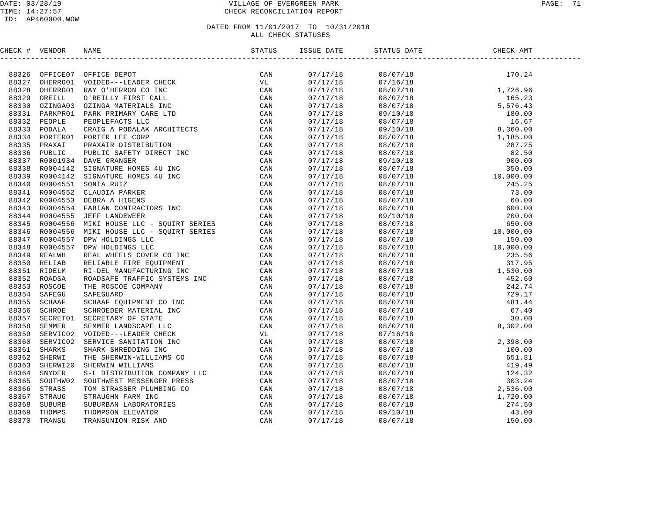#### DATE: 03/28/19 VILLAGE OF EVERGREEN PARK PAGE: 71 TIME: 14:27:57 CHECK RECONCILIATION REPORT

| CHECK # VENDOR |                                                                                                                                                                                                                                 | ISSUE DATE | STATUS DATE                                                                                                                                                                                                                                                                 | DATE CHE<br>----------------------<br>CHECK AMT |  |
|----------------|---------------------------------------------------------------------------------------------------------------------------------------------------------------------------------------------------------------------------------|------------|-----------------------------------------------------------------------------------------------------------------------------------------------------------------------------------------------------------------------------------------------------------------------------|-------------------------------------------------|--|
|                | INCRE (# VERTOO OFFICE BROT<br>193316 OPERATION (PRILE AND THE SERVICE DRIVER IN A SAME ON A SAME ORDER CAN OUR AND OUR CAN DESCRIPTION (THE SERVICE OR AN AN OUR SERVICE OR AN AN INCREASE IN A SAME PRICE OR AN INSTANTANCE O |            | $\begin{tabular}{cccccccc} 07/17/18 & 08/07/18 & 170.24 \\ 07/17/18 & 08/07/18 & 170.24 \\ 07/17/18 & 08/07/18 & 1.726.96 \\ 07/17/18 & 08/07/18 & 1.726.96 \\ 07/17/18 & 08/07/18 & 165.23 \\ 07/17/18 & 09/10/18 & 180.00 \\ 07/17/18 & 09/10/18 & 160.07 \\ 07/17/18 & $ |                                                 |  |
|                |                                                                                                                                                                                                                                 |            |                                                                                                                                                                                                                                                                             |                                                 |  |
|                |                                                                                                                                                                                                                                 |            |                                                                                                                                                                                                                                                                             |                                                 |  |
|                |                                                                                                                                                                                                                                 |            |                                                                                                                                                                                                                                                                             |                                                 |  |
|                |                                                                                                                                                                                                                                 |            |                                                                                                                                                                                                                                                                             |                                                 |  |
|                |                                                                                                                                                                                                                                 |            |                                                                                                                                                                                                                                                                             |                                                 |  |
|                |                                                                                                                                                                                                                                 |            |                                                                                                                                                                                                                                                                             |                                                 |  |
|                |                                                                                                                                                                                                                                 |            |                                                                                                                                                                                                                                                                             |                                                 |  |
|                |                                                                                                                                                                                                                                 |            |                                                                                                                                                                                                                                                                             |                                                 |  |
|                |                                                                                                                                                                                                                                 |            |                                                                                                                                                                                                                                                                             |                                                 |  |
|                |                                                                                                                                                                                                                                 |            |                                                                                                                                                                                                                                                                             |                                                 |  |
|                |                                                                                                                                                                                                                                 |            |                                                                                                                                                                                                                                                                             |                                                 |  |
|                |                                                                                                                                                                                                                                 |            |                                                                                                                                                                                                                                                                             |                                                 |  |
|                |                                                                                                                                                                                                                                 |            |                                                                                                                                                                                                                                                                             |                                                 |  |
|                |                                                                                                                                                                                                                                 |            |                                                                                                                                                                                                                                                                             |                                                 |  |
|                |                                                                                                                                                                                                                                 |            |                                                                                                                                                                                                                                                                             |                                                 |  |
|                |                                                                                                                                                                                                                                 |            |                                                                                                                                                                                                                                                                             |                                                 |  |
|                |                                                                                                                                                                                                                                 |            |                                                                                                                                                                                                                                                                             |                                                 |  |
|                |                                                                                                                                                                                                                                 |            |                                                                                                                                                                                                                                                                             |                                                 |  |
|                |                                                                                                                                                                                                                                 |            |                                                                                                                                                                                                                                                                             |                                                 |  |
|                |                                                                                                                                                                                                                                 |            |                                                                                                                                                                                                                                                                             |                                                 |  |
|                |                                                                                                                                                                                                                                 |            |                                                                                                                                                                                                                                                                             |                                                 |  |
|                |                                                                                                                                                                                                                                 |            |                                                                                                                                                                                                                                                                             |                                                 |  |
|                |                                                                                                                                                                                                                                 |            |                                                                                                                                                                                                                                                                             |                                                 |  |
|                |                                                                                                                                                                                                                                 |            |                                                                                                                                                                                                                                                                             |                                                 |  |
|                |                                                                                                                                                                                                                                 |            |                                                                                                                                                                                                                                                                             |                                                 |  |
|                |                                                                                                                                                                                                                                 |            |                                                                                                                                                                                                                                                                             |                                                 |  |
|                |                                                                                                                                                                                                                                 |            |                                                                                                                                                                                                                                                                             |                                                 |  |
|                |                                                                                                                                                                                                                                 |            |                                                                                                                                                                                                                                                                             |                                                 |  |
|                |                                                                                                                                                                                                                                 |            |                                                                                                                                                                                                                                                                             |                                                 |  |
|                |                                                                                                                                                                                                                                 |            |                                                                                                                                                                                                                                                                             |                                                 |  |
|                |                                                                                                                                                                                                                                 |            |                                                                                                                                                                                                                                                                             |                                                 |  |
|                |                                                                                                                                                                                                                                 |            |                                                                                                                                                                                                                                                                             |                                                 |  |
|                |                                                                                                                                                                                                                                 |            |                                                                                                                                                                                                                                                                             |                                                 |  |
|                |                                                                                                                                                                                                                                 |            |                                                                                                                                                                                                                                                                             |                                                 |  |
|                |                                                                                                                                                                                                                                 |            |                                                                                                                                                                                                                                                                             |                                                 |  |
|                |                                                                                                                                                                                                                                 |            |                                                                                                                                                                                                                                                                             |                                                 |  |
|                |                                                                                                                                                                                                                                 |            |                                                                                                                                                                                                                                                                             |                                                 |  |
|                |                                                                                                                                                                                                                                 |            |                                                                                                                                                                                                                                                                             |                                                 |  |
|                |                                                                                                                                                                                                                                 |            |                                                                                                                                                                                                                                                                             |                                                 |  |
|                |                                                                                                                                                                                                                                 |            |                                                                                                                                                                                                                                                                             |                                                 |  |
|                |                                                                                                                                                                                                                                 |            |                                                                                                                                                                                                                                                                             |                                                 |  |
|                |                                                                                                                                                                                                                                 |            | $\begin{array}{cccc} 07/17/18 & 08/07/18 & 8\,302.00 \\ 07/17/18 & 07/16/18 & 2\,398.00 \\ 07/17/18 & 08/07/18 & 2\,398.00 \\ 07/17/18 & 08/07/18 & 100.00 \\ 07/17/18 & 08/07/18 & 419.49 \\ 07/17/18 & 08/07/18 & 419.49 \\ 07/17/18 & 08/07/18 & 303.24 \\ 07/17/1$      |                                                 |  |
|                |                                                                                                                                                                                                                                 |            |                                                                                                                                                                                                                                                                             |                                                 |  |
|                |                                                                                                                                                                                                                                 |            |                                                                                                                                                                                                                                                                             |                                                 |  |
|                |                                                                                                                                                                                                                                 |            |                                                                                                                                                                                                                                                                             |                                                 |  |
|                |                                                                                                                                                                                                                                 |            |                                                                                                                                                                                                                                                                             |                                                 |  |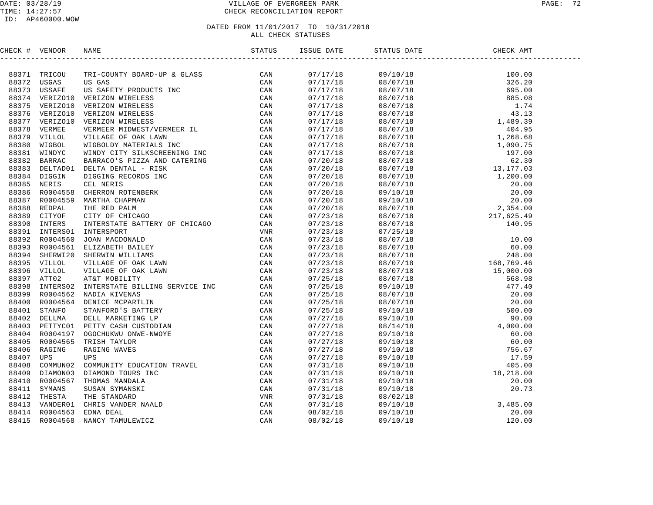#### DATE: 03/28/19 VILLAGE OF EVERGREEN PARK PAGE: 72 TIME: 14:27:57 CHECK RECONCILIATION REPORT

#### ID: AP460000.WOW

| CHECK # VENDOR | NAME |          | CHECK AMT                                                                                                                                                                                                                                                                                                                                                               |  |
|----------------|------|----------|-------------------------------------------------------------------------------------------------------------------------------------------------------------------------------------------------------------------------------------------------------------------------------------------------------------------------------------------------------------------------|--|
|                |      |          | $\begin{tabular}{l c c c c} \hline \textbf{SFR} & \textbf{GME} & \textbf{GME} & \textbf{SME} \\[0.08em] \hline \textbf{SFR} & \textbf{0.00} & \textbf{0.00} \\[0.08em] \hline \textbf{0.8} / 07/18 & \textbf{3.26} \, .20 \\[0.08em] \hline \textbf{0.8} / 07/18 & \textbf{43.13} \\[0.08em] \hline \textbf{0.8} / 07/18 & \textbf{43.13} \\[0.08em] \hline \textbf{0.$ |  |
|                |      | 07/17/18 |                                                                                                                                                                                                                                                                                                                                                                         |  |
|                |      | 07/17/18 |                                                                                                                                                                                                                                                                                                                                                                         |  |
|                |      | 07/17/18 |                                                                                                                                                                                                                                                                                                                                                                         |  |
|                |      | 07/17/18 |                                                                                                                                                                                                                                                                                                                                                                         |  |
|                |      | 07/17/18 |                                                                                                                                                                                                                                                                                                                                                                         |  |
|                |      | 07/17/18 |                                                                                                                                                                                                                                                                                                                                                                         |  |
|                |      | 07/17/18 |                                                                                                                                                                                                                                                                                                                                                                         |  |
|                |      | 07/17/18 |                                                                                                                                                                                                                                                                                                                                                                         |  |
|                |      | 07/17/18 |                                                                                                                                                                                                                                                                                                                                                                         |  |
|                |      | 07/17/18 |                                                                                                                                                                                                                                                                                                                                                                         |  |
|                |      | 07/17/18 |                                                                                                                                                                                                                                                                                                                                                                         |  |
|                |      | 07/20/18 |                                                                                                                                                                                                                                                                                                                                                                         |  |
|                |      | 07/20/18 |                                                                                                                                                                                                                                                                                                                                                                         |  |
|                |      | 07/20/18 |                                                                                                                                                                                                                                                                                                                                                                         |  |
|                |      | 07/20/18 |                                                                                                                                                                                                                                                                                                                                                                         |  |
|                |      | 07/20/18 |                                                                                                                                                                                                                                                                                                                                                                         |  |
|                |      | 07/20/18 |                                                                                                                                                                                                                                                                                                                                                                         |  |
|                |      | 07/20/18 |                                                                                                                                                                                                                                                                                                                                                                         |  |
|                |      | 07/23/18 |                                                                                                                                                                                                                                                                                                                                                                         |  |
|                |      | 07/23/18 |                                                                                                                                                                                                                                                                                                                                                                         |  |
|                |      | 07/23/18 |                                                                                                                                                                                                                                                                                                                                                                         |  |
|                |      | 07/23/18 |                                                                                                                                                                                                                                                                                                                                                                         |  |
|                |      | 07/23/18 |                                                                                                                                                                                                                                                                                                                                                                         |  |
|                |      | 07/23/18 |                                                                                                                                                                                                                                                                                                                                                                         |  |
|                |      | 07/23/18 |                                                                                                                                                                                                                                                                                                                                                                         |  |
|                |      | 07/23/18 |                                                                                                                                                                                                                                                                                                                                                                         |  |
|                |      | 07/25/18 |                                                                                                                                                                                                                                                                                                                                                                         |  |
|                |      | 07/25/18 |                                                                                                                                                                                                                                                                                                                                                                         |  |
|                |      | 07/25/18 |                                                                                                                                                                                                                                                                                                                                                                         |  |
|                |      | 07/25/18 |                                                                                                                                                                                                                                                                                                                                                                         |  |
|                |      | 07/25/18 |                                                                                                                                                                                                                                                                                                                                                                         |  |
|                |      | 07/27/18 |                                                                                                                                                                                                                                                                                                                                                                         |  |
|                |      | 07/27/18 |                                                                                                                                                                                                                                                                                                                                                                         |  |
|                |      | 07/27/18 |                                                                                                                                                                                                                                                                                                                                                                         |  |
|                |      | 07/27/18 |                                                                                                                                                                                                                                                                                                                                                                         |  |
|                |      | 07/27/18 |                                                                                                                                                                                                                                                                                                                                                                         |  |
|                |      | 07/27/18 |                                                                                                                                                                                                                                                                                                                                                                         |  |
|                |      | 07/31/18 |                                                                                                                                                                                                                                                                                                                                                                         |  |
|                |      | 07/31/18 |                                                                                                                                                                                                                                                                                                                                                                         |  |
|                |      | 07/31/18 |                                                                                                                                                                                                                                                                                                                                                                         |  |
|                |      | 07/31/18 |                                                                                                                                                                                                                                                                                                                                                                         |  |
|                |      | 07/31/18 |                                                                                                                                                                                                                                                                                                                                                                         |  |
|                |      | 07/31/18 |                                                                                                                                                                                                                                                                                                                                                                         |  |
|                |      | 08/02/18 |                                                                                                                                                                                                                                                                                                                                                                         |  |
|                |      | 08/02/18 |                                                                                                                                                                                                                                                                                                                                                                         |  |
|                |      |          |                                                                                                                                                                                                                                                                                                                                                                         |  |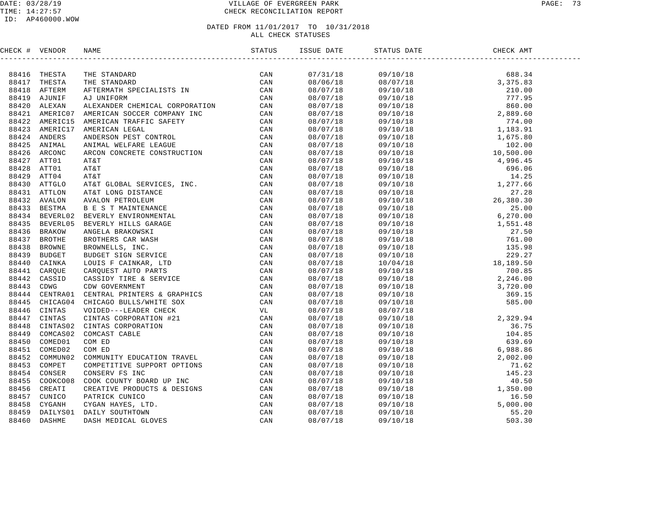### DATE: 03/28/19 VILLAGE OF EVERGREEN PARK PAGE: 73 TIME: 14:27:57 CHECK RECONCILIATION REPORT

### ID: AP460000.WOW

| CHECK # VENDOR |                                                                                                                                                                                                                                   |  |                                                                                                                                                                                                                                                                                                                                                    |  |
|----------------|-----------------------------------------------------------------------------------------------------------------------------------------------------------------------------------------------------------------------------------|--|----------------------------------------------------------------------------------------------------------------------------------------------------------------------------------------------------------------------------------------------------------------------------------------------------------------------------------------------------|--|
|                | TECK # VERIDOR NAME STATUS 53<br>199415 THERE TANDARD COMMITME CAN ARREST CAN ARREST TREE STATISTS. THE STANDARD CAN<br>199417 THESTA ATTENTAATIES CHEICAL CORPORATION CAN ARREST CAN ARREST CAN ARREST CAN ARREST CAN ARREST CAN |  | $\begin{tabular}{cccccccc} \hline \hline C1857 & STAT 55775 & STAT 59718 & STAT 59719 & STAT 59719 & STAT 59719 & STAT 59719 & STAT 59719 & STAT 59719 & STAT 59719 & STAT 59719 & STAT 59719 & STAT 59719 & STAT 59719 & STAT 59719 & STAT 59719 & STAT 59719 & STAT 59719 & STAT 59719 & STAT 59719 & STAT 59719 & STAT 59719 & STAT 59719 & ST$ |  |
|                |                                                                                                                                                                                                                                   |  |                                                                                                                                                                                                                                                                                                                                                    |  |
|                |                                                                                                                                                                                                                                   |  |                                                                                                                                                                                                                                                                                                                                                    |  |
|                |                                                                                                                                                                                                                                   |  |                                                                                                                                                                                                                                                                                                                                                    |  |
|                |                                                                                                                                                                                                                                   |  |                                                                                                                                                                                                                                                                                                                                                    |  |
|                |                                                                                                                                                                                                                                   |  |                                                                                                                                                                                                                                                                                                                                                    |  |
|                |                                                                                                                                                                                                                                   |  |                                                                                                                                                                                                                                                                                                                                                    |  |
|                |                                                                                                                                                                                                                                   |  |                                                                                                                                                                                                                                                                                                                                                    |  |
|                |                                                                                                                                                                                                                                   |  |                                                                                                                                                                                                                                                                                                                                                    |  |
|                |                                                                                                                                                                                                                                   |  |                                                                                                                                                                                                                                                                                                                                                    |  |
|                |                                                                                                                                                                                                                                   |  |                                                                                                                                                                                                                                                                                                                                                    |  |
|                |                                                                                                                                                                                                                                   |  |                                                                                                                                                                                                                                                                                                                                                    |  |
|                |                                                                                                                                                                                                                                   |  |                                                                                                                                                                                                                                                                                                                                                    |  |
|                |                                                                                                                                                                                                                                   |  |                                                                                                                                                                                                                                                                                                                                                    |  |
|                |                                                                                                                                                                                                                                   |  |                                                                                                                                                                                                                                                                                                                                                    |  |
|                |                                                                                                                                                                                                                                   |  |                                                                                                                                                                                                                                                                                                                                                    |  |
|                |                                                                                                                                                                                                                                   |  |                                                                                                                                                                                                                                                                                                                                                    |  |
|                |                                                                                                                                                                                                                                   |  |                                                                                                                                                                                                                                                                                                                                                    |  |
|                |                                                                                                                                                                                                                                   |  |                                                                                                                                                                                                                                                                                                                                                    |  |
|                |                                                                                                                                                                                                                                   |  |                                                                                                                                                                                                                                                                                                                                                    |  |
|                |                                                                                                                                                                                                                                   |  |                                                                                                                                                                                                                                                                                                                                                    |  |
|                |                                                                                                                                                                                                                                   |  |                                                                                                                                                                                                                                                                                                                                                    |  |
|                |                                                                                                                                                                                                                                   |  |                                                                                                                                                                                                                                                                                                                                                    |  |
|                |                                                                                                                                                                                                                                   |  |                                                                                                                                                                                                                                                                                                                                                    |  |
|                |                                                                                                                                                                                                                                   |  |                                                                                                                                                                                                                                                                                                                                                    |  |
|                |                                                                                                                                                                                                                                   |  |                                                                                                                                                                                                                                                                                                                                                    |  |
|                |                                                                                                                                                                                                                                   |  |                                                                                                                                                                                                                                                                                                                                                    |  |
|                |                                                                                                                                                                                                                                   |  |                                                                                                                                                                                                                                                                                                                                                    |  |
|                |                                                                                                                                                                                                                                   |  |                                                                                                                                                                                                                                                                                                                                                    |  |
|                |                                                                                                                                                                                                                                   |  |                                                                                                                                                                                                                                                                                                                                                    |  |
|                |                                                                                                                                                                                                                                   |  |                                                                                                                                                                                                                                                                                                                                                    |  |
|                |                                                                                                                                                                                                                                   |  |                                                                                                                                                                                                                                                                                                                                                    |  |
|                |                                                                                                                                                                                                                                   |  |                                                                                                                                                                                                                                                                                                                                                    |  |
|                |                                                                                                                                                                                                                                   |  |                                                                                                                                                                                                                                                                                                                                                    |  |
|                |                                                                                                                                                                                                                                   |  |                                                                                                                                                                                                                                                                                                                                                    |  |
|                |                                                                                                                                                                                                                                   |  |                                                                                                                                                                                                                                                                                                                                                    |  |
|                |                                                                                                                                                                                                                                   |  |                                                                                                                                                                                                                                                                                                                                                    |  |
|                |                                                                                                                                                                                                                                   |  |                                                                                                                                                                                                                                                                                                                                                    |  |
|                |                                                                                                                                                                                                                                   |  |                                                                                                                                                                                                                                                                                                                                                    |  |
|                |                                                                                                                                                                                                                                   |  |                                                                                                                                                                                                                                                                                                                                                    |  |
|                |                                                                                                                                                                                                                                   |  |                                                                                                                                                                                                                                                                                                                                                    |  |
|                |                                                                                                                                                                                                                                   |  |                                                                                                                                                                                                                                                                                                                                                    |  |
|                |                                                                                                                                                                                                                                   |  |                                                                                                                                                                                                                                                                                                                                                    |  |
|                |                                                                                                                                                                                                                                   |  |                                                                                                                                                                                                                                                                                                                                                    |  |
|                |                                                                                                                                                                                                                                   |  |                                                                                                                                                                                                                                                                                                                                                    |  |
|                |                                                                                                                                                                                                                                   |  |                                                                                                                                                                                                                                                                                                                                                    |  |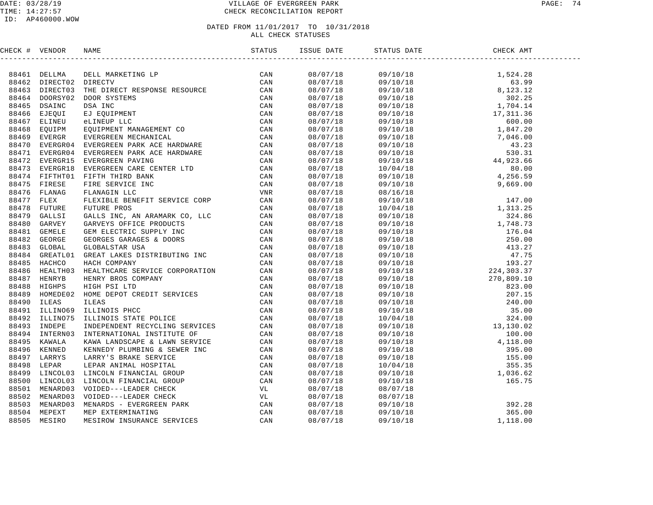| CHECK # VENDOR |                                                                                                                                                                                                                              | ISSUE DATE | STATUS DATE CH | CHECK AMT |  |
|----------------|------------------------------------------------------------------------------------------------------------------------------------------------------------------------------------------------------------------------------|------------|----------------|-----------|--|
|                | INCREASE ARMONIC MANUS DELLE MANUSCRIPT CRIMINAL DESCRIPTION CAN BE AN ARROW CONDUCT AN INCREASE AND INCREASE ARROWSER CAN ARROWSER AND A SERVICE CAN ARROWSER CAN ARROWSER CAN CONDUCT THE DESCRIPTION CONDUCT CAN ARROWSER |            |                |           |  |
|                |                                                                                                                                                                                                                              |            |                |           |  |
|                |                                                                                                                                                                                                                              |            |                |           |  |
|                |                                                                                                                                                                                                                              |            |                |           |  |
|                |                                                                                                                                                                                                                              |            |                |           |  |
|                |                                                                                                                                                                                                                              |            |                |           |  |
|                |                                                                                                                                                                                                                              |            |                |           |  |
|                |                                                                                                                                                                                                                              |            |                |           |  |
|                |                                                                                                                                                                                                                              |            |                |           |  |
|                |                                                                                                                                                                                                                              |            |                |           |  |
|                |                                                                                                                                                                                                                              |            |                |           |  |
|                |                                                                                                                                                                                                                              |            |                |           |  |
|                |                                                                                                                                                                                                                              |            |                |           |  |
|                |                                                                                                                                                                                                                              |            |                |           |  |
|                |                                                                                                                                                                                                                              |            |                |           |  |
|                |                                                                                                                                                                                                                              |            |                |           |  |
|                |                                                                                                                                                                                                                              |            |                |           |  |
|                |                                                                                                                                                                                                                              |            |                |           |  |
|                |                                                                                                                                                                                                                              |            |                |           |  |
|                |                                                                                                                                                                                                                              |            |                |           |  |
|                |                                                                                                                                                                                                                              |            |                |           |  |
|                |                                                                                                                                                                                                                              |            |                |           |  |
|                |                                                                                                                                                                                                                              |            |                |           |  |
|                |                                                                                                                                                                                                                              |            |                |           |  |
|                |                                                                                                                                                                                                                              |            |                |           |  |
|                |                                                                                                                                                                                                                              |            |                |           |  |
|                |                                                                                                                                                                                                                              |            |                |           |  |
|                |                                                                                                                                                                                                                              |            |                |           |  |
|                |                                                                                                                                                                                                                              |            |                |           |  |
|                |                                                                                                                                                                                                                              |            |                |           |  |
|                |                                                                                                                                                                                                                              |            |                |           |  |
|                |                                                                                                                                                                                                                              |            |                |           |  |
|                |                                                                                                                                                                                                                              |            |                |           |  |
|                |                                                                                                                                                                                                                              |            |                |           |  |
|                |                                                                                                                                                                                                                              |            |                |           |  |
|                |                                                                                                                                                                                                                              |            |                |           |  |
|                |                                                                                                                                                                                                                              |            |                |           |  |
|                |                                                                                                                                                                                                                              |            |                |           |  |
|                |                                                                                                                                                                                                                              |            |                |           |  |
|                |                                                                                                                                                                                                                              |            |                |           |  |
|                |                                                                                                                                                                                                                              |            |                |           |  |
|                |                                                                                                                                                                                                                              |            |                |           |  |
|                |                                                                                                                                                                                                                              |            |                |           |  |
|                |                                                                                                                                                                                                                              |            |                |           |  |
|                |                                                                                                                                                                                                                              |            |                |           |  |
|                |                                                                                                                                                                                                                              |            |                |           |  |
|                |                                                                                                                                                                                                                              |            |                |           |  |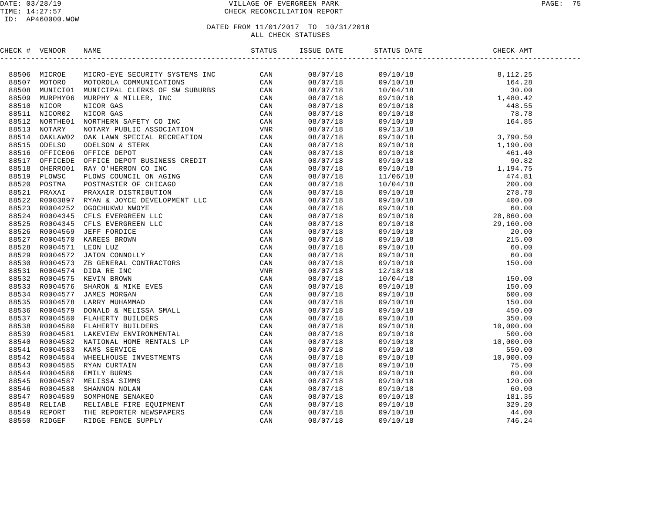### DATE: 03/28/19 VILLAGE OF EVERGREEN PARK PAGE: 75 TIME: 14:27:57 CHECK RECONCILIATION REPORT

| CHECK # VENDOR | <b>NAME</b>                                                                                                                                                                                                                         | ISSUE DATE                             | STATUS DATE                                                                                                                                                                                                                                                                                                                                                                            | ATE CHECK<br>CHECK AMT |  |
|----------------|-------------------------------------------------------------------------------------------------------------------------------------------------------------------------------------------------------------------------------------|----------------------------------------|----------------------------------------------------------------------------------------------------------------------------------------------------------------------------------------------------------------------------------------------------------------------------------------------------------------------------------------------------------------------------------------|------------------------|--|
|                | IFICAT 4 VENDO MANUS MANUS (200 MINIT STATES)<br>SES CORRECTES SECURITY SYSTEMS INC.<br>SES CORRECTES MANUS MANUS MANUS MANUS MANUS (200 MINIT STATES CORRECTED MANUS MANUS MANUS MANUS MANUS (200 MINIT STATES)<br>SES CORRECTES M |                                        | $\begin{tabular}{l c c c} \hline \textbf{SIAB} \textbf{ BIAB} & \textbf{0.12} \textbf{0.13} \\ \hline \textbf{1.13} \textbf{0.14} & \textbf{0.14} \textbf{0.15} \\ \hline \textbf{1.14} \textbf{0.15} & \textbf{0.15} \textbf{0.16} \\ \hline \textbf{1.15} \textbf{0.16} & \textbf{0.16} \textbf{0.17} \\ \hline \textbf{1.16} \textbf{0.17} & \textbf{0.17} \textbf{0.18} \\ \hline$ |                        |  |
|                |                                                                                                                                                                                                                                     | 08/07/18                               |                                                                                                                                                                                                                                                                                                                                                                                        |                        |  |
|                |                                                                                                                                                                                                                                     | 08/07/18<br>08/07/18                   |                                                                                                                                                                                                                                                                                                                                                                                        |                        |  |
|                |                                                                                                                                                                                                                                     |                                        |                                                                                                                                                                                                                                                                                                                                                                                        |                        |  |
|                |                                                                                                                                                                                                                                     | 08/07/18<br>08/07/18                   |                                                                                                                                                                                                                                                                                                                                                                                        |                        |  |
|                |                                                                                                                                                                                                                                     |                                        |                                                                                                                                                                                                                                                                                                                                                                                        |                        |  |
|                |                                                                                                                                                                                                                                     | 08/07/18                               |                                                                                                                                                                                                                                                                                                                                                                                        |                        |  |
|                |                                                                                                                                                                                                                                     | 08/07/18                               |                                                                                                                                                                                                                                                                                                                                                                                        |                        |  |
|                |                                                                                                                                                                                                                                     | 08/07/18                               |                                                                                                                                                                                                                                                                                                                                                                                        |                        |  |
|                |                                                                                                                                                                                                                                     |                                        |                                                                                                                                                                                                                                                                                                                                                                                        |                        |  |
|                |                                                                                                                                                                                                                                     | 08/07/18<br>08/07/18                   |                                                                                                                                                                                                                                                                                                                                                                                        |                        |  |
|                |                                                                                                                                                                                                                                     |                                        |                                                                                                                                                                                                                                                                                                                                                                                        |                        |  |
|                |                                                                                                                                                                                                                                     | 08/07/18<br>08/07/18                   |                                                                                                                                                                                                                                                                                                                                                                                        |                        |  |
|                |                                                                                                                                                                                                                                     | $08/07/18$<br>$08/07/18$<br>$08/07/18$ |                                                                                                                                                                                                                                                                                                                                                                                        |                        |  |
|                |                                                                                                                                                                                                                                     |                                        |                                                                                                                                                                                                                                                                                                                                                                                        |                        |  |
|                |                                                                                                                                                                                                                                     |                                        |                                                                                                                                                                                                                                                                                                                                                                                        |                        |  |
|                |                                                                                                                                                                                                                                     | 08/07/18                               |                                                                                                                                                                                                                                                                                                                                                                                        |                        |  |
|                |                                                                                                                                                                                                                                     | 08/07/18                               |                                                                                                                                                                                                                                                                                                                                                                                        |                        |  |
|                |                                                                                                                                                                                                                                     |                                        |                                                                                                                                                                                                                                                                                                                                                                                        |                        |  |
|                |                                                                                                                                                                                                                                     | 08/07/18<br>08/07/18                   |                                                                                                                                                                                                                                                                                                                                                                                        |                        |  |
|                |                                                                                                                                                                                                                                     |                                        |                                                                                                                                                                                                                                                                                                                                                                                        |                        |  |
|                |                                                                                                                                                                                                                                     | 08/07/18<br>08/07/18                   |                                                                                                                                                                                                                                                                                                                                                                                        |                        |  |
|                |                                                                                                                                                                                                                                     | 08/07/18                               |                                                                                                                                                                                                                                                                                                                                                                                        |                        |  |
|                |                                                                                                                                                                                                                                     |                                        |                                                                                                                                                                                                                                                                                                                                                                                        |                        |  |
|                |                                                                                                                                                                                                                                     | 08/07/18<br>08/07/18                   |                                                                                                                                                                                                                                                                                                                                                                                        |                        |  |
|                |                                                                                                                                                                                                                                     |                                        |                                                                                                                                                                                                                                                                                                                                                                                        |                        |  |
|                |                                                                                                                                                                                                                                     | 08/07/18<br>08/07/18                   |                                                                                                                                                                                                                                                                                                                                                                                        |                        |  |
|                |                                                                                                                                                                                                                                     |                                        |                                                                                                                                                                                                                                                                                                                                                                                        |                        |  |
|                |                                                                                                                                                                                                                                     | 08/07/18<br>08/07/18                   |                                                                                                                                                                                                                                                                                                                                                                                        |                        |  |
|                |                                                                                                                                                                                                                                     | 08/07/18                               |                                                                                                                                                                                                                                                                                                                                                                                        |                        |  |
|                |                                                                                                                                                                                                                                     |                                        |                                                                                                                                                                                                                                                                                                                                                                                        |                        |  |
|                |                                                                                                                                                                                                                                     | 08/07/18<br>08/07/18                   |                                                                                                                                                                                                                                                                                                                                                                                        |                        |  |
|                |                                                                                                                                                                                                                                     |                                        |                                                                                                                                                                                                                                                                                                                                                                                        |                        |  |
|                |                                                                                                                                                                                                                                     | 08/07/18<br>08/07/18                   |                                                                                                                                                                                                                                                                                                                                                                                        |                        |  |
|                |                                                                                                                                                                                                                                     | 08/07/18                               |                                                                                                                                                                                                                                                                                                                                                                                        |                        |  |
|                |                                                                                                                                                                                                                                     | 08/07/18                               |                                                                                                                                                                                                                                                                                                                                                                                        |                        |  |
|                |                                                                                                                                                                                                                                     |                                        |                                                                                                                                                                                                                                                                                                                                                                                        |                        |  |
|                |                                                                                                                                                                                                                                     | 08/07/18<br>08/07/18                   |                                                                                                                                                                                                                                                                                                                                                                                        |                        |  |
|                |                                                                                                                                                                                                                                     | 08/07/18                               |                                                                                                                                                                                                                                                                                                                                                                                        |                        |  |
|                |                                                                                                                                                                                                                                     | 08/07/18                               |                                                                                                                                                                                                                                                                                                                                                                                        |                        |  |
|                |                                                                                                                                                                                                                                     | 08/07/18                               |                                                                                                                                                                                                                                                                                                                                                                                        |                        |  |
|                |                                                                                                                                                                                                                                     |                                        |                                                                                                                                                                                                                                                                                                                                                                                        |                        |  |
|                |                                                                                                                                                                                                                                     | 08/07/18<br>08/07/18                   |                                                                                                                                                                                                                                                                                                                                                                                        |                        |  |
|                |                                                                                                                                                                                                                                     |                                        |                                                                                                                                                                                                                                                                                                                                                                                        |                        |  |
|                |                                                                                                                                                                                                                                     | 08/07/18                               |                                                                                                                                                                                                                                                                                                                                                                                        |                        |  |
|                |                                                                                                                                                                                                                                     | 08/07/18                               |                                                                                                                                                                                                                                                                                                                                                                                        |                        |  |
|                |                                                                                                                                                                                                                                     | 08/07/18                               |                                                                                                                                                                                                                                                                                                                                                                                        |                        |  |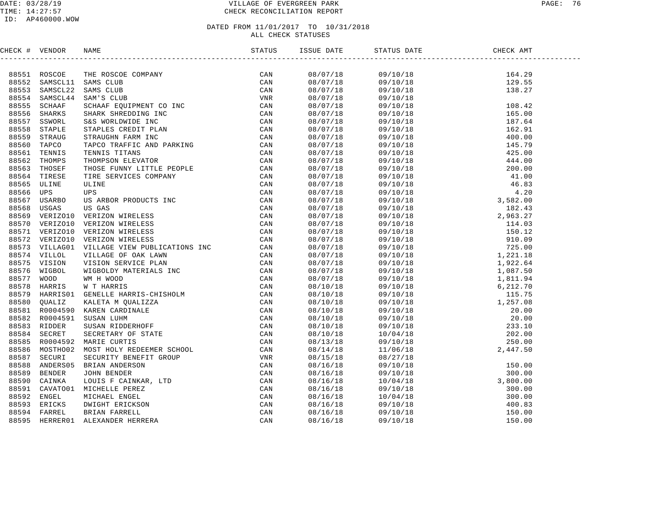### DATE: 03/28/19 VILLAGE OF EVERGREEN PARK PAGE: 76 TIME: 14:27:57 CHECK RECONCILIATION REPORT

### ID: AP460000.WOW

| CHECK # VENDOR |  |          |                                                                                                                                                                                                                                                                                                                      |                                                                                                                      |  |
|----------------|--|----------|----------------------------------------------------------------------------------------------------------------------------------------------------------------------------------------------------------------------------------------------------------------------------------------------------------------------|----------------------------------------------------------------------------------------------------------------------|--|
|                |  |          |                                                                                                                                                                                                                                                                                                                      |                                                                                                                      |  |
|                |  |          |                                                                                                                                                                                                                                                                                                                      |                                                                                                                      |  |
|                |  |          |                                                                                                                                                                                                                                                                                                                      |                                                                                                                      |  |
|                |  | 08/07/18 |                                                                                                                                                                                                                                                                                                                      |                                                                                                                      |  |
|                |  | 08/07/18 |                                                                                                                                                                                                                                                                                                                      |                                                                                                                      |  |
|                |  | 08/07/18 |                                                                                                                                                                                                                                                                                                                      |                                                                                                                      |  |
|                |  | 08/07/18 |                                                                                                                                                                                                                                                                                                                      |                                                                                                                      |  |
|                |  | 08/07/18 |                                                                                                                                                                                                                                                                                                                      |                                                                                                                      |  |
|                |  | 08/07/18 |                                                                                                                                                                                                                                                                                                                      |                                                                                                                      |  |
|                |  |          |                                                                                                                                                                                                                                                                                                                      |                                                                                                                      |  |
|                |  |          |                                                                                                                                                                                                                                                                                                                      |                                                                                                                      |  |
|                |  | 08/07/18 |                                                                                                                                                                                                                                                                                                                      |                                                                                                                      |  |
|                |  | 08/07/18 |                                                                                                                                                                                                                                                                                                                      |                                                                                                                      |  |
|                |  | 08/07/18 |                                                                                                                                                                                                                                                                                                                      |                                                                                                                      |  |
|                |  | 08/07/18 |                                                                                                                                                                                                                                                                                                                      |                                                                                                                      |  |
|                |  | 08/07/18 |                                                                                                                                                                                                                                                                                                                      |                                                                                                                      |  |
|                |  | 08/07/18 |                                                                                                                                                                                                                                                                                                                      |                                                                                                                      |  |
|                |  |          |                                                                                                                                                                                                                                                                                                                      |                                                                                                                      |  |
|                |  |          |                                                                                                                                                                                                                                                                                                                      |                                                                                                                      |  |
|                |  |          |                                                                                                                                                                                                                                                                                                                      |                                                                                                                      |  |
|                |  | 08/07/18 |                                                                                                                                                                                                                                                                                                                      |                                                                                                                      |  |
|                |  | 08/07/18 |                                                                                                                                                                                                                                                                                                                      |                                                                                                                      |  |
|                |  | 08/07/18 |                                                                                                                                                                                                                                                                                                                      |                                                                                                                      |  |
|                |  | 08/07/18 |                                                                                                                                                                                                                                                                                                                      |                                                                                                                      |  |
|                |  | 08/07/18 |                                                                                                                                                                                                                                                                                                                      |                                                                                                                      |  |
|                |  | 08/07/18 |                                                                                                                                                                                                                                                                                                                      |                                                                                                                      |  |
|                |  |          |                                                                                                                                                                                                                                                                                                                      |                                                                                                                      |  |
|                |  |          |                                                                                                                                                                                                                                                                                                                      |                                                                                                                      |  |
|                |  |          |                                                                                                                                                                                                                                                                                                                      |                                                                                                                      |  |
|                |  | 08/10/18 |                                                                                                                                                                                                                                                                                                                      |                                                                                                                      |  |
|                |  | 08/10/18 |                                                                                                                                                                                                                                                                                                                      |                                                                                                                      |  |
|                |  | 08/10/18 |                                                                                                                                                                                                                                                                                                                      |                                                                                                                      |  |
|                |  | 08/10/18 |                                                                                                                                                                                                                                                                                                                      |                                                                                                                      |  |
|                |  | 08/10/18 |                                                                                                                                                                                                                                                                                                                      |                                                                                                                      |  |
|                |  |          |                                                                                                                                                                                                                                                                                                                      |                                                                                                                      |  |
|                |  | 08/13/18 |                                                                                                                                                                                                                                                                                                                      |                                                                                                                      |  |
|                |  | 08/14/18 |                                                                                                                                                                                                                                                                                                                      |                                                                                                                      |  |
|                |  | 08/15/18 |                                                                                                                                                                                                                                                                                                                      |                                                                                                                      |  |
|                |  | 08/16/18 |                                                                                                                                                                                                                                                                                                                      |                                                                                                                      |  |
|                |  | 08/16/18 |                                                                                                                                                                                                                                                                                                                      |                                                                                                                      |  |
|                |  | 08/16/18 |                                                                                                                                                                                                                                                                                                                      |                                                                                                                      |  |
|                |  | 08/16/18 |                                                                                                                                                                                                                                                                                                                      |                                                                                                                      |  |
|                |  | 08/16/18 |                                                                                                                                                                                                                                                                                                                      |                                                                                                                      |  |
|                |  | 08/16/18 |                                                                                                                                                                                                                                                                                                                      |                                                                                                                      |  |
|                |  | 08/16/18 |                                                                                                                                                                                                                                                                                                                      |                                                                                                                      |  |
|                |  | 08/16/18 |                                                                                                                                                                                                                                                                                                                      |                                                                                                                      |  |
|                |  |          | $\begin{tabular}{l cccc} $K$ & $W$ & W70010 & N3008 & 189 \\ \hline 1851 & R02002 & 7248 & 0.9000 & 0.000184N \\ \end{tabular} \begin{tabular}{l cccc} $K$ & $W$ & 0.0000 & 0.0000 & 0.0000 & 0.0000 & 0.0000 & 0.0000 & 0.0000 & 0.0000 & 0.0000 & 0.0000 & 0.0000 & 0.0000 & 0.0000 & 0.0000 & 0.0000$<br>08/10/18 | 08/07/18<br>08/07/18<br>08/07/18<br>08/07/18<br>08/07/18<br>08/07/18<br>08/07/18<br>08/07/18<br>08/07/18<br>08/10/18 |  |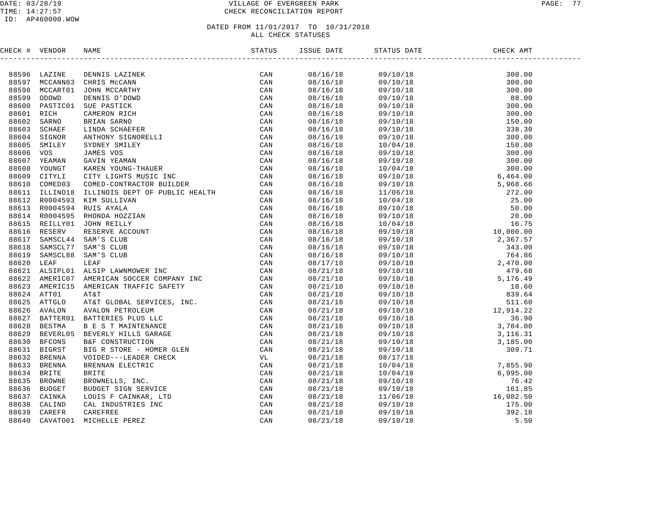### DATE: 03/28/19 VILLAGE OF EVERGREEN PARK PAGE: 77 TIME: 14:27:57 CHECK RECONCILIATION REPORT

| CHECK # VENDOR |                                                                                                                                                                                                                               | ISSUE DATE | STATUS DATE | CHECK AMT |  |
|----------------|-------------------------------------------------------------------------------------------------------------------------------------------------------------------------------------------------------------------------------|------------|-------------|-----------|--|
|                | ENERGY # VERTICLE AND DESIREE SERVICE ON SAFEKER AND A SERVICE ON SAFEKER CONDUCANTS (CAN CAN BE SERVICE ON SAFEKER CAN CAN BE SERVICE ON THE SERVICE ON SAFEKER CAN BE SERVICE ON THE SERVICE ON SAFEKER CAN BE SERVICE ON T |            |             |           |  |
|                |                                                                                                                                                                                                                               | 08/16/18   |             |           |  |
|                |                                                                                                                                                                                                                               | 08/16/18   |             |           |  |
|                |                                                                                                                                                                                                                               | 08/16/18   |             |           |  |
|                |                                                                                                                                                                                                                               | 08/16/18   |             |           |  |
|                |                                                                                                                                                                                                                               | 08/16/18   |             |           |  |
|                |                                                                                                                                                                                                                               | 08/16/18   |             |           |  |
|                |                                                                                                                                                                                                                               | 08/16/18   |             |           |  |
|                |                                                                                                                                                                                                                               | 08/16/18   |             |           |  |
|                |                                                                                                                                                                                                                               | 08/16/18   |             |           |  |
|                |                                                                                                                                                                                                                               | 08/16/18   |             |           |  |
|                |                                                                                                                                                                                                                               | 08/16/18   |             |           |  |
|                |                                                                                                                                                                                                                               | 08/16/18   |             |           |  |
|                |                                                                                                                                                                                                                               | 08/16/18   |             |           |  |
|                |                                                                                                                                                                                                                               | 08/16/18   |             |           |  |
|                |                                                                                                                                                                                                                               | 08/16/18   |             |           |  |
|                |                                                                                                                                                                                                                               | 08/16/18   |             |           |  |
|                |                                                                                                                                                                                                                               | 08/16/18   |             |           |  |
|                |                                                                                                                                                                                                                               | 08/16/18   |             |           |  |
|                |                                                                                                                                                                                                                               | 08/16/18   |             |           |  |
|                |                                                                                                                                                                                                                               | 08/16/18   |             |           |  |
|                |                                                                                                                                                                                                                               | 08/16/18   |             |           |  |
|                |                                                                                                                                                                                                                               | 08/16/18   |             |           |  |
|                |                                                                                                                                                                                                                               | 08/16/18   |             |           |  |
|                |                                                                                                                                                                                                                               | 08/16/18   |             |           |  |
|                |                                                                                                                                                                                                                               | 08/17/18   |             |           |  |
|                |                                                                                                                                                                                                                               | 08/21/18   |             |           |  |
|                |                                                                                                                                                                                                                               | 08/21/18   |             |           |  |
|                |                                                                                                                                                                                                                               | 08/21/18   |             |           |  |
|                |                                                                                                                                                                                                                               | 08/21/18   |             |           |  |
|                |                                                                                                                                                                                                                               | 08/21/18   |             |           |  |
|                |                                                                                                                                                                                                                               | 08/21/18   |             |           |  |
|                |                                                                                                                                                                                                                               | 08/21/18   |             |           |  |
|                |                                                                                                                                                                                                                               | 08/21/18   |             |           |  |
|                |                                                                                                                                                                                                                               | 08/21/18   |             |           |  |
|                |                                                                                                                                                                                                                               | 08/21/18   |             |           |  |
|                |                                                                                                                                                                                                                               | 08/21/18   |             |           |  |
|                |                                                                                                                                                                                                                               | 08/21/18   |             |           |  |
|                |                                                                                                                                                                                                                               | 08/21/18   |             |           |  |
|                |                                                                                                                                                                                                                               | 08/21/18   |             |           |  |
|                |                                                                                                                                                                                                                               | 08/21/18   |             |           |  |
|                |                                                                                                                                                                                                                               | 08/21/18   |             |           |  |
|                |                                                                                                                                                                                                                               | 08/21/18   |             |           |  |
|                |                                                                                                                                                                                                                               | 08/21/18   |             |           |  |
|                |                                                                                                                                                                                                                               | 08/21/18   |             |           |  |
|                |                                                                                                                                                                                                                               | 08/21/18   |             |           |  |
|                |                                                                                                                                                                                                                               |            |             |           |  |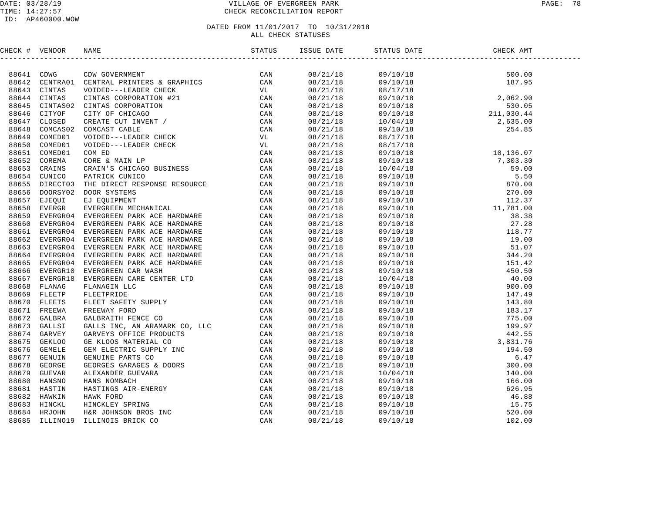### DATE: 03/28/19 VILLAGE OF EVERGREEN PARK PAGE: 78 TIME: 14:27:57 CHECK RECONCILIATION REPORT

### ID: AP460000.WOW

| CHECK # VENDOR |                                                                                                                                                                                                                                 | ISSUE DATE STATUS | STATUS DATE | DATE CHECK AMT |  |
|----------------|---------------------------------------------------------------------------------------------------------------------------------------------------------------------------------------------------------------------------------|-------------------|-------------|----------------|--|
|                | THE VERTICAL IN A CONSIDERATION CONTINUES.<br>THE SECTION CONSIDERATION IN A SECTION CONSIDERATION CONSIDERATION CONSIDERATION CONSIDERATION CONSIDERATION CONSIDERATION CONSIDERATION CONSIDERATION CONSIDERATION CONSIDER A C |                   |             |                |  |
|                |                                                                                                                                                                                                                                 |                   |             |                |  |
|                |                                                                                                                                                                                                                                 |                   |             |                |  |
|                |                                                                                                                                                                                                                                 |                   |             |                |  |
|                |                                                                                                                                                                                                                                 |                   |             |                |  |
|                |                                                                                                                                                                                                                                 |                   |             |                |  |
|                |                                                                                                                                                                                                                                 |                   |             |                |  |
|                |                                                                                                                                                                                                                                 |                   |             |                |  |
|                |                                                                                                                                                                                                                                 |                   |             |                |  |
|                |                                                                                                                                                                                                                                 |                   |             |                |  |
|                |                                                                                                                                                                                                                                 |                   |             |                |  |
|                |                                                                                                                                                                                                                                 |                   |             |                |  |
|                |                                                                                                                                                                                                                                 |                   |             |                |  |
|                |                                                                                                                                                                                                                                 |                   |             |                |  |
|                |                                                                                                                                                                                                                                 |                   |             |                |  |
|                |                                                                                                                                                                                                                                 |                   |             |                |  |
|                |                                                                                                                                                                                                                                 |                   |             |                |  |
|                |                                                                                                                                                                                                                                 |                   |             |                |  |
|                |                                                                                                                                                                                                                                 |                   |             |                |  |
|                |                                                                                                                                                                                                                                 |                   |             |                |  |
|                |                                                                                                                                                                                                                                 |                   |             |                |  |
|                |                                                                                                                                                                                                                                 |                   |             |                |  |
|                |                                                                                                                                                                                                                                 |                   |             |                |  |
|                |                                                                                                                                                                                                                                 |                   |             |                |  |
|                |                                                                                                                                                                                                                                 |                   |             |                |  |
|                |                                                                                                                                                                                                                                 |                   |             |                |  |
|                |                                                                                                                                                                                                                                 |                   |             |                |  |
|                |                                                                                                                                                                                                                                 |                   |             |                |  |
|                |                                                                                                                                                                                                                                 |                   |             |                |  |
|                |                                                                                                                                                                                                                                 |                   |             |                |  |
|                |                                                                                                                                                                                                                                 |                   |             |                |  |
|                |                                                                                                                                                                                                                                 |                   |             |                |  |
|                |                                                                                                                                                                                                                                 |                   |             |                |  |
|                |                                                                                                                                                                                                                                 |                   |             |                |  |
|                |                                                                                                                                                                                                                                 |                   |             |                |  |
|                |                                                                                                                                                                                                                                 |                   |             |                |  |
|                |                                                                                                                                                                                                                                 |                   |             |                |  |
|                |                                                                                                                                                                                                                                 |                   |             |                |  |
|                |                                                                                                                                                                                                                                 |                   |             |                |  |
|                |                                                                                                                                                                                                                                 |                   |             |                |  |
|                |                                                                                                                                                                                                                                 |                   |             |                |  |
|                |                                                                                                                                                                                                                                 |                   |             |                |  |
|                |                                                                                                                                                                                                                                 |                   |             |                |  |
|                |                                                                                                                                                                                                                                 |                   |             |                |  |
|                |                                                                                                                                                                                                                                 |                   |             |                |  |
|                |                                                                                                                                                                                                                                 |                   |             |                |  |
|                |                                                                                                                                                                                                                                 |                   | 09/10/18    |                |  |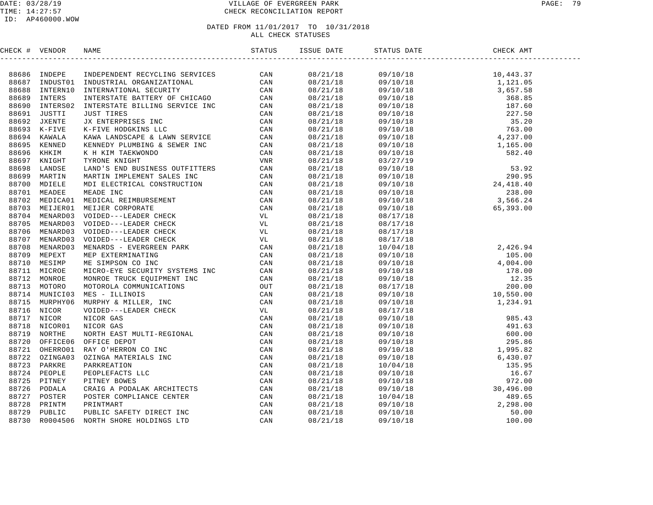### DATE: 03/28/19 VILLAGE OF EVERGREEN PARK PAGE: 79 TIME: 14:27:57 CHECK RECONCILIATION REPORT

| CHECK # VENDOR | NAME | ISSUE DATE | STATUS DATE | CHECK AMT |  |
|----------------|------|------------|-------------|-----------|--|
|                |      |            |             |           |  |
|                |      |            |             |           |  |
|                |      |            |             |           |  |
|                |      |            |             |           |  |
|                |      |            |             |           |  |
|                |      |            |             |           |  |
|                |      |            |             |           |  |
|                |      |            |             |           |  |
|                |      |            |             |           |  |
|                |      |            |             |           |  |
|                |      |            |             |           |  |
|                |      |            |             |           |  |
|                |      |            |             |           |  |
|                |      |            |             |           |  |
|                |      |            |             |           |  |
|                |      |            |             |           |  |
|                |      |            |             |           |  |
|                |      |            |             |           |  |
|                |      |            |             |           |  |
|                |      |            |             |           |  |
|                |      |            |             |           |  |
|                |      |            |             |           |  |
|                |      |            |             |           |  |
|                |      |            |             |           |  |
|                |      |            |             |           |  |
|                |      |            |             |           |  |
|                |      |            |             |           |  |
|                |      |            |             |           |  |
|                |      |            |             |           |  |
|                |      |            |             |           |  |
|                |      |            |             |           |  |
|                |      |            |             |           |  |
|                |      |            |             |           |  |
|                |      |            |             |           |  |
|                |      |            |             |           |  |
|                |      |            |             |           |  |
|                |      |            |             |           |  |
|                |      |            |             |           |  |
|                |      |            |             |           |  |
|                |      |            |             |           |  |
|                |      |            |             |           |  |
|                |      |            |             |           |  |
|                |      |            |             |           |  |
|                |      |            |             |           |  |
|                |      |            |             |           |  |
|                |      |            |             |           |  |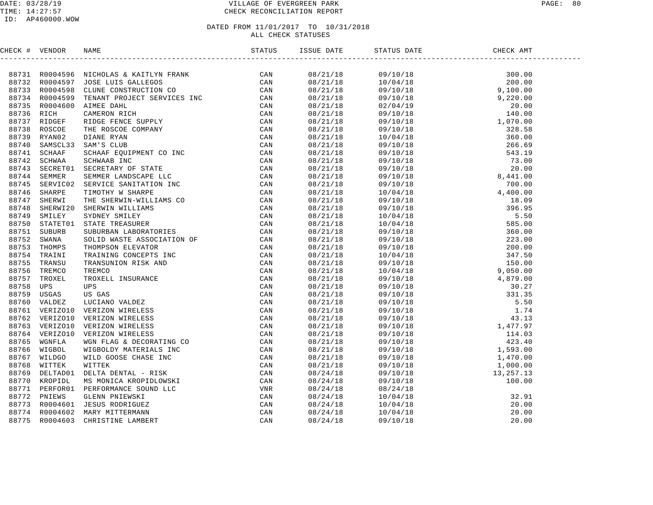### DATE: 03/28/19 VILLAGE OF EVERGREEN PARK PAGE: 80 TIME: 14:27:57 CHECK RECONCILIATION REPORT

### ID: AP460000.WOW

| CHECK # VENDOR | NAME                                                                                                                                                                                                                          |  | CHECK AMT |  |
|----------------|-------------------------------------------------------------------------------------------------------------------------------------------------------------------------------------------------------------------------------|--|-----------|--|
|                | 2010 + 1910 = 1940 = 1940 + 1940 = 1940 = 1940 = 1940 = 1940 = 1940 = 1940 = 1940 = 1940 = 1940 = 1940 = 1940 = 1940 = 1940 = 1940 = 1940 = 1940 = 1940 = 1940 = 1940 = 1940 = 1940 = 1940 = 1940 = 1940 = 1940 = 1940 = 1940 |  |           |  |
|                |                                                                                                                                                                                                                               |  |           |  |
|                |                                                                                                                                                                                                                               |  |           |  |
|                |                                                                                                                                                                                                                               |  |           |  |
|                |                                                                                                                                                                                                                               |  |           |  |
|                |                                                                                                                                                                                                                               |  |           |  |
|                |                                                                                                                                                                                                                               |  |           |  |
|                |                                                                                                                                                                                                                               |  |           |  |
|                |                                                                                                                                                                                                                               |  |           |  |
|                |                                                                                                                                                                                                                               |  |           |  |
|                |                                                                                                                                                                                                                               |  |           |  |
|                |                                                                                                                                                                                                                               |  |           |  |
|                |                                                                                                                                                                                                                               |  |           |  |
|                |                                                                                                                                                                                                                               |  |           |  |
|                |                                                                                                                                                                                                                               |  |           |  |
|                |                                                                                                                                                                                                                               |  |           |  |
|                |                                                                                                                                                                                                                               |  |           |  |
|                |                                                                                                                                                                                                                               |  |           |  |
|                |                                                                                                                                                                                                                               |  |           |  |
|                |                                                                                                                                                                                                                               |  |           |  |
|                |                                                                                                                                                                                                                               |  |           |  |
|                |                                                                                                                                                                                                                               |  |           |  |
|                |                                                                                                                                                                                                                               |  |           |  |
|                |                                                                                                                                                                                                                               |  |           |  |
|                |                                                                                                                                                                                                                               |  |           |  |
|                |                                                                                                                                                                                                                               |  |           |  |
|                |                                                                                                                                                                                                                               |  |           |  |
|                |                                                                                                                                                                                                                               |  |           |  |
|                |                                                                                                                                                                                                                               |  |           |  |
|                |                                                                                                                                                                                                                               |  |           |  |
|                |                                                                                                                                                                                                                               |  |           |  |
|                |                                                                                                                                                                                                                               |  |           |  |
|                |                                                                                                                                                                                                                               |  |           |  |
|                |                                                                                                                                                                                                                               |  |           |  |
|                |                                                                                                                                                                                                                               |  |           |  |
|                |                                                                                                                                                                                                                               |  |           |  |
|                |                                                                                                                                                                                                                               |  |           |  |
|                |                                                                                                                                                                                                                               |  |           |  |
|                |                                                                                                                                                                                                                               |  |           |  |
|                |                                                                                                                                                                                                                               |  |           |  |
|                |                                                                                                                                                                                                                               |  |           |  |
|                |                                                                                                                                                                                                                               |  |           |  |
|                |                                                                                                                                                                                                                               |  |           |  |
|                |                                                                                                                                                                                                                               |  |           |  |
|                |                                                                                                                                                                                                                               |  |           |  |
|                |                                                                                                                                                                                                                               |  |           |  |
|                |                                                                                                                                                                                                                               |  |           |  |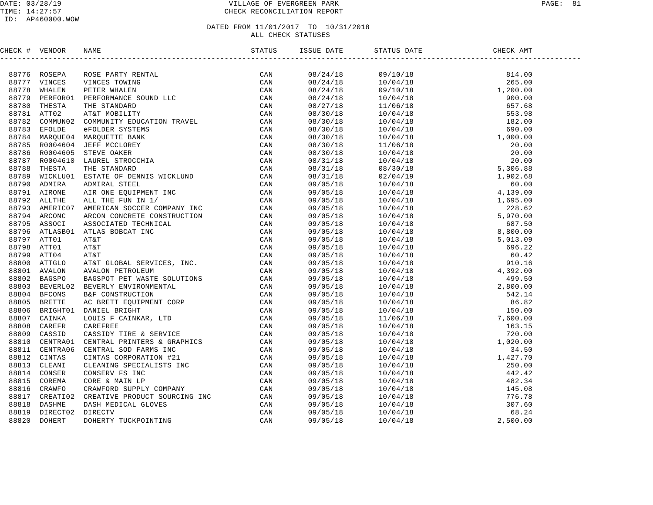### DATE: 03/28/19 PAGE: 81 PAGE: 81 TIME: 14:27:57 CHECK RECONCILIATION REPORT

### ID: AP460000.WOW

| CHECK # VENDOR |                                                                                                                                                                                                                               |  |  |  |
|----------------|-------------------------------------------------------------------------------------------------------------------------------------------------------------------------------------------------------------------------------|--|--|--|
|                | THE VERIFIES AND MANUFACTERIZED IN A CAN SERVE A CAN SERVE AND MANUFACTED AND A CAN SERVE AND MANUFACT CAN SERVE AND MANUFACTED AND MANUFACTED AND AN ANGELE SERVER AND SERVE AND MANUFACTED AND AN ANGELE SERVER AND MANUFAC |  |  |  |
|                |                                                                                                                                                                                                                               |  |  |  |
|                |                                                                                                                                                                                                                               |  |  |  |
|                |                                                                                                                                                                                                                               |  |  |  |
|                |                                                                                                                                                                                                                               |  |  |  |
|                |                                                                                                                                                                                                                               |  |  |  |
|                |                                                                                                                                                                                                                               |  |  |  |
|                |                                                                                                                                                                                                                               |  |  |  |
|                |                                                                                                                                                                                                                               |  |  |  |
|                |                                                                                                                                                                                                                               |  |  |  |
|                |                                                                                                                                                                                                                               |  |  |  |
|                |                                                                                                                                                                                                                               |  |  |  |
|                |                                                                                                                                                                                                                               |  |  |  |
|                |                                                                                                                                                                                                                               |  |  |  |
|                |                                                                                                                                                                                                                               |  |  |  |
|                |                                                                                                                                                                                                                               |  |  |  |
|                |                                                                                                                                                                                                                               |  |  |  |
|                |                                                                                                                                                                                                                               |  |  |  |
|                |                                                                                                                                                                                                                               |  |  |  |
|                |                                                                                                                                                                                                                               |  |  |  |
|                |                                                                                                                                                                                                                               |  |  |  |
|                |                                                                                                                                                                                                                               |  |  |  |
|                |                                                                                                                                                                                                                               |  |  |  |
|                |                                                                                                                                                                                                                               |  |  |  |
|                |                                                                                                                                                                                                                               |  |  |  |
|                |                                                                                                                                                                                                                               |  |  |  |
|                |                                                                                                                                                                                                                               |  |  |  |
|                |                                                                                                                                                                                                                               |  |  |  |
|                |                                                                                                                                                                                                                               |  |  |  |
|                |                                                                                                                                                                                                                               |  |  |  |
|                |                                                                                                                                                                                                                               |  |  |  |
|                |                                                                                                                                                                                                                               |  |  |  |
|                |                                                                                                                                                                                                                               |  |  |  |
|                |                                                                                                                                                                                                                               |  |  |  |
|                |                                                                                                                                                                                                                               |  |  |  |
|                |                                                                                                                                                                                                                               |  |  |  |
|                |                                                                                                                                                                                                                               |  |  |  |
|                |                                                                                                                                                                                                                               |  |  |  |
|                |                                                                                                                                                                                                                               |  |  |  |
|                |                                                                                                                                                                                                                               |  |  |  |
|                |                                                                                                                                                                                                                               |  |  |  |
|                |                                                                                                                                                                                                                               |  |  |  |
|                |                                                                                                                                                                                                                               |  |  |  |
|                |                                                                                                                                                                                                                               |  |  |  |
|                |                                                                                                                                                                                                                               |  |  |  |
|                |                                                                                                                                                                                                                               |  |  |  |
|                |                                                                                                                                                                                                                               |  |  |  |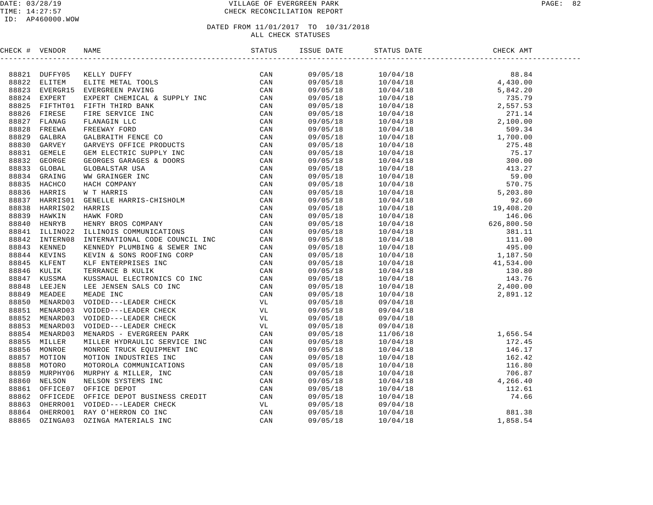### DATE: 03/28/19 VILLAGE OF EVERGREEN PARK PAGE: 82 TIME: 14:27:57 CHECK RECONCILIATION REPORT

| CHECK # VENDOR |                                                                                                                                                                                                                               |  |                                                                                                                                                                                                                                                                               |  |
|----------------|-------------------------------------------------------------------------------------------------------------------------------------------------------------------------------------------------------------------------------|--|-------------------------------------------------------------------------------------------------------------------------------------------------------------------------------------------------------------------------------------------------------------------------------|--|
|                | THERE 4 VENDOS NAMED IN the state of the case of the second and the second and the second in the second and the second in the second in the second in the second of the second of the second of the second of the second of t |  | $\begin{tabular}{cccccccc} $1686748 & $1814 & $8163 & $1004418 \\ 109705718 & 10704418 & 4340.00 \\ 109705718 & 100704418 & 5,942.09 \\ 109705718 & 100704418 & 2,557.53 \\ 109705718 & 100704418 & 2,597.53 \\ 109705718 & 100704418 & 2,597.54 \\ 109705718 & 100704418 & $ |  |
|                |                                                                                                                                                                                                                               |  |                                                                                                                                                                                                                                                                               |  |
|                |                                                                                                                                                                                                                               |  |                                                                                                                                                                                                                                                                               |  |
|                |                                                                                                                                                                                                                               |  |                                                                                                                                                                                                                                                                               |  |
|                |                                                                                                                                                                                                                               |  |                                                                                                                                                                                                                                                                               |  |
|                |                                                                                                                                                                                                                               |  |                                                                                                                                                                                                                                                                               |  |
|                |                                                                                                                                                                                                                               |  |                                                                                                                                                                                                                                                                               |  |
|                |                                                                                                                                                                                                                               |  |                                                                                                                                                                                                                                                                               |  |
|                |                                                                                                                                                                                                                               |  |                                                                                                                                                                                                                                                                               |  |
|                |                                                                                                                                                                                                                               |  |                                                                                                                                                                                                                                                                               |  |
|                |                                                                                                                                                                                                                               |  |                                                                                                                                                                                                                                                                               |  |
|                |                                                                                                                                                                                                                               |  |                                                                                                                                                                                                                                                                               |  |
|                |                                                                                                                                                                                                                               |  |                                                                                                                                                                                                                                                                               |  |
|                |                                                                                                                                                                                                                               |  |                                                                                                                                                                                                                                                                               |  |
|                |                                                                                                                                                                                                                               |  |                                                                                                                                                                                                                                                                               |  |
|                |                                                                                                                                                                                                                               |  |                                                                                                                                                                                                                                                                               |  |
|                |                                                                                                                                                                                                                               |  |                                                                                                                                                                                                                                                                               |  |
|                |                                                                                                                                                                                                                               |  |                                                                                                                                                                                                                                                                               |  |
|                |                                                                                                                                                                                                                               |  |                                                                                                                                                                                                                                                                               |  |
|                |                                                                                                                                                                                                                               |  |                                                                                                                                                                                                                                                                               |  |
|                |                                                                                                                                                                                                                               |  |                                                                                                                                                                                                                                                                               |  |
|                |                                                                                                                                                                                                                               |  |                                                                                                                                                                                                                                                                               |  |
|                |                                                                                                                                                                                                                               |  |                                                                                                                                                                                                                                                                               |  |
|                |                                                                                                                                                                                                                               |  |                                                                                                                                                                                                                                                                               |  |
|                |                                                                                                                                                                                                                               |  |                                                                                                                                                                                                                                                                               |  |
|                |                                                                                                                                                                                                                               |  |                                                                                                                                                                                                                                                                               |  |
|                |                                                                                                                                                                                                                               |  |                                                                                                                                                                                                                                                                               |  |
|                |                                                                                                                                                                                                                               |  |                                                                                                                                                                                                                                                                               |  |
|                |                                                                                                                                                                                                                               |  |                                                                                                                                                                                                                                                                               |  |
|                |                                                                                                                                                                                                                               |  |                                                                                                                                                                                                                                                                               |  |
|                |                                                                                                                                                                                                                               |  |                                                                                                                                                                                                                                                                               |  |
|                |                                                                                                                                                                                                                               |  |                                                                                                                                                                                                                                                                               |  |
|                |                                                                                                                                                                                                                               |  |                                                                                                                                                                                                                                                                               |  |
|                |                                                                                                                                                                                                                               |  |                                                                                                                                                                                                                                                                               |  |
|                |                                                                                                                                                                                                                               |  |                                                                                                                                                                                                                                                                               |  |
|                |                                                                                                                                                                                                                               |  |                                                                                                                                                                                                                                                                               |  |
|                |                                                                                                                                                                                                                               |  |                                                                                                                                                                                                                                                                               |  |
|                |                                                                                                                                                                                                                               |  |                                                                                                                                                                                                                                                                               |  |
|                |                                                                                                                                                                                                                               |  |                                                                                                                                                                                                                                                                               |  |
|                |                                                                                                                                                                                                                               |  |                                                                                                                                                                                                                                                                               |  |
|                |                                                                                                                                                                                                                               |  |                                                                                                                                                                                                                                                                               |  |
|                |                                                                                                                                                                                                                               |  |                                                                                                                                                                                                                                                                               |  |
|                |                                                                                                                                                                                                                               |  |                                                                                                                                                                                                                                                                               |  |
|                |                                                                                                                                                                                                                               |  |                                                                                                                                                                                                                                                                               |  |
|                |                                                                                                                                                                                                                               |  |                                                                                                                                                                                                                                                                               |  |
|                |                                                                                                                                                                                                                               |  |                                                                                                                                                                                                                                                                               |  |
|                |                                                                                                                                                                                                                               |  |                                                                                                                                                                                                                                                                               |  |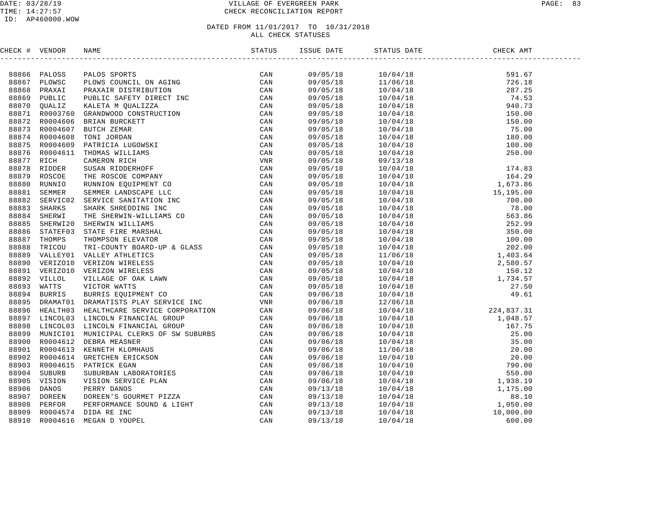### DATE: 03/28/19 VILLAGE OF EVERGREEN PARK PAGE: 83 TIME: 14:27:57 CHECK RECONCILIATION REPORT

### ID: AP460000.WOW

| CHECK # VENDOR |                                                                                                                                                                                                                                                                                                                                                     | ISSUE DATE | STATUS DATE |  |
|----------------|-----------------------------------------------------------------------------------------------------------------------------------------------------------------------------------------------------------------------------------------------------------------------------------------------------------------------------------------------------|------------|-------------|--|
|                | $\begin{tabular}{cccc} 4 & VEDDOR & RABR & S2BCR & S1C0S & S2CRC & S1C1 & S1R & S2SRC \\ 6 & PDCOSR & PMDOSR & S2CRC & S1C & S1R & S2SRC & S2SRC \\ 6 & PDRXAC & PMDXACR & S2SFR & S2SFR & S2SFR \\ 77 & 70 & 0011.1C & S2RRT & S2SFR & S2R & S2R & S2R \\ 77 & 77 & 0011.1C & S2RRT & S2R & S2R & S2R & S2R \\ 77 & 77 & 77 & 77 & 77 & 77 & 77 &$ |            |             |  |
|                |                                                                                                                                                                                                                                                                                                                                                     |            |             |  |
|                |                                                                                                                                                                                                                                                                                                                                                     |            |             |  |
|                |                                                                                                                                                                                                                                                                                                                                                     |            |             |  |
|                |                                                                                                                                                                                                                                                                                                                                                     |            |             |  |
|                |                                                                                                                                                                                                                                                                                                                                                     |            |             |  |
|                |                                                                                                                                                                                                                                                                                                                                                     |            |             |  |
|                |                                                                                                                                                                                                                                                                                                                                                     |            |             |  |
|                |                                                                                                                                                                                                                                                                                                                                                     |            |             |  |
|                |                                                                                                                                                                                                                                                                                                                                                     |            |             |  |
|                |                                                                                                                                                                                                                                                                                                                                                     |            |             |  |
|                |                                                                                                                                                                                                                                                                                                                                                     |            |             |  |
|                |                                                                                                                                                                                                                                                                                                                                                     |            |             |  |
|                |                                                                                                                                                                                                                                                                                                                                                     |            |             |  |
|                |                                                                                                                                                                                                                                                                                                                                                     |            |             |  |
|                |                                                                                                                                                                                                                                                                                                                                                     |            |             |  |
|                |                                                                                                                                                                                                                                                                                                                                                     |            |             |  |
|                |                                                                                                                                                                                                                                                                                                                                                     |            |             |  |
|                |                                                                                                                                                                                                                                                                                                                                                     |            |             |  |
|                |                                                                                                                                                                                                                                                                                                                                                     |            |             |  |
|                |                                                                                                                                                                                                                                                                                                                                                     |            |             |  |
|                |                                                                                                                                                                                                                                                                                                                                                     |            |             |  |
|                |                                                                                                                                                                                                                                                                                                                                                     |            |             |  |
|                |                                                                                                                                                                                                                                                                                                                                                     |            |             |  |
|                |                                                                                                                                                                                                                                                                                                                                                     |            |             |  |
|                |                                                                                                                                                                                                                                                                                                                                                     |            |             |  |
|                |                                                                                                                                                                                                                                                                                                                                                     |            |             |  |
|                |                                                                                                                                                                                                                                                                                                                                                     |            |             |  |
|                |                                                                                                                                                                                                                                                                                                                                                     |            |             |  |
|                |                                                                                                                                                                                                                                                                                                                                                     |            |             |  |
|                |                                                                                                                                                                                                                                                                                                                                                     |            |             |  |
|                |                                                                                                                                                                                                                                                                                                                                                     |            |             |  |
|                |                                                                                                                                                                                                                                                                                                                                                     |            |             |  |
|                |                                                                                                                                                                                                                                                                                                                                                     |            |             |  |
|                |                                                                                                                                                                                                                                                                                                                                                     |            |             |  |
|                |                                                                                                                                                                                                                                                                                                                                                     |            |             |  |
|                |                                                                                                                                                                                                                                                                                                                                                     |            |             |  |
|                |                                                                                                                                                                                                                                                                                                                                                     |            |             |  |
|                |                                                                                                                                                                                                                                                                                                                                                     |            |             |  |
|                |                                                                                                                                                                                                                                                                                                                                                     |            |             |  |
|                |                                                                                                                                                                                                                                                                                                                                                     |            |             |  |
|                |                                                                                                                                                                                                                                                                                                                                                     |            |             |  |
|                |                                                                                                                                                                                                                                                                                                                                                     |            |             |  |
|                |                                                                                                                                                                                                                                                                                                                                                     |            |             |  |
|                |                                                                                                                                                                                                                                                                                                                                                     |            |             |  |
|                |                                                                                                                                                                                                                                                                                                                                                     |            |             |  |
|                |                                                                                                                                                                                                                                                                                                                                                     |            |             |  |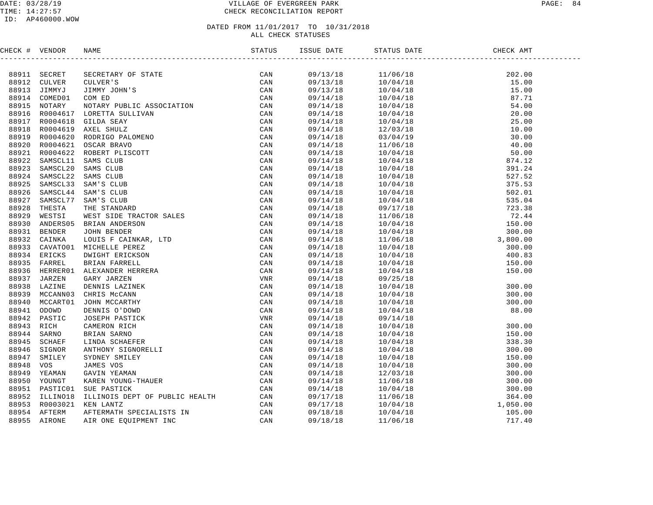### DATE: 03/28/19 PAGE: 84 TIME: 14:27:57 CHECK RECONCILIATION REPORT

### ID: AP460000.WOW

| CHECK # VENDOR |                | NAME                                                                                                                                                                                                                                                               |     | ISSUE DATE | STATUS DATE | CHECK AMT |  |
|----------------|----------------|--------------------------------------------------------------------------------------------------------------------------------------------------------------------------------------------------------------------------------------------------------------------|-----|------------|-------------|-----------|--|
|                |                | NAME SECRETARY OF STATES (SCREEN)<br>SECRETARY OF STATE CAN<br>CULVER: CAN<br>COLUMERY OF STATE CAN<br>COM ED.<br>CAN<br>COM ED.<br>CAN<br>COM ED.<br>CAN<br>COM ED.<br>CAN<br>COM ED.<br>COM ED.<br>CAN<br>COM ED.<br>COM ED.<br>SENGILLE ASSOCIATION<br>SCREEN C |     |            |             |           |  |
|                | 88911 SECRET   |                                                                                                                                                                                                                                                                    |     | 09/13/18   |             |           |  |
|                | 88912 CULVER   |                                                                                                                                                                                                                                                                    |     | 09/13/18   |             |           |  |
| 88913          | JIMMYJ         |                                                                                                                                                                                                                                                                    |     | 09/13/18   |             |           |  |
| 88914          | COMED01        |                                                                                                                                                                                                                                                                    |     | 09/14/18   |             |           |  |
| 88915          | NOTARY         |                                                                                                                                                                                                                                                                    |     | 09/14/18   |             |           |  |
| 88916          | R0004617       |                                                                                                                                                                                                                                                                    |     | 09/14/18   |             |           |  |
| 88917          | R0004618       |                                                                                                                                                                                                                                                                    |     | 09/14/18   |             |           |  |
| 88918          | R0004619       |                                                                                                                                                                                                                                                                    |     | 09/14/18   |             |           |  |
|                | 88919 R0004620 |                                                                                                                                                                                                                                                                    |     | 09/14/18   |             |           |  |
| 88920          | R0004621       |                                                                                                                                                                                                                                                                    |     | 09/14/18   |             |           |  |
| 88921          | R0004622       |                                                                                                                                                                                                                                                                    |     | 09/14/18   |             |           |  |
| 88922          | SAMSCL11       |                                                                                                                                                                                                                                                                    |     | 09/14/18   |             |           |  |
| 88923          | SAMSCL20       |                                                                                                                                                                                                                                                                    |     | 09/14/18   |             |           |  |
| 88924          | SAMSCL22       |                                                                                                                                                                                                                                                                    |     | 09/14/18   |             |           |  |
| 88925          | SAMSCL33       |                                                                                                                                                                                                                                                                    |     | 09/14/18   |             |           |  |
| 88926          | SAMSCL44       |                                                                                                                                                                                                                                                                    |     | 09/14/18   |             |           |  |
| 88927          | SAMSCL77       |                                                                                                                                                                                                                                                                    |     | 09/14/18   |             |           |  |
| 88928          | THESTA         |                                                                                                                                                                                                                                                                    |     | 09/14/18   |             |           |  |
| 88929          | WESTSI         |                                                                                                                                                                                                                                                                    |     | 09/14/18   |             |           |  |
| 88930          | ANDERS05       |                                                                                                                                                                                                                                                                    |     | 09/14/18   |             |           |  |
| 88931          | <b>BENDER</b>  |                                                                                                                                                                                                                                                                    |     | 09/14/18   |             |           |  |
| 88932          | CAINKA         |                                                                                                                                                                                                                                                                    |     | 09/14/18   |             |           |  |
| 88933          | CAVATO01       |                                                                                                                                                                                                                                                                    |     | 09/14/18   |             |           |  |
| 88934          | ERICKS         |                                                                                                                                                                                                                                                                    |     | 09/14/18   |             |           |  |
|                | 88935 FARREL   |                                                                                                                                                                                                                                                                    |     | 09/14/18   |             |           |  |
| 88936          | HERRER01       |                                                                                                                                                                                                                                                                    |     | 09/14/18   |             |           |  |
| 88937          | JARZEN         |                                                                                                                                                                                                                                                                    |     | 09/14/18   |             |           |  |
| 88938          | LAZINE         |                                                                                                                                                                                                                                                                    |     | 09/14/18   |             |           |  |
| 88939          | MCCANN03       |                                                                                                                                                                                                                                                                    |     | 09/14/18   |             |           |  |
| 88940          | MCCART01       |                                                                                                                                                                                                                                                                    |     | 09/14/18   |             |           |  |
| 88941          | ODOWD          |                                                                                                                                                                                                                                                                    |     | 09/14/18   |             |           |  |
| 88942          | PASTIC         |                                                                                                                                                                                                                                                                    |     | 09/14/18   |             |           |  |
| 88943          | RICH           |                                                                                                                                                                                                                                                                    |     | 09/14/18   |             |           |  |
| 88944          | SARNO          |                                                                                                                                                                                                                                                                    |     | 09/14/18   |             |           |  |
| 88945          | <b>SCHAEF</b>  |                                                                                                                                                                                                                                                                    |     | 09/14/18   |             |           |  |
| 88946          | SIGNOR         |                                                                                                                                                                                                                                                                    |     | 09/14/18   |             |           |  |
| 88947          | SMILEY         |                                                                                                                                                                                                                                                                    |     | 09/14/18   |             |           |  |
| 88948          | VOS            |                                                                                                                                                                                                                                                                    |     | 09/14/18   |             |           |  |
| 88949          | YEAMAN         |                                                                                                                                                                                                                                                                    |     | 09/14/18   |             |           |  |
| 88950          | YOUNGT         |                                                                                                                                                                                                                                                                    |     | 09/14/18   |             |           |  |
|                | 88951 PASTIC01 |                                                                                                                                                                                                                                                                    |     | 09/14/18   |             |           |  |
| 88952          | ILLINO18       |                                                                                                                                                                                                                                                                    |     | 09/17/18   |             |           |  |
| 88953          | R0003021       |                                                                                                                                                                                                                                                                    |     | 09/17/18   |             |           |  |
| 88954          | AFTERM         | AFTERMATH SPECIALISTS IN                                                                                                                                                                                                                                           | CAN | 09/18/18   |             |           |  |
| 88955          | AIRONE         | AIR ONE EOUIPMENT INC                                                                                                                                                                                                                                              | CAN | 09/18/18   |             |           |  |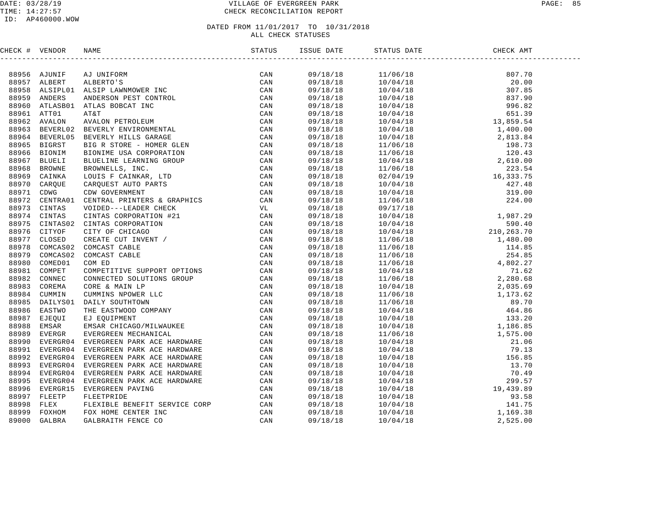### DATE: 03/28/19 VILLAGE OF EVERGREEN PARK PAGE: 85 TIME: 14:27:57 CHECK RECONCILIATION REPORT

### ID: AP460000.WOW

| CHECK # VENDOR |                                                                                                                                                                                                                              |  | STATUS DATE | DATE CHECK AMT |  |
|----------------|------------------------------------------------------------------------------------------------------------------------------------------------------------------------------------------------------------------------------|--|-------------|----------------|--|
|                | INCRESS AUTHREL PRODUCED IN THE CRIP (2AN SERIES AN AN UNIFORM PARTICULAR SERIES AND A DESTROYED AND A CONSULTER CAN SERIES AND A SERIES AND MANUSCRIP CONSULTER CAN SERIES AND MANUSCRIP CONSULTER CAN SERIES AND MANUSCRIP |  |             |                |  |
|                |                                                                                                                                                                                                                              |  |             |                |  |
|                |                                                                                                                                                                                                                              |  |             |                |  |
|                |                                                                                                                                                                                                                              |  |             |                |  |
|                |                                                                                                                                                                                                                              |  |             |                |  |
|                |                                                                                                                                                                                                                              |  |             |                |  |
|                |                                                                                                                                                                                                                              |  |             |                |  |
|                |                                                                                                                                                                                                                              |  |             |                |  |
|                |                                                                                                                                                                                                                              |  |             |                |  |
|                |                                                                                                                                                                                                                              |  |             |                |  |
|                |                                                                                                                                                                                                                              |  |             |                |  |
|                |                                                                                                                                                                                                                              |  |             |                |  |
|                |                                                                                                                                                                                                                              |  |             |                |  |
|                |                                                                                                                                                                                                                              |  |             |                |  |
|                |                                                                                                                                                                                                                              |  |             |                |  |
|                |                                                                                                                                                                                                                              |  |             |                |  |
|                |                                                                                                                                                                                                                              |  |             |                |  |
|                |                                                                                                                                                                                                                              |  |             |                |  |
|                |                                                                                                                                                                                                                              |  |             |                |  |
|                |                                                                                                                                                                                                                              |  |             |                |  |
|                |                                                                                                                                                                                                                              |  |             |                |  |
|                |                                                                                                                                                                                                                              |  |             |                |  |
|                |                                                                                                                                                                                                                              |  |             |                |  |
|                |                                                                                                                                                                                                                              |  |             |                |  |
|                |                                                                                                                                                                                                                              |  |             |                |  |
|                |                                                                                                                                                                                                                              |  |             |                |  |
|                |                                                                                                                                                                                                                              |  |             |                |  |
|                |                                                                                                                                                                                                                              |  |             |                |  |
|                |                                                                                                                                                                                                                              |  |             |                |  |
|                |                                                                                                                                                                                                                              |  |             |                |  |
|                |                                                                                                                                                                                                                              |  |             |                |  |
|                |                                                                                                                                                                                                                              |  |             |                |  |
|                |                                                                                                                                                                                                                              |  |             |                |  |
|                |                                                                                                                                                                                                                              |  |             |                |  |
|                |                                                                                                                                                                                                                              |  |             |                |  |
|                |                                                                                                                                                                                                                              |  |             |                |  |
|                |                                                                                                                                                                                                                              |  |             |                |  |
|                |                                                                                                                                                                                                                              |  |             |                |  |
|                |                                                                                                                                                                                                                              |  |             |                |  |
|                |                                                                                                                                                                                                                              |  |             |                |  |
|                |                                                                                                                                                                                                                              |  |             |                |  |
|                |                                                                                                                                                                                                                              |  |             |                |  |
|                |                                                                                                                                                                                                                              |  |             |                |  |
|                |                                                                                                                                                                                                                              |  |             |                |  |
|                |                                                                                                                                                                                                                              |  |             |                |  |
|                |                                                                                                                                                                                                                              |  |             |                |  |
|                |                                                                                                                                                                                                                              |  |             |                |  |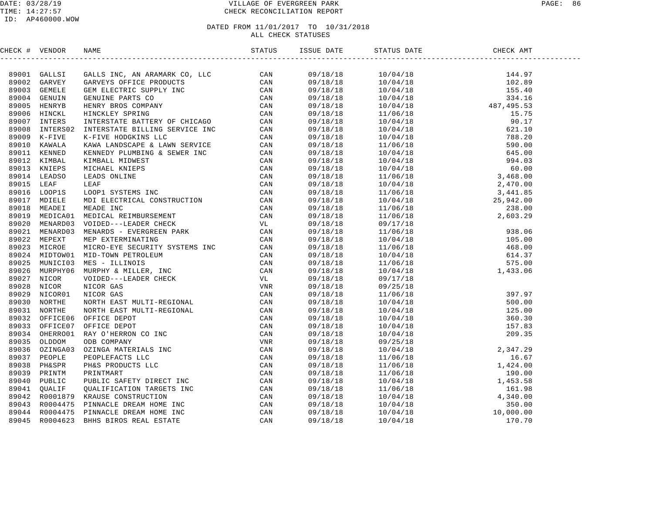### DATE: 03/28/19 VILLAGE OF EVERGREEN PARK PAGE: 86 TIME: 14:27:57 CHECK RECONCILIATION REPORT

### ID: AP460000.WOW

| CHECK # VENDOR | NAME                                                                                                                                                                                                                          | ISSUE DATE | STATUS DATE | CHECK AMT |  |
|----------------|-------------------------------------------------------------------------------------------------------------------------------------------------------------------------------------------------------------------------------|------------|-------------|-----------|--|
|                | (1970) Homos Monte (1970) Homos Monte (1970) Homos Monte (1970) Homos Monte (1970) Homos Monte (1970) Homos Monte (1970) Homos Monte (1970) Homos Monte (1970) Homos Monte (1970) Homos Monte (1970) Homos Monte (1970) Homos |            |             |           |  |
|                |                                                                                                                                                                                                                               |            |             |           |  |
|                |                                                                                                                                                                                                                               |            |             |           |  |
|                |                                                                                                                                                                                                                               |            |             |           |  |
|                |                                                                                                                                                                                                                               |            |             |           |  |
|                |                                                                                                                                                                                                                               |            |             |           |  |
|                |                                                                                                                                                                                                                               |            |             |           |  |
|                |                                                                                                                                                                                                                               |            |             |           |  |
|                |                                                                                                                                                                                                                               |            |             |           |  |
|                |                                                                                                                                                                                                                               |            |             |           |  |
|                |                                                                                                                                                                                                                               |            |             |           |  |
|                |                                                                                                                                                                                                                               |            |             |           |  |
|                |                                                                                                                                                                                                                               |            |             |           |  |
|                |                                                                                                                                                                                                                               |            |             |           |  |
|                |                                                                                                                                                                                                                               |            |             |           |  |
|                |                                                                                                                                                                                                                               |            |             |           |  |
|                |                                                                                                                                                                                                                               |            |             |           |  |
|                |                                                                                                                                                                                                                               |            |             |           |  |
|                |                                                                                                                                                                                                                               |            |             |           |  |
|                |                                                                                                                                                                                                                               |            |             |           |  |
|                |                                                                                                                                                                                                                               |            |             |           |  |
|                |                                                                                                                                                                                                                               |            |             |           |  |
|                |                                                                                                                                                                                                                               |            |             |           |  |
|                |                                                                                                                                                                                                                               |            |             |           |  |
|                |                                                                                                                                                                                                                               |            |             |           |  |
|                |                                                                                                                                                                                                                               |            |             |           |  |
|                |                                                                                                                                                                                                                               |            |             |           |  |
|                |                                                                                                                                                                                                                               |            |             |           |  |
|                |                                                                                                                                                                                                                               |            |             |           |  |
|                |                                                                                                                                                                                                                               |            |             |           |  |
|                |                                                                                                                                                                                                                               |            |             |           |  |
|                |                                                                                                                                                                                                                               |            |             |           |  |
|                |                                                                                                                                                                                                                               |            |             |           |  |
|                |                                                                                                                                                                                                                               |            |             |           |  |
|                |                                                                                                                                                                                                                               |            |             |           |  |
|                |                                                                                                                                                                                                                               |            |             |           |  |
|                |                                                                                                                                                                                                                               |            |             |           |  |
|                |                                                                                                                                                                                                                               |            |             |           |  |
|                |                                                                                                                                                                                                                               |            |             |           |  |
|                |                                                                                                                                                                                                                               |            |             |           |  |
|                |                                                                                                                                                                                                                               |            |             |           |  |
|                |                                                                                                                                                                                                                               |            |             |           |  |
|                |                                                                                                                                                                                                                               |            |             |           |  |
|                |                                                                                                                                                                                                                               |            |             |           |  |
|                |                                                                                                                                                                                                                               |            |             |           |  |
|                |                                                                                                                                                                                                                               |            |             |           |  |
|                |                                                                                                                                                                                                                               |            |             |           |  |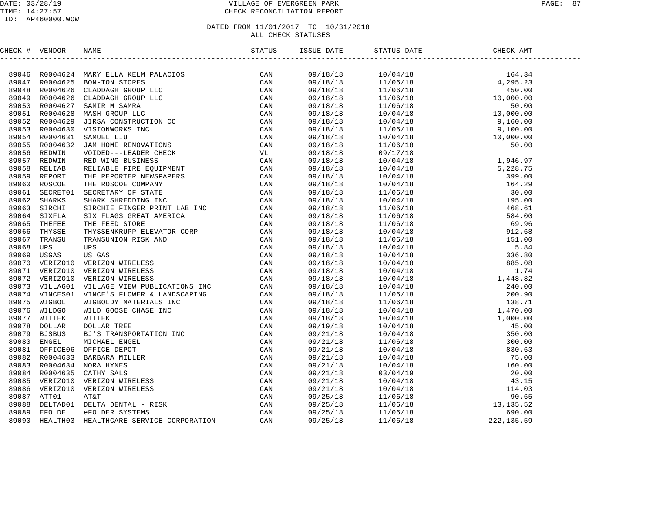### DATE: 03/28/19 VILLAGE OF EVERGREEN PARK PAGE: 87 TIME: 14:27:57 CHECK RECONCILIATION REPORT

### ID: AP460000.WOW

| CHECK # VENDOR |  |  |          |  |
|----------------|--|--|----------|--|
|                |  |  |          |  |
|                |  |  |          |  |
|                |  |  |          |  |
|                |  |  |          |  |
|                |  |  |          |  |
|                |  |  |          |  |
|                |  |  |          |  |
|                |  |  |          |  |
|                |  |  |          |  |
|                |  |  |          |  |
|                |  |  |          |  |
|                |  |  |          |  |
|                |  |  |          |  |
|                |  |  |          |  |
|                |  |  |          |  |
|                |  |  |          |  |
|                |  |  |          |  |
|                |  |  |          |  |
|                |  |  |          |  |
|                |  |  |          |  |
|                |  |  |          |  |
|                |  |  |          |  |
|                |  |  |          |  |
|                |  |  |          |  |
|                |  |  |          |  |
|                |  |  |          |  |
|                |  |  |          |  |
|                |  |  |          |  |
|                |  |  |          |  |
|                |  |  |          |  |
|                |  |  |          |  |
|                |  |  |          |  |
|                |  |  |          |  |
|                |  |  |          |  |
|                |  |  |          |  |
|                |  |  |          |  |
|                |  |  |          |  |
|                |  |  |          |  |
|                |  |  |          |  |
|                |  |  |          |  |
|                |  |  |          |  |
|                |  |  |          |  |
|                |  |  |          |  |
|                |  |  |          |  |
|                |  |  |          |  |
|                |  |  | 11/06/18 |  |
|                |  |  |          |  |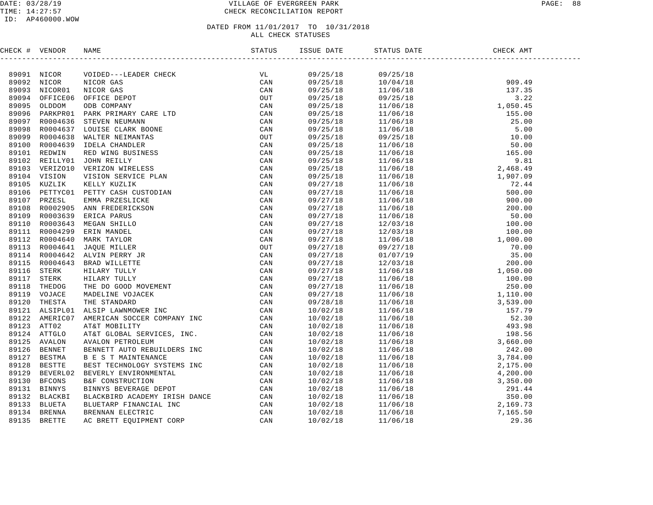### DATE: 03/28/19 VILLAGE OF EVERGREEN PARK PAGE: 88 TIME: 14:27:57 CHECK RECONCILIATION REPORT

### ID: AP460000.WOW

### DATED FROM 11/01/2017 TO 10/31/2018 ALL CHECK STATUSES

CHECK # VENDOR NAME STATUS ISSUE DATE STATUS DATE CHECK AMT ------------------------------------------------------------------------------------------------------------------------------------89091 NICOR VOIDED---LEADER CHECK VL 09/25/18 09/25/18 89092 NICOR NICOR GAS CAN 09/25/18 10/04/18 909.49 89093 NICOR01 NICOR GAS CAN 09/25/18 11/06/18 137.35 89094 OFFICE06 OFFICE DEPOT OUT 09/25/18 09/25/18 3.22 89095 OLDDOM ODB COMPANY CAN 09/25/18 11/06/18 1,050.45 89096 PARKPR01 PARK PRIMARY CARE LTD CAN 09/25/18 11/06/18 155.00 89097 R0004636 STEVEN NEUMANN CAN 09/25/18 11/06/18 25.00 89098 R0004637 LOUISE CLARK BOONE CAN 09/25/18 11/06/18 5.00 89099 R0004638 WALTER NEIMANTAS OUT 09/25/18 09/25/18 10.00 89100 R0004639 IDELA CHANDLER CAN 09/25/18 11/06/18 50.00 89101 REDWIN RED WING BUSINESS CAN 09/25/18 11/06/18 165.00 89102 REILLY01 JOHN REILLY CAN 09/25/18 11/06/18 9.81 89103 VERIZO10 VERIZON WIRELESS CAN 09/25/18 11/06/18 2,468.49 89104 VISION VISION SERVICE PLAN CAN 09/25/18 11/06/18 1,907.09 89105 KUZLIK KELLY KUZLIK CAN 09/27/18 11/06/18 72.44 89106 PETTYC01 PETTY CASH CUSTODIAN CAN 09/27/18 11/06/18 500.00 89107 PRZESL EMMA PRZESLICKE CAN 09/27/18 11/06/18 900.00 89108 R0002905 ANN FREDERICKSON CAN 09/27/18 11/06/18 200.00 89109 R0003639 ERICA PARUS CAN 09/27/18 11/06/18 50.00 89110 R0003643 MEGAN SHILLO CAN 09/27/18 12/03/18 100.00 89111 R0004299 ERIN MANDEL CAN 09/27/18 12/03/18 100.00 89112 R0004640 MARK TAYLOR CAN 09/27/18 11/06/18 1,000.00 89113 R0004641 JAQUE MILLER OUT 09/27/18 09/27/18 70.00 89114 R0004642 ALVIN PERRY JR CAN 09/27/18 01/07/19 35.00 89115 R0004643 BRAD WILLETTE CAN 09/27/18 12/03/18 200.00 89116 STERK HILARY TULLY CAN 09/27/18 11/06/18 1,050.00 89117 STERK HILARY TULLY CAN 09/27/18 11/06/18 100.00 89118 THEDOG THE DO GOOD MOVEMENT CAN 09/27/18 11/06/18 250.00 89119 VOJACE MADELINE VOJACEK CAN 09/27/18 11/06/18 1,110.00 89120 THESTA THE STANDARD CAN 09/28/18 11/06/18 3,539.00 89121 ALSIPL01 ALSIP LAWNMOWER INC CAN 10/02/18 11/06/18 157.79 89122 AMERIC07 AMERICAN SOCCER COMPANY INC CAN 10/02/18 11/06/18 52.30 89123 ATT02 AT&T MOBILITY CAN 10/02/18 11/06/18 493.98 89124 ATTGLO AT&T GLOBAL SERVICES, INC. CAN 10/02/18 11/06/18 198.56 89125 AVALON AVALON PETROLEUM CAN 10/02/18 11/06/18 3,660.00 89126 BENNET BENNETT AUTO REBUILDERS INC CAN 10/02/18 11/06/18 242.00 89127 BESTMA B E S T MAINTENANCE CAN 10/02/18 11/06/18 3,784.00 89128 BESTTE BEST TECHNOLOGY SYSTEMS INC CAN 10/02/18 11/06/18 2,175.00 89129 BEVERL02 BEVERLY ENVIRONMENTAL CAN 10/02/18 11/06/18 4,200.00 89130 BFCONS B&F CONSTRUCTION CAN 10/02/18 11/06/18 3,350.00 89131 BINNYS BINNYS BEVERAGE DEPOT CAN 10/02/18 11/06/18 291.44 89132 BLACKBI BLACKBIRD ACADEMY IRISH DANCE CAN 10/02/18 11/06/18 350.00 89133 BLUETA BLUETARP FINANCIAL INC CAN 10/02/18 11/06/18 2,169.73 89134 BRENNA BRENNAN ELECTRIC CAN 10/02/18 11/06/18 7,165.50 89135 BRETTE AC BRETT EQUIPMENT CORP CAN 10/02/18 11/06/18 29.36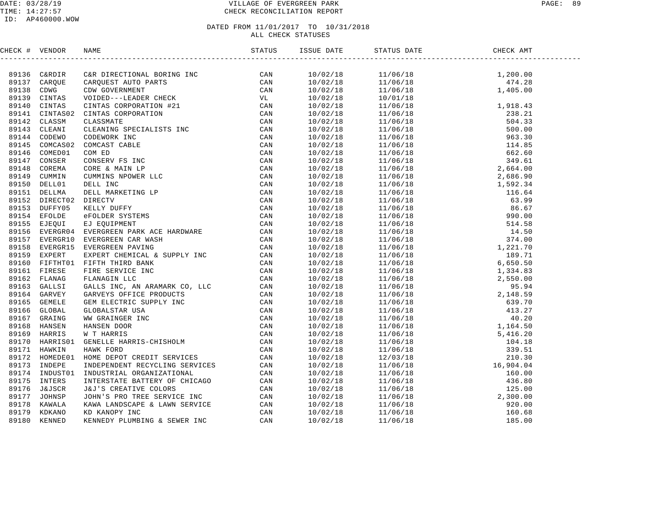### DATE: 03/28/19 VILLAGE OF EVERGREEN PARK PAGE: 89 TIME: 14:27:57 CHECK RECONCILIATION REPORT

| CHECK # VENDOR |  |  |  |
|----------------|--|--|--|
|                |  |  |  |
|                |  |  |  |
|                |  |  |  |
|                |  |  |  |
|                |  |  |  |
|                |  |  |  |
|                |  |  |  |
|                |  |  |  |
|                |  |  |  |
|                |  |  |  |
|                |  |  |  |
|                |  |  |  |
|                |  |  |  |
|                |  |  |  |
|                |  |  |  |
|                |  |  |  |
|                |  |  |  |
|                |  |  |  |
|                |  |  |  |
|                |  |  |  |
|                |  |  |  |
|                |  |  |  |
|                |  |  |  |
|                |  |  |  |
|                |  |  |  |
|                |  |  |  |
|                |  |  |  |
|                |  |  |  |
|                |  |  |  |
|                |  |  |  |
|                |  |  |  |
|                |  |  |  |
|                |  |  |  |
|                |  |  |  |
|                |  |  |  |
|                |  |  |  |
|                |  |  |  |
|                |  |  |  |
|                |  |  |  |
|                |  |  |  |
|                |  |  |  |
|                |  |  |  |
|                |  |  |  |
|                |  |  |  |
|                |  |  |  |
|                |  |  |  |
|                |  |  |  |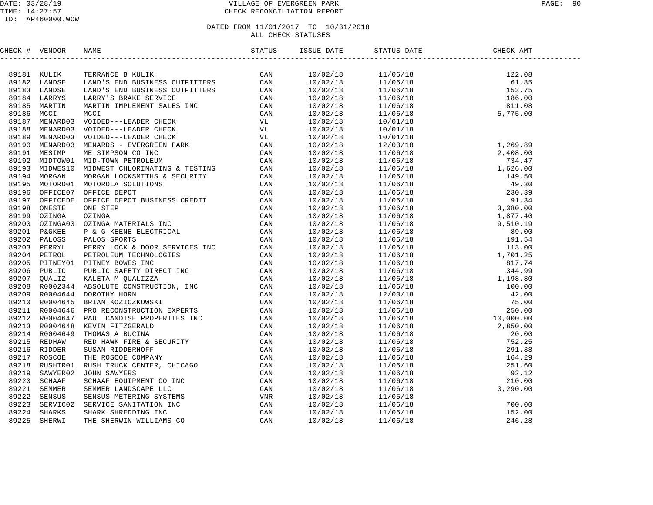### DATE: 03/28/19 VILLAGE OF EVERGREEN PARK PAGE: 90 TIME: 14:27:57 CHECK RECONCILIATION REPORT

### ID: AP460000.WOW

| CHECK # VENDOR |                                                                                                                                                                                                                                     | <b>ISSUE DATE</b> | STATUS DATE | CHECK AMT |  |
|----------------|-------------------------------------------------------------------------------------------------------------------------------------------------------------------------------------------------------------------------------------|-------------------|-------------|-----------|--|
|                | (1990) + 1990) 1990) 1990) 1991 (1990) 1992) 1992 (1990) 1992) 1992 (1992) 1992) 1992) 1992<br>1993 - 1992) 1992 (1992) 1992 (1992) 1992 (1992) 1992 (1992) 1992) 1992 (1992) 1992) 1992 (1992) 1992<br>1993 - 1992 (1992) 1992 (19 |                   |             |           |  |
|                |                                                                                                                                                                                                                                     |                   |             |           |  |
|                |                                                                                                                                                                                                                                     |                   |             |           |  |
|                |                                                                                                                                                                                                                                     |                   |             |           |  |
|                |                                                                                                                                                                                                                                     |                   |             |           |  |
|                |                                                                                                                                                                                                                                     |                   |             |           |  |
|                |                                                                                                                                                                                                                                     |                   |             |           |  |
|                |                                                                                                                                                                                                                                     |                   |             |           |  |
|                |                                                                                                                                                                                                                                     |                   |             |           |  |
|                |                                                                                                                                                                                                                                     |                   |             |           |  |
|                |                                                                                                                                                                                                                                     |                   |             |           |  |
|                |                                                                                                                                                                                                                                     |                   |             |           |  |
|                |                                                                                                                                                                                                                                     |                   |             |           |  |
|                |                                                                                                                                                                                                                                     |                   |             |           |  |
|                |                                                                                                                                                                                                                                     |                   |             |           |  |
|                |                                                                                                                                                                                                                                     |                   |             |           |  |
|                |                                                                                                                                                                                                                                     |                   |             |           |  |
|                |                                                                                                                                                                                                                                     |                   |             |           |  |
|                |                                                                                                                                                                                                                                     |                   |             |           |  |
|                |                                                                                                                                                                                                                                     |                   |             |           |  |
|                |                                                                                                                                                                                                                                     |                   |             |           |  |
|                |                                                                                                                                                                                                                                     |                   |             |           |  |
|                |                                                                                                                                                                                                                                     |                   |             |           |  |
|                |                                                                                                                                                                                                                                     |                   |             |           |  |
|                |                                                                                                                                                                                                                                     |                   |             |           |  |
|                |                                                                                                                                                                                                                                     |                   |             |           |  |
|                |                                                                                                                                                                                                                                     |                   |             |           |  |
|                |                                                                                                                                                                                                                                     |                   |             |           |  |
|                |                                                                                                                                                                                                                                     |                   |             |           |  |
|                |                                                                                                                                                                                                                                     |                   |             |           |  |
|                |                                                                                                                                                                                                                                     |                   |             |           |  |
|                |                                                                                                                                                                                                                                     |                   |             |           |  |
|                |                                                                                                                                                                                                                                     |                   |             |           |  |
|                |                                                                                                                                                                                                                                     |                   |             |           |  |
|                |                                                                                                                                                                                                                                     |                   |             |           |  |
|                |                                                                                                                                                                                                                                     |                   |             |           |  |
|                |                                                                                                                                                                                                                                     |                   |             |           |  |
|                |                                                                                                                                                                                                                                     |                   |             |           |  |
|                |                                                                                                                                                                                                                                     |                   |             |           |  |
|                |                                                                                                                                                                                                                                     |                   |             |           |  |
|                |                                                                                                                                                                                                                                     |                   |             |           |  |
|                |                                                                                                                                                                                                                                     |                   |             |           |  |
|                |                                                                                                                                                                                                                                     |                   |             |           |  |
|                |                                                                                                                                                                                                                                     |                   |             |           |  |
|                |                                                                                                                                                                                                                                     |                   |             |           |  |
|                |                                                                                                                                                                                                                                     |                   |             |           |  |
|                |                                                                                                                                                                                                                                     |                   |             |           |  |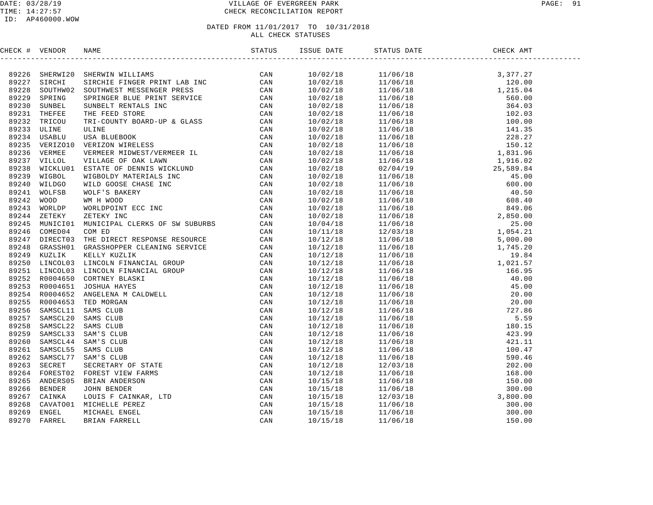### DATE: 03/28/19 VILLAGE OF EVERGREEN PARK PAGE: 91 TIME: 14:27:57 CHECK RECONCILIATION REPORT

### ID: AP460000.WOW

| CHECK # VENDOR |  |  |  |
|----------------|--|--|--|
|                |  |  |  |
|                |  |  |  |
|                |  |  |  |
|                |  |  |  |
|                |  |  |  |
|                |  |  |  |
|                |  |  |  |
|                |  |  |  |
|                |  |  |  |
|                |  |  |  |
|                |  |  |  |
|                |  |  |  |
|                |  |  |  |
|                |  |  |  |
|                |  |  |  |
|                |  |  |  |
|                |  |  |  |
|                |  |  |  |
|                |  |  |  |
|                |  |  |  |
|                |  |  |  |
|                |  |  |  |
|                |  |  |  |
|                |  |  |  |
|                |  |  |  |
|                |  |  |  |
|                |  |  |  |
|                |  |  |  |
|                |  |  |  |
|                |  |  |  |
|                |  |  |  |
|                |  |  |  |
|                |  |  |  |
|                |  |  |  |
|                |  |  |  |
|                |  |  |  |
|                |  |  |  |
|                |  |  |  |
|                |  |  |  |
|                |  |  |  |
|                |  |  |  |
|                |  |  |  |
|                |  |  |  |
|                |  |  |  |
|                |  |  |  |
|                |  |  |  |
|                |  |  |  |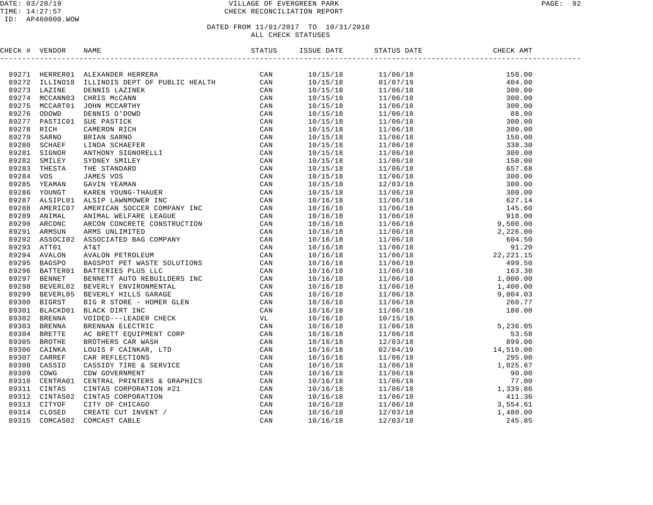### DATE: 03/28/19 VILLAGE OF EVERGREEN PARK PAGE: 92 TIME: 14:27:57 CHECK RECONCILIATION REPORT

# DATED FROM 11/01/2017 TO 10/31/2018

ALL CHECK STATUSES

CHECK # VENDOR NAME STATUS ISSUE DATE STATUS DATE CHECK AMT ------------------------------------------------------------------------------------------------------------------------------------89271 HERRER01 ALEXANDER HERRERA CAN 10/15/18 11/06/18 150.00 89272 ILLINO18 ILLINOIS DEPT OF PUBLIC HEALTH CAN 10/15/18 01/07/19 404.00 89273 LAZINE DENNIS LAZINEK CAN 10/15/18 11/06/18 300.00 89274 MCCANN03 CHRIS McCANN CAN 10/15/18 11/06/18 300.00 89275 MCCART01 JOHN MCCARTHY CAN 10/15/18 11/06/18 300.00 89276 ODOWD DENNIS O'DOWD CAN 10/15/18 11/06/18 88.00 89277 PASTIC01 SUE PASTICK CAN 10/15/18 11/06/18 300.00 89278 RICH CAMERON RICH CAN 10/15/18 11/06/18 300.00 89279 SARNO BRIAN SARNO CAN 10/15/18 11/06/18 150.00 89280 SCHAEF LINDA SCHAEFER CAN 10/15/18 11/06/18 338.30 89281 SIGNOR ANTHONY SIGNORELLI CAN 10/15/18 11/06/18 300.00 89282 SMILEY SYDNEY SMILEY CAN 10/15/18 11/06/18 150.00 89283 THESTA THE STANDARD CAN 10/15/18 11/06/18 657.68 89284 VOS JAMES VOS CAN 10/15/18 11/06/18 300.00 89285 YEAMAN GAVIN YEAMAN CAN 10/15/18 12/03/18 300.00 89286 YOUNGT KAREN YOUNG-THAUER CAN 10/15/18 11/06/18 300.00 89287 ALSIPL01 ALSIP LAWNMOWER INC CAN 10/16/18 11/06/18 627.14 89288 AMERIC07 AMERICAN SOCCER COMPANY INC CAN 10/16/18 11/06/18 145.60 89289 ANIMAL ANIMAL WELFARE LEAGUE CAN 10/16/18 11/06/18 918.00 89290 ARCONC ARCON CONCRETE CONSTRUCTION CAN 10/16/18 11/06/18 9,500.00 89291 ARMSUN ARMS UNLIMITED CAN 10/16/18 11/06/18 2,226.00 89292 ASSOCI02 ASSOCIATED BAG COMPANY CAN 10/16/18 11/06/18 604.50 89293 ATT01 AT&T CAN 10/16/18 11/06/18 91.20 89294 AVALON AVALON PETROLEUM CAN 10/16/18 11/06/18 22,221.15 89295 BAGSPO BAGSPOT PET WASTE SOLUTIONS CAN 10/16/18 11/06/18 499.50 89296 BATTER01 BATTERIES PLUS LLC CAN 10/16/18 11/06/18 163.30 89297 BENNET BENNETT AUTO REBUILDERS INC CAN 10/16/18 11/06/18 1,000.00 89298 BEVERL02 BEVERLY ENVIRONMENTAL CAN 10/16/18 11/06/18 1,400.00 89299 BEVERL05 BEVERLY HILLS GARAGE CAN 10/16/18 11/06/18 9,004.03 89300 BIGRST BIG R STORE - HOMER GLEN CAN 10/16/18 11/06/18 260.77 89301 BLACKD01 BLACK DIRT INC CAN 10/16/18 11/06/18 180.00 89302 BRENNA VOIDED---LEADER CHECK VL 10/16/18 10/15/18 89303 BRENNA BRENNAN ELECTRIC CAN 10/16/18 11/06/18 5,236.05 89304 BRETTE AC BRETT EQUIPMENT CORP CAN 10/16/18 11/06/18 53.58 89305 BROTHE BROTHERS CAR WASH CAN 10/16/18 12/03/18 899.00 89306 CAINKA LOUIS F CAINKAR, LTD CAN 10/16/18 02/04/19 14,510.00 89307 CARREF CAR REFLECTIONS CAN 10/16/18 11/06/18 295.00 89308 CASSID CASSIDY TIRE & SERVICE CAN 10/16/18 11/06/18 1,025.67 89309 CDWG CDW GOVERNMENT CAN 10/16/18 11/06/18 90.00 89310 CENTRA01 CENTRAL PRINTERS & GRAPHICS CAN 10/16/18 11/06/18 77.00 89311 CINTAS CINTAS CORPORATION #21 CAN 10/16/18 11/06/18 1,339.86 89312 CINTAS02 CINTAS CORPORATION CAN 10/16/18 11/06/18 411.36 89313 CITYOF CITY OF CHICAGO CAN 10/16/18 11/06/18 3,554.61 89314 CLOSED CREATE CUT INVENT / CAN 10/16/18 12/03/18 1,480.00 89315 COMCAS02 COMCAST CABLE CAN 10/16/18 12/03/18 245.85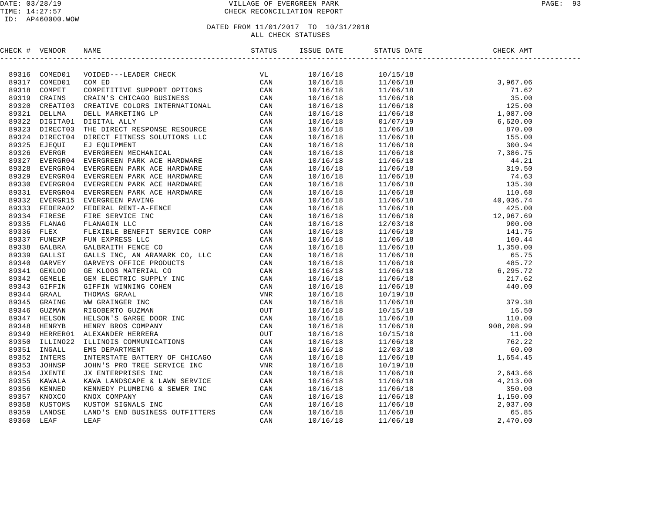### DATE: 03/28/19 VILLAGE OF EVERGREEN PARK PAGE: 93 TIME: 14:27:57 CHECK RECONCILIATION REPORT

| CHECK # VENDOR |                                                                                                                                                                                                                                                                                          |  | STATUS DATE CHE | CHECK AMT |  |
|----------------|------------------------------------------------------------------------------------------------------------------------------------------------------------------------------------------------------------------------------------------------------------------------------------------|--|-----------------|-----------|--|
|                | $\begin{tabular}{ c c c c c c c c} \hline & $1.00006 & $1.00008 & $1.00008 & $1.00008 & $1.00008 & $1.00008 & $1.00008 & $1.00008 & $1.00008 & $1.00008 & $1.00008 & $1.00008 & $1.00008 & $1.00008 & $1.00008 & $1.00008 & $1.00008 & $1.00008 & $1.00008 & $1.00008 & $1.00008 & $1.0$ |  |                 |           |  |
|                |                                                                                                                                                                                                                                                                                          |  |                 |           |  |
|                |                                                                                                                                                                                                                                                                                          |  |                 |           |  |
|                |                                                                                                                                                                                                                                                                                          |  |                 |           |  |
|                |                                                                                                                                                                                                                                                                                          |  |                 |           |  |
|                |                                                                                                                                                                                                                                                                                          |  |                 |           |  |
|                |                                                                                                                                                                                                                                                                                          |  |                 |           |  |
|                |                                                                                                                                                                                                                                                                                          |  |                 |           |  |
|                |                                                                                                                                                                                                                                                                                          |  |                 |           |  |
|                |                                                                                                                                                                                                                                                                                          |  |                 |           |  |
|                |                                                                                                                                                                                                                                                                                          |  |                 |           |  |
|                |                                                                                                                                                                                                                                                                                          |  |                 |           |  |
|                |                                                                                                                                                                                                                                                                                          |  |                 |           |  |
|                |                                                                                                                                                                                                                                                                                          |  |                 |           |  |
|                |                                                                                                                                                                                                                                                                                          |  |                 |           |  |
|                |                                                                                                                                                                                                                                                                                          |  |                 |           |  |
|                |                                                                                                                                                                                                                                                                                          |  |                 |           |  |
|                |                                                                                                                                                                                                                                                                                          |  |                 |           |  |
|                |                                                                                                                                                                                                                                                                                          |  |                 |           |  |
|                |                                                                                                                                                                                                                                                                                          |  |                 |           |  |
|                |                                                                                                                                                                                                                                                                                          |  |                 |           |  |
|                |                                                                                                                                                                                                                                                                                          |  |                 |           |  |
|                |                                                                                                                                                                                                                                                                                          |  |                 |           |  |
|                |                                                                                                                                                                                                                                                                                          |  |                 |           |  |
|                |                                                                                                                                                                                                                                                                                          |  |                 |           |  |
|                |                                                                                                                                                                                                                                                                                          |  |                 |           |  |
|                |                                                                                                                                                                                                                                                                                          |  |                 |           |  |
|                |                                                                                                                                                                                                                                                                                          |  |                 |           |  |
|                |                                                                                                                                                                                                                                                                                          |  |                 |           |  |
|                |                                                                                                                                                                                                                                                                                          |  |                 |           |  |
|                |                                                                                                                                                                                                                                                                                          |  |                 |           |  |
|                |                                                                                                                                                                                                                                                                                          |  |                 |           |  |
|                |                                                                                                                                                                                                                                                                                          |  |                 |           |  |
|                |                                                                                                                                                                                                                                                                                          |  |                 |           |  |
|                |                                                                                                                                                                                                                                                                                          |  |                 |           |  |
|                |                                                                                                                                                                                                                                                                                          |  |                 |           |  |
|                |                                                                                                                                                                                                                                                                                          |  |                 |           |  |
|                |                                                                                                                                                                                                                                                                                          |  |                 |           |  |
|                |                                                                                                                                                                                                                                                                                          |  |                 |           |  |
|                |                                                                                                                                                                                                                                                                                          |  |                 |           |  |
|                |                                                                                                                                                                                                                                                                                          |  |                 |           |  |
|                |                                                                                                                                                                                                                                                                                          |  |                 |           |  |
|                |                                                                                                                                                                                                                                                                                          |  |                 |           |  |
|                |                                                                                                                                                                                                                                                                                          |  |                 |           |  |
|                |                                                                                                                                                                                                                                                                                          |  |                 |           |  |
|                |                                                                                                                                                                                                                                                                                          |  |                 |           |  |
|                |                                                                                                                                                                                                                                                                                          |  | 11/06/18        |           |  |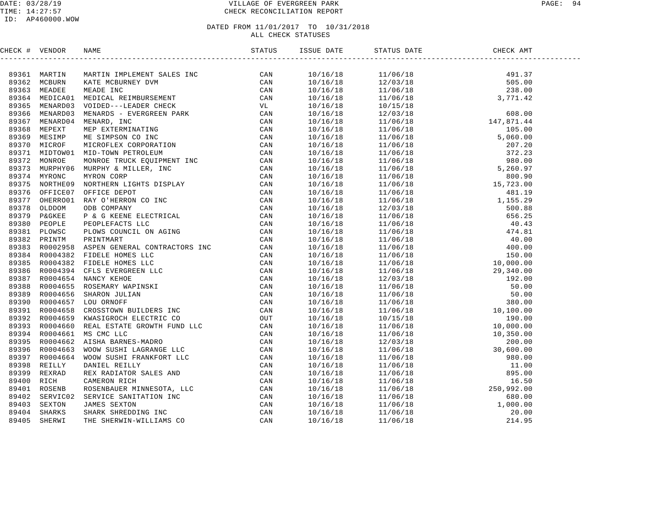### DATE: 03/28/19 VILLAGE OF EVERGREEN PARK PAGE: 94 TIME: 14:27:57 CHECK RECONCILIATION REPORT

| CHECK # VENDOR | NAME                                                                                                                                                                                                                         |  | STATUS DATE |  |
|----------------|------------------------------------------------------------------------------------------------------------------------------------------------------------------------------------------------------------------------------|--|-------------|--|
|                | THE CK I VERTITY MADETS IN EXTREME STATES THE STATES STATES AND MANUFACTURE SAMPLES ON A STATE OF A STATE OF A STATE OF A STATE OF A STATE OF A STATE OF A STATE OF A STATE OF A STATE OF A STATE OF A STATE OF A STATE OF A |  |             |  |
|                |                                                                                                                                                                                                                              |  |             |  |
|                |                                                                                                                                                                                                                              |  |             |  |
|                |                                                                                                                                                                                                                              |  |             |  |
|                |                                                                                                                                                                                                                              |  |             |  |
|                |                                                                                                                                                                                                                              |  |             |  |
|                |                                                                                                                                                                                                                              |  |             |  |
|                |                                                                                                                                                                                                                              |  |             |  |
|                |                                                                                                                                                                                                                              |  |             |  |
|                |                                                                                                                                                                                                                              |  |             |  |
|                |                                                                                                                                                                                                                              |  |             |  |
|                |                                                                                                                                                                                                                              |  |             |  |
|                |                                                                                                                                                                                                                              |  |             |  |
|                |                                                                                                                                                                                                                              |  |             |  |
|                |                                                                                                                                                                                                                              |  |             |  |
|                |                                                                                                                                                                                                                              |  |             |  |
|                |                                                                                                                                                                                                                              |  |             |  |
|                |                                                                                                                                                                                                                              |  |             |  |
|                |                                                                                                                                                                                                                              |  |             |  |
|                |                                                                                                                                                                                                                              |  |             |  |
|                |                                                                                                                                                                                                                              |  |             |  |
|                |                                                                                                                                                                                                                              |  |             |  |
|                |                                                                                                                                                                                                                              |  |             |  |
|                |                                                                                                                                                                                                                              |  |             |  |
|                |                                                                                                                                                                                                                              |  |             |  |
|                |                                                                                                                                                                                                                              |  |             |  |
|                |                                                                                                                                                                                                                              |  |             |  |
|                |                                                                                                                                                                                                                              |  |             |  |
|                |                                                                                                                                                                                                                              |  |             |  |
|                |                                                                                                                                                                                                                              |  |             |  |
|                |                                                                                                                                                                                                                              |  |             |  |
|                |                                                                                                                                                                                                                              |  |             |  |
|                |                                                                                                                                                                                                                              |  |             |  |
|                |                                                                                                                                                                                                                              |  |             |  |
|                |                                                                                                                                                                                                                              |  |             |  |
|                |                                                                                                                                                                                                                              |  |             |  |
|                |                                                                                                                                                                                                                              |  |             |  |
|                |                                                                                                                                                                                                                              |  |             |  |
|                |                                                                                                                                                                                                                              |  |             |  |
|                |                                                                                                                                                                                                                              |  |             |  |
|                |                                                                                                                                                                                                                              |  |             |  |
|                |                                                                                                                                                                                                                              |  |             |  |
|                |                                                                                                                                                                                                                              |  |             |  |
|                |                                                                                                                                                                                                                              |  |             |  |
|                |                                                                                                                                                                                                                              |  |             |  |
|                |                                                                                                                                                                                                                              |  |             |  |
|                |                                                                                                                                                                                                                              |  |             |  |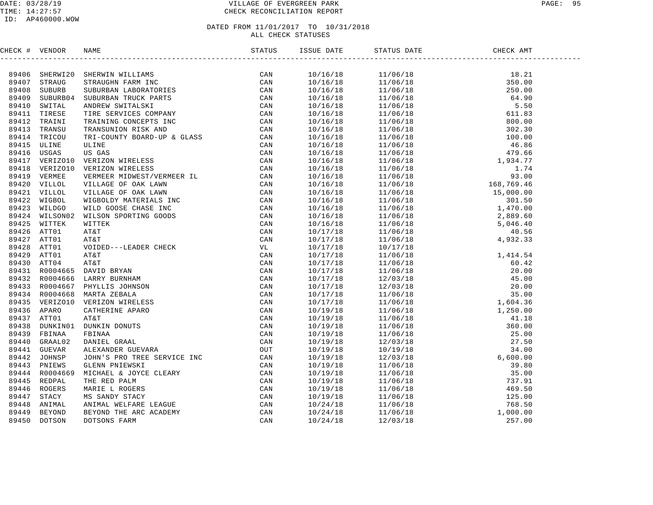### DATE: 03/28/19 VILLAGE OF EVERGREEN PARK PAGE: 95 TIME: 14:27:57 CHECK RECONCILIATION REPORT

### ID: AP460000.WOW

| CHECK # VENDOR | NAME STATUS STATUS ISSUE DATE STATUS STATUS STATUS STATUS STATUS STATUS STATUS STATUS STATUS STATUS STATUS STATUS STATUS STATUS STATUS STATUS STATUS STATUS STATUS STATUS STATUS STATUS STATUS STATUS STATUS STATUS STATUS STA     |  | STATUS DATE                                                                                                                                                                                                                                                                                                                        | DATE CHECK<br>CHECK AMT |  |
|----------------|------------------------------------------------------------------------------------------------------------------------------------------------------------------------------------------------------------------------------------|--|------------------------------------------------------------------------------------------------------------------------------------------------------------------------------------------------------------------------------------------------------------------------------------------------------------------------------------|-------------------------|--|
|                | NERCK $\bullet$ VERTICS. THE REPAIR ON THE STATE ON A STATE of the same of the same of the same of the same of the same of the same of the same of the same of the same of the same of the same of the same of the same of the sam |  | $\begin{tabular}{l c c c} \hline \textbf{18.01} & \textbf{51.02} & \textbf{51.03} & \textbf{52.04} & \textbf{53.04} & \textbf{54.05} \\ \hline \textbf{19.16/18} & 11/66/18 & 18 & 280.00 \\ \hline \textbf{10/16/18} & 11/66/18 & 35.50 \\ \textbf{10/16/18} & 11/66/18 & 45.50 \\ \textbf{10/16/18} & 11/66/18 & 55.50 \\ \text$ |                         |  |
|                |                                                                                                                                                                                                                                    |  |                                                                                                                                                                                                                                                                                                                                    |                         |  |
|                |                                                                                                                                                                                                                                    |  |                                                                                                                                                                                                                                                                                                                                    |                         |  |
|                |                                                                                                                                                                                                                                    |  |                                                                                                                                                                                                                                                                                                                                    |                         |  |
|                |                                                                                                                                                                                                                                    |  |                                                                                                                                                                                                                                                                                                                                    |                         |  |
|                |                                                                                                                                                                                                                                    |  |                                                                                                                                                                                                                                                                                                                                    |                         |  |
|                |                                                                                                                                                                                                                                    |  |                                                                                                                                                                                                                                                                                                                                    |                         |  |
|                |                                                                                                                                                                                                                                    |  |                                                                                                                                                                                                                                                                                                                                    |                         |  |
|                |                                                                                                                                                                                                                                    |  |                                                                                                                                                                                                                                                                                                                                    |                         |  |
|                |                                                                                                                                                                                                                                    |  |                                                                                                                                                                                                                                                                                                                                    |                         |  |
|                |                                                                                                                                                                                                                                    |  |                                                                                                                                                                                                                                                                                                                                    |                         |  |
|                |                                                                                                                                                                                                                                    |  |                                                                                                                                                                                                                                                                                                                                    |                         |  |
|                |                                                                                                                                                                                                                                    |  |                                                                                                                                                                                                                                                                                                                                    |                         |  |
|                |                                                                                                                                                                                                                                    |  |                                                                                                                                                                                                                                                                                                                                    |                         |  |
|                |                                                                                                                                                                                                                                    |  |                                                                                                                                                                                                                                                                                                                                    |                         |  |
|                |                                                                                                                                                                                                                                    |  |                                                                                                                                                                                                                                                                                                                                    |                         |  |
|                |                                                                                                                                                                                                                                    |  |                                                                                                                                                                                                                                                                                                                                    |                         |  |
|                |                                                                                                                                                                                                                                    |  |                                                                                                                                                                                                                                                                                                                                    |                         |  |
|                |                                                                                                                                                                                                                                    |  |                                                                                                                                                                                                                                                                                                                                    |                         |  |
|                |                                                                                                                                                                                                                                    |  |                                                                                                                                                                                                                                                                                                                                    |                         |  |
|                |                                                                                                                                                                                                                                    |  |                                                                                                                                                                                                                                                                                                                                    |                         |  |
|                |                                                                                                                                                                                                                                    |  |                                                                                                                                                                                                                                                                                                                                    |                         |  |
|                |                                                                                                                                                                                                                                    |  |                                                                                                                                                                                                                                                                                                                                    |                         |  |
|                |                                                                                                                                                                                                                                    |  |                                                                                                                                                                                                                                                                                                                                    |                         |  |
|                |                                                                                                                                                                                                                                    |  |                                                                                                                                                                                                                                                                                                                                    |                         |  |
|                |                                                                                                                                                                                                                                    |  |                                                                                                                                                                                                                                                                                                                                    |                         |  |
|                |                                                                                                                                                                                                                                    |  |                                                                                                                                                                                                                                                                                                                                    |                         |  |
|                |                                                                                                                                                                                                                                    |  |                                                                                                                                                                                                                                                                                                                                    |                         |  |
|                |                                                                                                                                                                                                                                    |  |                                                                                                                                                                                                                                                                                                                                    |                         |  |
|                |                                                                                                                                                                                                                                    |  |                                                                                                                                                                                                                                                                                                                                    |                         |  |
|                |                                                                                                                                                                                                                                    |  |                                                                                                                                                                                                                                                                                                                                    |                         |  |
|                |                                                                                                                                                                                                                                    |  |                                                                                                                                                                                                                                                                                                                                    |                         |  |
|                |                                                                                                                                                                                                                                    |  |                                                                                                                                                                                                                                                                                                                                    |                         |  |
|                |                                                                                                                                                                                                                                    |  |                                                                                                                                                                                                                                                                                                                                    |                         |  |
|                |                                                                                                                                                                                                                                    |  |                                                                                                                                                                                                                                                                                                                                    |                         |  |
|                |                                                                                                                                                                                                                                    |  |                                                                                                                                                                                                                                                                                                                                    |                         |  |
|                |                                                                                                                                                                                                                                    |  |                                                                                                                                                                                                                                                                                                                                    |                         |  |
|                |                                                                                                                                                                                                                                    |  |                                                                                                                                                                                                                                                                                                                                    |                         |  |
|                |                                                                                                                                                                                                                                    |  |                                                                                                                                                                                                                                                                                                                                    |                         |  |
|                |                                                                                                                                                                                                                                    |  |                                                                                                                                                                                                                                                                                                                                    |                         |  |
|                |                                                                                                                                                                                                                                    |  |                                                                                                                                                                                                                                                                                                                                    |                         |  |
|                |                                                                                                                                                                                                                                    |  |                                                                                                                                                                                                                                                                                                                                    |                         |  |
|                |                                                                                                                                                                                                                                    |  |                                                                                                                                                                                                                                                                                                                                    |                         |  |
|                |                                                                                                                                                                                                                                    |  |                                                                                                                                                                                                                                                                                                                                    |                         |  |
|                |                                                                                                                                                                                                                                    |  |                                                                                                                                                                                                                                                                                                                                    |                         |  |
|                |                                                                                                                                                                                                                                    |  |                                                                                                                                                                                                                                                                                                                                    |                         |  |
|                |                                                                                                                                                                                                                                    |  |                                                                                                                                                                                                                                                                                                                                    |                         |  |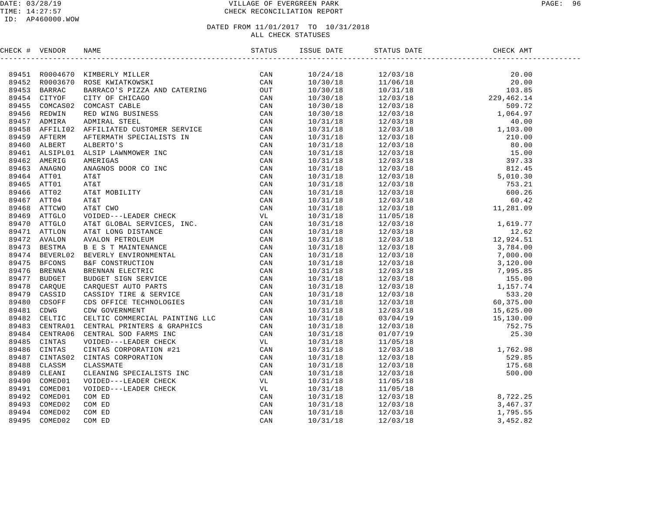### DATE: 03/28/19 VILLAGE OF EVERGREEN PARK PAGE: 96 TIME: 14:27:57 CHECK RECONCILIATION REPORT

### ID: AP460000.WOW

| CHECK # VENDOR | <b>NAME</b>                                                                                                                                                                                                                   | ISSUE DATE               | STATUS DATE | CHECK AMT                                                                                                                                                                                                                                                                   |  |
|----------------|-------------------------------------------------------------------------------------------------------------------------------------------------------------------------------------------------------------------------------|--------------------------|-------------|-----------------------------------------------------------------------------------------------------------------------------------------------------------------------------------------------------------------------------------------------------------------------------|--|
|                | THEOR # VERDOR NAME MANUSER (MANUSER CAN GABAS) AND ALL INTERESTS CONFIDENT CONTRACTOR AND CATERINATION (MANUSER SAMPLES CAN SPACE BANK CONFIDENCIAL CONTRACTOR CONTRACTOR CONTRACTOR CONTRACTOR CONTRACTOR CONTRACTOR CONTRA |                          |             |                                                                                                                                                                                                                                                                             |  |
|                |                                                                                                                                                                                                                               | 10/24/18                 |             |                                                                                                                                                                                                                                                                             |  |
|                |                                                                                                                                                                                                                               | 10/30/18                 |             |                                                                                                                                                                                                                                                                             |  |
|                |                                                                                                                                                                                                                               | 10/30/18                 |             |                                                                                                                                                                                                                                                                             |  |
|                |                                                                                                                                                                                                                               | 10/30/18                 |             |                                                                                                                                                                                                                                                                             |  |
|                |                                                                                                                                                                                                                               | 10/30/18                 |             |                                                                                                                                                                                                                                                                             |  |
|                |                                                                                                                                                                                                                               | 10/30/18                 |             |                                                                                                                                                                                                                                                                             |  |
|                |                                                                                                                                                                                                                               | 10/31/18                 |             |                                                                                                                                                                                                                                                                             |  |
|                |                                                                                                                                                                                                                               | 10/31/18                 |             |                                                                                                                                                                                                                                                                             |  |
|                |                                                                                                                                                                                                                               | 10/31/18                 |             |                                                                                                                                                                                                                                                                             |  |
|                |                                                                                                                                                                                                                               | 10/31/18                 |             |                                                                                                                                                                                                                                                                             |  |
|                |                                                                                                                                                                                                                               | 10/31/18                 |             |                                                                                                                                                                                                                                                                             |  |
|                |                                                                                                                                                                                                                               | 10/31/18                 |             |                                                                                                                                                                                                                                                                             |  |
|                |                                                                                                                                                                                                                               | 10/31/18                 |             |                                                                                                                                                                                                                                                                             |  |
|                |                                                                                                                                                                                                                               | 10/31/18                 |             |                                                                                                                                                                                                                                                                             |  |
|                |                                                                                                                                                                                                                               | 10/31/18                 |             |                                                                                                                                                                                                                                                                             |  |
|                |                                                                                                                                                                                                                               | 10/31/18                 |             |                                                                                                                                                                                                                                                                             |  |
|                |                                                                                                                                                                                                                               | 10/31/18                 |             |                                                                                                                                                                                                                                                                             |  |
|                |                                                                                                                                                                                                                               | 10/31/18                 |             |                                                                                                                                                                                                                                                                             |  |
|                |                                                                                                                                                                                                                               | 10/31/18                 |             |                                                                                                                                                                                                                                                                             |  |
|                |                                                                                                                                                                                                                               | 10/31/18                 |             |                                                                                                                                                                                                                                                                             |  |
|                |                                                                                                                                                                                                                               | 10/31/18                 |             |                                                                                                                                                                                                                                                                             |  |
|                |                                                                                                                                                                                                                               | 10/31/18                 |             |                                                                                                                                                                                                                                                                             |  |
|                |                                                                                                                                                                                                                               | 10/31/18                 |             |                                                                                                                                                                                                                                                                             |  |
|                |                                                                                                                                                                                                                               | 10/31/18                 |             |                                                                                                                                                                                                                                                                             |  |
|                |                                                                                                                                                                                                                               | 10/31/18                 |             |                                                                                                                                                                                                                                                                             |  |
|                |                                                                                                                                                                                                                               | $10/31/18$<br>$10/31/18$ |             |                                                                                                                                                                                                                                                                             |  |
|                |                                                                                                                                                                                                                               |                          |             |                                                                                                                                                                                                                                                                             |  |
|                |                                                                                                                                                                                                                               | 10/31/18                 |             |                                                                                                                                                                                                                                                                             |  |
|                |                                                                                                                                                                                                                               | 10/31/18                 |             |                                                                                                                                                                                                                                                                             |  |
|                |                                                                                                                                                                                                                               | 10/31/18                 |             |                                                                                                                                                                                                                                                                             |  |
|                |                                                                                                                                                                                                                               | 10/31/18                 |             |                                                                                                                                                                                                                                                                             |  |
|                |                                                                                                                                                                                                                               | 10/31/18                 |             |                                                                                                                                                                                                                                                                             |  |
|                |                                                                                                                                                                                                                               | 10/31/18                 |             |                                                                                                                                                                                                                                                                             |  |
|                |                                                                                                                                                                                                                               | 10/31/18                 |             |                                                                                                                                                                                                                                                                             |  |
|                |                                                                                                                                                                                                                               | 10/31/18                 |             |                                                                                                                                                                                                                                                                             |  |
|                |                                                                                                                                                                                                                               | 10/31/18                 |             |                                                                                                                                                                                                                                                                             |  |
|                |                                                                                                                                                                                                                               | 10/31/18                 |             |                                                                                                                                                                                                                                                                             |  |
|                |                                                                                                                                                                                                                               | 10/31/18                 |             |                                                                                                                                                                                                                                                                             |  |
|                |                                                                                                                                                                                                                               | 10/31/18                 |             |                                                                                                                                                                                                                                                                             |  |
|                |                                                                                                                                                                                                                               | 10/31/18                 |             |                                                                                                                                                                                                                                                                             |  |
|                |                                                                                                                                                                                                                               | 10/31/18                 |             |                                                                                                                                                                                                                                                                             |  |
|                |                                                                                                                                                                                                                               | 10/31/18                 |             |                                                                                                                                                                                                                                                                             |  |
|                |                                                                                                                                                                                                                               | 10/31/18                 |             |                                                                                                                                                                                                                                                                             |  |
|                |                                                                                                                                                                                                                               | 10/31/18                 |             |                                                                                                                                                                                                                                                                             |  |
|                |                                                                                                                                                                                                                               | 10/31/18                 |             | $\begin{array}{cccc} 12/03/18 & 60.42 \\ 12/03/18 & 11,281.09 \\ 12/03/18 & 1,619.77 \\ 12/03/18 & 12.62 \\ 12/03/18 & 12.62 \\ 12/03/18 & 3,784.00 \\ 12/03/18 & 3,784.00 \\ 12/03/18 & 7,000.00 \\ 12/03/18 & 7,995.85 \\ 12/03/18 & 155.00 \\ 12/03/18 & 155.00 \\ 12/0$ |  |
|                |                                                                                                                                                                                                                               |                          |             |                                                                                                                                                                                                                                                                             |  |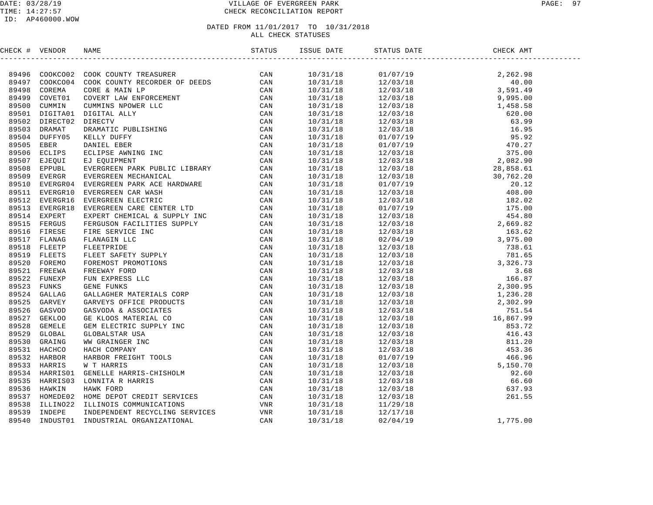### DATE: 03/28/19 VILLAGE OF EVERGREEN PARK PAGE: 97 TIME: 14:27:57 CHECK RECONCILIATION REPORT

### ID: AP460000.WOW

| CHECK # VENDOR |  | ISSUE DATE | STATUS DATE | CHECK AMT |  |
|----------------|--|------------|-------------|-----------|--|
|                |  |            |             |           |  |
|                |  |            |             |           |  |
|                |  |            |             |           |  |
|                |  |            |             |           |  |
|                |  |            |             |           |  |
|                |  |            |             |           |  |
|                |  |            |             |           |  |
|                |  |            |             |           |  |
|                |  |            |             |           |  |
|                |  |            |             |           |  |
|                |  |            |             |           |  |
|                |  |            |             |           |  |
|                |  |            |             |           |  |
|                |  |            |             |           |  |
|                |  |            |             |           |  |
|                |  |            |             |           |  |
|                |  |            |             |           |  |
|                |  |            |             |           |  |
|                |  |            |             |           |  |
|                |  |            |             |           |  |
|                |  |            |             |           |  |
|                |  |            |             |           |  |
|                |  |            |             |           |  |
|                |  |            |             |           |  |
|                |  |            |             |           |  |
|                |  |            |             |           |  |
|                |  |            |             |           |  |
|                |  |            |             |           |  |
|                |  |            |             |           |  |
|                |  |            |             |           |  |
|                |  |            |             |           |  |
|                |  |            |             |           |  |
|                |  |            |             |           |  |
|                |  |            |             |           |  |
|                |  |            |             |           |  |
|                |  |            |             |           |  |
|                |  |            |             |           |  |
|                |  |            |             |           |  |
|                |  |            |             |           |  |
|                |  |            |             |           |  |
|                |  |            |             |           |  |
|                |  |            |             |           |  |
|                |  |            |             |           |  |
|                |  |            |             |           |  |
|                |  |            |             |           |  |
|                |  |            |             |           |  |
|                |  |            |             |           |  |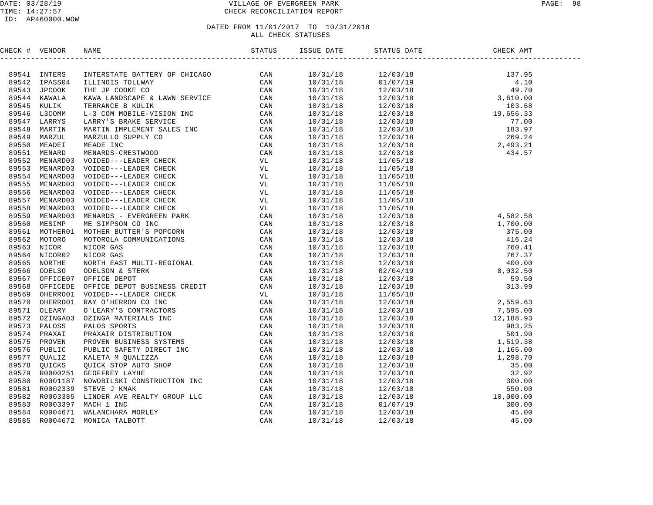### DATE: 03/28/19 VILLAGE OF EVERGREEN PARK PAGE: 98 TIME: 14:27:57 CHECK RECONCILIATION REPORT

| CHECK # VENDOR |  |  |  |
|----------------|--|--|--|
|                |  |  |  |
|                |  |  |  |
|                |  |  |  |
|                |  |  |  |
|                |  |  |  |
|                |  |  |  |
|                |  |  |  |
|                |  |  |  |
|                |  |  |  |
|                |  |  |  |
|                |  |  |  |
|                |  |  |  |
|                |  |  |  |
|                |  |  |  |
|                |  |  |  |
|                |  |  |  |
|                |  |  |  |
|                |  |  |  |
|                |  |  |  |
|                |  |  |  |
|                |  |  |  |
|                |  |  |  |
|                |  |  |  |
|                |  |  |  |
|                |  |  |  |
|                |  |  |  |
|                |  |  |  |
|                |  |  |  |
|                |  |  |  |
|                |  |  |  |
|                |  |  |  |
|                |  |  |  |
|                |  |  |  |
|                |  |  |  |
|                |  |  |  |
|                |  |  |  |
|                |  |  |  |
|                |  |  |  |
|                |  |  |  |
|                |  |  |  |
|                |  |  |  |
|                |  |  |  |
|                |  |  |  |
|                |  |  |  |
|                |  |  |  |
|                |  |  |  |
|                |  |  |  |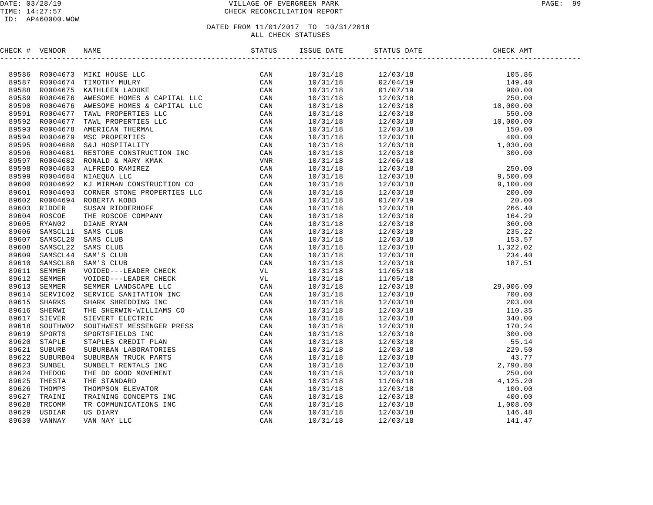### DATE: 03/28/19 VILLAGE OF EVERGREEN PARK PAGE: 99 TIME: 14:27:57 CHECK RECONCILIATION REPORT

### ID: AP460000.WOW

| CHECK # VENDOR |  |  |  |  |
|----------------|--|--|--|--|
|                |  |  |  |  |
|                |  |  |  |  |
|                |  |  |  |  |
|                |  |  |  |  |
|                |  |  |  |  |
|                |  |  |  |  |
|                |  |  |  |  |
|                |  |  |  |  |
|                |  |  |  |  |
|                |  |  |  |  |
|                |  |  |  |  |
|                |  |  |  |  |
|                |  |  |  |  |
|                |  |  |  |  |
|                |  |  |  |  |
|                |  |  |  |  |
|                |  |  |  |  |
|                |  |  |  |  |
|                |  |  |  |  |
|                |  |  |  |  |
|                |  |  |  |  |
|                |  |  |  |  |
|                |  |  |  |  |
|                |  |  |  |  |
|                |  |  |  |  |
|                |  |  |  |  |
|                |  |  |  |  |
|                |  |  |  |  |
|                |  |  |  |  |
|                |  |  |  |  |
|                |  |  |  |  |
|                |  |  |  |  |
|                |  |  |  |  |
|                |  |  |  |  |
|                |  |  |  |  |
|                |  |  |  |  |
|                |  |  |  |  |
|                |  |  |  |  |
|                |  |  |  |  |
|                |  |  |  |  |
|                |  |  |  |  |
|                |  |  |  |  |
|                |  |  |  |  |
|                |  |  |  |  |
|                |  |  |  |  |
|                |  |  |  |  |
|                |  |  |  |  |